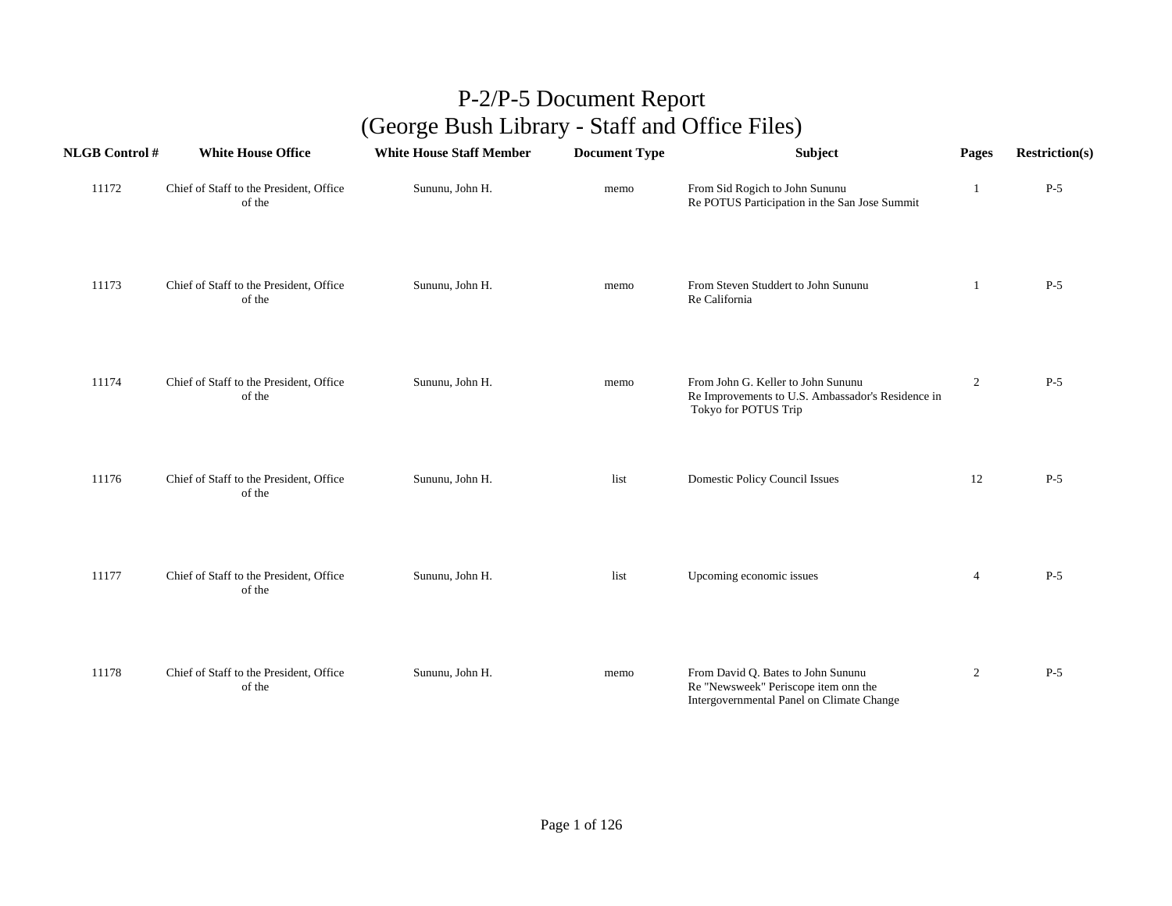| <b>NLGB</b> Control # | <b>White House Office</b>                         | <b>White House Staff Member</b> | <b>Document Type</b> | Subject                                                                                                                 | Pages            | <b>Restriction(s)</b> |
|-----------------------|---------------------------------------------------|---------------------------------|----------------------|-------------------------------------------------------------------------------------------------------------------------|------------------|-----------------------|
| 11172                 | Chief of Staff to the President, Office<br>of the | Sununu, John H.                 | memo                 | From Sid Rogich to John Sununu<br>Re POTUS Participation in the San Jose Summit                                         | 1                | $P-5$                 |
| 11173                 | Chief of Staff to the President, Office<br>of the | Sununu, John H.                 | memo                 | From Steven Studdert to John Sununu<br>Re California                                                                    | 1                | $P-5$                 |
| 11174                 | Chief of Staff to the President, Office<br>of the | Sununu, John H.                 | memo                 | From John G. Keller to John Sununu<br>Re Improvements to U.S. Ambassador's Residence in<br>Tokyo for POTUS Trip         | $\boldsymbol{2}$ | $P-5$                 |
| 11176                 | Chief of Staff to the President, Office<br>of the | Sununu, John H.                 | list                 | <b>Domestic Policy Council Issues</b>                                                                                   | 12               | $P-5$                 |
| 11177                 | Chief of Staff to the President, Office<br>of the | Sununu, John H.                 | list                 | Upcoming economic issues                                                                                                | $\overline{4}$   | $P-5$                 |
| 11178                 | Chief of Staff to the President, Office<br>of the | Sununu, John H.                 | memo                 | From David Q. Bates to John Sununu<br>Re "Newsweek" Periscope item onn the<br>Intergovernmental Panel on Climate Change | $\overline{2}$   | $P-5$                 |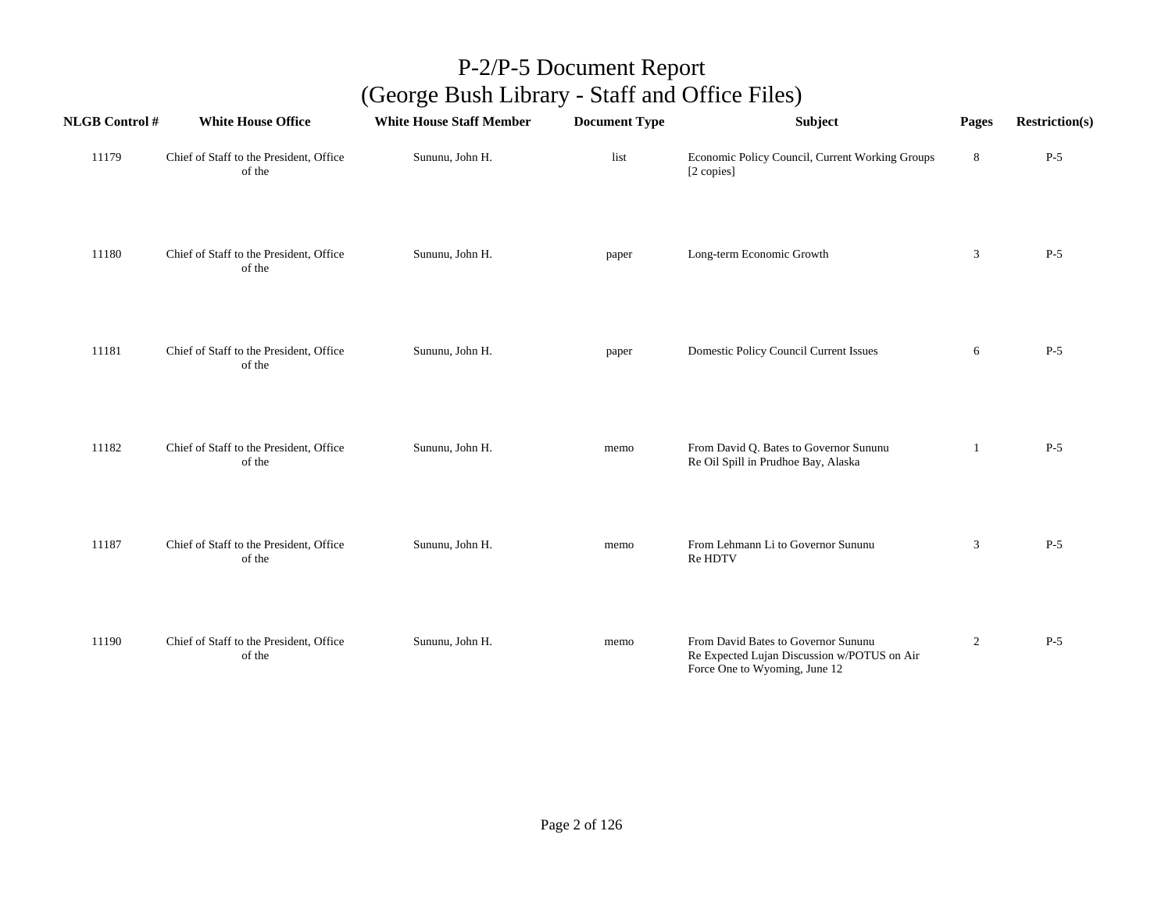| <b>NLGB Control#</b> | <b>White House Office</b>                         | <b>White House Staff Member</b> | <b>Document Type</b> | Subject                                                                                                             | Pages          | <b>Restriction(s)</b> |
|----------------------|---------------------------------------------------|---------------------------------|----------------------|---------------------------------------------------------------------------------------------------------------------|----------------|-----------------------|
| 11179                | Chief of Staff to the President, Office<br>of the | Sununu, John H.                 | list                 | Economic Policy Council, Current Working Groups<br>[2 copies]                                                       | $\bf 8$        | $P-5$                 |
| 11180                | Chief of Staff to the President, Office<br>of the | Sununu, John H.                 | paper                | Long-term Economic Growth                                                                                           | 3              | $P-5$                 |
| 11181                | Chief of Staff to the President, Office<br>of the | Sununu, John H.                 | paper                | Domestic Policy Council Current Issues                                                                              | 6              | $P-5$                 |
| 11182                | Chief of Staff to the President, Office<br>of the | Sununu, John H.                 | memo                 | From David Q. Bates to Governor Sununu<br>Re Oil Spill in Prudhoe Bay, Alaska                                       | 1              | $P-5$                 |
| 11187                | Chief of Staff to the President, Office<br>of the | Sununu, John H.                 | memo                 | From Lehmann Li to Governor Sununu<br>Re HDTV                                                                       | $\mathbf{3}$   | $P-5$                 |
| 11190                | Chief of Staff to the President, Office<br>of the | Sununu, John H.                 | memo                 | From David Bates to Governor Sununu<br>Re Expected Lujan Discussion w/POTUS on Air<br>Force One to Wyoming, June 12 | $\overline{2}$ | $P-5$                 |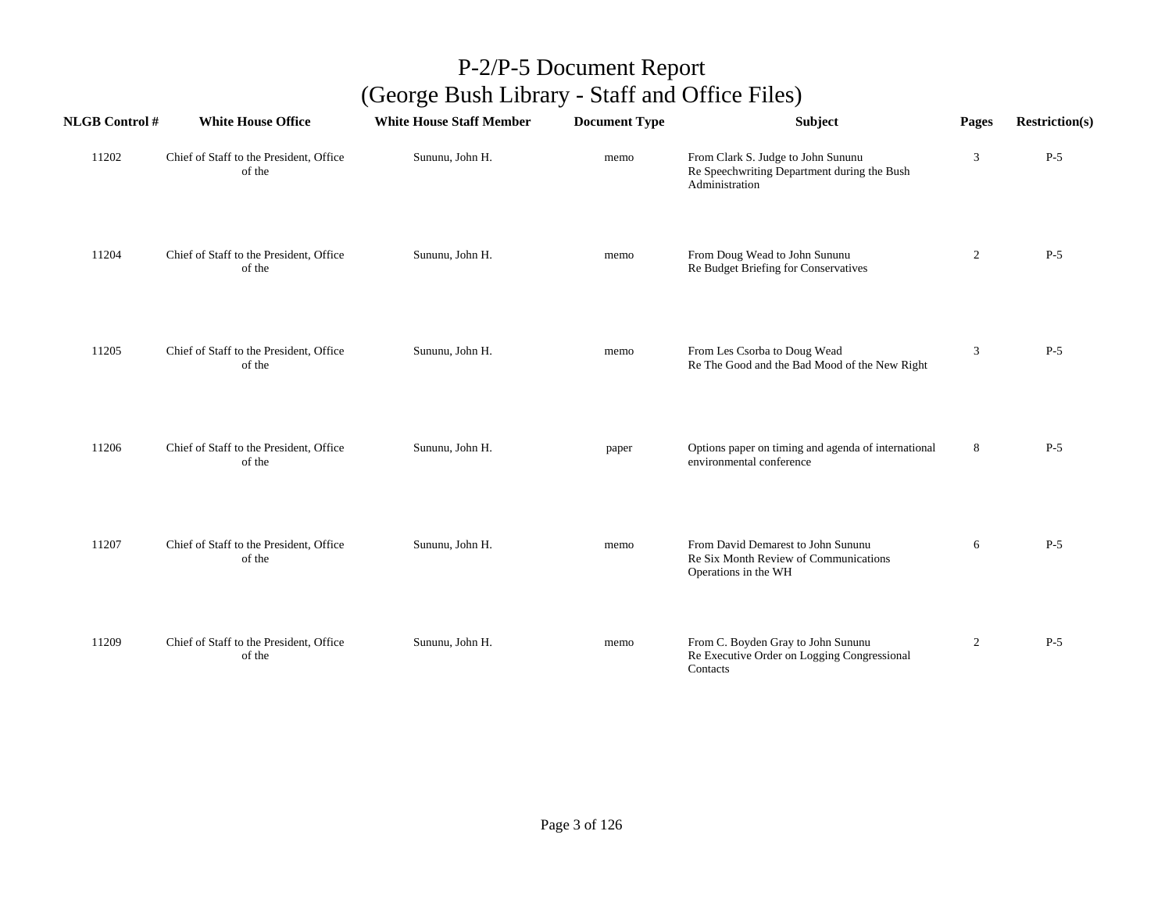| <b>NLGB Control#</b> | <b>White House Office</b>                         | <b>White House Staff Member</b> | <b>Document Type</b> | Subject                                                                                             | Pages          | <b>Restriction(s)</b> |
|----------------------|---------------------------------------------------|---------------------------------|----------------------|-----------------------------------------------------------------------------------------------------|----------------|-----------------------|
| 11202                | Chief of Staff to the President, Office<br>of the | Sununu, John H.                 | memo                 | From Clark S. Judge to John Sununu<br>Re Speechwriting Department during the Bush<br>Administration | $\mathfrak{Z}$ | $P-5$                 |
| 11204                | Chief of Staff to the President, Office<br>of the | Sununu, John H.                 | memo                 | From Doug Wead to John Sununu<br>Re Budget Briefing for Conservatives                               | $\overline{2}$ | $P-5$                 |
| 11205                | Chief of Staff to the President, Office<br>of the | Sununu, John H.                 | memo                 | From Les Csorba to Doug Wead<br>Re The Good and the Bad Mood of the New Right                       | 3              | $P-5$                 |
| 11206                | Chief of Staff to the President, Office<br>of the | Sununu, John H.                 | paper                | Options paper on timing and agenda of international<br>environmental conference                     | 8              | $P-5$                 |
| 11207                | Chief of Staff to the President, Office<br>of the | Sununu, John H.                 | memo                 | From David Demarest to John Sununu<br>Re Six Month Review of Communications<br>Operations in the WH | 6              | $P-5$                 |
| 11209                | Chief of Staff to the President, Office<br>of the | Sununu, John H.                 | memo                 | From C. Boyden Gray to John Sununu<br>Re Executive Order on Logging Congressional<br>Contacts       | $\overline{2}$ | $P-5$                 |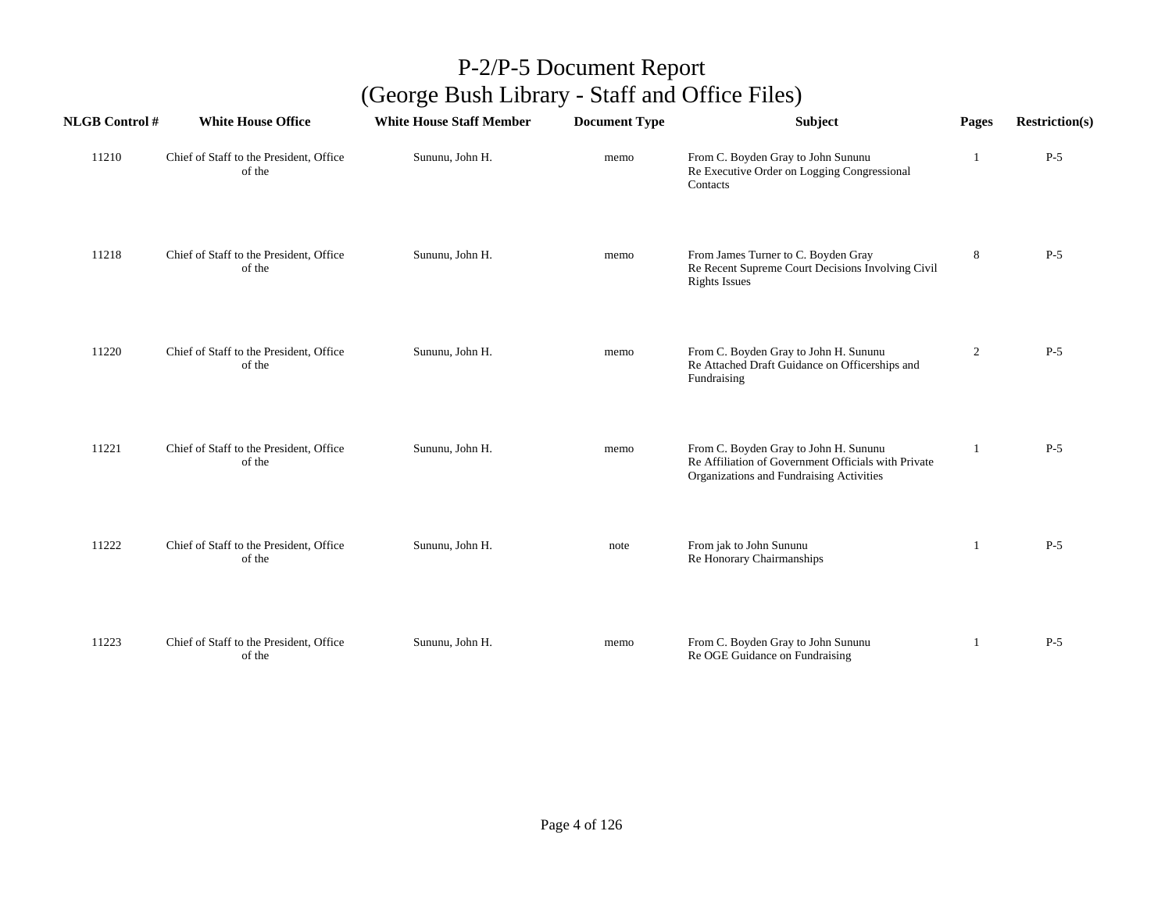| <b>NLGB Control #</b> | <b>White House Office</b>                         | <b>White House Staff Member</b> | <b>Document Type</b> | Subject                                                                                                                                  | Pages          | <b>Restriction(s)</b> |
|-----------------------|---------------------------------------------------|---------------------------------|----------------------|------------------------------------------------------------------------------------------------------------------------------------------|----------------|-----------------------|
| 11210                 | Chief of Staff to the President, Office<br>of the | Sununu, John H.                 | memo                 | From C. Boyden Gray to John Sununu<br>Re Executive Order on Logging Congressional<br>Contacts                                            |                | $P-5$                 |
| 11218                 | Chief of Staff to the President, Office<br>of the | Sununu, John H.                 | memo                 | From James Turner to C. Boyden Gray<br>Re Recent Supreme Court Decisions Involving Civil<br><b>Rights Issues</b>                         | $\,8\,$        | $P-5$                 |
| 11220                 | Chief of Staff to the President, Office<br>of the | Sununu, John H.                 | memo                 | From C. Boyden Gray to John H. Sununu<br>Re Attached Draft Guidance on Officerships and<br>Fundraising                                   | $\overline{2}$ | $P-5$                 |
| 11221                 | Chief of Staff to the President, Office<br>of the | Sununu, John H.                 | memo                 | From C. Boyden Gray to John H. Sununu<br>Re Affiliation of Government Officials with Private<br>Organizations and Fundraising Activities |                | $P-5$                 |
| 11222                 | Chief of Staff to the President, Office<br>of the | Sununu, John H.                 | note                 | From jak to John Sununu<br>Re Honorary Chairmanships                                                                                     | -1             | $P-5$                 |
| 11223                 | Chief of Staff to the President, Office<br>of the | Sununu, John H.                 | memo                 | From C. Boyden Gray to John Sununu<br>Re OGE Guidance on Fundraising                                                                     | 1              | $P-5$                 |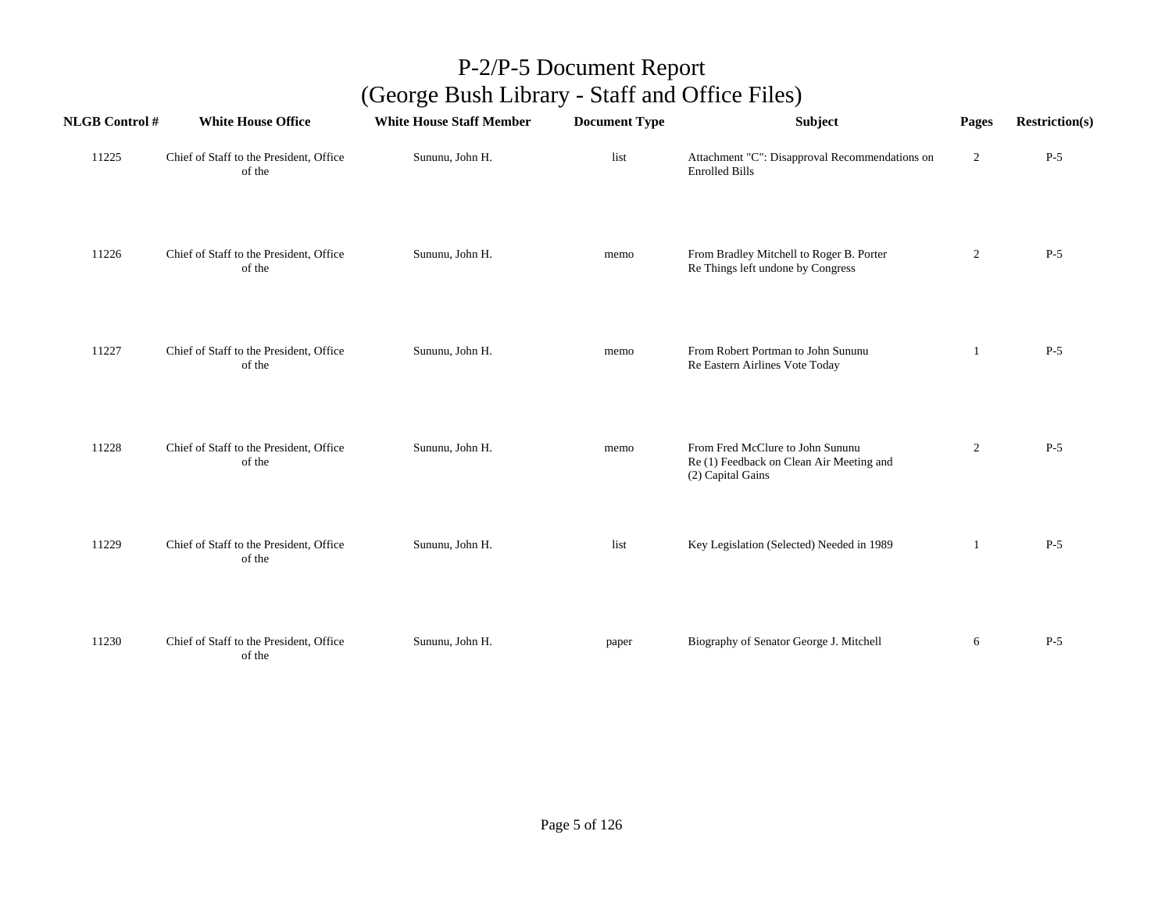| <b>NLGB Control #</b> | <b>White House Office</b>                         | <b>White House Staff Member</b> | <b>Document Type</b> | Subject                                                                                           | Pages          | <b>Restriction(s)</b> |
|-----------------------|---------------------------------------------------|---------------------------------|----------------------|---------------------------------------------------------------------------------------------------|----------------|-----------------------|
| 11225                 | Chief of Staff to the President, Office<br>of the | Sununu, John H.                 | list                 | Attachment "C": Disapproval Recommendations on<br><b>Enrolled Bills</b>                           | $\overline{c}$ | $P-5$                 |
| 11226                 | Chief of Staff to the President, Office<br>of the | Sununu, John H.                 | memo                 | From Bradley Mitchell to Roger B. Porter<br>Re Things left undone by Congress                     | $\overline{c}$ | $P-5$                 |
| 11227                 | Chief of Staff to the President, Office<br>of the | Sununu, John H.                 | memo                 | From Robert Portman to John Sununu<br>Re Eastern Airlines Vote Today                              | 1              | $P-5$                 |
| 11228                 | Chief of Staff to the President, Office<br>of the | Sununu, John H.                 | memo                 | From Fred McClure to John Sununu<br>Re (1) Feedback on Clean Air Meeting and<br>(2) Capital Gains | $\overline{2}$ | $P-5$                 |
| 11229                 | Chief of Staff to the President, Office<br>of the | Sununu, John H.                 | list                 | Key Legislation (Selected) Needed in 1989                                                         | -1             | $P-5$                 |
| 11230                 | Chief of Staff to the President, Office<br>of the | Sununu, John H.                 | paper                | Biography of Senator George J. Mitchell                                                           | 6              | $P-5$                 |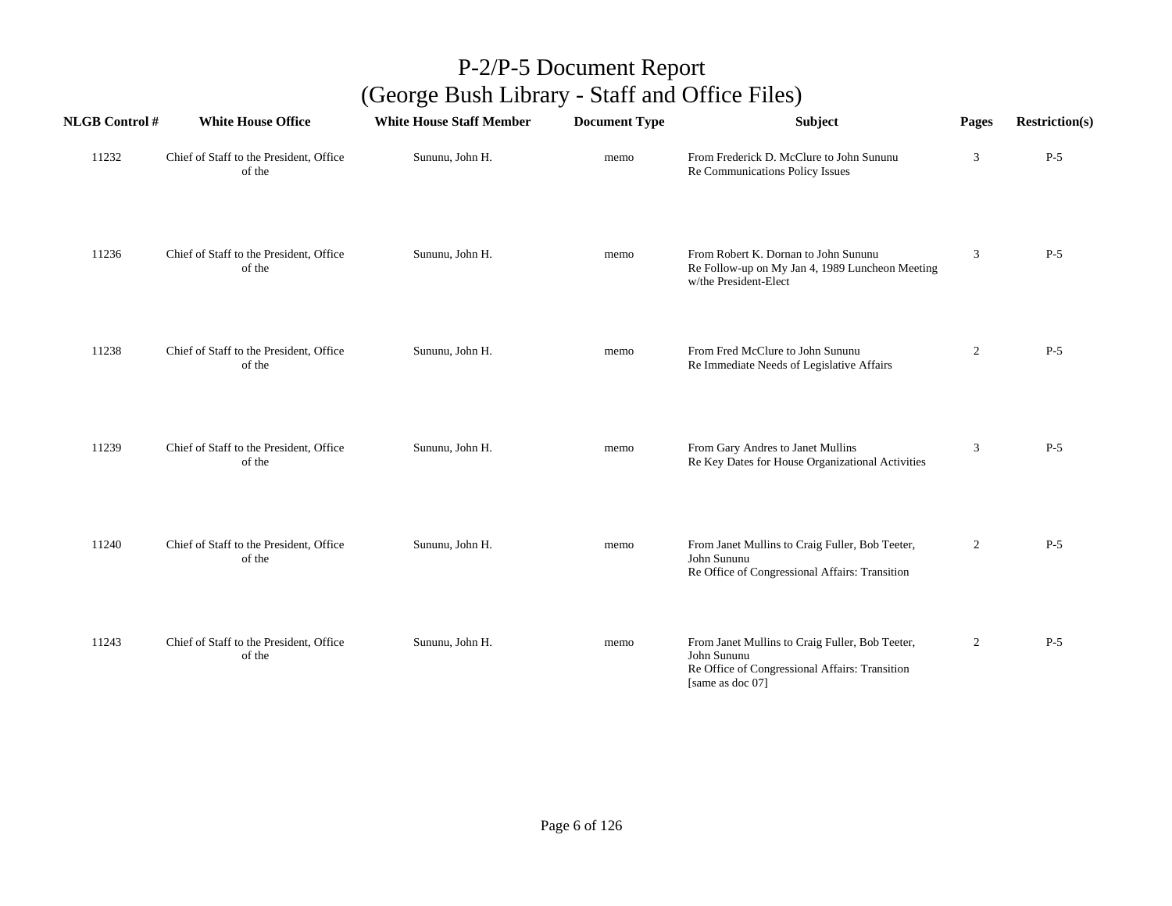| <b>NLGB Control#</b> | <b>White House Office</b>                         | <b>White House Staff Member</b> | <b>Document Type</b> | <b>Subject</b>                                                                                                                       | Pages          | <b>Restriction(s)</b> |
|----------------------|---------------------------------------------------|---------------------------------|----------------------|--------------------------------------------------------------------------------------------------------------------------------------|----------------|-----------------------|
| 11232                | Chief of Staff to the President, Office<br>of the | Sununu, John H.                 | memo                 | From Frederick D. McClure to John Sununu<br>Re Communications Policy Issues                                                          | 3              | $P-5$                 |
| 11236                | Chief of Staff to the President, Office<br>of the | Sununu, John H.                 | memo                 | From Robert K. Dornan to John Sununu<br>Re Follow-up on My Jan 4, 1989 Luncheon Meeting<br>w/the President-Elect                     | 3              | $P-5$                 |
| 11238                | Chief of Staff to the President, Office<br>of the | Sununu, John H.                 | memo                 | From Fred McClure to John Sununu<br>Re Immediate Needs of Legislative Affairs                                                        | $\overline{2}$ | $P-5$                 |
| 11239                | Chief of Staff to the President, Office<br>of the | Sununu, John H.                 | memo                 | From Gary Andres to Janet Mullins<br>Re Key Dates for House Organizational Activities                                                | 3              | $P-5$                 |
| 11240                | Chief of Staff to the President, Office<br>of the | Sununu, John H.                 | memo                 | From Janet Mullins to Craig Fuller, Bob Teeter,<br>John Sununu<br>Re Office of Congressional Affairs: Transition                     | $\overline{2}$ | $P-5$                 |
| 11243                | Chief of Staff to the President, Office<br>of the | Sununu, John H.                 | memo                 | From Janet Mullins to Craig Fuller, Bob Teeter,<br>John Sununu<br>Re Office of Congressional Affairs: Transition<br>[same as doc 07] | $\overline{2}$ | $P-5$                 |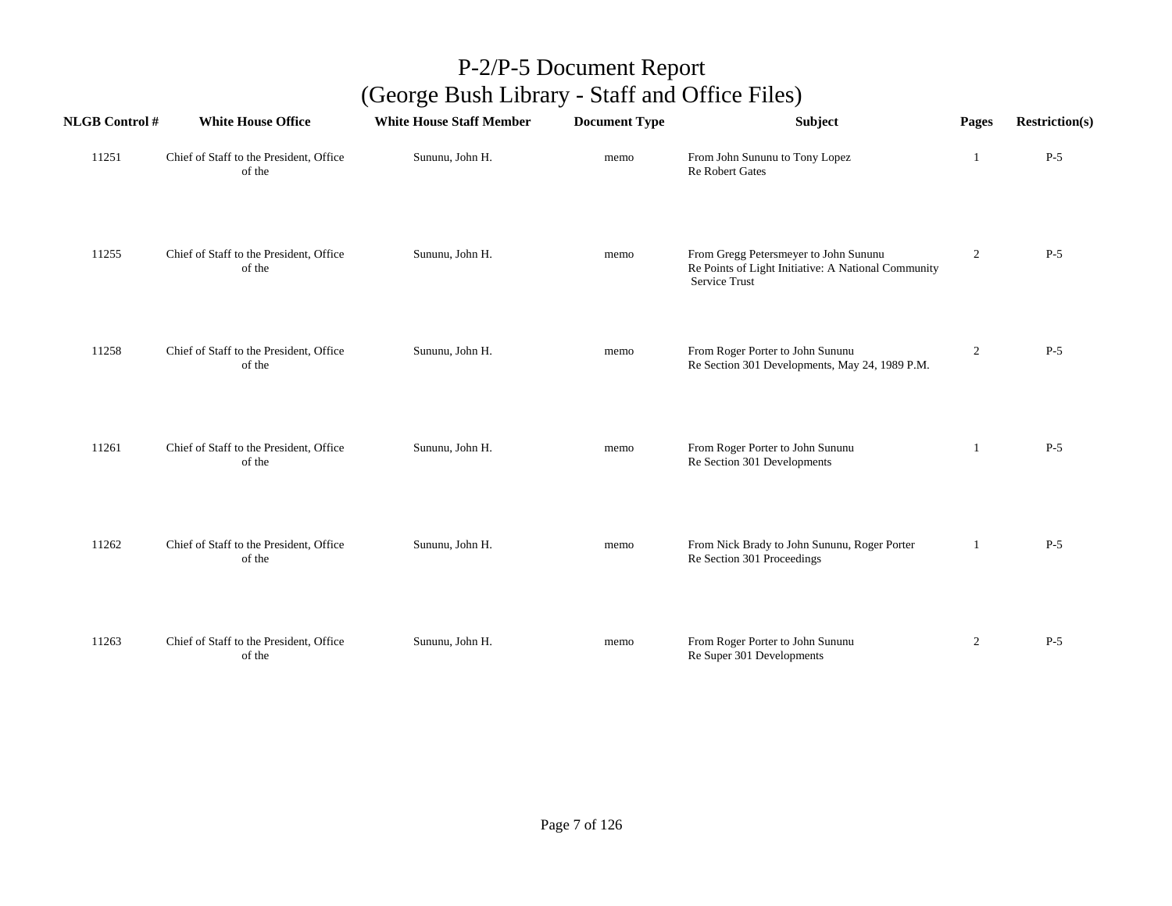| <b>NLGB</b> Control # | <b>White House Office</b>                         | <b>White House Staff Member</b> | <b>Document Type</b> | Subject                                                                                                              | Pages          | <b>Restriction(s)</b> |
|-----------------------|---------------------------------------------------|---------------------------------|----------------------|----------------------------------------------------------------------------------------------------------------------|----------------|-----------------------|
| 11251                 | Chief of Staff to the President, Office<br>of the | Sununu, John H.                 | memo                 | From John Sununu to Tony Lopez<br><b>Re Robert Gates</b>                                                             | -1             | $P-5$                 |
| 11255                 | Chief of Staff to the President, Office<br>of the | Sununu, John H.                 | memo                 | From Gregg Petersmeyer to John Sununu<br>Re Points of Light Initiative: A National Community<br><b>Service Trust</b> | $\overline{2}$ | $P-5$                 |
| 11258                 | Chief of Staff to the President, Office<br>of the | Sununu, John H.                 | memo                 | From Roger Porter to John Sununu<br>Re Section 301 Developments, May 24, 1989 P.M.                                   | $\overline{2}$ | $P-5$                 |
| 11261                 | Chief of Staff to the President, Office<br>of the | Sununu, John H.                 | memo                 | From Roger Porter to John Sununu<br>Re Section 301 Developments                                                      | 1              | $P-5$                 |
| 11262                 | Chief of Staff to the President, Office<br>of the | Sununu, John H.                 | memo                 | From Nick Brady to John Sununu, Roger Porter<br>Re Section 301 Proceedings                                           | 1              | $P-5$                 |
| 11263                 | Chief of Staff to the President, Office<br>of the | Sununu, John H.                 | memo                 | From Roger Porter to John Sununu<br>Re Super 301 Developments                                                        | $\overline{2}$ | $P-5$                 |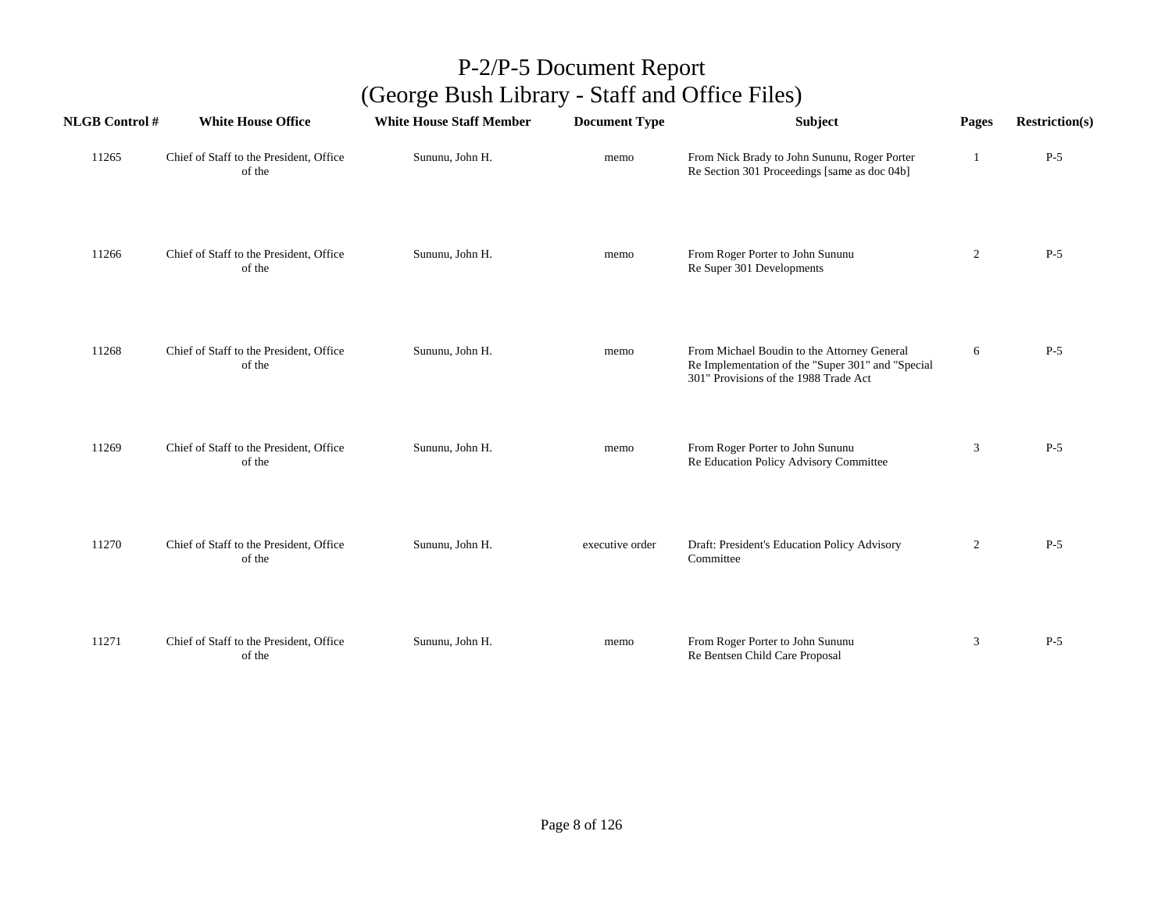| <b>NLGB Control#</b> | <b>White House Office</b>                         | <b>White House Staff Member</b> | <b>Document Type</b> | Subject                                                                                                                                   | Pages          | <b>Restriction(s)</b> |
|----------------------|---------------------------------------------------|---------------------------------|----------------------|-------------------------------------------------------------------------------------------------------------------------------------------|----------------|-----------------------|
| 11265                | Chief of Staff to the President, Office<br>of the | Sununu, John H.                 | memo                 | From Nick Brady to John Sununu, Roger Porter<br>Re Section 301 Proceedings [same as doc 04b]                                              |                | $P-5$                 |
| 11266                | Chief of Staff to the President, Office<br>of the | Sununu, John H.                 | memo                 | From Roger Porter to John Sununu<br>Re Super 301 Developments                                                                             | $\overline{2}$ | $P-5$                 |
| 11268                | Chief of Staff to the President, Office<br>of the | Sununu, John H.                 | memo                 | From Michael Boudin to the Attorney General<br>Re Implementation of the "Super 301" and "Special<br>301" Provisions of the 1988 Trade Act | 6              | $P-5$                 |
| 11269                | Chief of Staff to the President, Office<br>of the | Sununu, John H.                 | memo                 | From Roger Porter to John Sununu<br>Re Education Policy Advisory Committee                                                                | $\mathfrak{Z}$ | $P-5$                 |
| 11270                | Chief of Staff to the President, Office<br>of the | Sununu, John H.                 | executive order      | Draft: President's Education Policy Advisory<br>Committee                                                                                 | $\overline{2}$ | $P-5$                 |
| 11271                | Chief of Staff to the President, Office<br>of the | Sununu, John H.                 | memo                 | From Roger Porter to John Sununu<br>Re Bentsen Child Care Proposal                                                                        | 3              | $P-5$                 |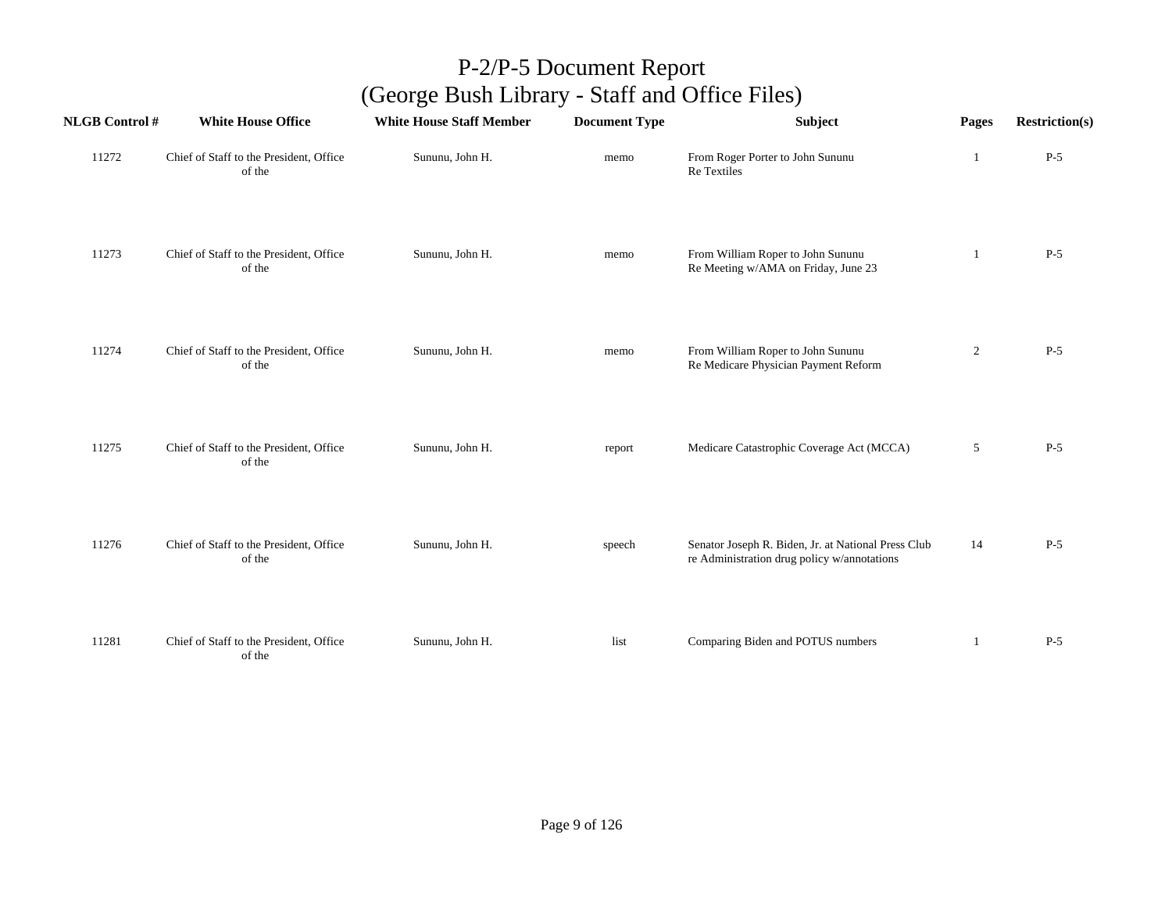| <b>NLGB Control #</b> | <b>White House Office</b>                         | <b>White House Staff Member</b> | <b>Document Type</b> | Subject                                                                                            | Pages          | <b>Restriction(s)</b> |
|-----------------------|---------------------------------------------------|---------------------------------|----------------------|----------------------------------------------------------------------------------------------------|----------------|-----------------------|
| 11272                 | Chief of Staff to the President, Office<br>of the | Sununu, John H.                 | memo                 | From Roger Porter to John Sununu<br>Re Textiles                                                    | -1             | $P-5$                 |
| 11273                 | Chief of Staff to the President, Office<br>of the | Sununu, John H.                 | memo                 | From William Roper to John Sununu<br>Re Meeting w/AMA on Friday, June 23                           | 1              | $P-5$                 |
| 11274                 | Chief of Staff to the President, Office<br>of the | Sununu, John H.                 | memo                 | From William Roper to John Sununu<br>Re Medicare Physician Payment Reform                          | $\overline{2}$ | $P-5$                 |
| 11275                 | Chief of Staff to the President, Office<br>of the | Sununu, John H.                 | report               | Medicare Catastrophic Coverage Act (MCCA)                                                          | 5              | $P-5$                 |
| 11276                 | Chief of Staff to the President, Office<br>of the | Sununu, John H.                 | speech               | Senator Joseph R. Biden, Jr. at National Press Club<br>re Administration drug policy w/annotations | 14             | $P-5$                 |
| 11281                 | Chief of Staff to the President, Office<br>of the | Sununu, John H.                 | list                 | Comparing Biden and POTUS numbers                                                                  | 1              | $P-5$                 |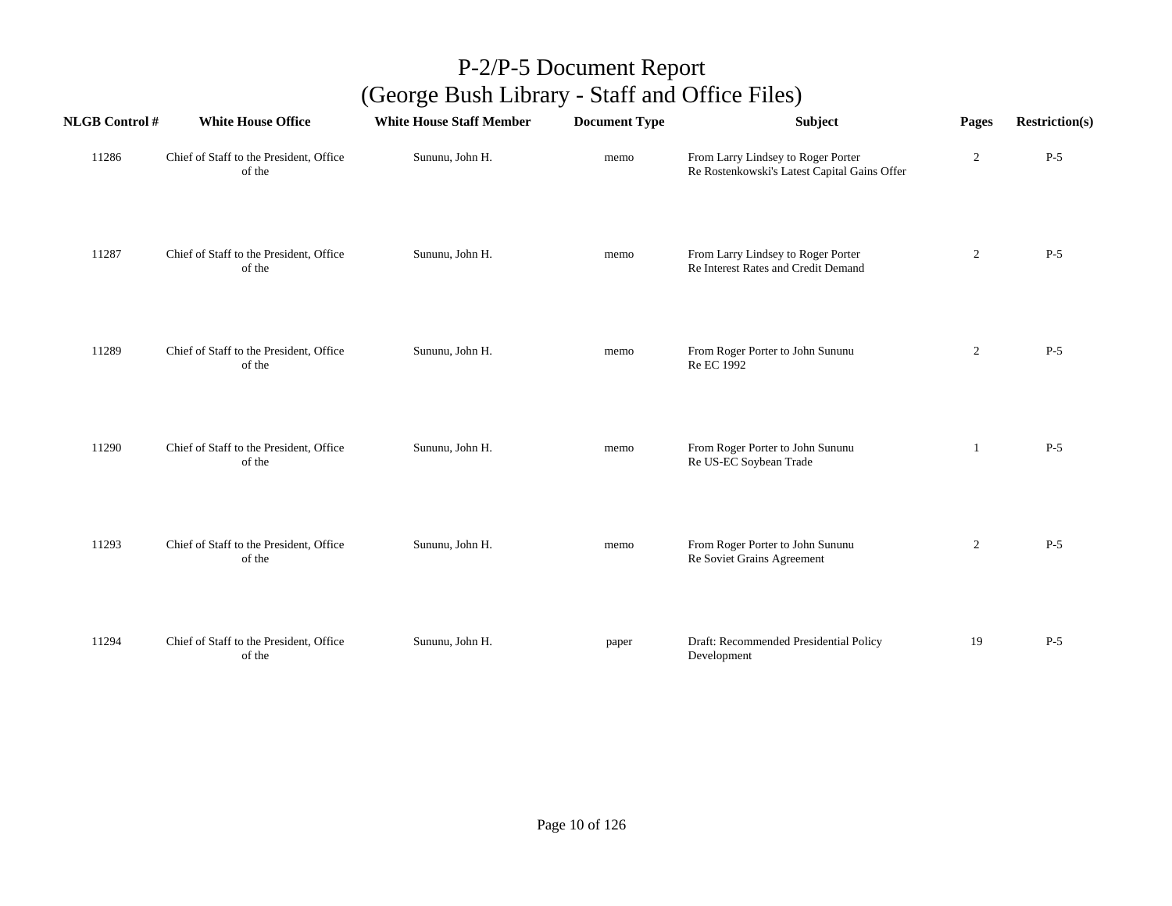| <b>NLGB Control#</b> | <b>White House Office</b>                         | <b>White House Staff Member</b> | <b>Document Type</b> | Subject                                                                            | Pages          | <b>Restriction(s)</b> |
|----------------------|---------------------------------------------------|---------------------------------|----------------------|------------------------------------------------------------------------------------|----------------|-----------------------|
| 11286                | Chief of Staff to the President, Office<br>of the | Sununu, John H.                 | memo                 | From Larry Lindsey to Roger Porter<br>Re Rostenkowski's Latest Capital Gains Offer | $\overline{c}$ | $P-5$                 |
| 11287                | Chief of Staff to the President, Office<br>of the | Sununu, John H.                 | memo                 | From Larry Lindsey to Roger Porter<br>Re Interest Rates and Credit Demand          | $\overline{c}$ | $P-5$                 |
| 11289                | Chief of Staff to the President, Office<br>of the | Sununu, John H.                 | memo                 | From Roger Porter to John Sununu<br>Re EC 1992                                     | $\overline{2}$ | $P-5$                 |
| 11290                | Chief of Staff to the President, Office<br>of the | Sununu, John H.                 | memo                 | From Roger Porter to John Sununu<br>Re US-EC Soybean Trade                         | -1             | $P-5$                 |
| 11293                | Chief of Staff to the President, Office<br>of the | Sununu, John H.                 | memo                 | From Roger Porter to John Sununu<br>Re Soviet Grains Agreement                     | $\overline{c}$ | $P-5$                 |
| 11294                | Chief of Staff to the President, Office<br>of the | Sununu, John H.                 | paper                | Draft: Recommended Presidential Policy<br>Development                              | 19             | $P-5$                 |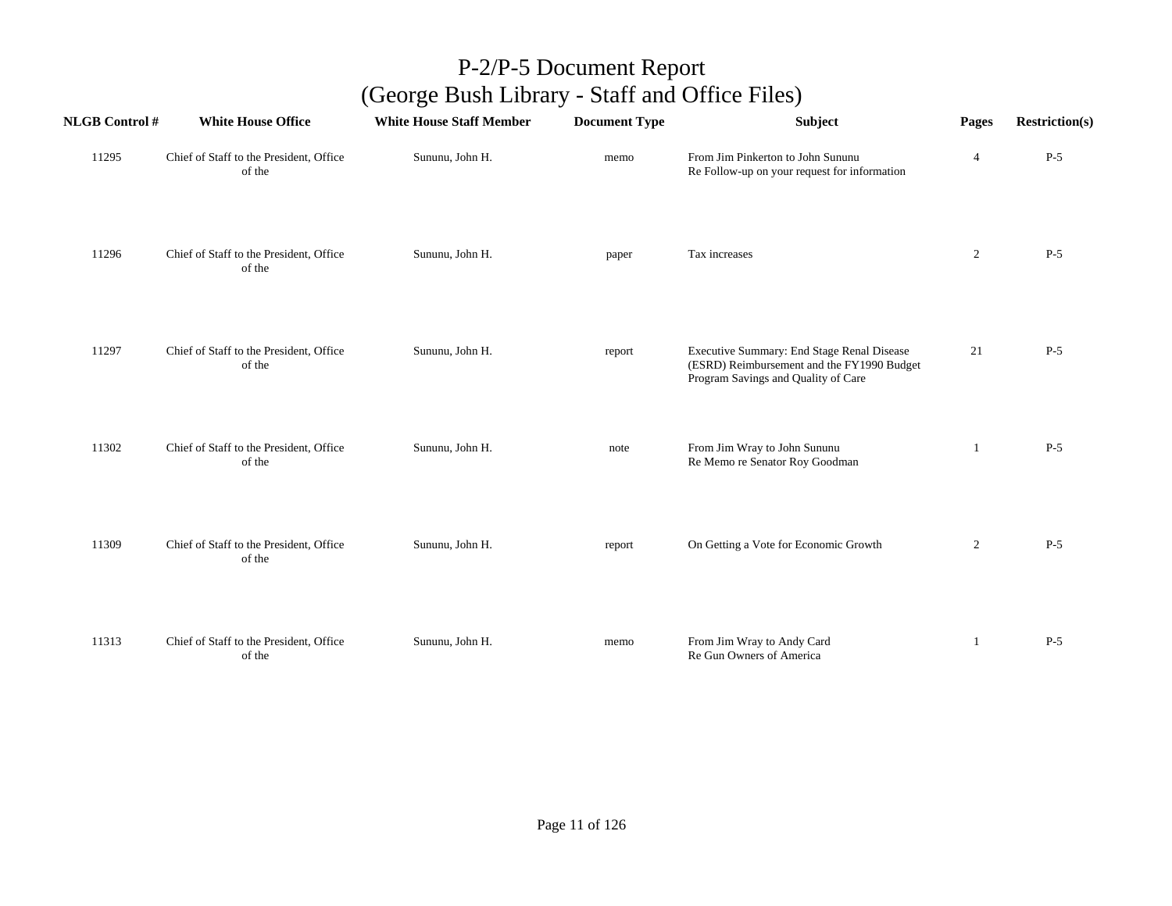| <b>NLGB Control#</b> | <b>White House Office</b>                         | <b>White House Staff Member</b> | <b>Document Type</b> | Subject                                                                                                                         | Pages          | <b>Restriction(s)</b> |
|----------------------|---------------------------------------------------|---------------------------------|----------------------|---------------------------------------------------------------------------------------------------------------------------------|----------------|-----------------------|
| 11295                | Chief of Staff to the President, Office<br>of the | Sununu, John H.                 | memo                 | From Jim Pinkerton to John Sununu<br>Re Follow-up on your request for information                                               | $\overline{4}$ | $P-5$                 |
| 11296                | Chief of Staff to the President, Office<br>of the | Sununu, John H.                 | paper                | Tax increases                                                                                                                   | $\overline{2}$ | $P-5$                 |
| 11297                | Chief of Staff to the President, Office<br>of the | Sununu, John H.                 | report               | Executive Summary: End Stage Renal Disease<br>(ESRD) Reimbursement and the FY1990 Budget<br>Program Savings and Quality of Care | 21             | $P-5$                 |
| 11302                | Chief of Staff to the President, Office<br>of the | Sununu, John H.                 | note                 | From Jim Wray to John Sununu<br>Re Memo re Senator Roy Goodman                                                                  | 1              | $P-5$                 |
| 11309                | Chief of Staff to the President, Office<br>of the | Sununu, John H.                 | report               | On Getting a Vote for Economic Growth                                                                                           | $\overline{c}$ | $P-5$                 |
| 11313                | Chief of Staff to the President, Office<br>of the | Sununu, John H.                 | memo                 | From Jim Wray to Andy Card<br>Re Gun Owners of America                                                                          | 1              | $P-5$                 |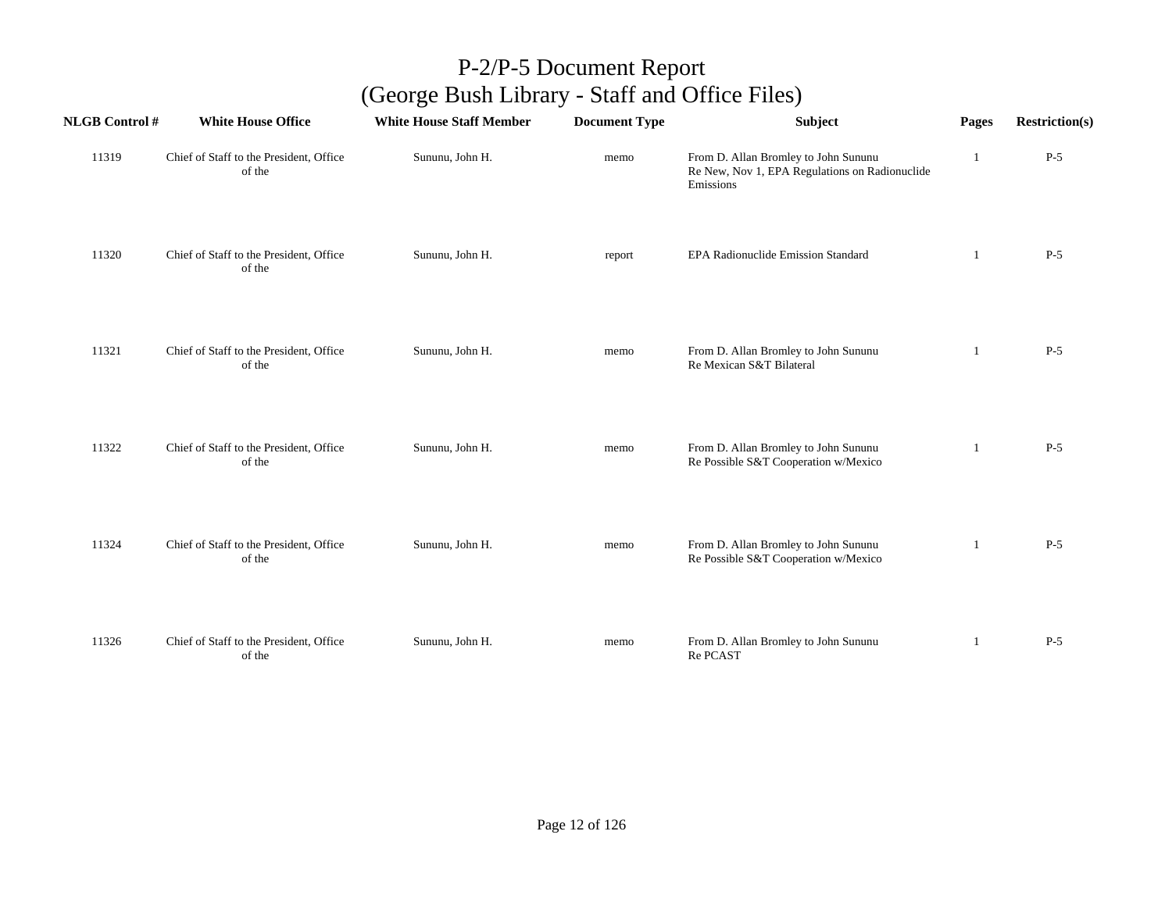| <b>NLGB Control#</b> | <b>White House Office</b>                         | <b>White House Staff Member</b> | <b>Document Type</b> | Subject                                                                                             | Pages          | <b>Restriction(s)</b> |
|----------------------|---------------------------------------------------|---------------------------------|----------------------|-----------------------------------------------------------------------------------------------------|----------------|-----------------------|
| 11319                | Chief of Staff to the President, Office<br>of the | Sununu, John H.                 | memo                 | From D. Allan Bromley to John Sununu<br>Re New, Nov 1, EPA Regulations on Radionuclide<br>Emissions | 1              | $P-5$                 |
| 11320                | Chief of Staff to the President, Office<br>of the | Sununu, John H.                 | report               | EPA Radionuclide Emission Standard                                                                  | -1             | $P-5$                 |
| 11321                | Chief of Staff to the President, Office<br>of the | Sununu, John H.                 | memo                 | From D. Allan Bromley to John Sununu<br>Re Mexican S&T Bilateral                                    | 1              | $P-5$                 |
| 11322                | Chief of Staff to the President, Office<br>of the | Sununu, John H.                 | memo                 | From D. Allan Bromley to John Sununu<br>Re Possible S&T Cooperation w/Mexico                        | $\overline{1}$ | $P-5$                 |
| 11324                | Chief of Staff to the President, Office<br>of the | Sununu, John H.                 | memo                 | From D. Allan Bromley to John Sununu<br>Re Possible S&T Cooperation w/Mexico                        | -1             | $P-5$                 |
| 11326                | Chief of Staff to the President, Office<br>of the | Sununu, John H.                 | memo                 | From D. Allan Bromley to John Sununu<br>Re PCAST                                                    | 1              | $P-5$                 |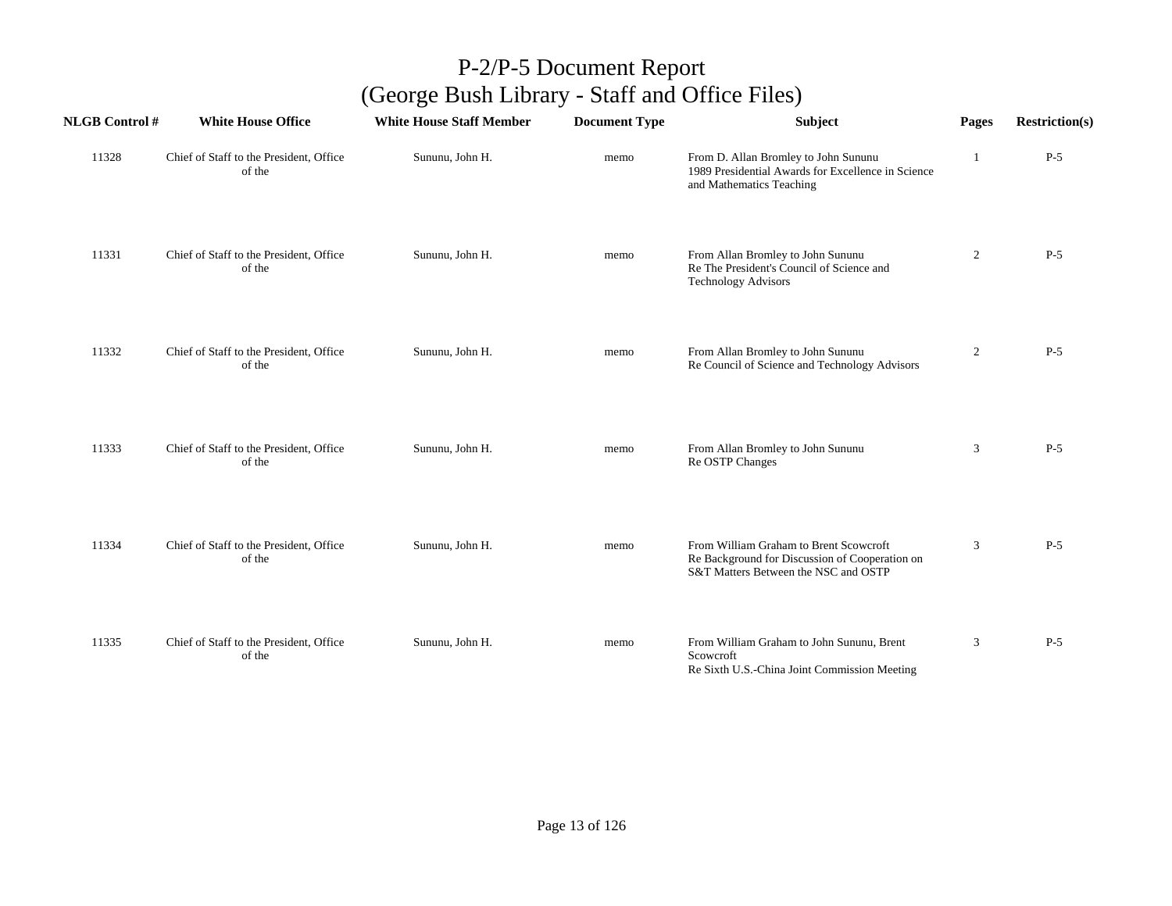| <b>NLGB Control#</b> | <b>White House Office</b>                         | <b>White House Staff Member</b> | <b>Document Type</b> | <b>Subject</b>                                                                                                                   | Pages          | <b>Restriction(s)</b> |
|----------------------|---------------------------------------------------|---------------------------------|----------------------|----------------------------------------------------------------------------------------------------------------------------------|----------------|-----------------------|
| 11328                | Chief of Staff to the President, Office<br>of the | Sununu, John H.                 | memo                 | From D. Allan Bromley to John Sununu<br>1989 Presidential Awards for Excellence in Science<br>and Mathematics Teaching           | 1              | $P-5$                 |
| 11331                | Chief of Staff to the President, Office<br>of the | Sununu, John H.                 | memo                 | From Allan Bromley to John Sununu<br>Re The President's Council of Science and<br><b>Technology Advisors</b>                     | $\overline{2}$ | $P-5$                 |
| 11332                | Chief of Staff to the President, Office<br>of the | Sununu, John H.                 | memo                 | From Allan Bromley to John Sununu<br>Re Council of Science and Technology Advisors                                               | $\overline{2}$ | $P-5$                 |
| 11333                | Chief of Staff to the President, Office<br>of the | Sununu, John H.                 | memo                 | From Allan Bromley to John Sununu<br>Re OSTP Changes                                                                             | 3              | $P-5$                 |
| 11334                | Chief of Staff to the President, Office<br>of the | Sununu, John H.                 | memo                 | From William Graham to Brent Scowcroft<br>Re Background for Discussion of Cooperation on<br>S&T Matters Between the NSC and OSTP | 3              | $P-5$                 |
| 11335                | Chief of Staff to the President, Office<br>of the | Sununu, John H.                 | memo                 | From William Graham to John Sununu, Brent<br>Scowcroft<br>Re Sixth U.S.-China Joint Commission Meeting                           | 3              | $P-5$                 |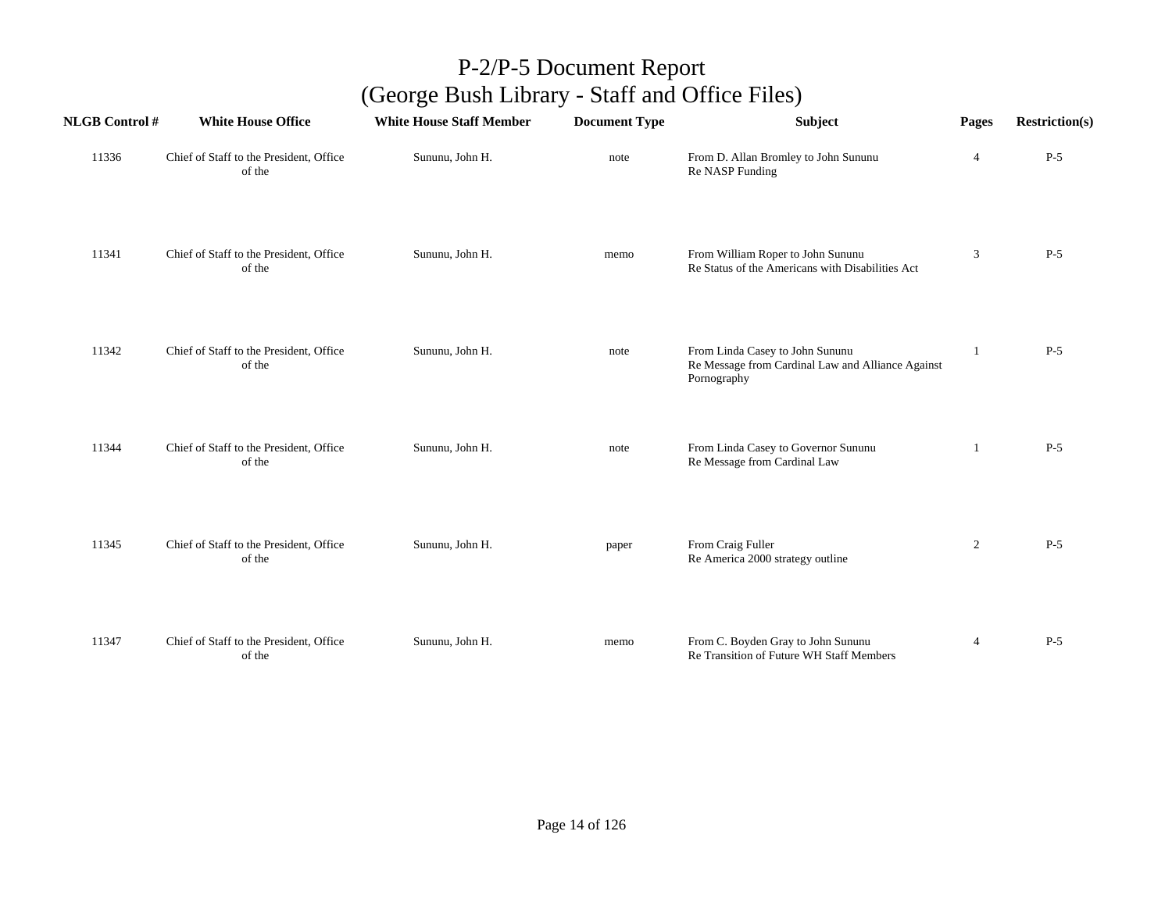| <b>NLGB Control#</b> | <b>White House Office</b>                         | <b>White House Staff Member</b> | <b>Document Type</b> | Subject                                                                                             | Pages          | <b>Restriction(s)</b> |
|----------------------|---------------------------------------------------|---------------------------------|----------------------|-----------------------------------------------------------------------------------------------------|----------------|-----------------------|
| 11336                | Chief of Staff to the President, Office<br>of the | Sununu, John H.                 | note                 | From D. Allan Bromley to John Sununu<br>Re NASP Funding                                             | $\overline{4}$ | $P-5$                 |
| 11341                | Chief of Staff to the President, Office<br>of the | Sununu, John H.                 | memo                 | From William Roper to John Sununu<br>Re Status of the Americans with Disabilities Act               | 3              | $P-5$                 |
| 11342                | Chief of Staff to the President, Office<br>of the | Sununu, John H.                 | note                 | From Linda Casey to John Sununu<br>Re Message from Cardinal Law and Alliance Against<br>Pornography |                | $P-5$                 |
| 11344                | Chief of Staff to the President, Office<br>of the | Sununu, John H.                 | note                 | From Linda Casey to Governor Sununu<br>Re Message from Cardinal Law                                 |                | $P-5$                 |
| 11345                | Chief of Staff to the President, Office<br>of the | Sununu, John H.                 | paper                | From Craig Fuller<br>Re America 2000 strategy outline                                               | $\overline{2}$ | $P-5$                 |
| 11347                | Chief of Staff to the President, Office<br>of the | Sununu, John H.                 | memo                 | From C. Boyden Gray to John Sununu<br>Re Transition of Future WH Staff Members                      | $\overline{4}$ | $P-5$                 |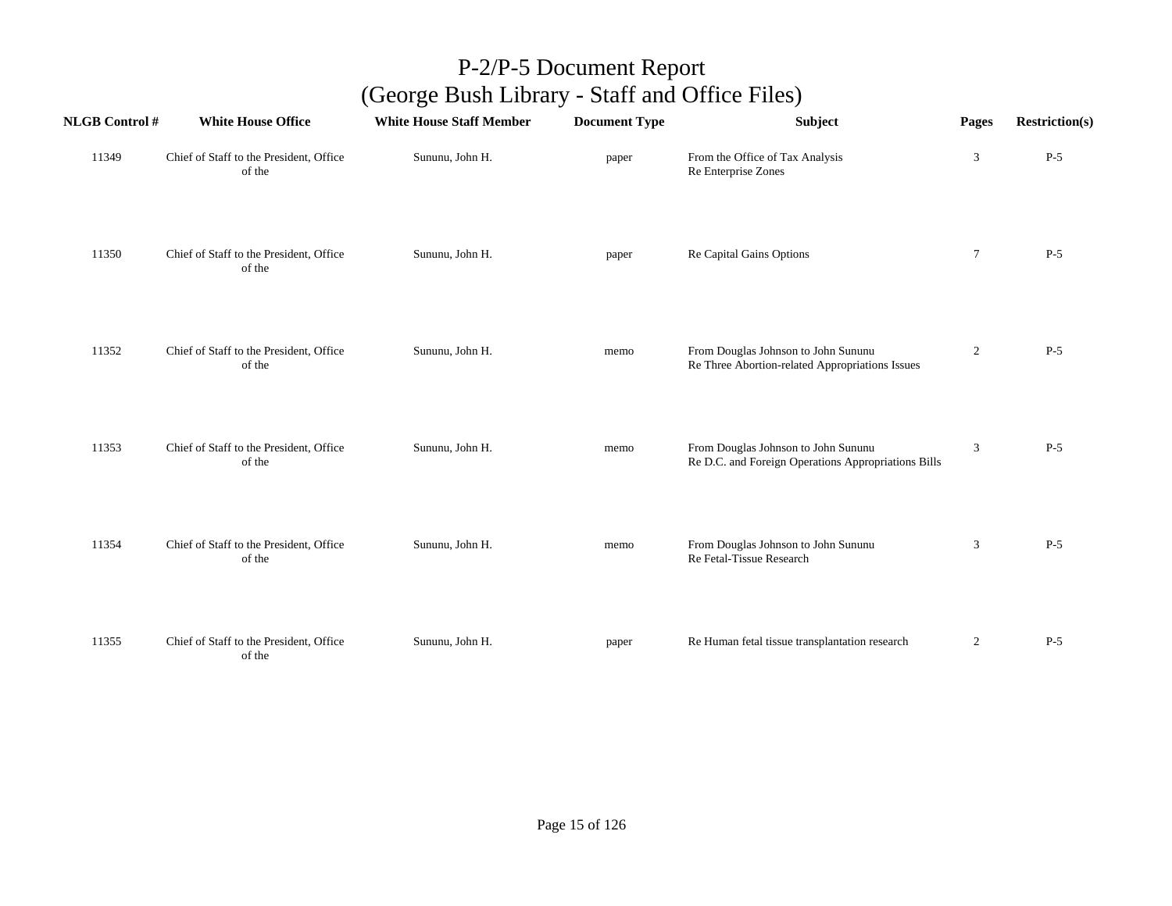| <b>NLGB Control #</b> | <b>White House Office</b>                         | <b>White House Staff Member</b> | <b>Document Type</b> | <b>Subject</b>                                                                             | Pages          | <b>Restriction(s)</b> |
|-----------------------|---------------------------------------------------|---------------------------------|----------------------|--------------------------------------------------------------------------------------------|----------------|-----------------------|
| 11349                 | Chief of Staff to the President, Office<br>of the | Sununu, John H.                 | paper                | From the Office of Tax Analysis<br>Re Enterprise Zones                                     | $\mathbf{3}$   | $P-5$                 |
| 11350                 | Chief of Staff to the President, Office<br>of the | Sununu, John H.                 | paper                | Re Capital Gains Options                                                                   | $\tau$         | $P-5$                 |
| 11352                 | Chief of Staff to the President, Office<br>of the | Sununu, John H.                 | memo                 | From Douglas Johnson to John Sununu<br>Re Three Abortion-related Appropriations Issues     | $\overline{c}$ | $P-5$                 |
| 11353                 | Chief of Staff to the President, Office<br>of the | Sununu, John H.                 | memo                 | From Douglas Johnson to John Sununu<br>Re D.C. and Foreign Operations Appropriations Bills | 3              | $P-5$                 |
| 11354                 | Chief of Staff to the President, Office<br>of the | Sununu, John H.                 | memo                 | From Douglas Johnson to John Sununu<br>Re Fetal-Tissue Research                            | 3              | $P-5$                 |
| 11355                 | Chief of Staff to the President, Office<br>of the | Sununu, John H.                 | paper                | Re Human fetal tissue transplantation research                                             | $\overline{c}$ | $P-5$                 |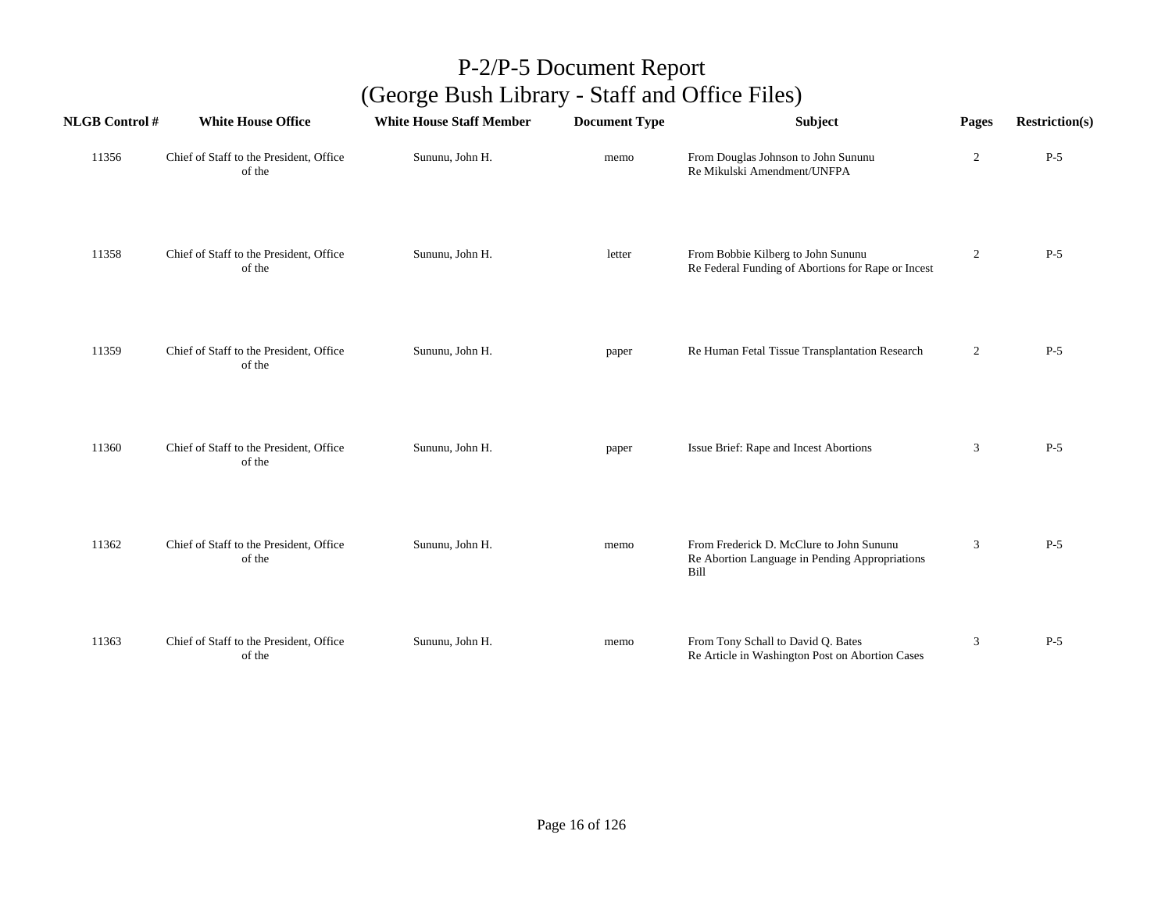| <b>NLGB Control#</b> | <b>White House Office</b>                         | <b>White House Staff Member</b> | <b>Document Type</b> | Subject                                                                                            | Pages          | <b>Restriction(s)</b> |
|----------------------|---------------------------------------------------|---------------------------------|----------------------|----------------------------------------------------------------------------------------------------|----------------|-----------------------|
| 11356                | Chief of Staff to the President, Office<br>of the | Sununu, John H.                 | memo                 | From Douglas Johnson to John Sununu<br>Re Mikulski Amendment/UNFPA                                 | $\overline{c}$ | $P-5$                 |
| 11358                | Chief of Staff to the President, Office<br>of the | Sununu, John H.                 | letter               | From Bobbie Kilberg to John Sununu<br>Re Federal Funding of Abortions for Rape or Incest           | $\overline{2}$ | $P-5$                 |
| 11359                | Chief of Staff to the President, Office<br>of the | Sununu, John H.                 | paper                | Re Human Fetal Tissue Transplantation Research                                                     | $\overline{2}$ | $P-5$                 |
| 11360                | Chief of Staff to the President, Office<br>of the | Sununu, John H.                 | paper                | Issue Brief: Rape and Incest Abortions                                                             | 3              | $P-5$                 |
| 11362                | Chief of Staff to the President, Office<br>of the | Sununu, John H.                 | memo                 | From Frederick D. McClure to John Sununu<br>Re Abortion Language in Pending Appropriations<br>Bill | 3              | $P-5$                 |
| 11363                | Chief of Staff to the President, Office<br>of the | Sununu, John H.                 | memo                 | From Tony Schall to David Q. Bates<br>Re Article in Washington Post on Abortion Cases              | 3              | $P-5$                 |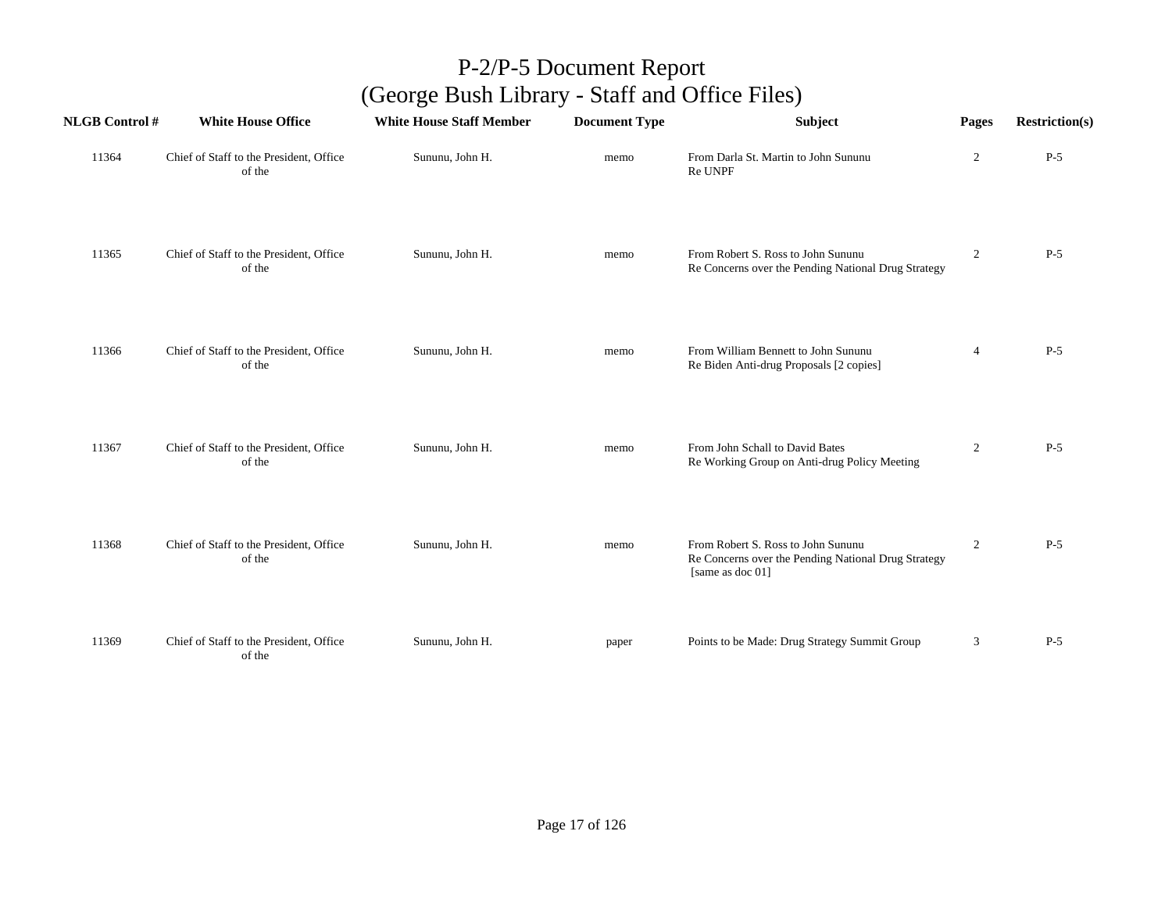| <b>NLGB Control#</b> | <b>White House Office</b>                         | <b>White House Staff Member</b> | <b>Document Type</b> | Subject                                                                                                       | Pages          | <b>Restriction(s)</b> |
|----------------------|---------------------------------------------------|---------------------------------|----------------------|---------------------------------------------------------------------------------------------------------------|----------------|-----------------------|
| 11364                | Chief of Staff to the President, Office<br>of the | Sununu, John H.                 | memo                 | From Darla St. Martin to John Sununu<br>Re UNPF                                                               | $\overline{c}$ | $P-5$                 |
| 11365                | Chief of Staff to the President, Office<br>of the | Sununu, John H.                 | memo                 | From Robert S. Ross to John Sununu<br>Re Concerns over the Pending National Drug Strategy                     | $\overline{c}$ | $P-5$                 |
| 11366                | Chief of Staff to the President, Office<br>of the | Sununu, John H.                 | memo                 | From William Bennett to John Sununu<br>Re Biden Anti-drug Proposals [2 copies]                                | $\overline{4}$ | $P-5$                 |
| 11367                | Chief of Staff to the President, Office<br>of the | Sununu, John H.                 | memo                 | From John Schall to David Bates<br>Re Working Group on Anti-drug Policy Meeting                               | $\overline{2}$ | $P-5$                 |
| 11368                | Chief of Staff to the President, Office<br>of the | Sununu, John H.                 | memo                 | From Robert S. Ross to John Sununu<br>Re Concerns over the Pending National Drug Strategy<br>[same as doc 01] | $\overline{c}$ | $P-5$                 |
| 11369                | Chief of Staff to the President, Office<br>of the | Sununu, John H.                 | paper                | Points to be Made: Drug Strategy Summit Group                                                                 | 3              | $P-5$                 |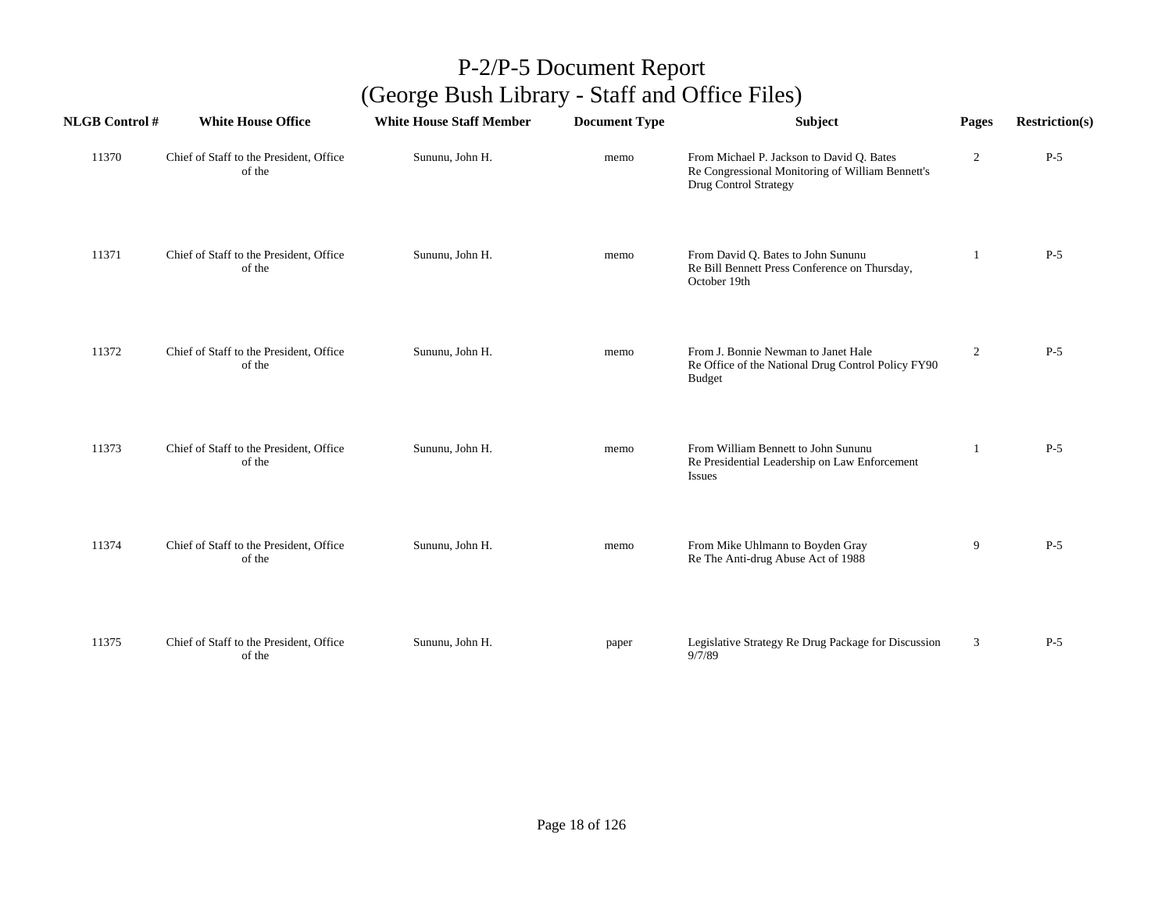| <b>NLGB Control #</b> | <b>White House Office</b>                         | <b>White House Staff Member</b> | <b>Document Type</b> | Subject                                                                                                                       | Pages          | <b>Restriction(s)</b> |
|-----------------------|---------------------------------------------------|---------------------------------|----------------------|-------------------------------------------------------------------------------------------------------------------------------|----------------|-----------------------|
| 11370                 | Chief of Staff to the President, Office<br>of the | Sununu, John H.                 | memo                 | From Michael P. Jackson to David Q. Bates<br>Re Congressional Monitoring of William Bennett's<br><b>Drug Control Strategy</b> | $\overline{2}$ | $P-5$                 |
| 11371                 | Chief of Staff to the President, Office<br>of the | Sununu, John H.                 | memo                 | From David Q. Bates to John Sununu<br>Re Bill Bennett Press Conference on Thursday,<br>October 19th                           | 1              | $P-5$                 |
| 11372                 | Chief of Staff to the President, Office<br>of the | Sununu, John H.                 | memo                 | From J. Bonnie Newman to Janet Hale<br>Re Office of the National Drug Control Policy FY90<br><b>Budget</b>                    | $\overline{2}$ | $P-5$                 |
| 11373                 | Chief of Staff to the President, Office<br>of the | Sununu, John H.                 | memo                 | From William Bennett to John Sununu<br>Re Presidential Leadership on Law Enforcement<br><b>Issues</b>                         | 1              | $P-5$                 |
| 11374                 | Chief of Staff to the President, Office<br>of the | Sununu, John H.                 | memo                 | From Mike Uhlmann to Boyden Gray<br>Re The Anti-drug Abuse Act of 1988                                                        | 9              | $P-5$                 |
| 11375                 | Chief of Staff to the President, Office<br>of the | Sununu, John H.                 | paper                | Legislative Strategy Re Drug Package for Discussion<br>9/7/89                                                                 | 3              | $P-5$                 |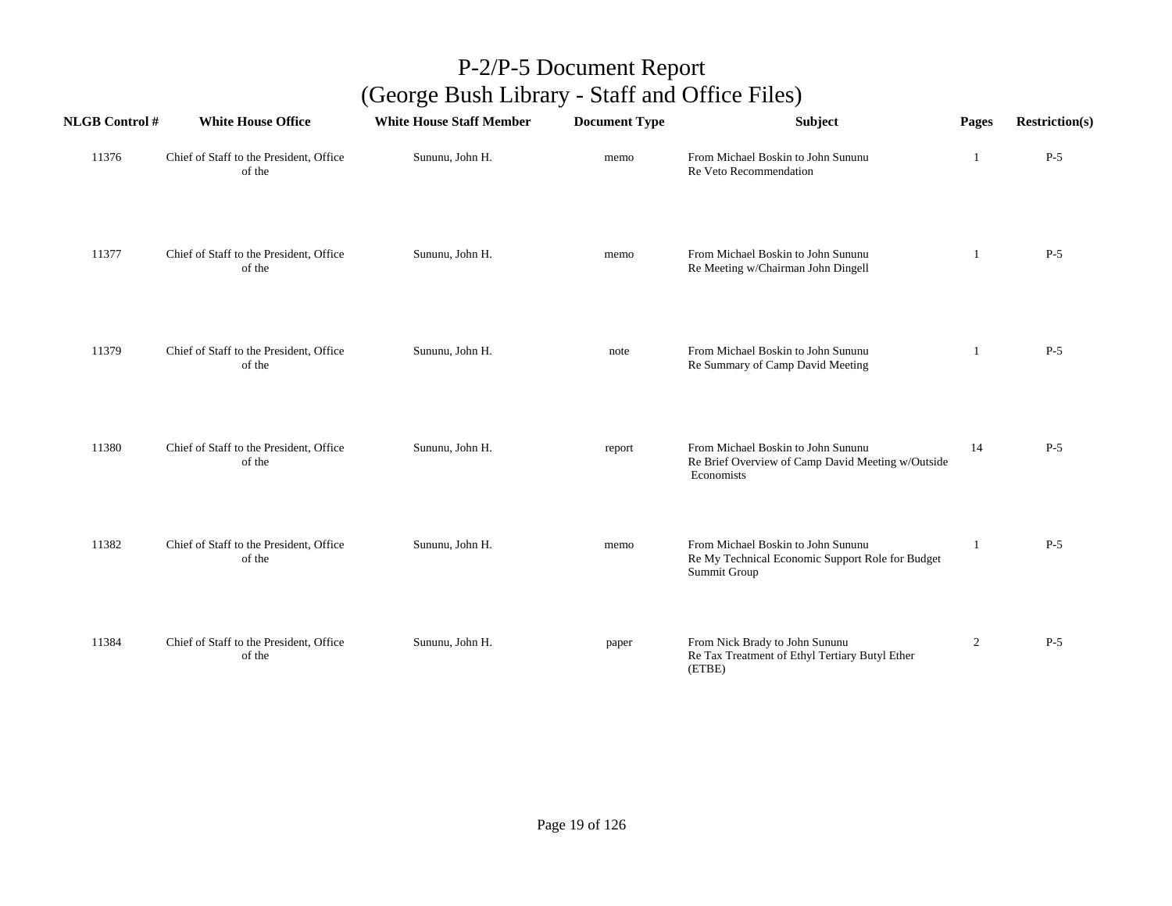| <b>NLGB Control#</b> | <b>White House Office</b>                         | <b>White House Staff Member</b> | <b>Document Type</b> | Subject                                                                                                | Pages          | <b>Restriction(s)</b> |
|----------------------|---------------------------------------------------|---------------------------------|----------------------|--------------------------------------------------------------------------------------------------------|----------------|-----------------------|
| 11376                | Chief of Staff to the President, Office<br>of the | Sununu, John H.                 | memo                 | From Michael Boskin to John Sununu<br>Re Veto Recommendation                                           | 1              | $P-5$                 |
| 11377                | Chief of Staff to the President, Office<br>of the | Sununu, John H.                 | memo                 | From Michael Boskin to John Sununu<br>Re Meeting w/Chairman John Dingell                               | -1             | $P-5$                 |
| 11379                | Chief of Staff to the President, Office<br>of the | Sununu, John H.                 | note                 | From Michael Boskin to John Sununu<br>Re Summary of Camp David Meeting                                 | 1              | $P-5$                 |
| 11380                | Chief of Staff to the President, Office<br>of the | Sununu, John H.                 | report               | From Michael Boskin to John Sununu<br>Re Brief Overview of Camp David Meeting w/Outside<br>Economists  | 14             | $P-5$                 |
| 11382                | Chief of Staff to the President, Office<br>of the | Sununu, John H.                 | memo                 | From Michael Boskin to John Sununu<br>Re My Technical Economic Support Role for Budget<br>Summit Group |                | $P-5$                 |
| 11384                | Chief of Staff to the President, Office<br>of the | Sununu, John H.                 | paper                | From Nick Brady to John Sununu<br>Re Tax Treatment of Ethyl Tertiary Butyl Ether<br>(ETBE)             | $\overline{2}$ | $P-5$                 |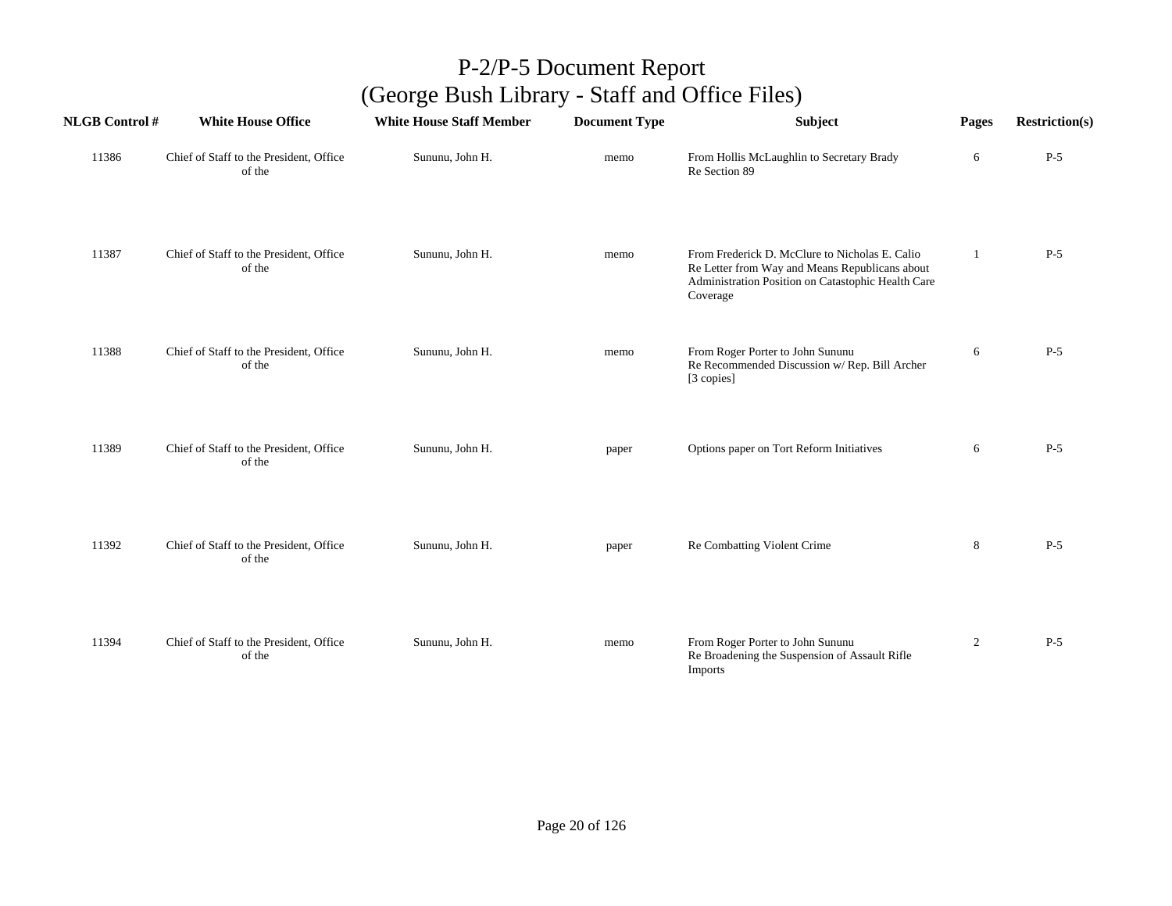| <b>NLGB Control#</b> | <b>White House Office</b>                         | <b>White House Staff Member</b> | <b>Document Type</b> | <b>Subject</b>                                                                                                                                                     | Pages          | <b>Restriction(s)</b> |
|----------------------|---------------------------------------------------|---------------------------------|----------------------|--------------------------------------------------------------------------------------------------------------------------------------------------------------------|----------------|-----------------------|
| 11386                | Chief of Staff to the President, Office<br>of the | Sununu, John H.                 | memo                 | From Hollis McLaughlin to Secretary Brady<br>Re Section 89                                                                                                         | 6              | $P-5$                 |
| 11387                | Chief of Staff to the President, Office<br>of the | Sununu, John H.                 | memo                 | From Frederick D. McClure to Nicholas E. Calio<br>Re Letter from Way and Means Republicans about<br>Administration Position on Catastophic Health Care<br>Coverage | $\mathbf{1}$   | $P-5$                 |
| 11388                | Chief of Staff to the President, Office<br>of the | Sununu, John H.                 | memo                 | From Roger Porter to John Sununu<br>Re Recommended Discussion w/ Rep. Bill Archer<br>[3 copies]                                                                    | 6              | $P-5$                 |
| 11389                | Chief of Staff to the President, Office<br>of the | Sununu, John H.                 | paper                | Options paper on Tort Reform Initiatives                                                                                                                           | 6              | $P-5$                 |
| 11392                | Chief of Staff to the President, Office<br>of the | Sununu, John H.                 | paper                | Re Combatting Violent Crime                                                                                                                                        | $\,8\,$        | $P-5$                 |
| 11394                | Chief of Staff to the President, Office<br>of the | Sununu, John H.                 | memo                 | From Roger Porter to John Sununu<br>Re Broadening the Suspension of Assault Rifle<br>Imports                                                                       | $\overline{2}$ | $P-5$                 |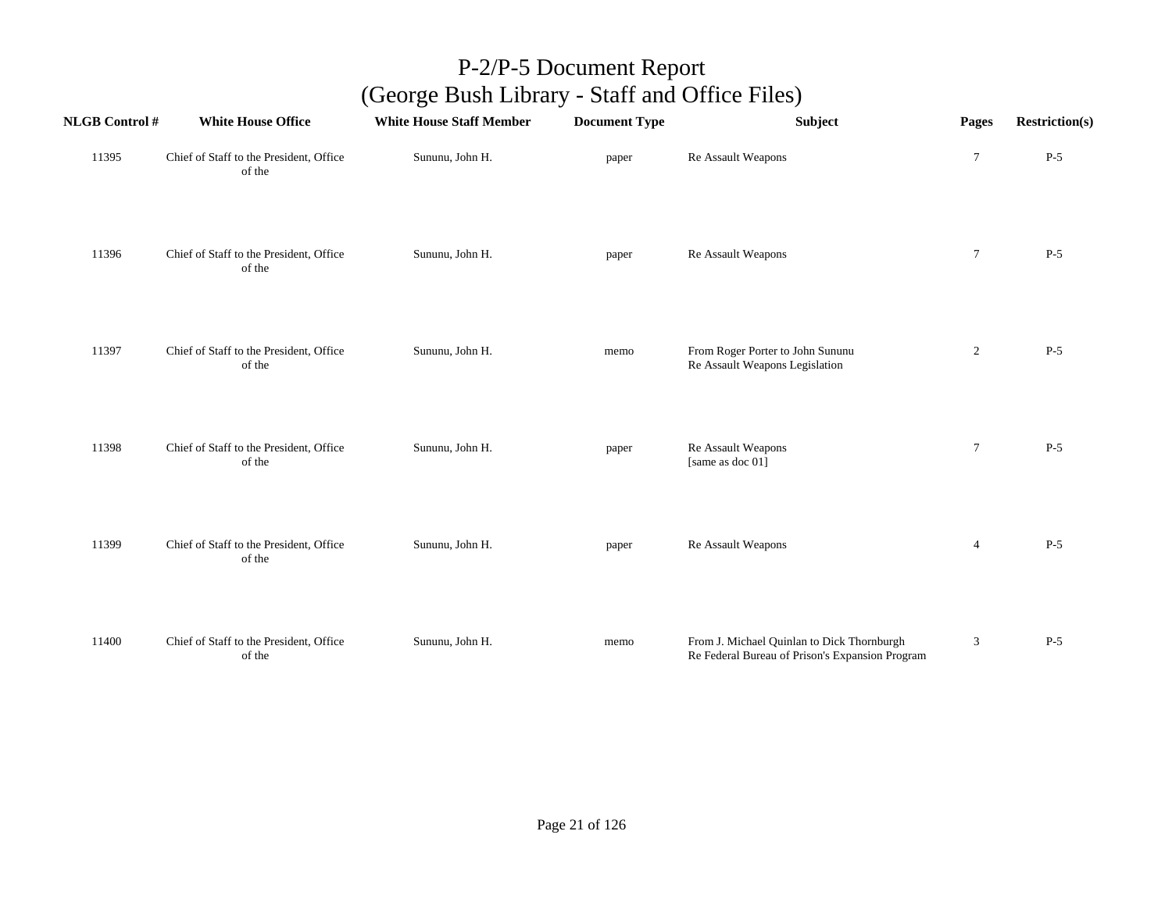| <b>NLGB Control #</b> | <b>White House Office</b>                         | <b>White House Staff Member</b> | <b>Document Type</b> | Subject                                                                                       | Pages          | <b>Restriction(s)</b> |
|-----------------------|---------------------------------------------------|---------------------------------|----------------------|-----------------------------------------------------------------------------------------------|----------------|-----------------------|
| 11395                 | Chief of Staff to the President, Office<br>of the | Sununu, John H.                 | paper                | Re Assault Weapons                                                                            | $\tau$         | $P-5$                 |
| 11396                 | Chief of Staff to the President, Office<br>of the | Sununu, John H.                 | paper                | Re Assault Weapons                                                                            | $\tau$         | $P-5$                 |
| 11397                 | Chief of Staff to the President, Office<br>of the | Sununu, John H.                 | memo                 | From Roger Porter to John Sununu<br>Re Assault Weapons Legislation                            | $\overline{c}$ | $P-5$                 |
| 11398                 | Chief of Staff to the President, Office<br>of the | Sununu, John H.                 | paper                | Re Assault Weapons<br>[same as doc 01]                                                        | $\tau$         | $P-5$                 |
| 11399                 | Chief of Staff to the President, Office<br>of the | Sununu, John H.                 | paper                | Re Assault Weapons                                                                            | $\overline{4}$ | $P-5$                 |
| 11400                 | Chief of Staff to the President, Office<br>of the | Sununu, John H.                 | memo                 | From J. Michael Quinlan to Dick Thornburgh<br>Re Federal Bureau of Prison's Expansion Program | $\mathfrak{Z}$ | $P-5$                 |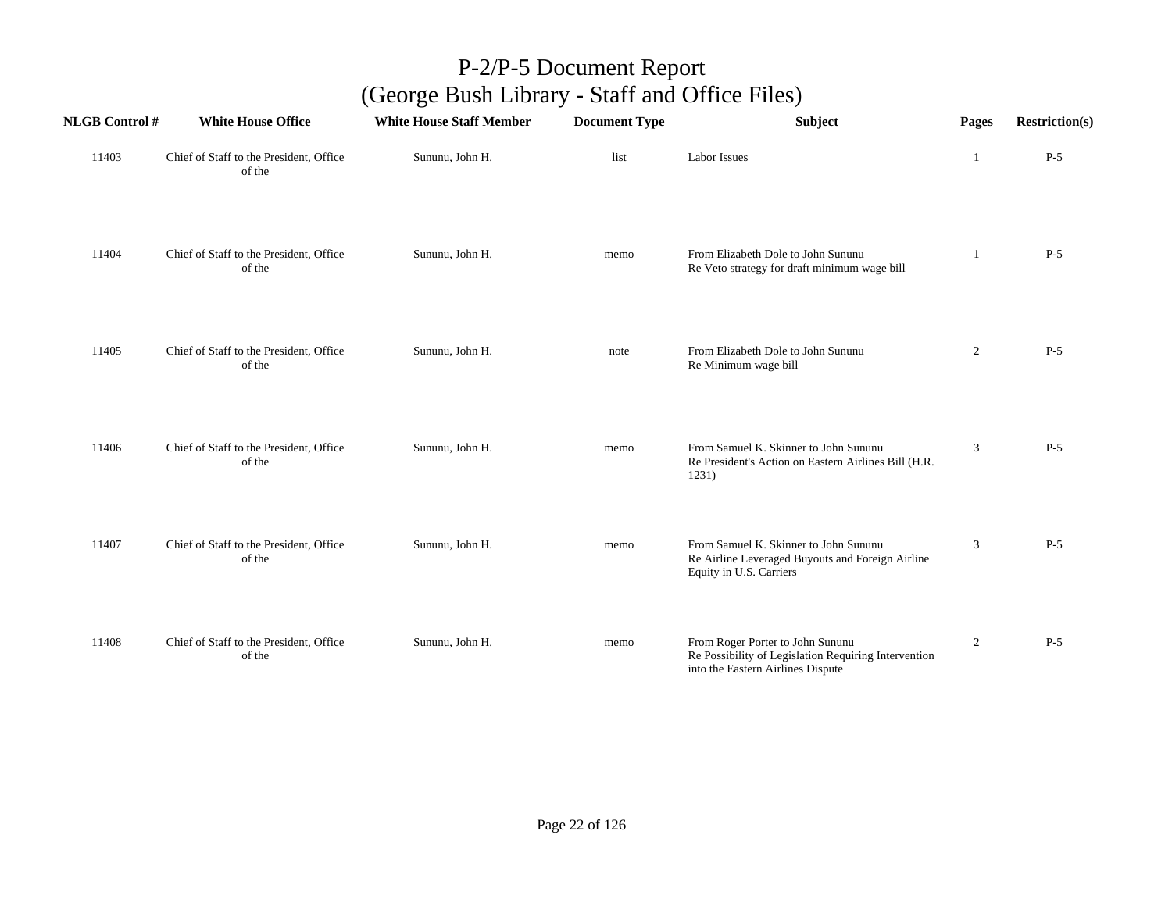| <b>NLGB Control#</b> | <b>White House Office</b>                         | <b>White House Staff Member</b> | <b>Document Type</b> | Subject                                                                                                                       | Pages          | <b>Restriction(s)</b> |
|----------------------|---------------------------------------------------|---------------------------------|----------------------|-------------------------------------------------------------------------------------------------------------------------------|----------------|-----------------------|
| 11403                | Chief of Staff to the President, Office<br>of the | Sununu, John H.                 | list                 | <b>Labor Issues</b>                                                                                                           | 1              | $P-5$                 |
| 11404                | Chief of Staff to the President, Office<br>of the | Sununu, John H.                 | memo                 | From Elizabeth Dole to John Sununu<br>Re Veto strategy for draft minimum wage bill                                            | -1             | $P-5$                 |
| 11405                | Chief of Staff to the President, Office<br>of the | Sununu, John H.                 | note                 | From Elizabeth Dole to John Sununu<br>Re Minimum wage bill                                                                    | $\overline{2}$ | $P-5$                 |
| 11406                | Chief of Staff to the President, Office<br>of the | Sununu, John H.                 | memo                 | From Samuel K. Skinner to John Sununu<br>Re President's Action on Eastern Airlines Bill (H.R.<br>1231)                        | 3              | $P-5$                 |
| 11407                | Chief of Staff to the President, Office<br>of the | Sununu, John H.                 | memo                 | From Samuel K. Skinner to John Sununu<br>Re Airline Leveraged Buyouts and Foreign Airline<br>Equity in U.S. Carriers          | 3              | $P-5$                 |
| 11408                | Chief of Staff to the President, Office<br>of the | Sununu, John H.                 | memo                 | From Roger Porter to John Sununu<br>Re Possibility of Legislation Requiring Intervention<br>into the Eastern Airlines Dispute | $\overline{2}$ | $P-5$                 |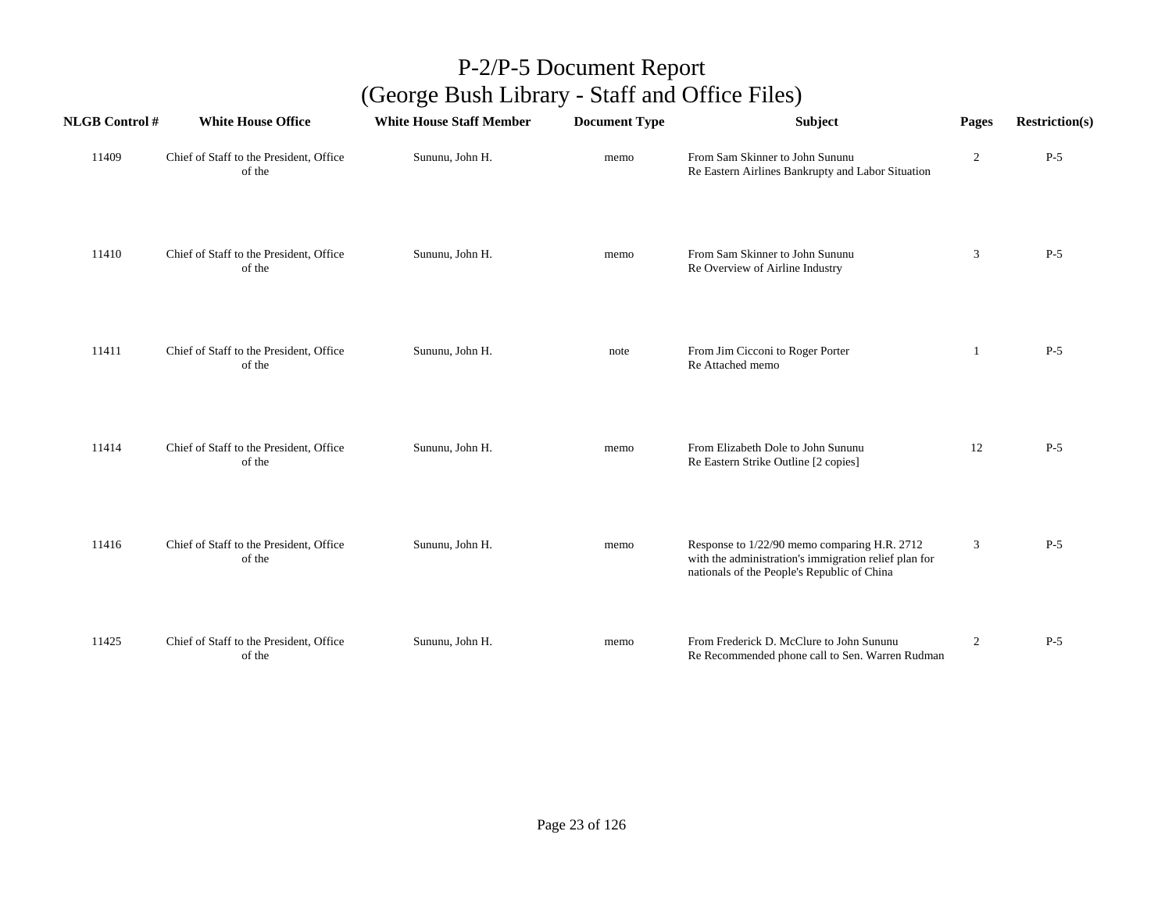| <b>NLGB</b> Control # | <b>White House Office</b>                         | <b>White House Staff Member</b> | <b>Document Type</b> | Subject                                                                                                                                              | Pages          | <b>Restriction(s)</b> |
|-----------------------|---------------------------------------------------|---------------------------------|----------------------|------------------------------------------------------------------------------------------------------------------------------------------------------|----------------|-----------------------|
| 11409                 | Chief of Staff to the President, Office<br>of the | Sununu, John H.                 | memo                 | From Sam Skinner to John Sununu<br>Re Eastern Airlines Bankrupty and Labor Situation                                                                 | $\overline{2}$ | $P-5$                 |
| 11410                 | Chief of Staff to the President, Office<br>of the | Sununu, John H.                 | memo                 | From Sam Skinner to John Sununu<br>Re Overview of Airline Industry                                                                                   | 3              | $P-5$                 |
| 11411                 | Chief of Staff to the President, Office<br>of the | Sununu, John H.                 | note                 | From Jim Cicconi to Roger Porter<br>Re Attached memo                                                                                                 | 1              | $P-5$                 |
| 11414                 | Chief of Staff to the President, Office<br>of the | Sununu, John H.                 | memo                 | From Elizabeth Dole to John Sununu<br>Re Eastern Strike Outline [2 copies]                                                                           | 12             | $P-5$                 |
| 11416                 | Chief of Staff to the President, Office<br>of the | Sununu, John H.                 | memo                 | Response to 1/22/90 memo comparing H.R. 2712<br>with the administration's immigration relief plan for<br>nationals of the People's Republic of China | 3              | $P-5$                 |
| 11425                 | Chief of Staff to the President, Office<br>of the | Sununu, John H.                 | memo                 | From Frederick D. McClure to John Sununu<br>Re Recommended phone call to Sen. Warren Rudman                                                          | $\overline{2}$ | $P-5$                 |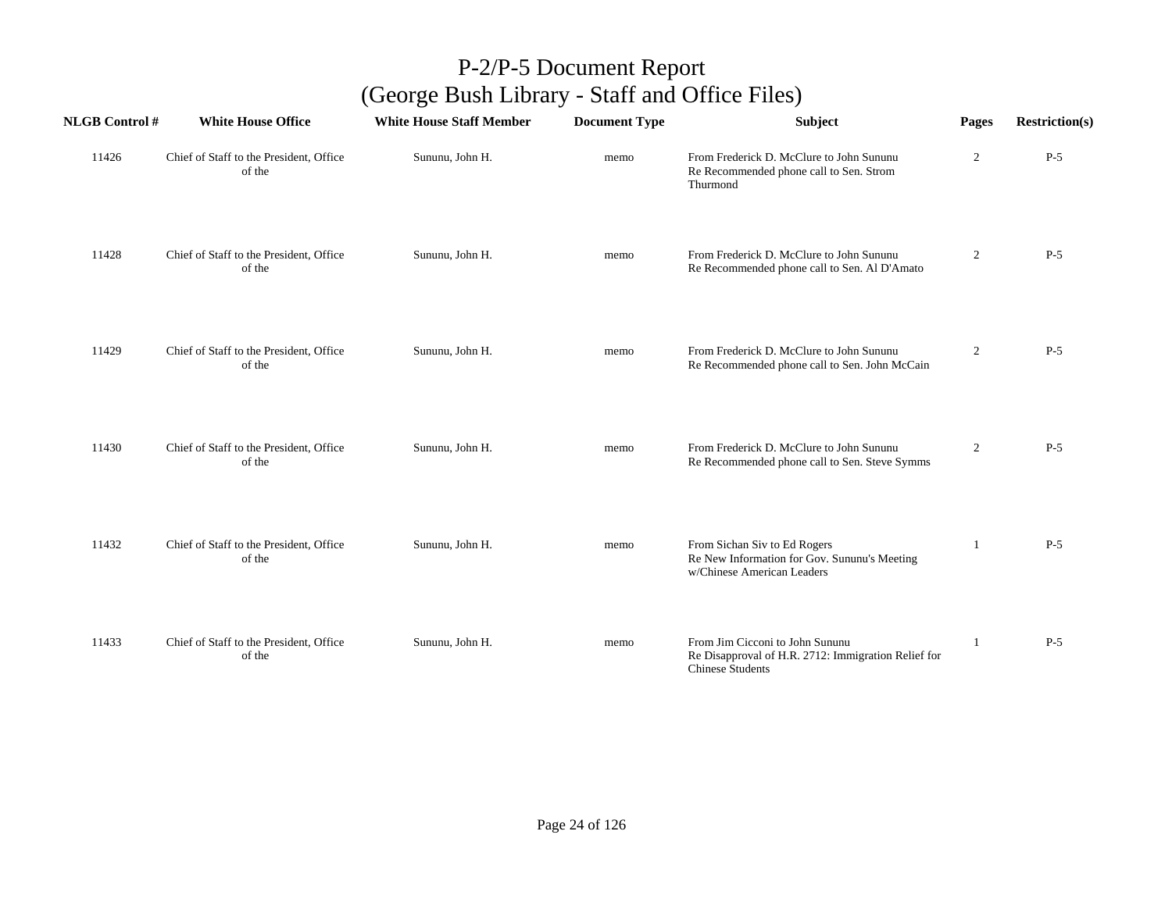| <b>NLGB Control#</b> | <b>White House Office</b>                         | <b>White House Staff Member</b> | <b>Document Type</b> | <b>Subject</b>                                                                                             | Pages            | <b>Restriction(s)</b> |
|----------------------|---------------------------------------------------|---------------------------------|----------------------|------------------------------------------------------------------------------------------------------------|------------------|-----------------------|
| 11426                | Chief of Staff to the President, Office<br>of the | Sununu, John H.                 | memo                 | From Frederick D. McClure to John Sununu<br>Re Recommended phone call to Sen. Strom<br>Thurmond            | $\overline{2}$   | $P-5$                 |
| 11428                | Chief of Staff to the President, Office<br>of the | Sununu, John H.                 | memo                 | From Frederick D. McClure to John Sununu<br>Re Recommended phone call to Sen. Al D'Amato                   | $\overline{2}$   | $P-5$                 |
| 11429                | Chief of Staff to the President, Office<br>of the | Sununu, John H.                 | memo                 | From Frederick D. McClure to John Sununu<br>Re Recommended phone call to Sen. John McCain                  | $\boldsymbol{2}$ | $P-5$                 |
| 11430                | Chief of Staff to the President, Office<br>of the | Sununu, John H.                 | memo                 | From Frederick D. McClure to John Sununu<br>Re Recommended phone call to Sen. Steve Symms                  | $\overline{2}$   | $P-5$                 |
| 11432                | Chief of Staff to the President, Office<br>of the | Sununu, John H.                 | memo                 | From Sichan Siv to Ed Rogers<br>Re New Information for Gov. Sununu's Meeting<br>w/Chinese American Leaders | 1                | $P-5$                 |
| 11433                | Chief of Staff to the President, Office<br>of the | Sununu, John H.                 | memo                 | From Jim Cicconi to John Sununu<br>Re Disapproval of H.R. 2712: Immigration Relief for<br>Chinese Students | 1                | $P-5$                 |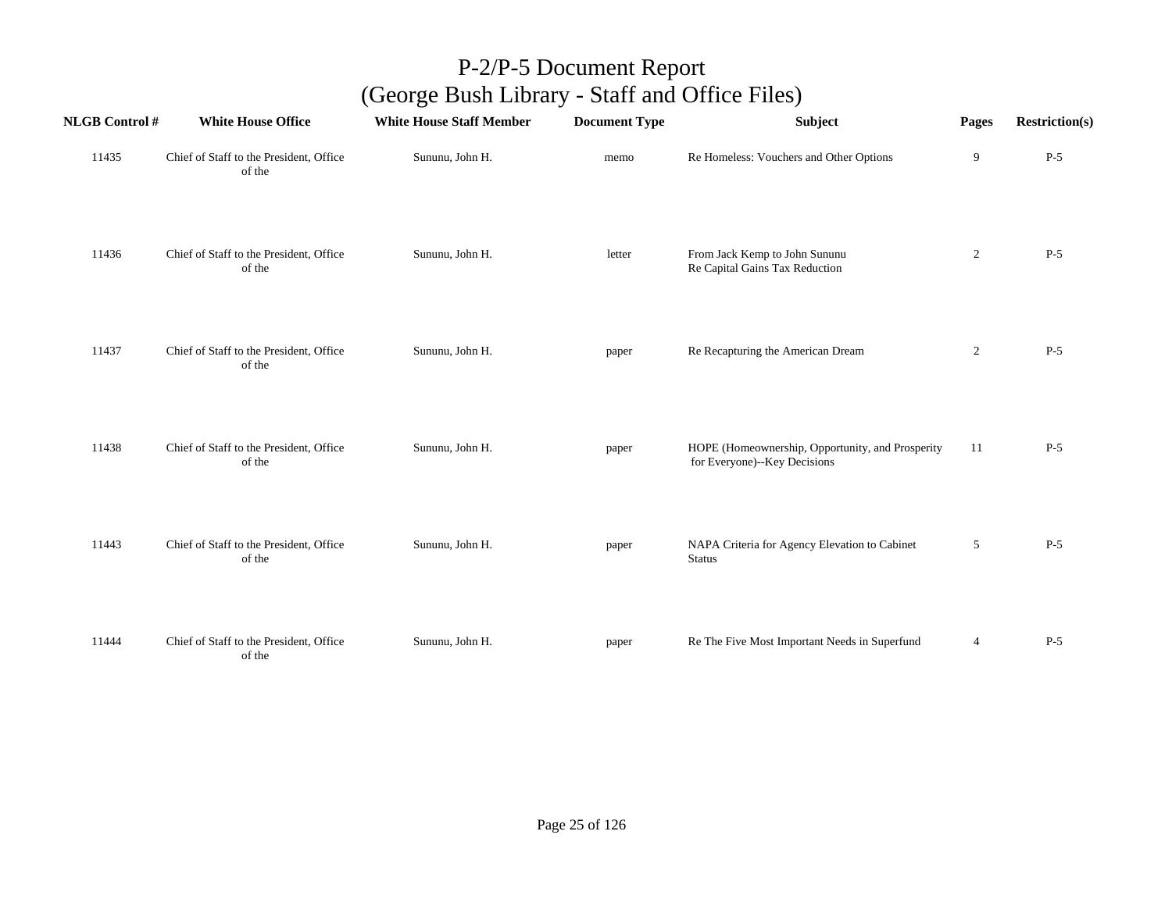| <b>NLGB Control#</b> | <b>White House Office</b>                         | <b>White House Staff Member</b> | <b>Document Type</b> | Subject                                                                          | Pages          | <b>Restriction(s)</b> |
|----------------------|---------------------------------------------------|---------------------------------|----------------------|----------------------------------------------------------------------------------|----------------|-----------------------|
| 11435                | Chief of Staff to the President, Office<br>of the | Sununu, John H.                 | memo                 | Re Homeless: Vouchers and Other Options                                          | 9              | $P-5$                 |
| 11436                | Chief of Staff to the President, Office<br>of the | Sununu, John H.                 | letter               | From Jack Kemp to John Sununu<br>Re Capital Gains Tax Reduction                  | $\overline{2}$ | $P-5$                 |
| 11437                | Chief of Staff to the President, Office<br>of the | Sununu, John H.                 | paper                | Re Recapturing the American Dream                                                | $\overline{c}$ | $P-5$                 |
| 11438                | Chief of Staff to the President, Office<br>of the | Sununu, John H.                 | paper                | HOPE (Homeownership, Opportunity, and Prosperity<br>for Everyone)--Key Decisions | 11             | $P-5$                 |
| 11443                | Chief of Staff to the President, Office<br>of the | Sununu, John H.                 | paper                | NAPA Criteria for Agency Elevation to Cabinet<br><b>Status</b>                   | 5              | $P-5$                 |
| 11444                | Chief of Staff to the President, Office<br>of the | Sununu, John H.                 | paper                | Re The Five Most Important Needs in Superfund                                    | $\overline{4}$ | $P-5$                 |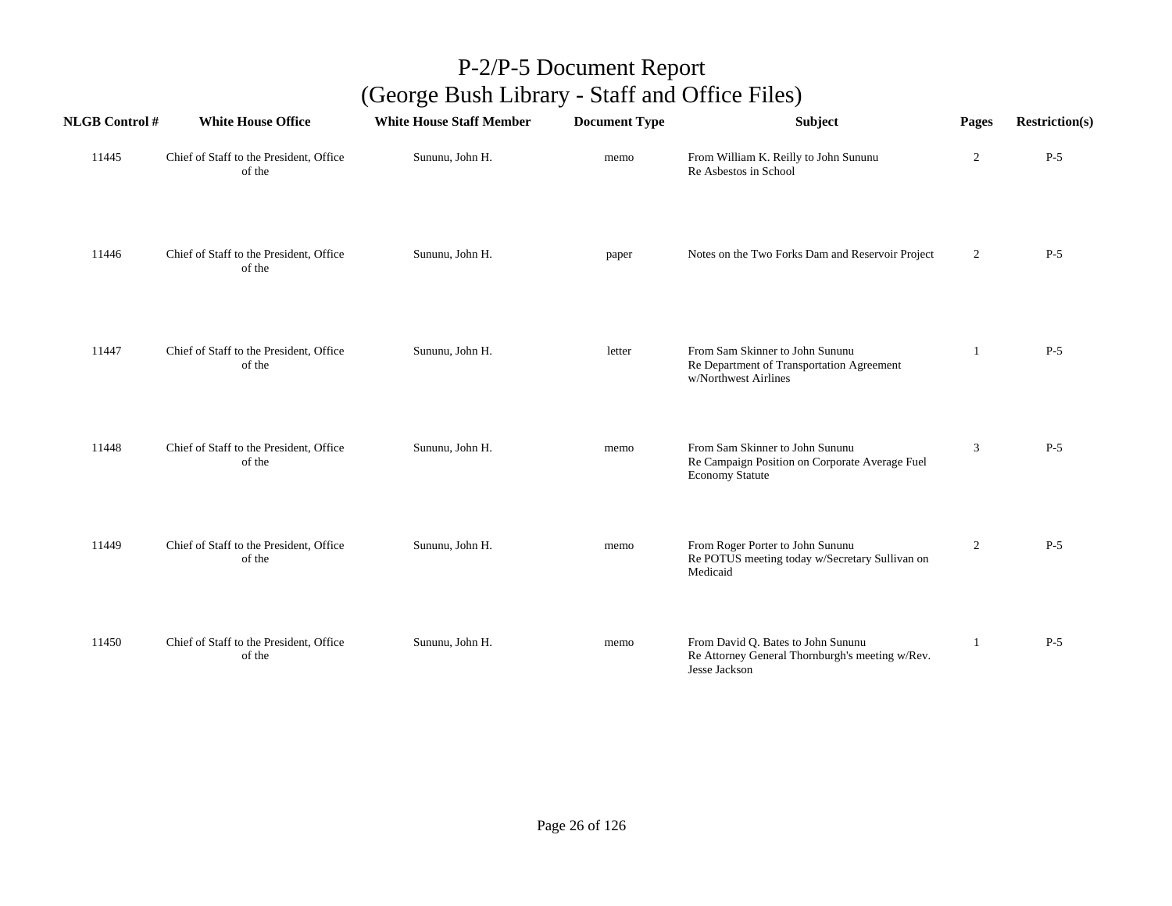| <b>NLGB Control#</b> | <b>White House Office</b>                         | <b>White House Staff Member</b> | <b>Document Type</b> | Subject                                                                                                     | Pages          | <b>Restriction(s)</b> |
|----------------------|---------------------------------------------------|---------------------------------|----------------------|-------------------------------------------------------------------------------------------------------------|----------------|-----------------------|
| 11445                | Chief of Staff to the President, Office<br>of the | Sununu, John H.                 | memo                 | From William K. Reilly to John Sununu<br>Re Asbestos in School                                              | $\overline{c}$ | $P-5$                 |
| 11446                | Chief of Staff to the President, Office<br>of the | Sununu, John H.                 | paper                | Notes on the Two Forks Dam and Reservoir Project                                                            | $\overline{2}$ | $P-5$                 |
| 11447                | Chief of Staff to the President, Office<br>of the | Sununu, John H.                 | letter               | From Sam Skinner to John Sununu<br>Re Department of Transportation Agreement<br>w/Northwest Airlines        | 1              | $P-5$                 |
| 11448                | Chief of Staff to the President, Office<br>of the | Sununu, John H.                 | memo                 | From Sam Skinner to John Sununu<br>Re Campaign Position on Corporate Average Fuel<br><b>Economy Statute</b> | 3              | $P-5$                 |
| 11449                | Chief of Staff to the President, Office<br>of the | Sununu, John H.                 | memo                 | From Roger Porter to John Sununu<br>Re POTUS meeting today w/Secretary Sullivan on<br>Medicaid              | $\overline{2}$ | $P-5$                 |
| 11450                | Chief of Staff to the President, Office<br>of the | Sununu, John H.                 | memo                 | From David Q. Bates to John Sununu<br>Re Attorney General Thornburgh's meeting w/Rev.<br>Jesse Jackson      | -1             | $P-5$                 |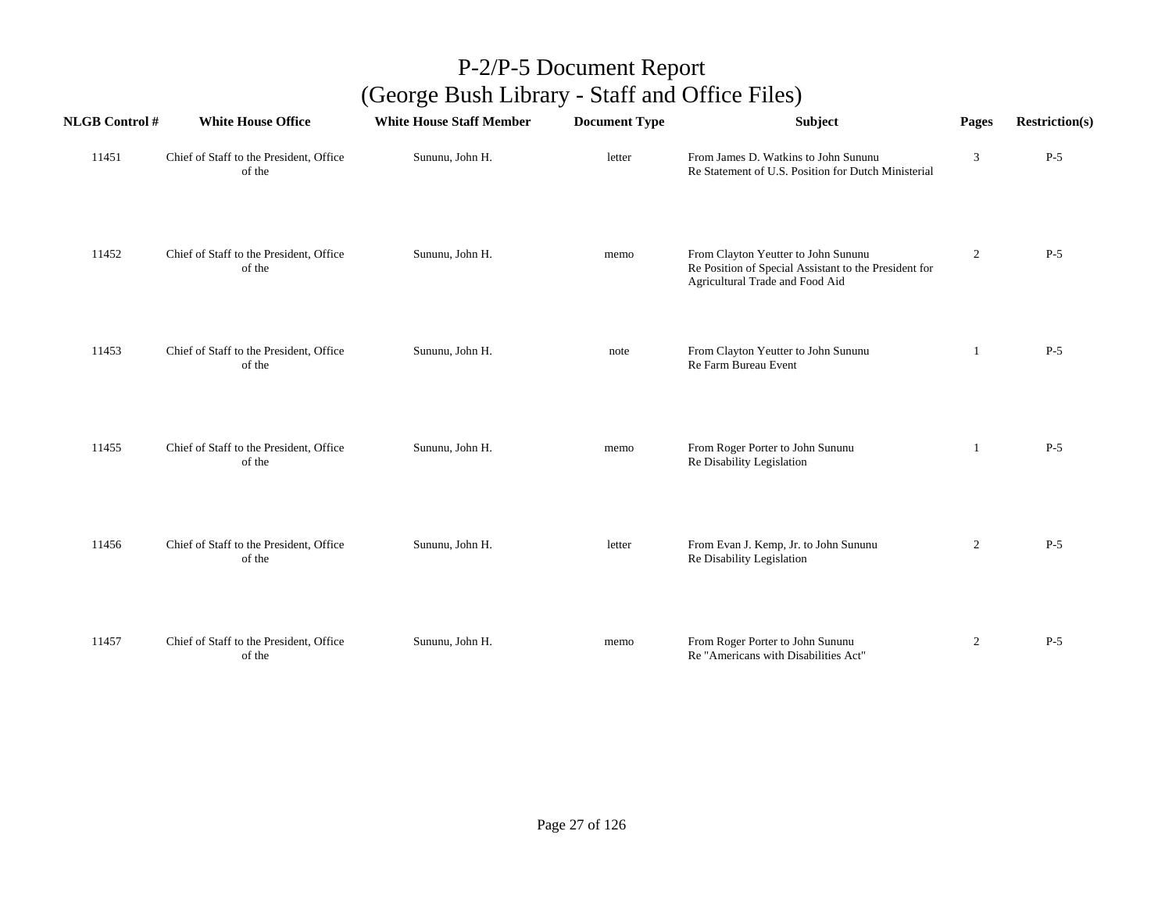| <b>NLGB Control#</b> | <b>White House Office</b>                         | <b>White House Staff Member</b> | <b>Document Type</b> | Subject                                                                                                                         | Pages          | <b>Restriction(s)</b> |
|----------------------|---------------------------------------------------|---------------------------------|----------------------|---------------------------------------------------------------------------------------------------------------------------------|----------------|-----------------------|
| 11451                | Chief of Staff to the President, Office<br>of the | Sununu, John H.                 | letter               | From James D. Watkins to John Sununu<br>Re Statement of U.S. Position for Dutch Ministerial                                     | 3              | $P-5$                 |
| 11452                | Chief of Staff to the President, Office<br>of the | Sununu, John H.                 | memo                 | From Clayton Yeutter to John Sununu<br>Re Position of Special Assistant to the President for<br>Agricultural Trade and Food Aid | $\overline{2}$ | $P-5$                 |
| 11453                | Chief of Staff to the President, Office<br>of the | Sununu, John H.                 | note                 | From Clayton Yeutter to John Sununu<br>Re Farm Bureau Event                                                                     | 1              | $P-5$                 |
| 11455                | Chief of Staff to the President, Office<br>of the | Sununu, John H.                 | memo                 | From Roger Porter to John Sununu<br>Re Disability Legislation                                                                   | 1              | $P-5$                 |
| 11456                | Chief of Staff to the President, Office<br>of the | Sununu, John H.                 | letter               | From Evan J. Kemp, Jr. to John Sununu<br>Re Disability Legislation                                                              | $\overline{2}$ | $P-5$                 |
| 11457                | Chief of Staff to the President, Office<br>of the | Sununu, John H.                 | memo                 | From Roger Porter to John Sununu<br>Re "Americans with Disabilities Act"                                                        | $\overline{2}$ | $P-5$                 |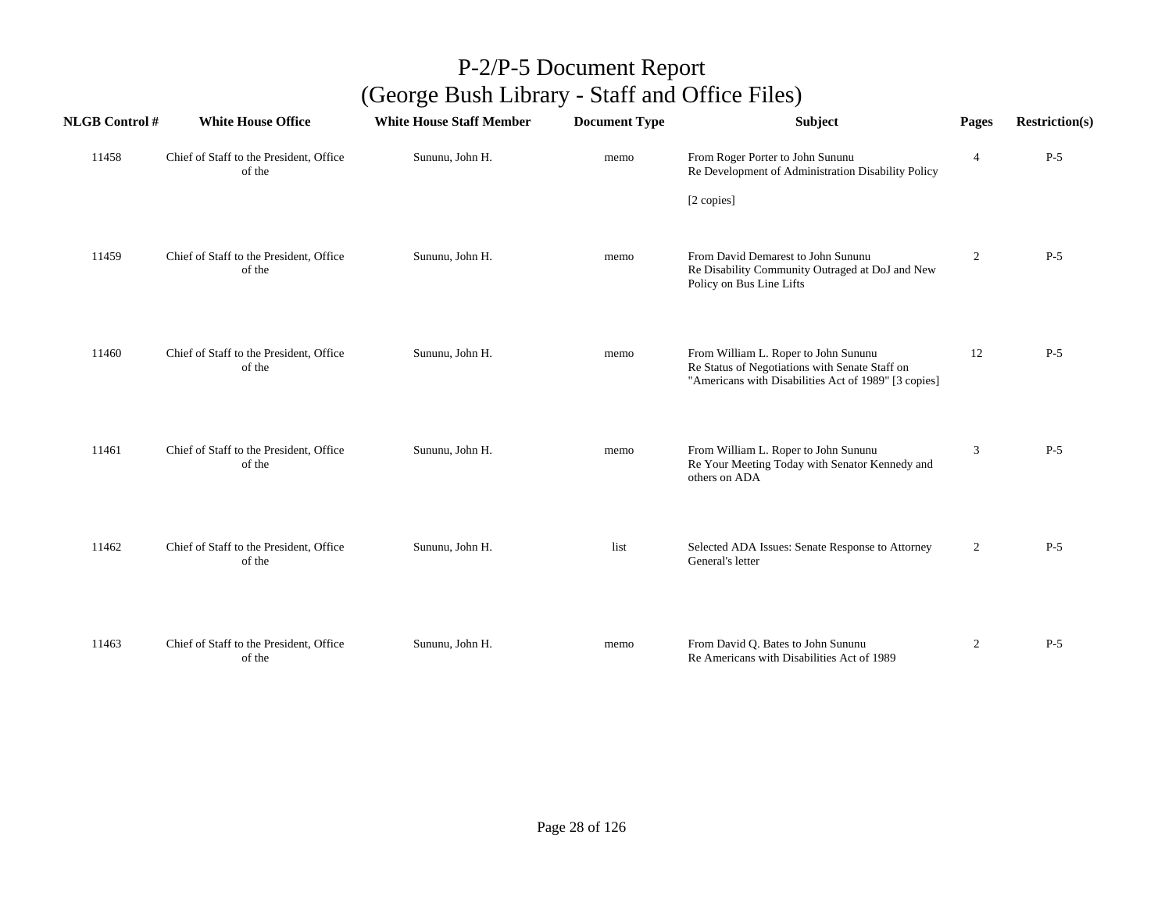| <b>NLGB Control#</b> | <b>White House Office</b>                         | <b>White House Staff Member</b> | <b>Document Type</b> | <b>Subject</b>                                                                         | Pages          | <b>Restriction(s)</b> |
|----------------------|---------------------------------------------------|---------------------------------|----------------------|----------------------------------------------------------------------------------------|----------------|-----------------------|
| 11458                | Chief of Staff to the President, Office<br>of the | Sununu, John H.                 | memo                 | From Roger Porter to John Sununu<br>Re Development of Administration Disability Policy | $\overline{4}$ | $P-5$                 |
|                      |                                                   |                                 |                      | [2 copies]                                                                             |                |                       |
| 11459                | Chief of Staff to the President, Office<br>of the | Sununu, John H.                 | memo                 | From David Demarest to John Sununu<br>Re Disability Community Outraged at DoJ and New  | 2              | $P-5$                 |
|                      |                                                   |                                 |                      | Policy on Bus Line Lifts                                                               |                |                       |
| 11460                | Chief of Staff to the President, Office<br>of the | Sununu, John H.                 | memo                 | From William L. Roper to John Sununu<br>Re Status of Negotiations with Senate Staff on | 12             | $P-5$                 |
|                      |                                                   |                                 |                      | "Americans with Disabilities Act of 1989" [3 copies]                                   |                |                       |
| 11461                | Chief of Staff to the President, Office           | Sununu, John H.                 | memo                 | From William L. Roper to John Sununu                                                   | 3              | $P-5$                 |
|                      | of the                                            |                                 |                      | Re Your Meeting Today with Senator Kennedy and<br>others on ADA                        |                |                       |
| 11462                | Chief of Staff to the President, Office           | Sununu, John H.                 | list                 | Selected ADA Issues: Senate Response to Attorney                                       | $\overline{2}$ | $P-5$                 |
|                      | of the                                            |                                 |                      | General's letter                                                                       |                |                       |
|                      |                                                   |                                 |                      |                                                                                        |                |                       |
| 11463                | Chief of Staff to the President, Office<br>of the | Sununu, John H.                 | memo                 | From David Q. Bates to John Sununu<br>Re Americans with Disabilities Act of 1989       | $\overline{2}$ | $P-5$                 |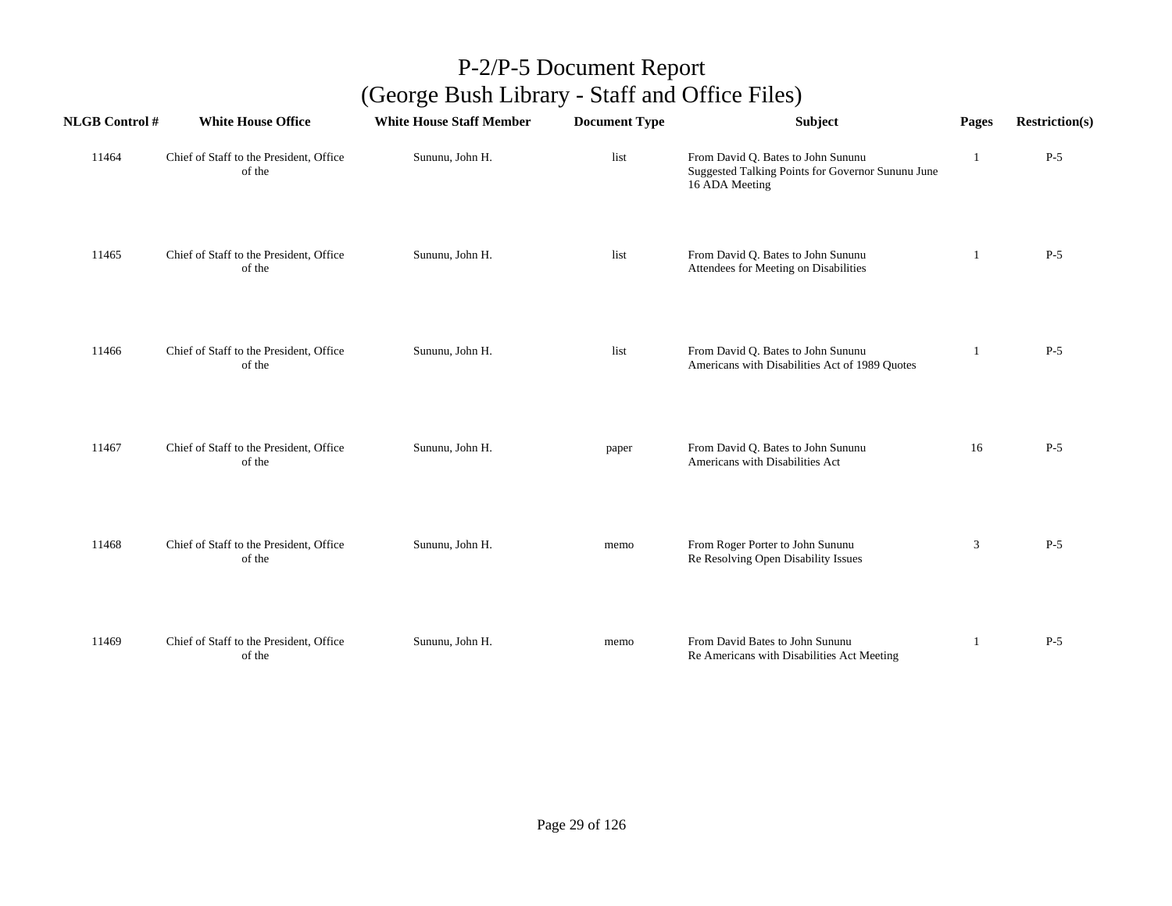| <b>NLGB Control#</b> | <b>White House Office</b>                         | <b>White House Staff Member</b> | <b>Document Type</b> | Subject                                                                                                   | Pages | <b>Restriction(s)</b> |
|----------------------|---------------------------------------------------|---------------------------------|----------------------|-----------------------------------------------------------------------------------------------------------|-------|-----------------------|
| 11464                | Chief of Staff to the President, Office<br>of the | Sununu, John H.                 | list                 | From David Q. Bates to John Sununu<br>Suggested Talking Points for Governor Sununu June<br>16 ADA Meeting |       | $P-5$                 |
| 11465                | Chief of Staff to the President, Office<br>of the | Sununu, John H.                 | list                 | From David Q. Bates to John Sununu<br>Attendees for Meeting on Disabilities                               | 1     | $P-5$                 |
| 11466                | Chief of Staff to the President, Office<br>of the | Sununu, John H.                 | list                 | From David Q. Bates to John Sununu<br>Americans with Disabilities Act of 1989 Quotes                      | 1     | $P-5$                 |
| 11467                | Chief of Staff to the President, Office<br>of the | Sununu, John H.                 | paper                | From David Q. Bates to John Sununu<br>Americans with Disabilities Act                                     | 16    | $P-5$                 |
| 11468                | Chief of Staff to the President, Office<br>of the | Sununu, John H.                 | memo                 | From Roger Porter to John Sununu<br>Re Resolving Open Disability Issues                                   | 3     | $P-5$                 |
| 11469                | Chief of Staff to the President, Office<br>of the | Sununu, John H.                 | memo                 | From David Bates to John Sununu<br>Re Americans with Disabilities Act Meeting                             | 1     | $P-5$                 |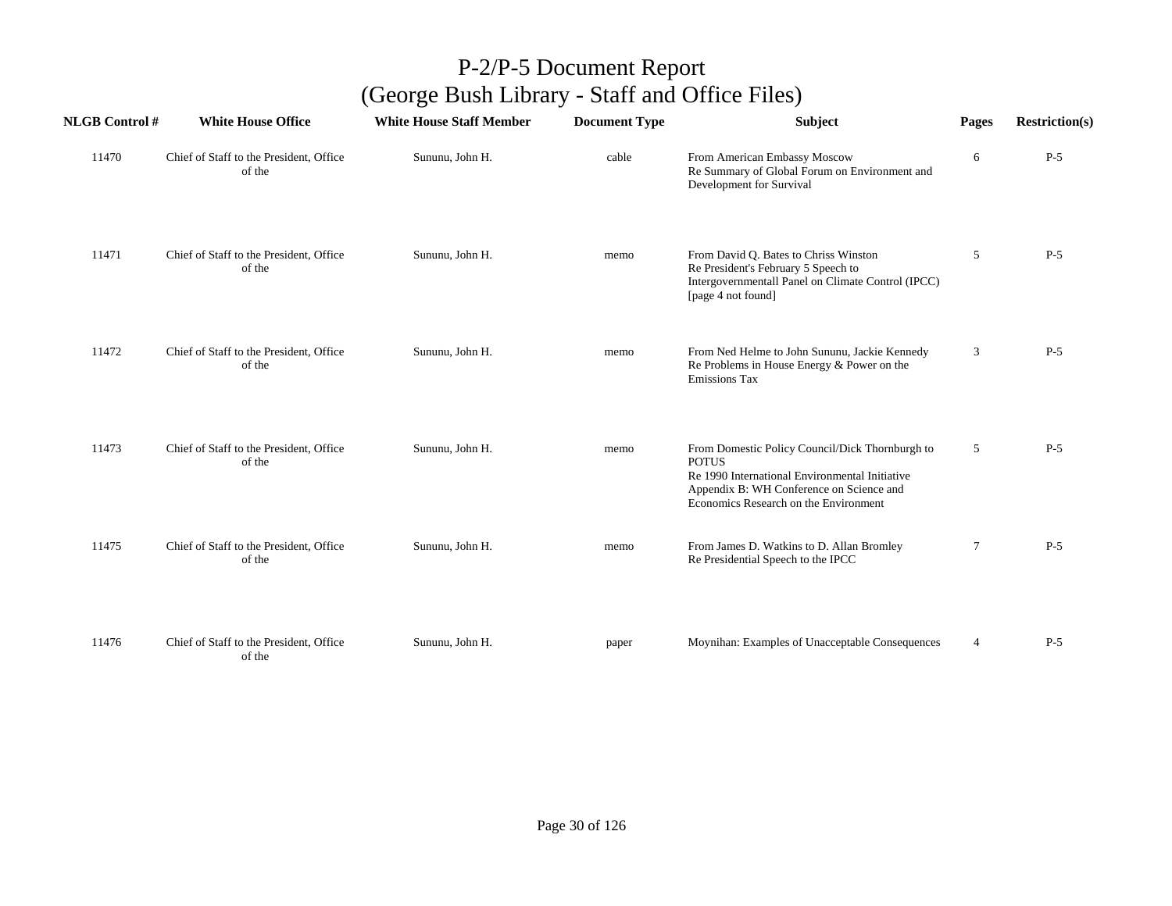| <b>NLGB Control #</b> | <b>White House Office</b>                         | <b>White House Staff Member</b> | <b>Document Type</b> | <b>Subject</b>                                                                                                                                                                                         | Pages          | <b>Restriction(s)</b> |
|-----------------------|---------------------------------------------------|---------------------------------|----------------------|--------------------------------------------------------------------------------------------------------------------------------------------------------------------------------------------------------|----------------|-----------------------|
| 11470                 | Chief of Staff to the President, Office<br>of the | Sununu, John H.                 | cable                | From American Embassy Moscow<br>Re Summary of Global Forum on Environment and<br>Development for Survival                                                                                              | 6              | $P-5$                 |
| 11471                 | Chief of Staff to the President, Office<br>of the | Sununu, John H.                 | memo                 | From David Q. Bates to Chriss Winston<br>Re President's February 5 Speech to<br>Intergovernmentall Panel on Climate Control (IPCC)<br>[page 4 not found]                                               | 5              | $P-5$                 |
| 11472                 | Chief of Staff to the President, Office<br>of the | Sununu, John H.                 | memo                 | From Ned Helme to John Sununu, Jackie Kennedy<br>Re Problems in House Energy & Power on the<br>Emissions Tax                                                                                           | 3              | $P-5$                 |
| 11473                 | Chief of Staff to the President, Office<br>of the | Sununu, John H.                 | memo                 | From Domestic Policy Council/Dick Thornburgh to<br><b>POTUS</b><br>Re 1990 International Environmental Initiative<br>Appendix B: WH Conference on Science and<br>Economics Research on the Environment | 5              | $P-5$                 |
| 11475                 | Chief of Staff to the President, Office<br>of the | Sununu, John H.                 | memo                 | From James D. Watkins to D. Allan Bromley<br>Re Presidential Speech to the IPCC                                                                                                                        | 7              | $P-5$                 |
| 11476                 | Chief of Staff to the President, Office<br>of the | Sununu, John H.                 | paper                | Moynihan: Examples of Unacceptable Consequences                                                                                                                                                        | $\overline{4}$ | $P-5$                 |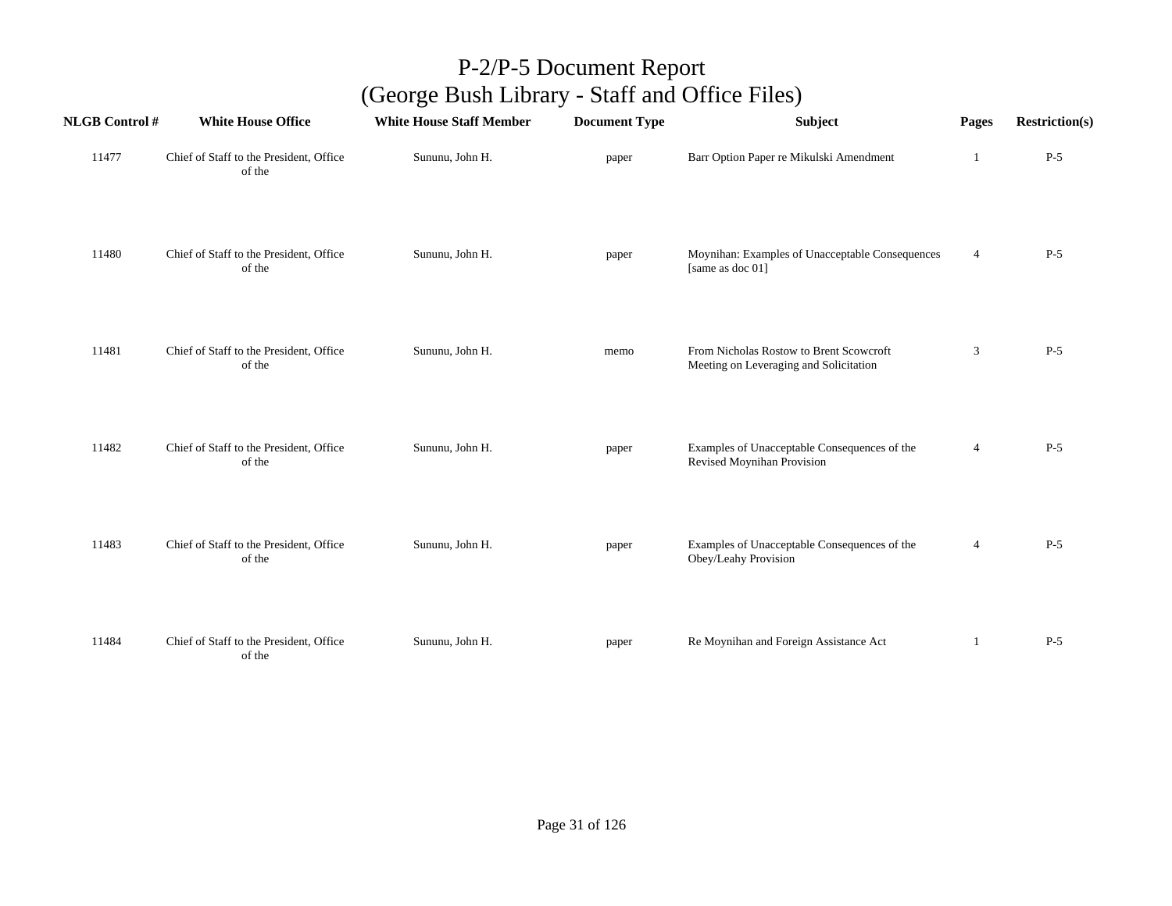| <b>NLGB Control#</b> | <b>White House Office</b>                         | <b>White House Staff Member</b> | <b>Document Type</b> | Subject                                                                           | Pages          | <b>Restriction(s)</b> |
|----------------------|---------------------------------------------------|---------------------------------|----------------------|-----------------------------------------------------------------------------------|----------------|-----------------------|
| 11477                | Chief of Staff to the President, Office<br>of the | Sununu, John H.                 | paper                | Barr Option Paper re Mikulski Amendment                                           | 1              | $P-5$                 |
| 11480                | Chief of Staff to the President, Office<br>of the | Sununu, John H.                 | paper                | Moynihan: Examples of Unacceptable Consequences<br>[same as doc 01]               | $\overline{4}$ | $P-5$                 |
| 11481                | Chief of Staff to the President, Office<br>of the | Sununu, John H.                 | memo                 | From Nicholas Rostow to Brent Scowcroft<br>Meeting on Leveraging and Solicitation | $\mathfrak{Z}$ | $P-5$                 |
| 11482                | Chief of Staff to the President, Office<br>of the | Sununu, John H.                 | paper                | Examples of Unacceptable Consequences of the<br>Revised Moynihan Provision        | $\overline{4}$ | $P-5$                 |
| 11483                | Chief of Staff to the President, Office<br>of the | Sununu, John H.                 | paper                | Examples of Unacceptable Consequences of the<br>Obey/Leahy Provision              | $\overline{4}$ | $P-5$                 |
| 11484                | Chief of Staff to the President, Office<br>of the | Sununu, John H.                 | paper                | Re Moynihan and Foreign Assistance Act                                            | 1              | $P-5$                 |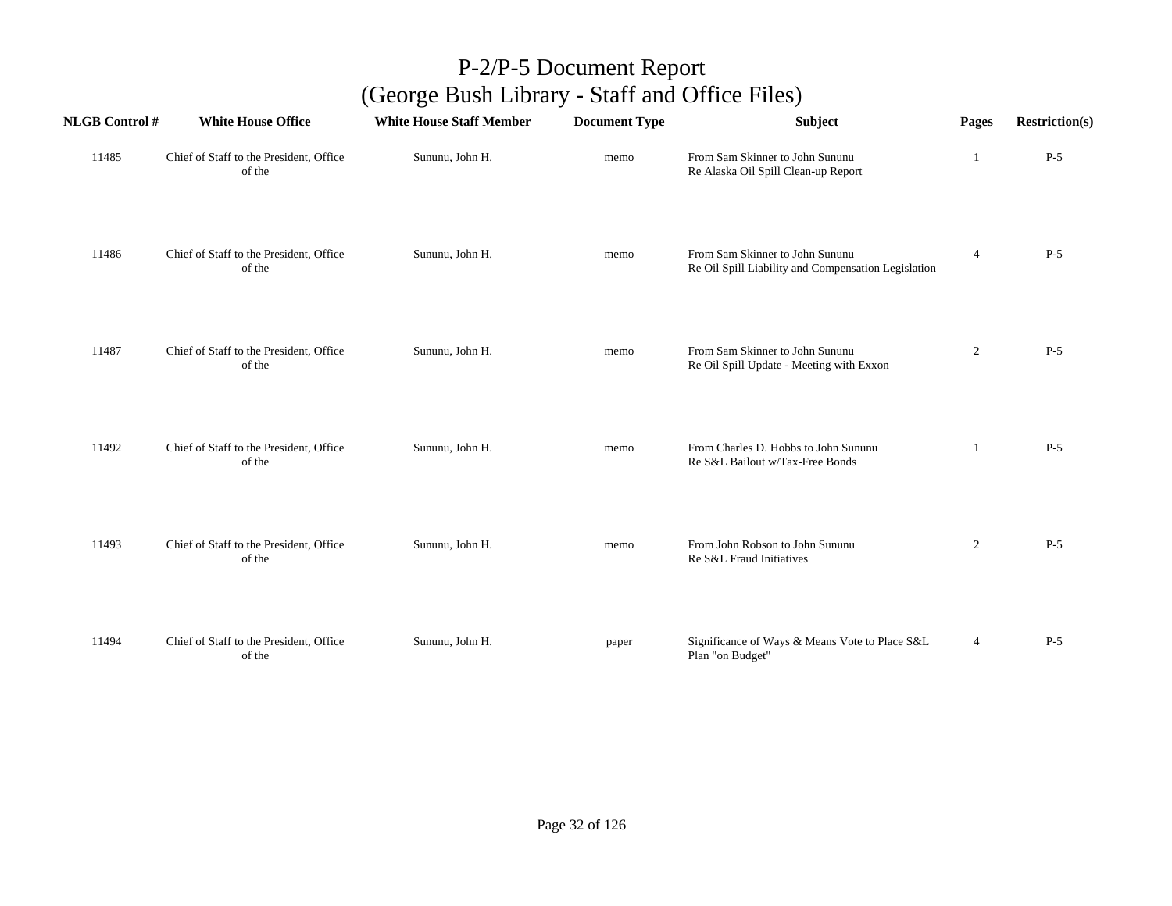| <b>NLGB</b> Control # | <b>White House Office</b>                         | <b>White House Staff Member</b> | <b>Document Type</b> | Subject                                                                                | Pages          | <b>Restriction(s)</b> |
|-----------------------|---------------------------------------------------|---------------------------------|----------------------|----------------------------------------------------------------------------------------|----------------|-----------------------|
| 11485                 | Chief of Staff to the President, Office<br>of the | Sununu, John H.                 | memo                 | From Sam Skinner to John Sununu<br>Re Alaska Oil Spill Clean-up Report                 | -1             | $P-5$                 |
| 11486                 | Chief of Staff to the President, Office<br>of the | Sununu, John H.                 | memo                 | From Sam Skinner to John Sununu<br>Re Oil Spill Liability and Compensation Legislation | $\overline{4}$ | $P-5$                 |
| 11487                 | Chief of Staff to the President, Office<br>of the | Sununu, John H.                 | memo                 | From Sam Skinner to John Sununu<br>Re Oil Spill Update - Meeting with Exxon            | $\overline{c}$ | $P-5$                 |
| 11492                 | Chief of Staff to the President, Office<br>of the | Sununu, John H.                 | memo                 | From Charles D. Hobbs to John Sununu<br>Re S&L Bailout w/Tax-Free Bonds                | 1              | $P-5$                 |
| 11493                 | Chief of Staff to the President, Office<br>of the | Sununu, John H.                 | memo                 | From John Robson to John Sununu<br>Re S&L Fraud Initiatives                            | $\overline{2}$ | $P-5$                 |
| 11494                 | Chief of Staff to the President, Office<br>of the | Sununu, John H.                 | paper                | Significance of Ways & Means Vote to Place S&L<br>Plan "on Budget"                     | $\overline{4}$ | $P-5$                 |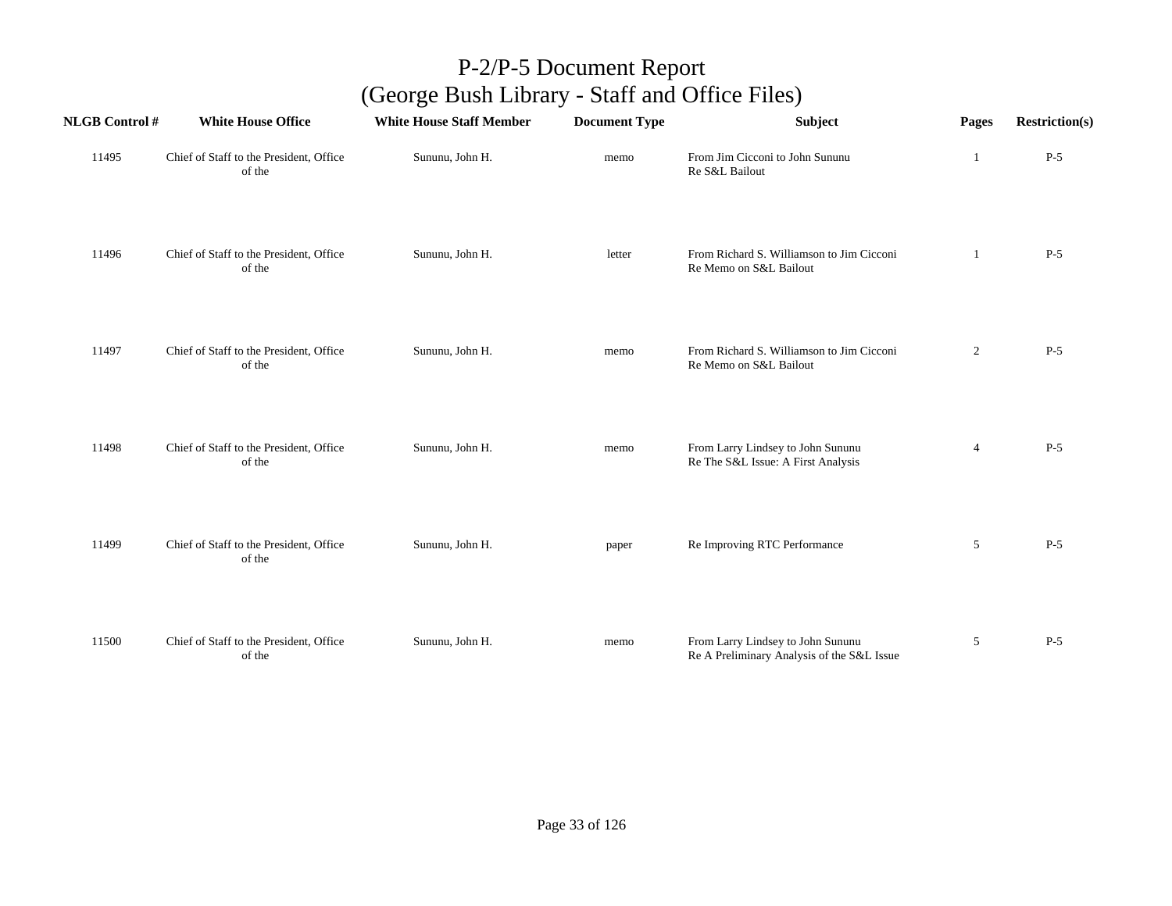| <b>NLGB Control #</b> | <b>White House Office</b>                         | <b>White House Staff Member</b> | <b>Document Type</b> | Subject                                                                         | Pages          | <b>Restriction(s)</b> |
|-----------------------|---------------------------------------------------|---------------------------------|----------------------|---------------------------------------------------------------------------------|----------------|-----------------------|
| 11495                 | Chief of Staff to the President, Office<br>of the | Sununu, John H.                 | memo                 | From Jim Cicconi to John Sununu<br>Re S&L Bailout                               | 1              | $P-5$                 |
| 11496                 | Chief of Staff to the President, Office<br>of the | Sununu, John H.                 | letter               | From Richard S. Williamson to Jim Cicconi<br>Re Memo on S&L Bailout             | -1             | $P-5$                 |
| 11497                 | Chief of Staff to the President, Office<br>of the | Sununu, John H.                 | memo                 | From Richard S. Williamson to Jim Cicconi<br>Re Memo on S&L Bailout             | $\overline{2}$ | $P-5$                 |
| 11498                 | Chief of Staff to the President, Office<br>of the | Sununu, John H.                 | memo                 | From Larry Lindsey to John Sununu<br>Re The S&L Issue: A First Analysis         | $\overline{4}$ | $P-5$                 |
| 11499                 | Chief of Staff to the President, Office<br>of the | Sununu, John H.                 | paper                | Re Improving RTC Performance                                                    | 5              | $P-5$                 |
| 11500                 | Chief of Staff to the President, Office<br>of the | Sununu, John H.                 | memo                 | From Larry Lindsey to John Sununu<br>Re A Preliminary Analysis of the S&L Issue | 5              | $P-5$                 |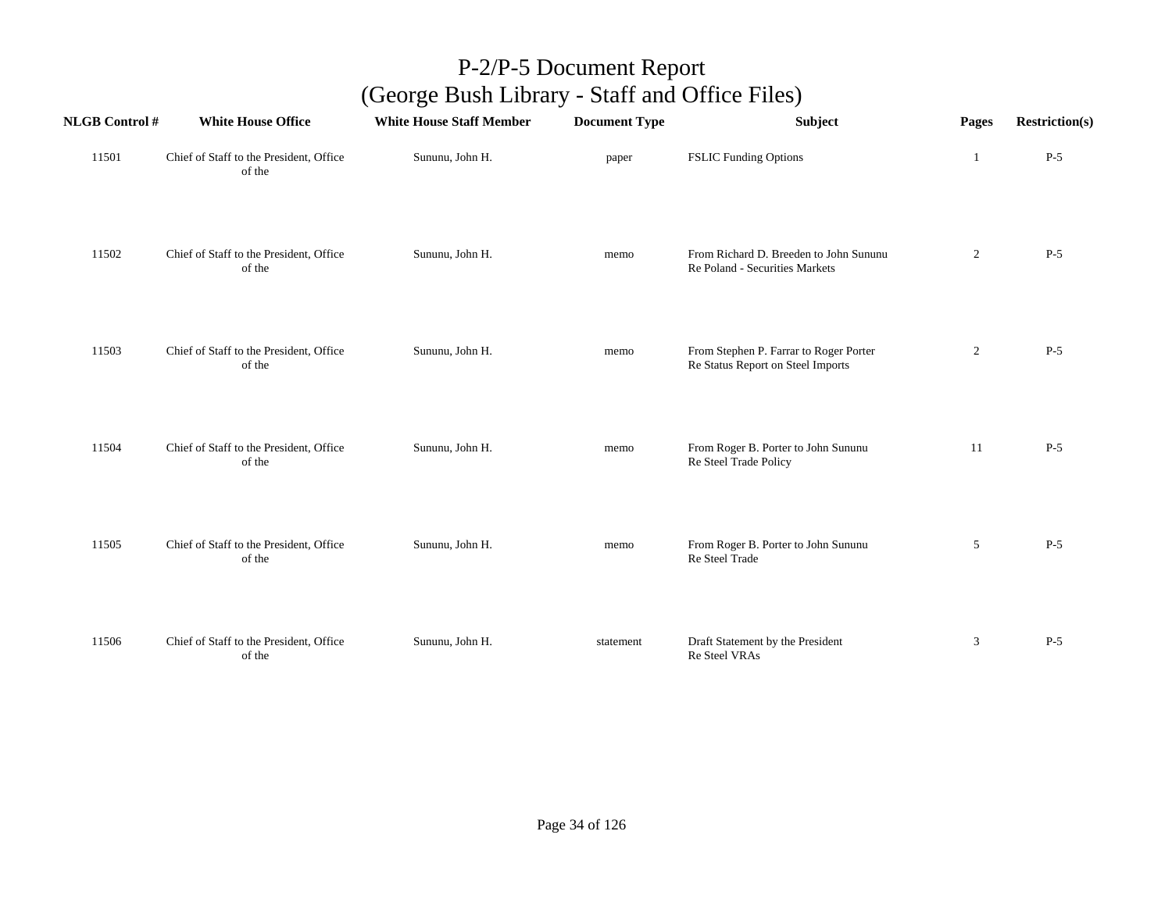| <b>NLGB Control #</b> | <b>White House Office</b>                         | <b>White House Staff Member</b> | <b>Document Type</b> | Subject                                                                     | Pages          | <b>Restriction(s)</b> |
|-----------------------|---------------------------------------------------|---------------------------------|----------------------|-----------------------------------------------------------------------------|----------------|-----------------------|
| 11501                 | Chief of Staff to the President, Office<br>of the | Sununu, John H.                 | paper                | <b>FSLIC Funding Options</b>                                                | 1              | $P-5$                 |
| 11502                 | Chief of Staff to the President, Office<br>of the | Sununu, John H.                 | memo                 | From Richard D. Breeden to John Sununu<br>Re Poland - Securities Markets    | $\overline{2}$ | $P-5$                 |
| 11503                 | Chief of Staff to the President, Office<br>of the | Sununu, John H.                 | memo                 | From Stephen P. Farrar to Roger Porter<br>Re Status Report on Steel Imports | $\overline{c}$ | $P-5$                 |
| 11504                 | Chief of Staff to the President, Office<br>of the | Sununu, John H.                 | memo                 | From Roger B. Porter to John Sununu<br>Re Steel Trade Policy                | 11             | $P-5$                 |
| 11505                 | Chief of Staff to the President, Office<br>of the | Sununu, John H.                 | memo                 | From Roger B. Porter to John Sununu<br>Re Steel Trade                       | 5              | $P-5$                 |
| 11506                 | Chief of Staff to the President, Office<br>of the | Sununu, John H.                 | statement            | Draft Statement by the President<br>Re Steel VRAs                           | 3              | $P-5$                 |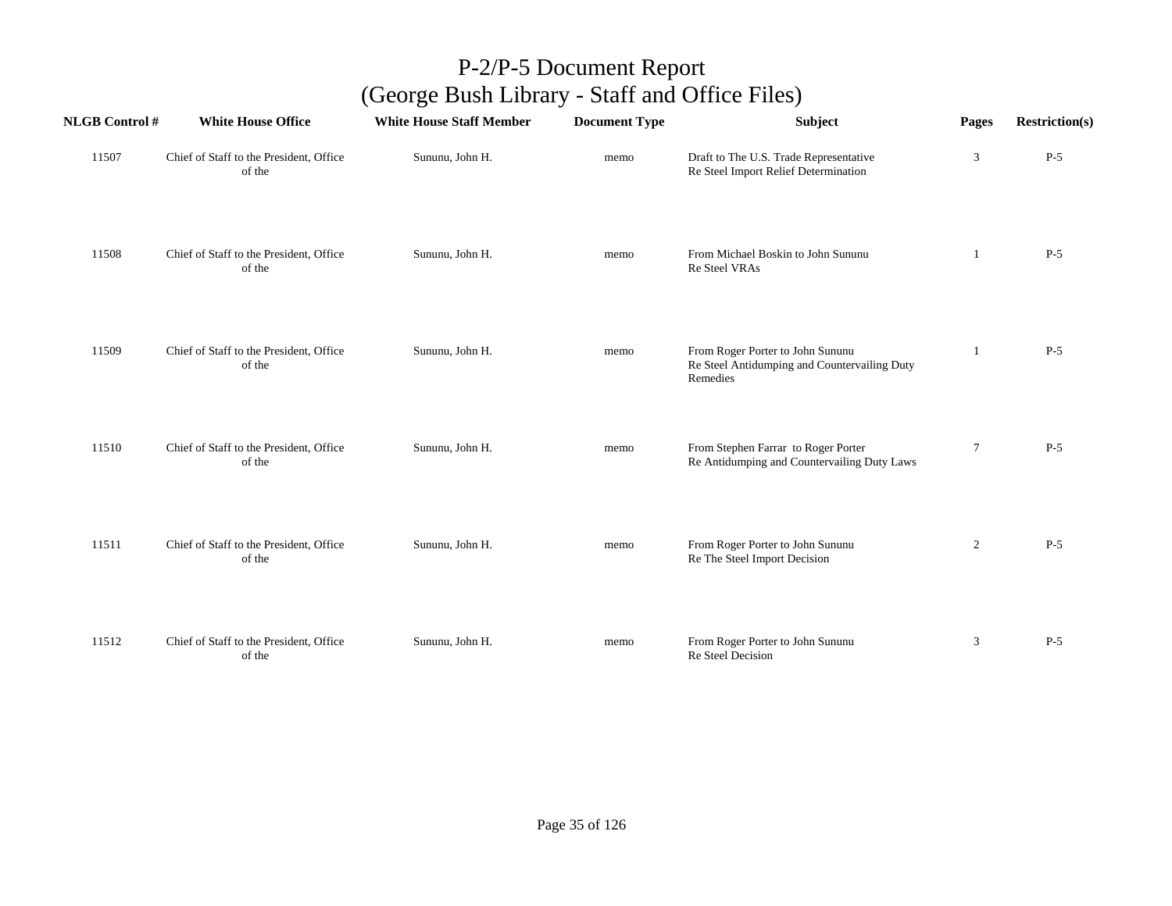| <b>NLGB Control #</b> | <b>White House Office</b>                         | <b>White House Staff Member</b> | <b>Document Type</b> | <b>Subject</b>                                                                               | Pages          | <b>Restriction(s)</b> |
|-----------------------|---------------------------------------------------|---------------------------------|----------------------|----------------------------------------------------------------------------------------------|----------------|-----------------------|
| 11507                 | Chief of Staff to the President, Office<br>of the | Sununu, John H.                 | memo                 | Draft to The U.S. Trade Representative<br>Re Steel Import Relief Determination               | 3              | $P-5$                 |
| 11508                 | Chief of Staff to the President, Office<br>of the | Sununu, John H.                 | memo                 | From Michael Boskin to John Sununu<br>Re Steel VRAs                                          | 1              | $P-5$                 |
| 11509                 | Chief of Staff to the President, Office<br>of the | Sununu, John H.                 | memo                 | From Roger Porter to John Sununu<br>Re Steel Antidumping and Countervailing Duty<br>Remedies |                | $P-5$                 |
| 11510                 | Chief of Staff to the President, Office<br>of the | Sununu, John H.                 | memo                 | From Stephen Farrar to Roger Porter<br>Re Antidumping and Countervailing Duty Laws           | $\tau$         | $P-5$                 |
| 11511                 | Chief of Staff to the President, Office<br>of the | Sununu, John H.                 | memo                 | From Roger Porter to John Sununu<br>Re The Steel Import Decision                             | $\overline{2}$ | $P-5$                 |
| 11512                 | Chief of Staff to the President, Office<br>of the | Sununu, John H.                 | memo                 | From Roger Porter to John Sununu<br>Re Steel Decision                                        | $\mathfrak{Z}$ | $P-5$                 |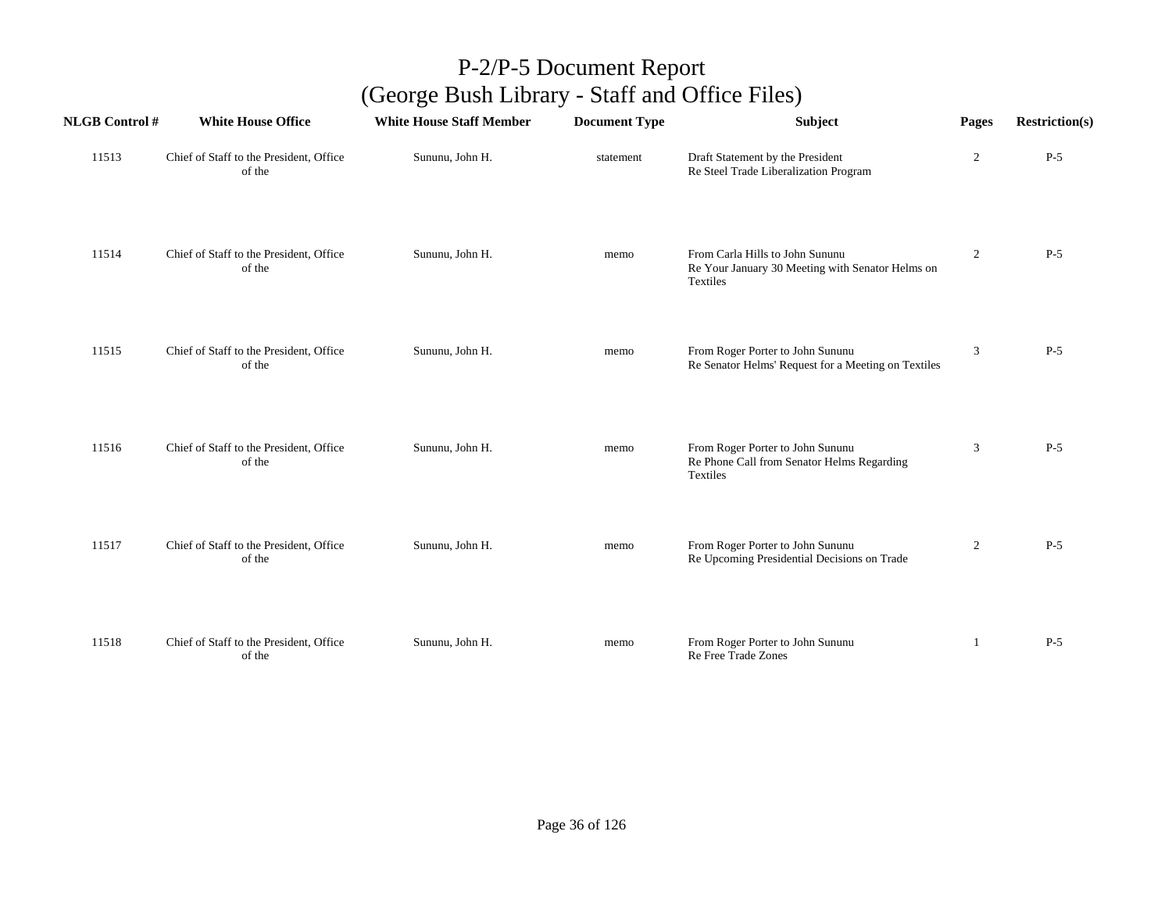| <b>NLGB Control#</b> | <b>White House Office</b>                         | <b>White House Staff Member</b> | <b>Document Type</b> | Subject                                                                                         | Pages          | <b>Restriction(s)</b> |
|----------------------|---------------------------------------------------|---------------------------------|----------------------|-------------------------------------------------------------------------------------------------|----------------|-----------------------|
| 11513                | Chief of Staff to the President, Office<br>of the | Sununu, John H.                 | statement            | Draft Statement by the President<br>Re Steel Trade Liberalization Program                       | $\overline{2}$ | $P-5$                 |
| 11514                | Chief of Staff to the President, Office<br>of the | Sununu, John H.                 | memo                 | From Carla Hills to John Sununu<br>Re Your January 30 Meeting with Senator Helms on<br>Textiles | $\overline{2}$ | $P-5$                 |
| 11515                | Chief of Staff to the President, Office<br>of the | Sununu, John H.                 | memo                 | From Roger Porter to John Sununu<br>Re Senator Helms' Request for a Meeting on Textiles         | 3              | $P-5$                 |
| 11516                | Chief of Staff to the President, Office<br>of the | Sununu, John H.                 | memo                 | From Roger Porter to John Sununu<br>Re Phone Call from Senator Helms Regarding<br>Textiles      | 3              | $P-5$                 |
| 11517                | Chief of Staff to the President, Office<br>of the | Sununu, John H.                 | memo                 | From Roger Porter to John Sununu<br>Re Upcoming Presidential Decisions on Trade                 | $\overline{2}$ | $P-5$                 |
| 11518                | Chief of Staff to the President, Office<br>of the | Sununu, John H.                 | memo                 | From Roger Porter to John Sununu<br>Re Free Trade Zones                                         | 1              | $P-5$                 |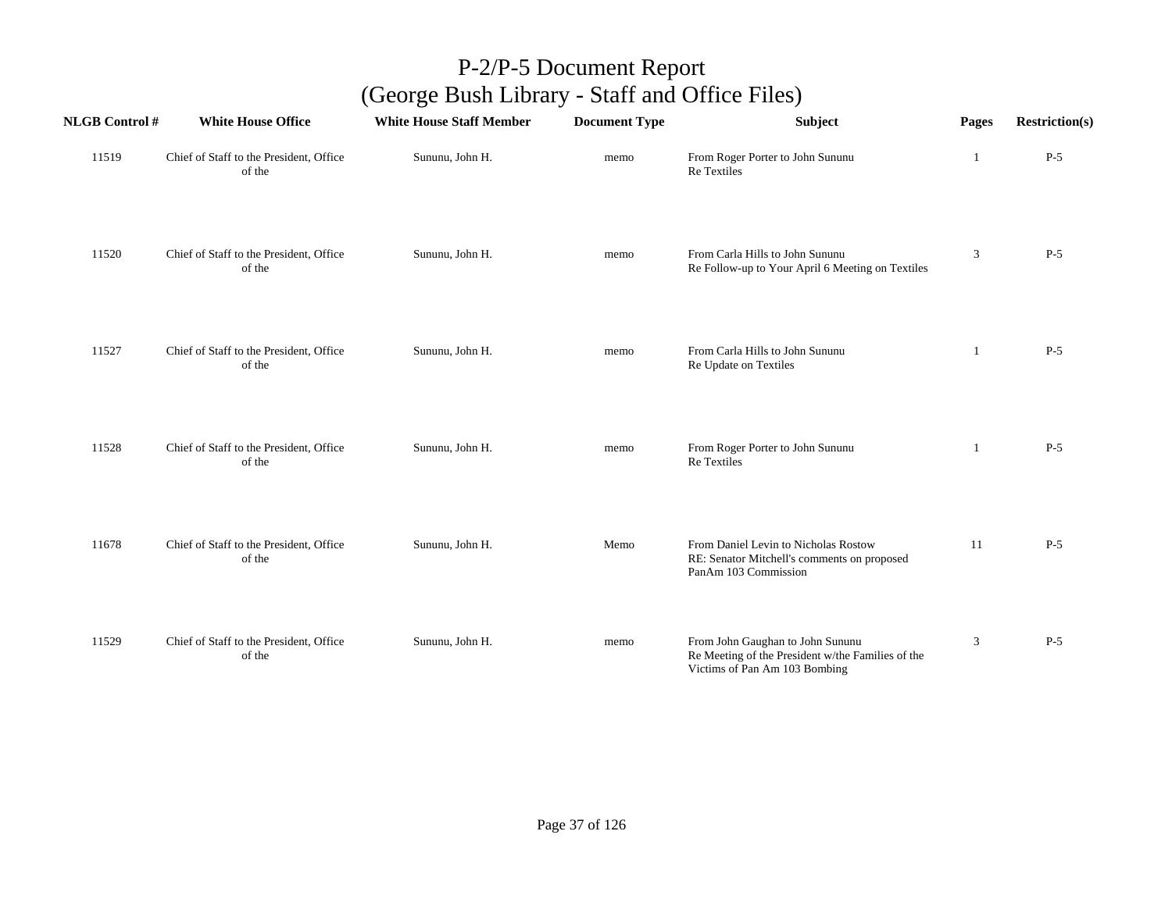| <b>NLGB Control#</b> | <b>White House Office</b>                         | <b>White House Staff Member</b> | <b>Document Type</b> | Subject                                                                                                                | Pages | <b>Restriction(s)</b> |
|----------------------|---------------------------------------------------|---------------------------------|----------------------|------------------------------------------------------------------------------------------------------------------------|-------|-----------------------|
| 11519                | Chief of Staff to the President, Office<br>of the | Sununu, John H.                 | memo                 | From Roger Porter to John Sununu<br>Re Textiles                                                                        | 1     | $P-5$                 |
| 11520                | Chief of Staff to the President, Office<br>of the | Sununu, John H.                 | memo                 | From Carla Hills to John Sununu<br>Re Follow-up to Your April 6 Meeting on Textiles                                    | 3     | $P-5$                 |
| 11527                | Chief of Staff to the President, Office<br>of the | Sununu, John H.                 | memo                 | From Carla Hills to John Sununu<br>Re Update on Textiles                                                               | -1    | $P-5$                 |
| 11528                | Chief of Staff to the President, Office<br>of the | Sununu, John H.                 | memo                 | From Roger Porter to John Sununu<br><b>Re</b> Textiles                                                                 | -1    | $P-5$                 |
| 11678                | Chief of Staff to the President, Office<br>of the | Sununu, John H.                 | Memo                 | From Daniel Levin to Nicholas Rostow<br>RE: Senator Mitchell's comments on proposed<br>PanAm 103 Commission            | 11    | $P-5$                 |
| 11529                | Chief of Staff to the President, Office<br>of the | Sununu, John H.                 | memo                 | From John Gaughan to John Sununu<br>Re Meeting of the President w/the Families of the<br>Victims of Pan Am 103 Bombing | 3     | $P-5$                 |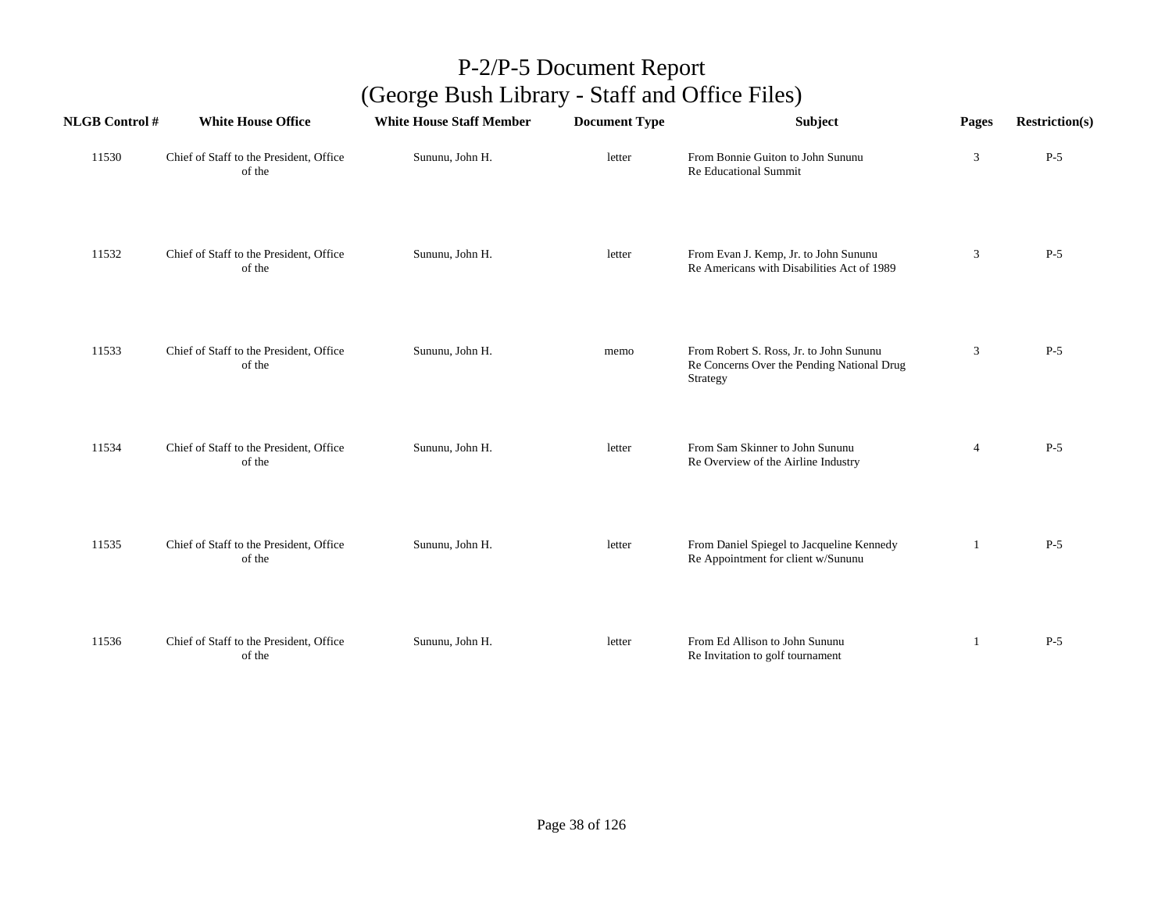| <b>NLGB</b> Control # | <b>White House Office</b>                         | <b>White House Staff Member</b> | <b>Document Type</b> | Subject                                                                                           | Pages          | <b>Restriction(s)</b> |
|-----------------------|---------------------------------------------------|---------------------------------|----------------------|---------------------------------------------------------------------------------------------------|----------------|-----------------------|
| 11530                 | Chief of Staff to the President, Office<br>of the | Sununu, John H.                 | letter               | From Bonnie Guiton to John Sununu<br>Re Educational Summit                                        | 3              | $P-5$                 |
| 11532                 | Chief of Staff to the President, Office<br>of the | Sununu, John H.                 | letter               | From Evan J. Kemp, Jr. to John Sununu<br>Re Americans with Disabilities Act of 1989               | 3              | $P-5$                 |
| 11533                 | Chief of Staff to the President, Office<br>of the | Sununu, John H.                 | memo                 | From Robert S. Ross, Jr. to John Sununu<br>Re Concerns Over the Pending National Drug<br>Strategy | $\mathfrak{Z}$ | $P-5$                 |
| 11534                 | Chief of Staff to the President, Office<br>of the | Sununu, John H.                 | letter               | From Sam Skinner to John Sununu<br>Re Overview of the Airline Industry                            | $\overline{4}$ | $P-5$                 |
| 11535                 | Chief of Staff to the President, Office<br>of the | Sununu, John H.                 | letter               | From Daniel Spiegel to Jacqueline Kennedy<br>Re Appointment for client w/Sununu                   | 1              | $P-5$                 |
| 11536                 | Chief of Staff to the President, Office<br>of the | Sununu, John H.                 | letter               | From Ed Allison to John Sununu<br>Re Invitation to golf tournament                                | 1              | $P-5$                 |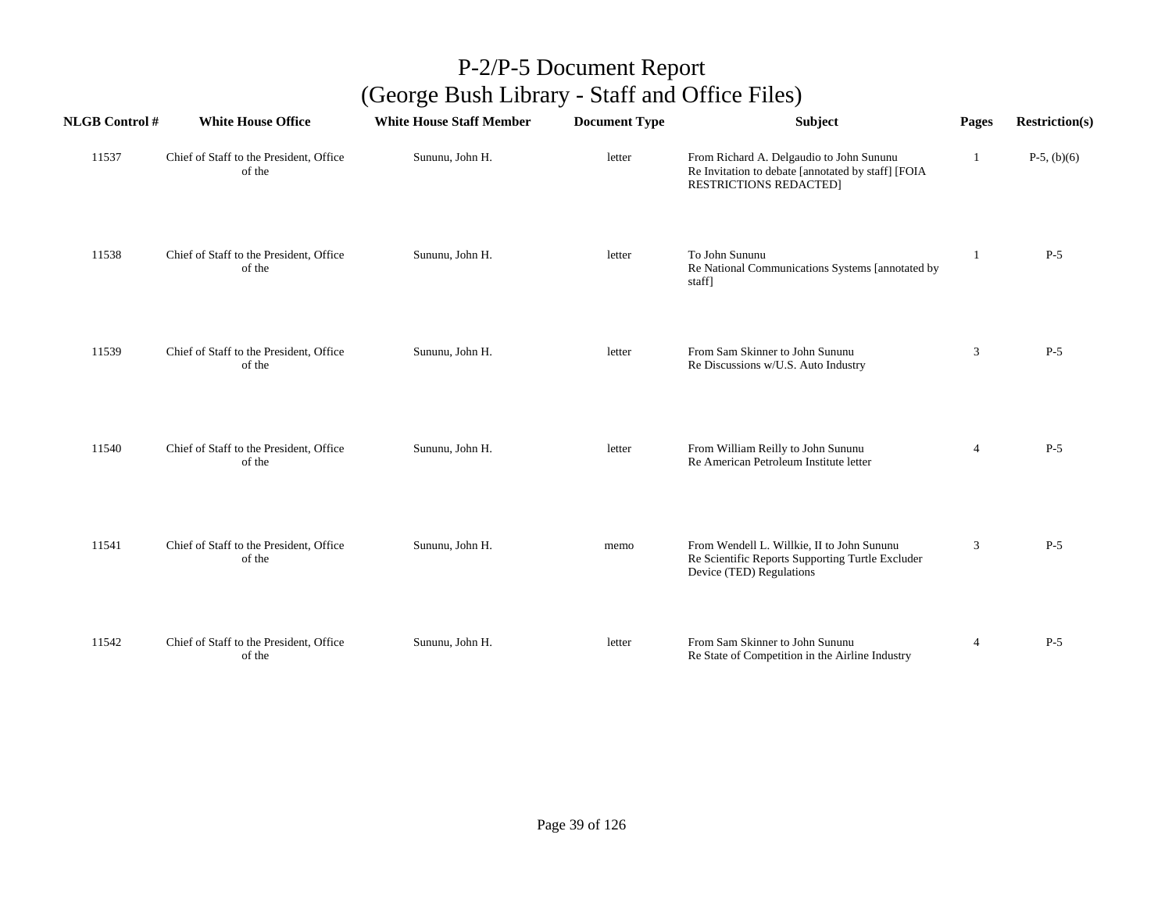| <b>NLGB Control#</b> | <b>White House Office</b>                         | <b>White House Staff Member</b> | <b>Document Type</b> | <b>Subject</b>                                                                                                                  | Pages          | <b>Restriction(s)</b> |
|----------------------|---------------------------------------------------|---------------------------------|----------------------|---------------------------------------------------------------------------------------------------------------------------------|----------------|-----------------------|
| 11537                | Chief of Staff to the President, Office<br>of the | Sununu, John H.                 | letter               | From Richard A. Delgaudio to John Sununu<br>Re Invitation to debate [annotated by staff] [FOIA<br><b>RESTRICTIONS REDACTED]</b> | 1              | $P-5$ , (b)(6)        |
| 11538                | Chief of Staff to the President, Office<br>of the | Sununu, John H.                 | letter               | To John Sununu<br>Re National Communications Systems [annotated by<br>staff]                                                    | $\mathbf{1}$   | $P-5$                 |
| 11539                | Chief of Staff to the President, Office<br>of the | Sununu, John H.                 | letter               | From Sam Skinner to John Sununu<br>Re Discussions w/U.S. Auto Industry                                                          | 3              | $P-5$                 |
| 11540                | Chief of Staff to the President, Office<br>of the | Sununu, John H.                 | letter               | From William Reilly to John Sununu<br>Re American Petroleum Institute letter                                                    | 4              | $P-5$                 |
| 11541                | Chief of Staff to the President, Office<br>of the | Sununu, John H.                 | memo                 | From Wendell L. Willkie, II to John Sununu<br>Re Scientific Reports Supporting Turtle Excluder<br>Device (TED) Regulations      | 3              | $P-5$                 |
| 11542                | Chief of Staff to the President, Office<br>of the | Sununu, John H.                 | letter               | From Sam Skinner to John Sununu<br>Re State of Competition in the Airline Industry                                              | $\overline{4}$ | $P-5$                 |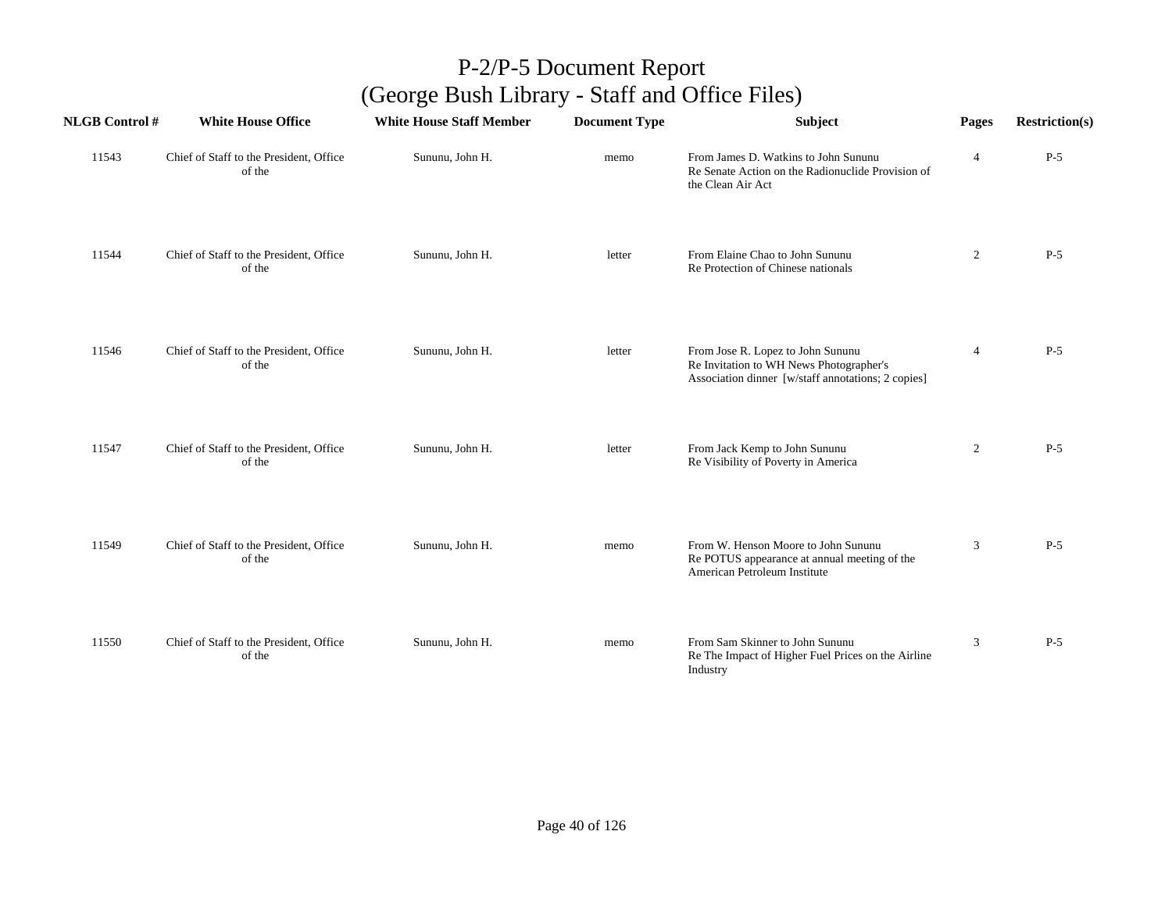| <b>NLGB Control#</b> | <b>White House Office</b>                         | <b>White House Staff Member</b> | <b>Document Type</b> | <b>Subject</b>                                                                                                                     | Pages          | <b>Restriction(s)</b> |
|----------------------|---------------------------------------------------|---------------------------------|----------------------|------------------------------------------------------------------------------------------------------------------------------------|----------------|-----------------------|
| 11543                | Chief of Staff to the President, Office<br>of the | Sununu, John H.                 | memo                 | From James D. Watkins to John Sununu<br>Re Senate Action on the Radionuclide Provision of<br>the Clean Air Act                     | $\overline{4}$ | $P-5$                 |
| 11544                | Chief of Staff to the President, Office<br>of the | Sununu, John H.                 | letter               | From Elaine Chao to John Sununu<br>Re Protection of Chinese nationals                                                              | $\overline{2}$ | $P-5$                 |
| 11546                | Chief of Staff to the President, Office<br>of the | Sununu, John H.                 | letter               | From Jose R. Lopez to John Sununu<br>Re Invitation to WH News Photographer's<br>Association dinner [w/staff annotations; 2 copies] | $\overline{4}$ | $P-5$                 |
| 11547                | Chief of Staff to the President, Office<br>of the | Sununu, John H.                 | letter               | From Jack Kemp to John Sununu<br>Re Visibility of Poverty in America                                                               | $\overline{2}$ | $P-5$                 |
| 11549                | Chief of Staff to the President, Office<br>of the | Sununu, John H.                 | memo                 | From W. Henson Moore to John Sununu<br>Re POTUS appearance at annual meeting of the<br>American Petroleum Institute                | 3              | $P-5$                 |
| 11550                | Chief of Staff to the President, Office<br>of the | Sununu, John H.                 | memo                 | From Sam Skinner to John Sununu<br>Re The Impact of Higher Fuel Prices on the Airline<br>Industry                                  | 3              | $P-5$                 |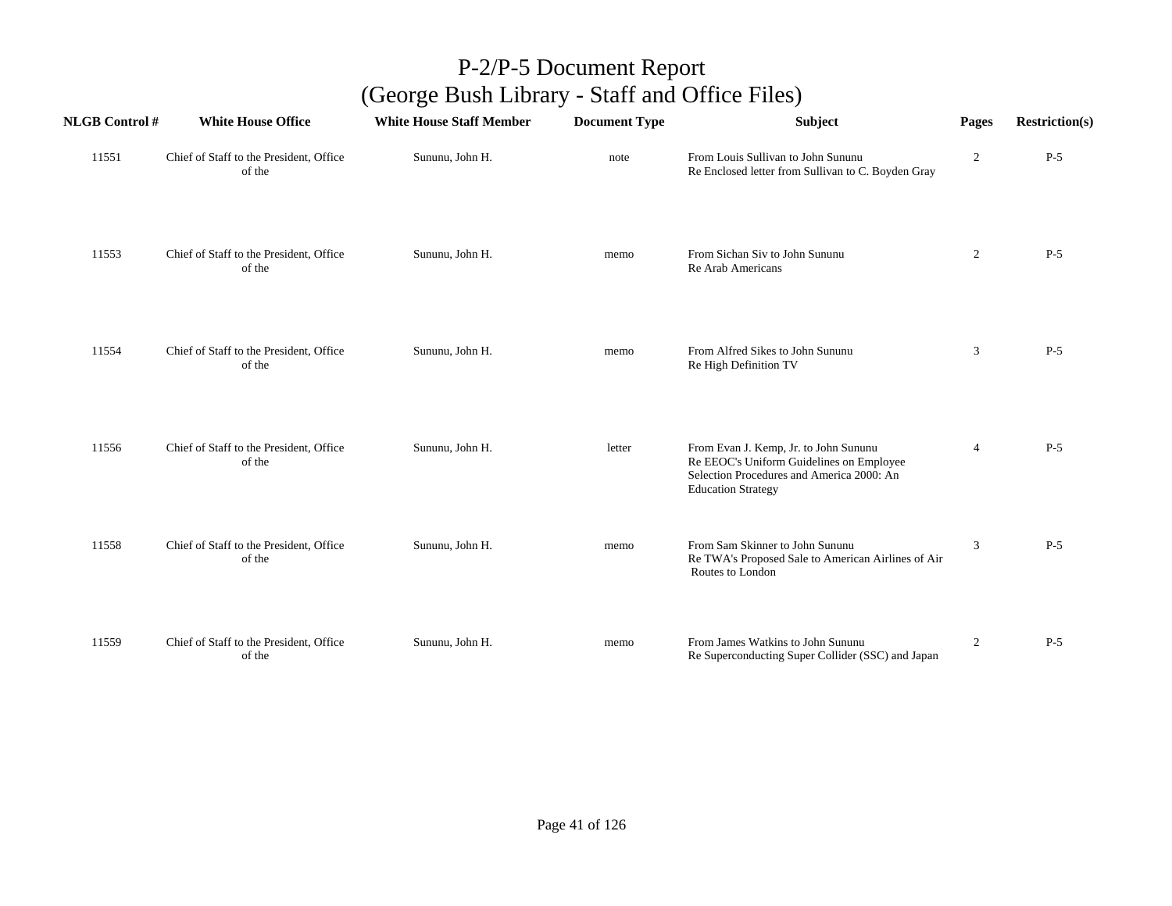| <b>NLGB</b> Control # | <b>White House Office</b>                         | <b>White House Staff Member</b> | <b>Document Type</b> | Subject                                                                                                                                                     | Pages          | <b>Restriction(s)</b> |
|-----------------------|---------------------------------------------------|---------------------------------|----------------------|-------------------------------------------------------------------------------------------------------------------------------------------------------------|----------------|-----------------------|
| 11551                 | Chief of Staff to the President, Office<br>of the | Sununu, John H.                 | note                 | From Louis Sullivan to John Sununu<br>Re Enclosed letter from Sullivan to C. Boyden Gray                                                                    | $\overline{2}$ | $P-5$                 |
| 11553                 | Chief of Staff to the President, Office<br>of the | Sununu, John H.                 | memo                 | From Sichan Siv to John Sununu<br>Re Arab Americans                                                                                                         | $\overline{2}$ | $P-5$                 |
| 11554                 | Chief of Staff to the President, Office<br>of the | Sununu, John H.                 | memo                 | From Alfred Sikes to John Sununu<br>Re High Definition TV                                                                                                   | 3              | $P-5$                 |
| 11556                 | Chief of Staff to the President, Office<br>of the | Sununu, John H.                 | letter               | From Evan J. Kemp, Jr. to John Sununu<br>Re EEOC's Uniform Guidelines on Employee<br>Selection Procedures and America 2000: An<br><b>Education Strategy</b> | $\overline{4}$ | $P-5$                 |
| 11558                 | Chief of Staff to the President, Office<br>of the | Sununu, John H.                 | memo                 | From Sam Skinner to John Sununu<br>Re TWA's Proposed Sale to American Airlines of Air<br>Routes to London                                                   | 3              | $P-5$                 |
| 11559                 | Chief of Staff to the President, Office<br>of the | Sununu, John H.                 | memo                 | From James Watkins to John Sununu<br>Re Superconducting Super Collider (SSC) and Japan                                                                      | $\overline{c}$ | $P-5$                 |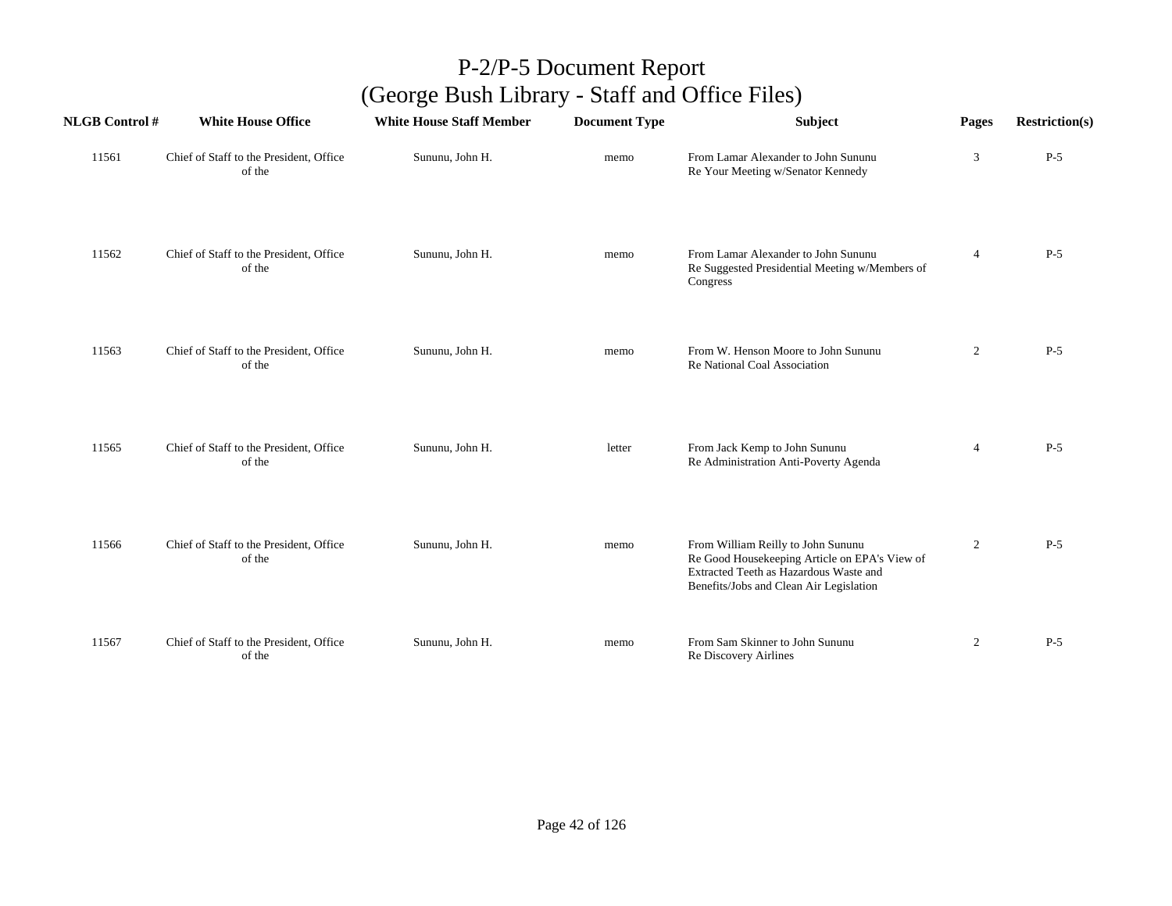| <b>NLGB Control#</b> | <b>White House Office</b>                         | <b>White House Staff Member</b> | <b>Document Type</b> | Subject                                                                                                                                                                  | Pages          | <b>Restriction(s)</b> |
|----------------------|---------------------------------------------------|---------------------------------|----------------------|--------------------------------------------------------------------------------------------------------------------------------------------------------------------------|----------------|-----------------------|
| 11561                | Chief of Staff to the President, Office<br>of the | Sununu, John H.                 | memo                 | From Lamar Alexander to John Sununu<br>Re Your Meeting w/Senator Kennedy                                                                                                 | 3              | $P-5$                 |
| 11562                | Chief of Staff to the President, Office<br>of the | Sununu, John H.                 | memo                 | From Lamar Alexander to John Sununu<br>Re Suggested Presidential Meeting w/Members of<br>Congress                                                                        | $\overline{4}$ | $P-5$                 |
| 11563                | Chief of Staff to the President, Office<br>of the | Sununu, John H.                 | memo                 | From W. Henson Moore to John Sununu<br>Re National Coal Association                                                                                                      | $\overline{c}$ | $P-5$                 |
| 11565                | Chief of Staff to the President, Office<br>of the | Sununu, John H.                 | letter               | From Jack Kemp to John Sununu<br>Re Administration Anti-Poverty Agenda                                                                                                   | $\overline{4}$ | $P-5$                 |
| 11566                | Chief of Staff to the President, Office<br>of the | Sununu, John H.                 | memo                 | From William Reilly to John Sununu<br>Re Good Housekeeping Article on EPA's View of<br>Extracted Teeth as Hazardous Waste and<br>Benefits/Jobs and Clean Air Legislation | 2              | $P-5$                 |
| 11567                | Chief of Staff to the President, Office<br>of the | Sununu, John H.                 | memo                 | From Sam Skinner to John Sununu<br>Re Discovery Airlines                                                                                                                 | $\overline{2}$ | $P-5$                 |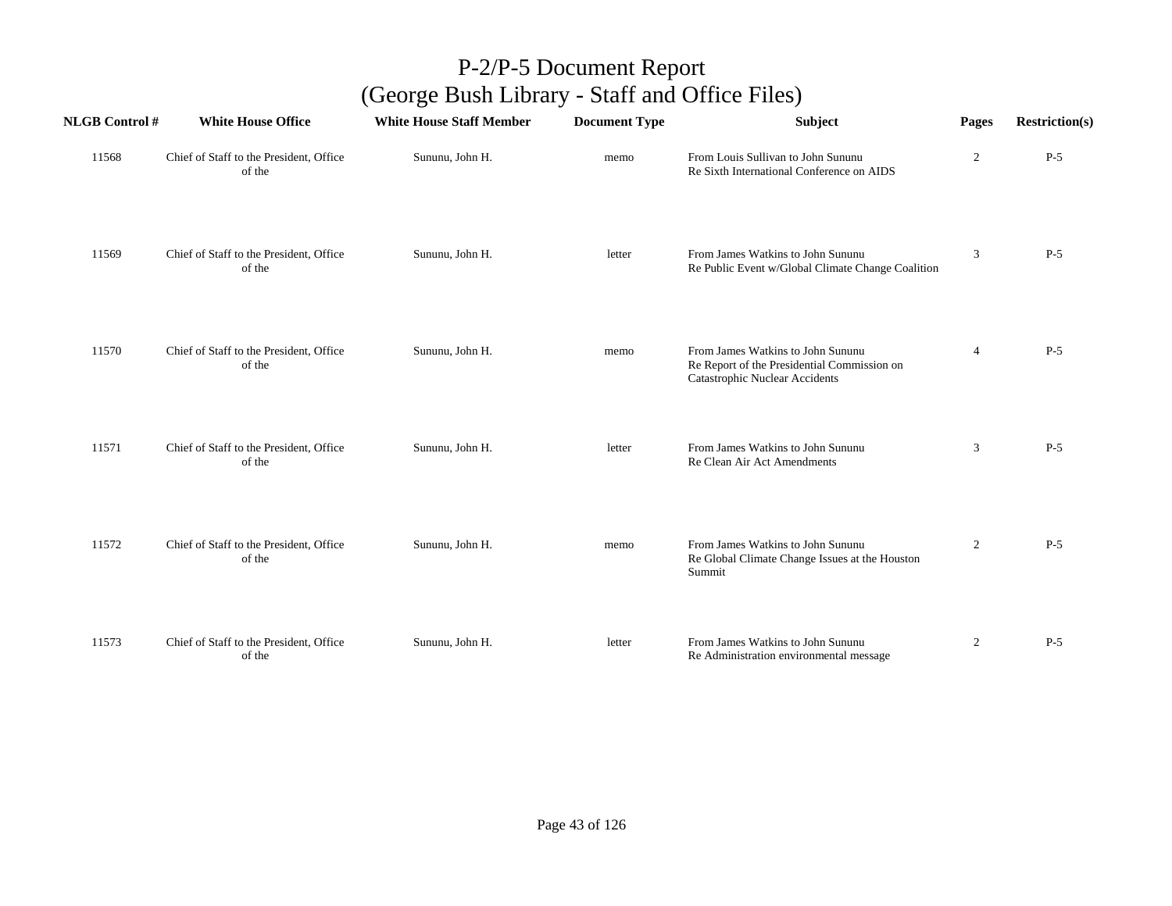| <b>NLGB Control #</b> | <b>White House Office</b>                         | <b>White House Staff Member</b> | <b>Document Type</b> | <b>Subject</b>                                                                                                            | Pages          | <b>Restriction(s)</b> |
|-----------------------|---------------------------------------------------|---------------------------------|----------------------|---------------------------------------------------------------------------------------------------------------------------|----------------|-----------------------|
| 11568                 | Chief of Staff to the President, Office<br>of the | Sununu, John H.                 | memo                 | From Louis Sullivan to John Sununu<br>Re Sixth International Conference on AIDS                                           | $\overline{2}$ | $P-5$                 |
| 11569                 | Chief of Staff to the President, Office<br>of the | Sununu, John H.                 | letter               | From James Watkins to John Sununu<br>Re Public Event w/Global Climate Change Coalition                                    | 3              | $P-5$                 |
| 11570                 | Chief of Staff to the President, Office<br>of the | Sununu, John H.                 | memo                 | From James Watkins to John Sununu<br>Re Report of the Presidential Commission on<br><b>Catastrophic Nuclear Accidents</b> | $\overline{4}$ | $P-5$                 |
| 11571                 | Chief of Staff to the President, Office<br>of the | Sununu, John H.                 | letter               | From James Watkins to John Sununu<br>Re Clean Air Act Amendments                                                          | 3              | $P-5$                 |
| 11572                 | Chief of Staff to the President, Office<br>of the | Sununu, John H.                 | memo                 | From James Watkins to John Sununu<br>Re Global Climate Change Issues at the Houston<br>Summit                             | $\overline{2}$ | $P-5$                 |
| 11573                 | Chief of Staff to the President, Office<br>of the | Sununu, John H.                 | letter               | From James Watkins to John Sununu<br>Re Administration environmental message                                              | $\overline{2}$ | $P-5$                 |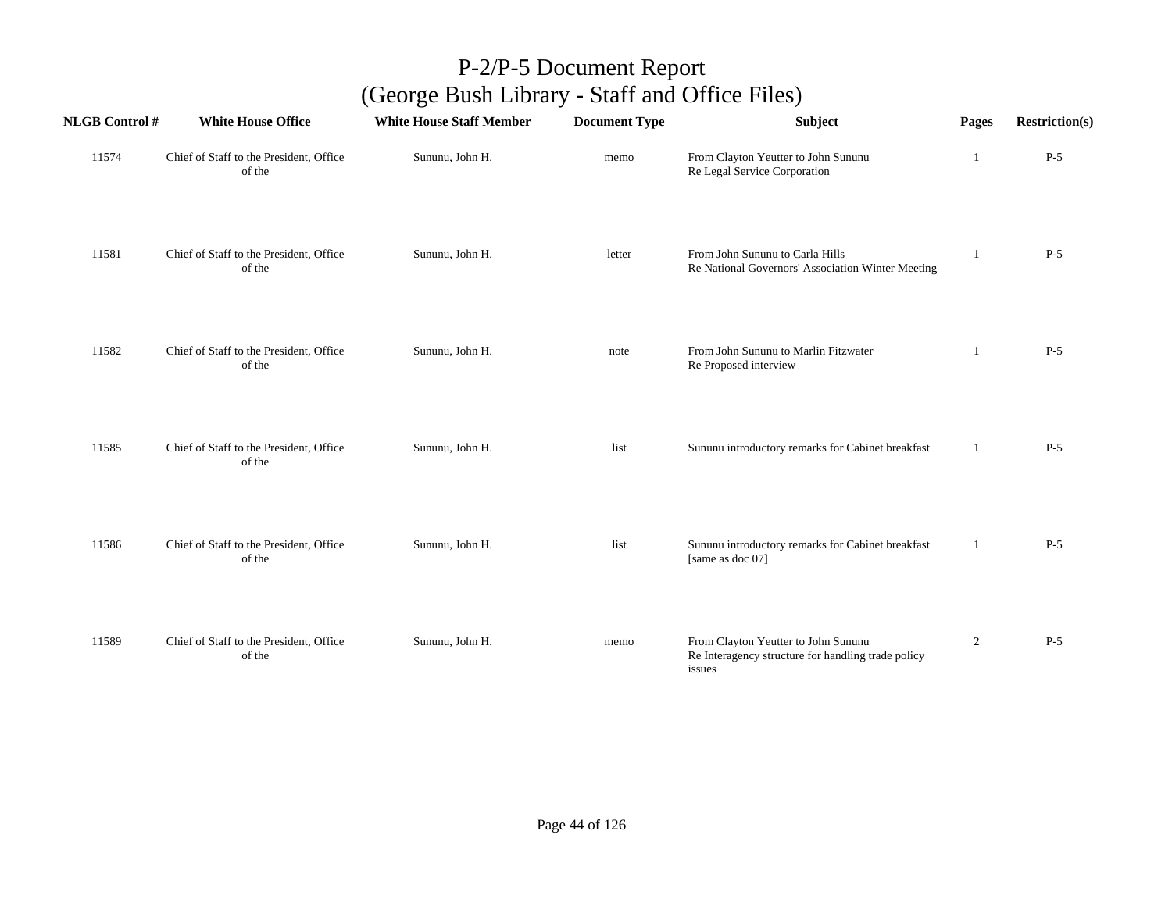| <b>NLGB Control#</b> | <b>White House Office</b>                         | <b>White House Staff Member</b> | <b>Document Type</b> | Subject                                                                                             | Pages          | <b>Restriction(s)</b> |
|----------------------|---------------------------------------------------|---------------------------------|----------------------|-----------------------------------------------------------------------------------------------------|----------------|-----------------------|
| 11574                | Chief of Staff to the President, Office<br>of the | Sununu, John H.                 | memo                 | From Clayton Yeutter to John Sununu<br>Re Legal Service Corporation                                 | 1              | $P-5$                 |
| 11581                | Chief of Staff to the President, Office<br>of the | Sununu, John H.                 | letter               | From John Sununu to Carla Hills<br>Re National Governors' Association Winter Meeting                | -1             | $P-5$                 |
| 11582                | Chief of Staff to the President, Office<br>of the | Sununu, John H.                 | note                 | From John Sununu to Marlin Fitzwater<br>Re Proposed interview                                       | 1              | $P-5$                 |
| 11585                | Chief of Staff to the President, Office<br>of the | Sununu, John H.                 | list                 | Sununu introductory remarks for Cabinet breakfast                                                   | 1              | $P-5$                 |
| 11586                | Chief of Staff to the President, Office<br>of the | Sununu, John H.                 | list                 | Sununu introductory remarks for Cabinet breakfast<br>[same as doc 07]                               | 1              | $P-5$                 |
| 11589                | Chief of Staff to the President, Office<br>of the | Sununu, John H.                 | memo                 | From Clayton Yeutter to John Sununu<br>Re Interagency structure for handling trade policy<br>issues | $\overline{2}$ | $P-5$                 |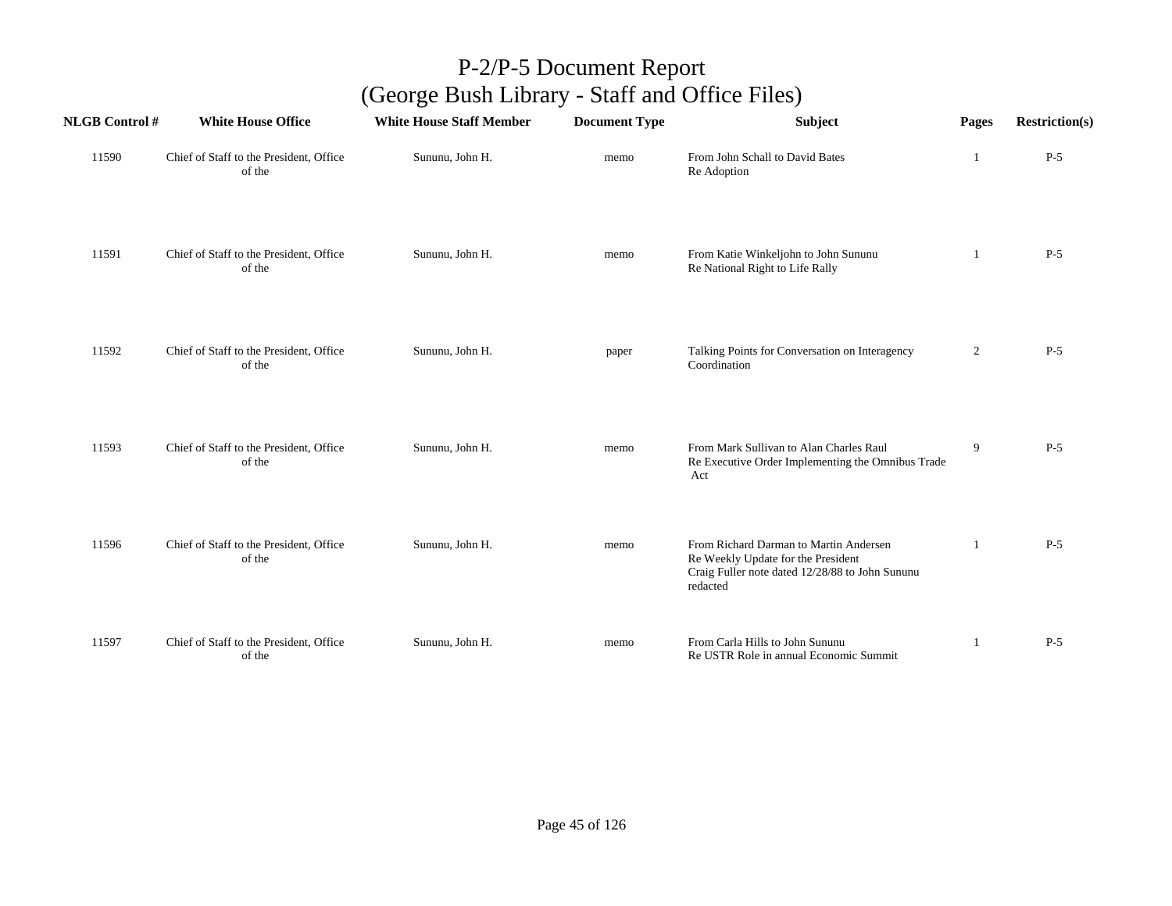| <b>NLGB Control #</b> | <b>White House Office</b>                         | <b>White House Staff Member</b> | <b>Document Type</b> | <b>Subject</b>                                                                                                                              | Pages          | <b>Restriction(s)</b> |
|-----------------------|---------------------------------------------------|---------------------------------|----------------------|---------------------------------------------------------------------------------------------------------------------------------------------|----------------|-----------------------|
| 11590                 | Chief of Staff to the President, Office<br>of the | Sununu, John H.                 | memo                 | From John Schall to David Bates<br>Re Adoption                                                                                              | 1              | $P-5$                 |
| 11591                 | Chief of Staff to the President, Office<br>of the | Sununu, John H.                 | memo                 | From Katie Winkeljohn to John Sununu<br>Re National Right to Life Rally                                                                     |                | $P-5$                 |
| 11592                 | Chief of Staff to the President, Office<br>of the | Sununu, John H.                 | paper                | Talking Points for Conversation on Interagency<br>Coordination                                                                              | $\overline{c}$ | $P-5$                 |
| 11593                 | Chief of Staff to the President, Office<br>of the | Sununu, John H.                 | memo                 | From Mark Sullivan to Alan Charles Raul<br>Re Executive Order Implementing the Omnibus Trade<br>Act                                         | 9              | $P-5$                 |
| 11596                 | Chief of Staff to the President, Office<br>of the | Sununu, John H.                 | memo                 | From Richard Darman to Martin Andersen<br>Re Weekly Update for the President<br>Craig Fuller note dated 12/28/88 to John Sununu<br>redacted | $\mathbf{1}$   | $P-5$                 |
| 11597                 | Chief of Staff to the President, Office<br>of the | Sununu, John H.                 | memo                 | From Carla Hills to John Sununu<br>Re USTR Role in annual Economic Summit                                                                   |                | $P-5$                 |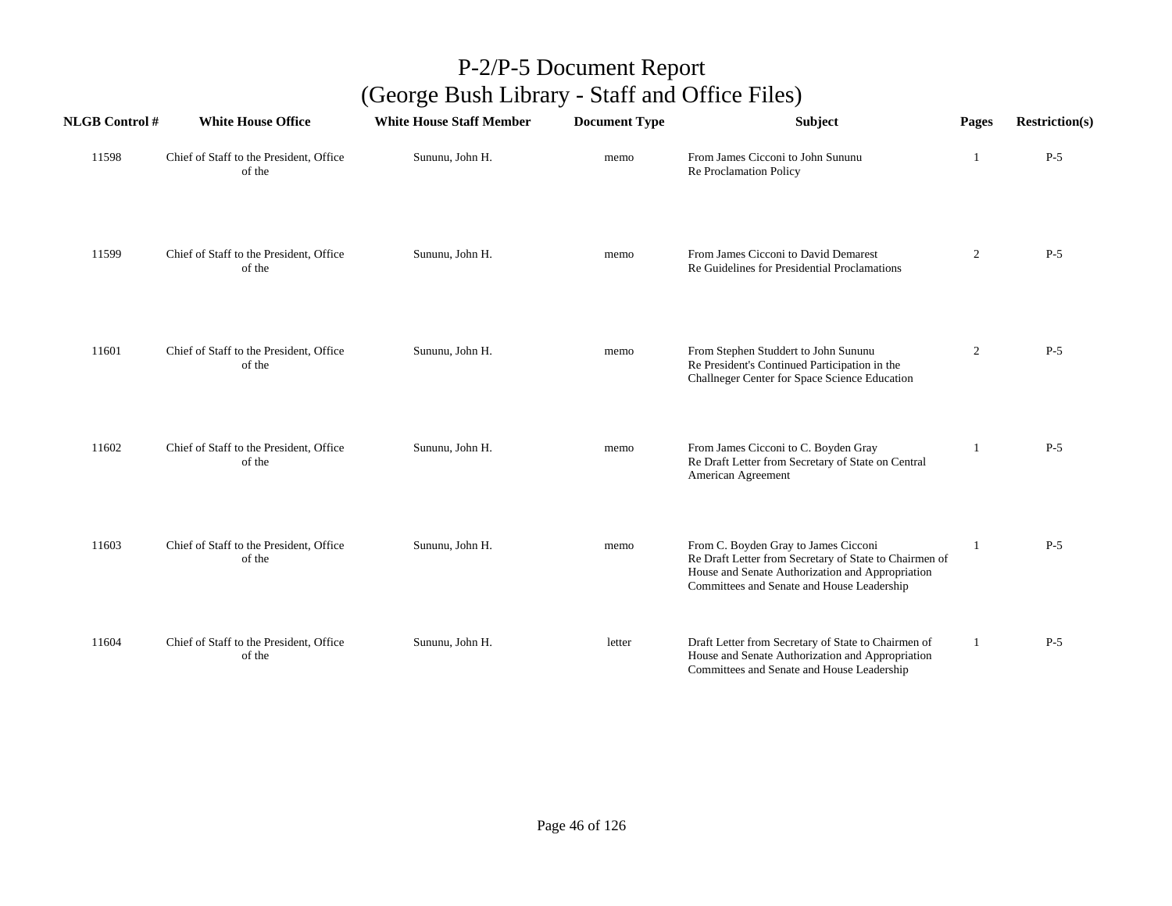| <b>NLGB Control#</b> | <b>White House Office</b>                         | <b>White House Staff Member</b> | <b>Document Type</b> | <b>Subject</b>                                                                                                                                                                                   | Pages          | <b>Restriction(s)</b> |
|----------------------|---------------------------------------------------|---------------------------------|----------------------|--------------------------------------------------------------------------------------------------------------------------------------------------------------------------------------------------|----------------|-----------------------|
| 11598                | Chief of Staff to the President, Office<br>of the | Sununu, John H.                 | memo                 | From James Cicconi to John Sununu<br>Re Proclamation Policy                                                                                                                                      |                | $P-5$                 |
| 11599                | Chief of Staff to the President, Office<br>of the | Sununu, John H.                 | memo                 | From James Cicconi to David Demarest<br>Re Guidelines for Presidential Proclamations                                                                                                             | $\overline{2}$ | $P-5$                 |
| 11601                | Chief of Staff to the President, Office<br>of the | Sununu, John H.                 | memo                 | From Stephen Studdert to John Sununu<br>Re President's Continued Participation in the<br>Challneger Center for Space Science Education                                                           | $\overline{2}$ | $P-5$                 |
| 11602                | Chief of Staff to the President, Office<br>of the | Sununu, John H.                 | memo                 | From James Cicconi to C. Boyden Gray<br>Re Draft Letter from Secretary of State on Central<br>American Agreement                                                                                 | 1              | $P-5$                 |
| 11603                | Chief of Staff to the President, Office<br>of the | Sununu, John H.                 | memo                 | From C. Boyden Gray to James Cicconi<br>Re Draft Letter from Secretary of State to Chairmen of<br>House and Senate Authorization and Appropriation<br>Committees and Senate and House Leadership | 1              | $P-5$                 |
| 11604                | Chief of Staff to the President, Office<br>of the | Sununu, John H.                 | letter               | Draft Letter from Secretary of State to Chairmen of<br>House and Senate Authorization and Appropriation<br>Committees and Senate and House Leadership                                            | 1              | $P-5$                 |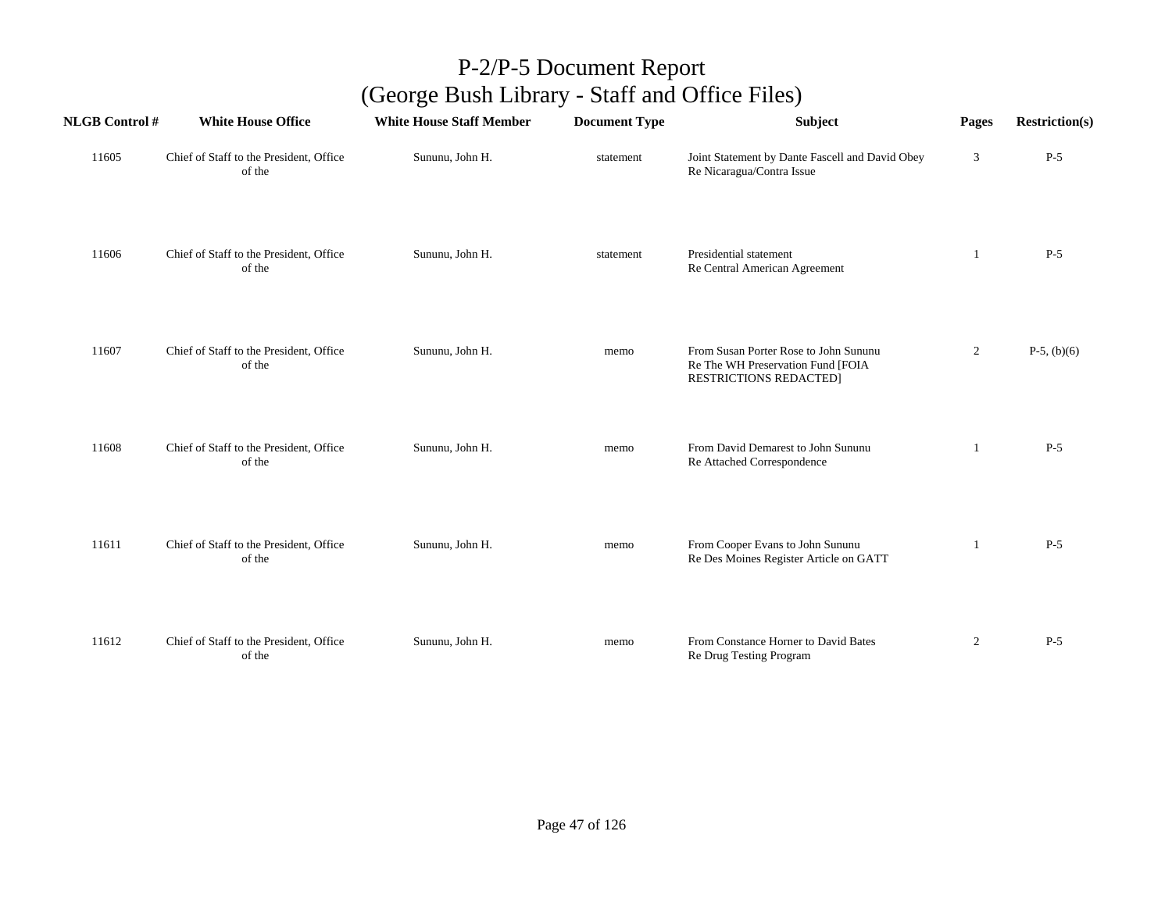| <b>NLGB</b> Control # | <b>White House Office</b>                         | <b>White House Staff Member</b> | <b>Document Type</b> | Subject                                                                                                     | Pages          | <b>Restriction(s)</b> |
|-----------------------|---------------------------------------------------|---------------------------------|----------------------|-------------------------------------------------------------------------------------------------------------|----------------|-----------------------|
| 11605                 | Chief of Staff to the President, Office<br>of the | Sununu, John H.                 | statement            | Joint Statement by Dante Fascell and David Obey<br>Re Nicaragua/Contra Issue                                | 3              | $P-5$                 |
| 11606                 | Chief of Staff to the President, Office<br>of the | Sununu, John H.                 | statement            | Presidential statement<br>Re Central American Agreement                                                     | -1             | $P-5$                 |
| 11607                 | Chief of Staff to the President, Office<br>of the | Sununu, John H.                 | memo                 | From Susan Porter Rose to John Sununu<br>Re The WH Preservation Fund [FOIA<br><b>RESTRICTIONS REDACTED]</b> | $\overline{2}$ | $P-5$ , (b)(6)        |
| 11608                 | Chief of Staff to the President, Office<br>of the | Sununu, John H.                 | memo                 | From David Demarest to John Sununu<br>Re Attached Correspondence                                            |                | $P-5$                 |
| 11611                 | Chief of Staff to the President, Office<br>of the | Sununu, John H.                 | memo                 | From Cooper Evans to John Sununu<br>Re Des Moines Register Article on GATT                                  | 1              | $P-5$                 |
| 11612                 | Chief of Staff to the President, Office<br>of the | Sununu, John H.                 | memo                 | From Constance Horner to David Bates<br>Re Drug Testing Program                                             | $\overline{2}$ | $P-5$                 |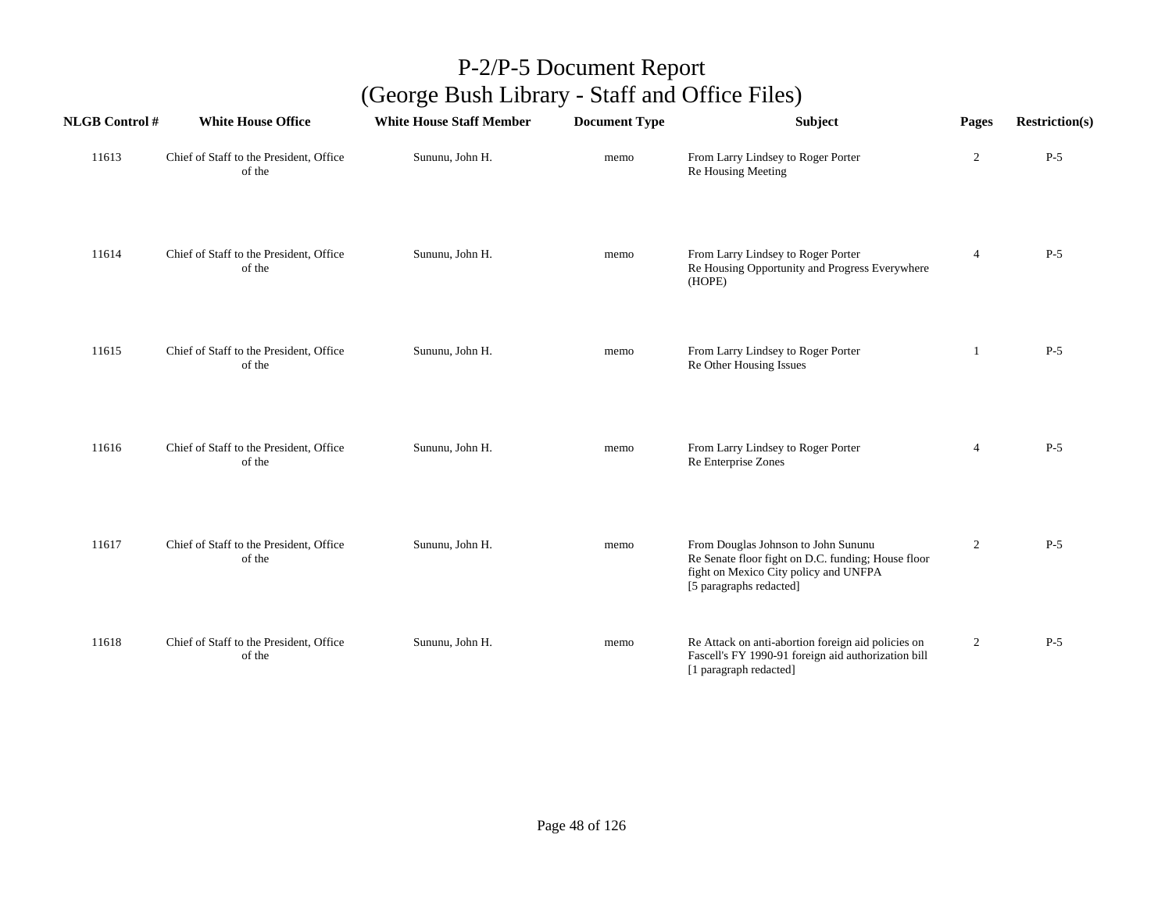| <b>NLGB Control#</b> | <b>White House Office</b>                         | <b>White House Staff Member</b> | <b>Document Type</b> | Subject                                                                                                                                                       | Pages          | <b>Restriction(s)</b> |
|----------------------|---------------------------------------------------|---------------------------------|----------------------|---------------------------------------------------------------------------------------------------------------------------------------------------------------|----------------|-----------------------|
| 11613                | Chief of Staff to the President, Office<br>of the | Sununu, John H.                 | memo                 | From Larry Lindsey to Roger Porter<br>Re Housing Meeting                                                                                                      | $\overline{2}$ | $P-5$                 |
| 11614                | Chief of Staff to the President, Office<br>of the | Sununu, John H.                 | memo                 | From Larry Lindsey to Roger Porter<br>Re Housing Opportunity and Progress Everywhere<br>(HOPE)                                                                | $\overline{4}$ | $P-5$                 |
| 11615                | Chief of Staff to the President, Office<br>of the | Sununu, John H.                 | memo                 | From Larry Lindsey to Roger Porter<br>Re Other Housing Issues                                                                                                 | -1             | $P-5$                 |
| 11616                | Chief of Staff to the President, Office<br>of the | Sununu, John H.                 | memo                 | From Larry Lindsey to Roger Porter<br>Re Enterprise Zones                                                                                                     | $\overline{4}$ | $P-5$                 |
| 11617                | Chief of Staff to the President, Office<br>of the | Sununu, John H.                 | memo                 | From Douglas Johnson to John Sununu<br>Re Senate floor fight on D.C. funding; House floor<br>fight on Mexico City policy and UNFPA<br>[5 paragraphs redacted] | $\overline{2}$ | $P-5$                 |
| 11618                | Chief of Staff to the President, Office<br>of the | Sununu, John H.                 | memo                 | Re Attack on anti-abortion foreign aid policies on<br>Fascell's FY 1990-91 foreign aid authorization bill<br>[1 paragraph redacted]                           | $\overline{2}$ | $P-5$                 |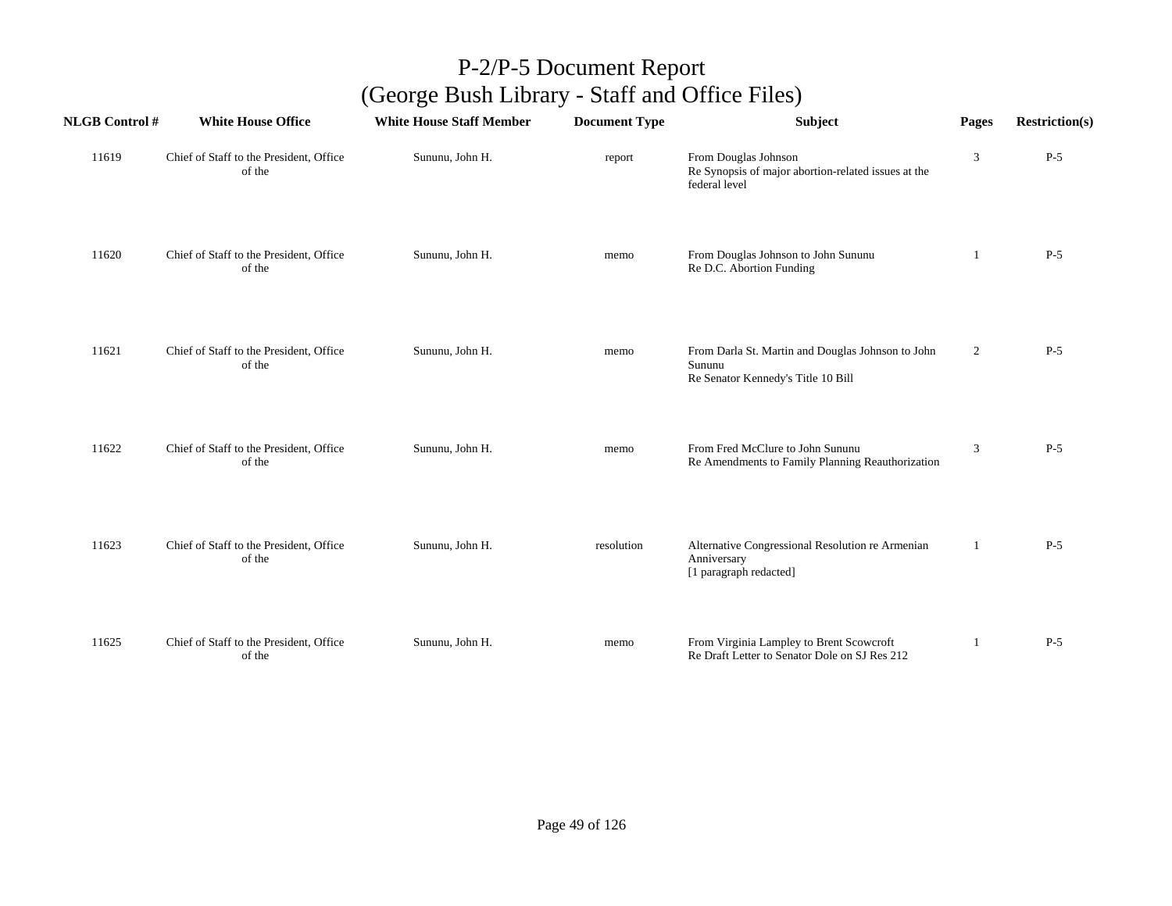| <b>NLGB</b> Control # | <b>White House Office</b>                         | <b>White House Staff Member</b> | <b>Document Type</b> | Subject                                                                                           | Pages          | <b>Restriction(s)</b> |
|-----------------------|---------------------------------------------------|---------------------------------|----------------------|---------------------------------------------------------------------------------------------------|----------------|-----------------------|
| 11619                 | Chief of Staff to the President, Office<br>of the | Sununu, John H.                 | report               | From Douglas Johnson<br>Re Synopsis of major abortion-related issues at the<br>federal level      | 3              | $P-5$                 |
| 11620                 | Chief of Staff to the President, Office<br>of the | Sununu, John H.                 | memo                 | From Douglas Johnson to John Sununu<br>Re D.C. Abortion Funding                                   | -1             | $P-5$                 |
| 11621                 | Chief of Staff to the President, Office<br>of the | Sununu, John H.                 | memo                 | From Darla St. Martin and Douglas Johnson to John<br>Sununu<br>Re Senator Kennedy's Title 10 Bill | $\overline{2}$ | $P-5$                 |
| 11622                 | Chief of Staff to the President, Office<br>of the | Sununu, John H.                 | memo                 | From Fred McClure to John Sununu<br>Re Amendments to Family Planning Reauthorization              | 3              | $P-5$                 |
| 11623                 | Chief of Staff to the President, Office<br>of the | Sununu, John H.                 | resolution           | Alternative Congressional Resolution re Armenian<br>Anniversary<br>[1 paragraph redacted]         | 1              | $P-5$                 |
| 11625                 | Chief of Staff to the President, Office<br>of the | Sununu, John H.                 | memo                 | From Virginia Lampley to Brent Scowcroft<br>Re Draft Letter to Senator Dole on SJ Res 212         | 1              | $P-5$                 |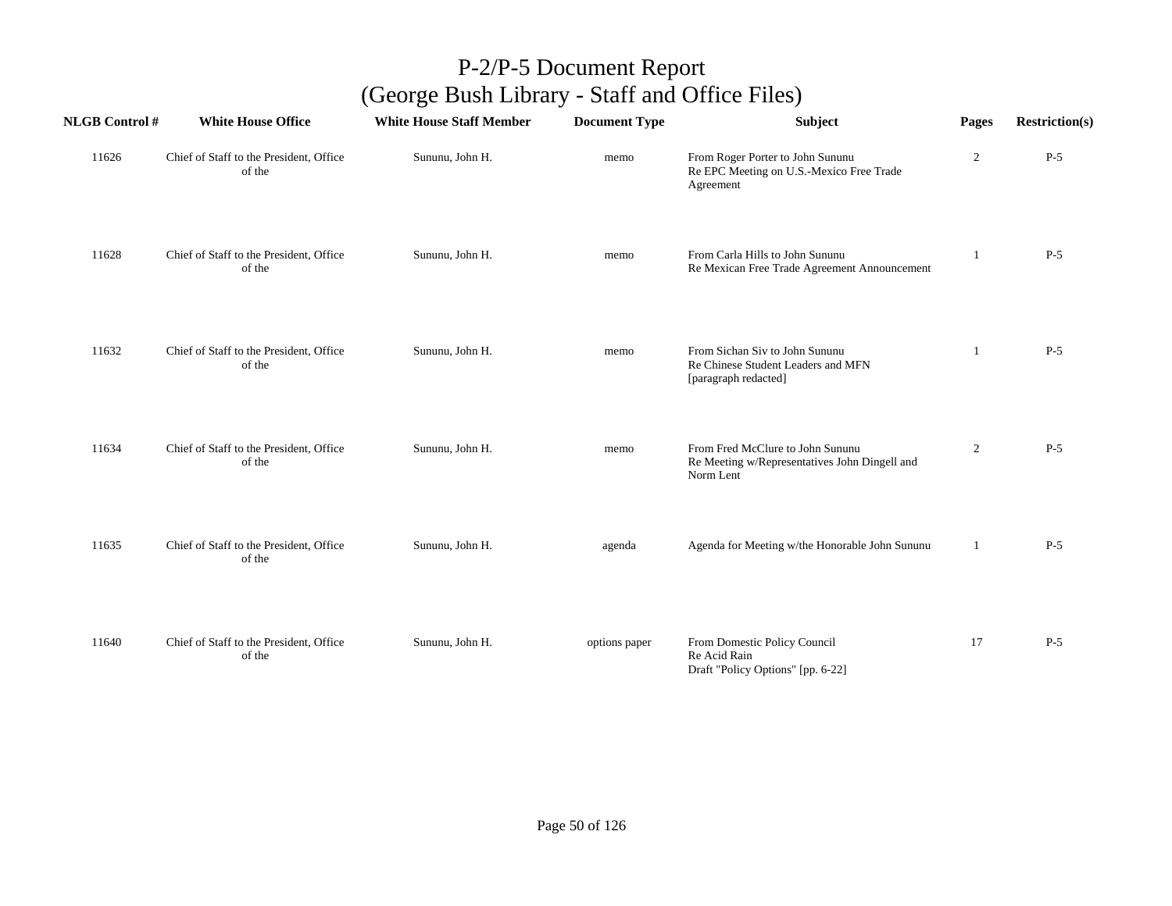| <b>NLGB Control#</b> | <b>White House Office</b>                         | <b>White House Staff Member</b> | <b>Document Type</b> | <b>Subject</b>                                                                                 | Pages          | <b>Restriction(s)</b> |
|----------------------|---------------------------------------------------|---------------------------------|----------------------|------------------------------------------------------------------------------------------------|----------------|-----------------------|
| 11626                | Chief of Staff to the President, Office<br>of the | Sununu, John H.                 | memo                 | From Roger Porter to John Sununu<br>Re EPC Meeting on U.S.-Mexico Free Trade<br>Agreement      | $\overline{c}$ | $P-5$                 |
| 11628                | Chief of Staff to the President, Office<br>of the | Sununu, John H.                 | memo                 | From Carla Hills to John Sununu<br>Re Mexican Free Trade Agreement Announcement                | 1              | $P-5$                 |
| 11632                | Chief of Staff to the President, Office<br>of the | Sununu, John H.                 | memo                 | From Sichan Siv to John Sununu<br>Re Chinese Student Leaders and MFN<br>[paragraph redacted]   | -1             | $P-5$                 |
| 11634                | Chief of Staff to the President, Office<br>of the | Sununu, John H.                 | memo                 | From Fred McClure to John Sununu<br>Re Meeting w/Representatives John Dingell and<br>Norm Lent | $\overline{2}$ | $P-5$                 |
| 11635                | Chief of Staff to the President, Office<br>of the | Sununu, John H.                 | agenda               | Agenda for Meeting w/the Honorable John Sununu                                                 | 1              | $P-5$                 |
| 11640                | Chief of Staff to the President, Office<br>of the | Sununu, John H.                 | options paper        | From Domestic Policy Council<br>Re Acid Rain<br>Draft "Policy Options" [pp. 6-22]              | 17             | $P-5$                 |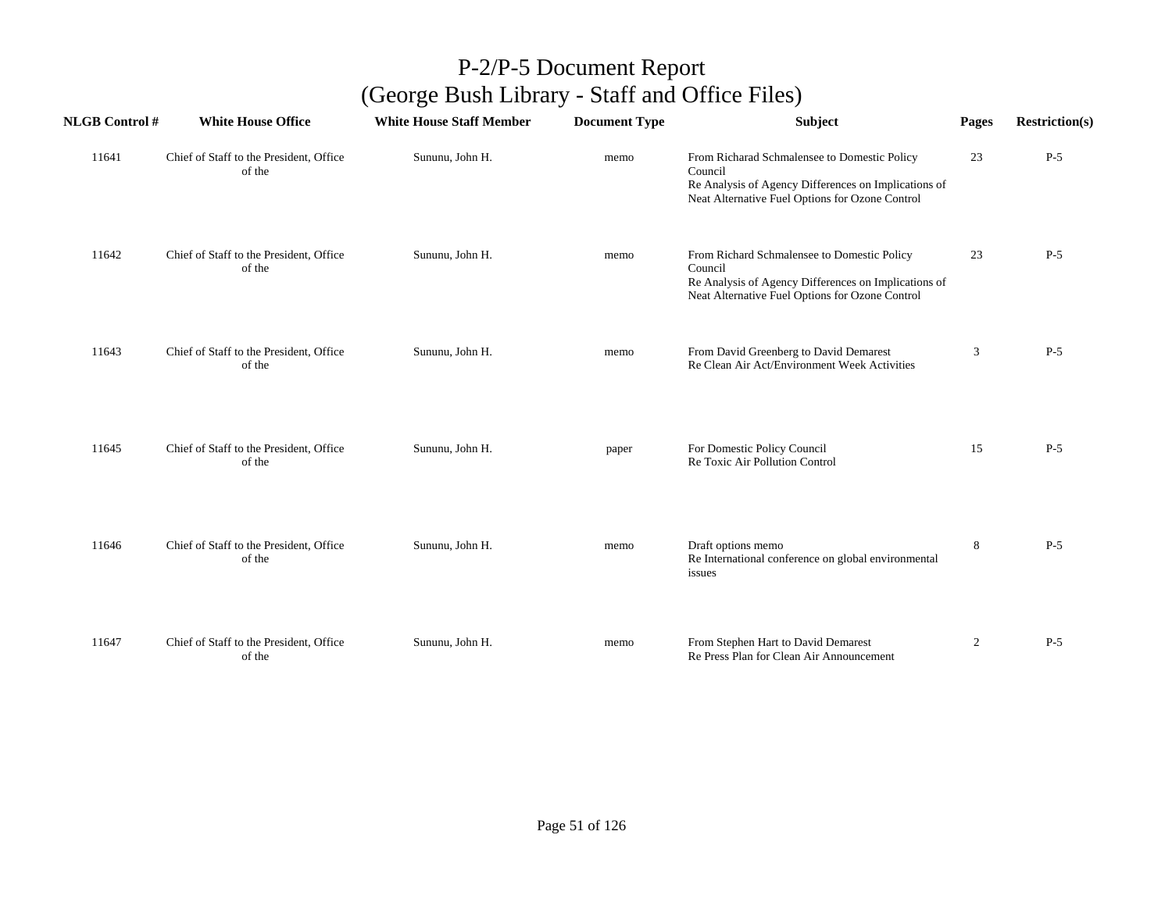| <b>NLGB Control#</b> | <b>White House Office</b>                         | <b>White House Staff Member</b> | <b>Document Type</b> | Subject                                                                                                                                                            | Pages          | <b>Restriction(s)</b> |
|----------------------|---------------------------------------------------|---------------------------------|----------------------|--------------------------------------------------------------------------------------------------------------------------------------------------------------------|----------------|-----------------------|
| 11641                | Chief of Staff to the President, Office<br>of the | Sununu, John H.                 | memo                 | From Richarad Schmalensee to Domestic Policy<br>Council<br>Re Analysis of Agency Differences on Implications of<br>Neat Alternative Fuel Options for Ozone Control | 23             | $P-5$                 |
| 11642                | Chief of Staff to the President, Office<br>of the | Sununu, John H.                 | memo                 | From Richard Schmalensee to Domestic Policy<br>Council<br>Re Analysis of Agency Differences on Implications of<br>Neat Alternative Fuel Options for Ozone Control  | 23             | $P-5$                 |
| 11643                | Chief of Staff to the President, Office<br>of the | Sununu, John H.                 | memo                 | From David Greenberg to David Demarest<br>Re Clean Air Act/Environment Week Activities                                                                             | 3              | $P-5$                 |
| 11645                | Chief of Staff to the President, Office<br>of the | Sununu, John H.                 | paper                | For Domestic Policy Council<br>Re Toxic Air Pollution Control                                                                                                      | 15             | $P-5$                 |
| 11646                | Chief of Staff to the President, Office<br>of the | Sununu, John H.                 | memo                 | Draft options memo<br>Re International conference on global environmental<br>issues                                                                                | 8              | $P-5$                 |
| 11647                | Chief of Staff to the President, Office<br>of the | Sununu, John H.                 | memo                 | From Stephen Hart to David Demarest<br>Re Press Plan for Clean Air Announcement                                                                                    | $\overline{2}$ | $P-5$                 |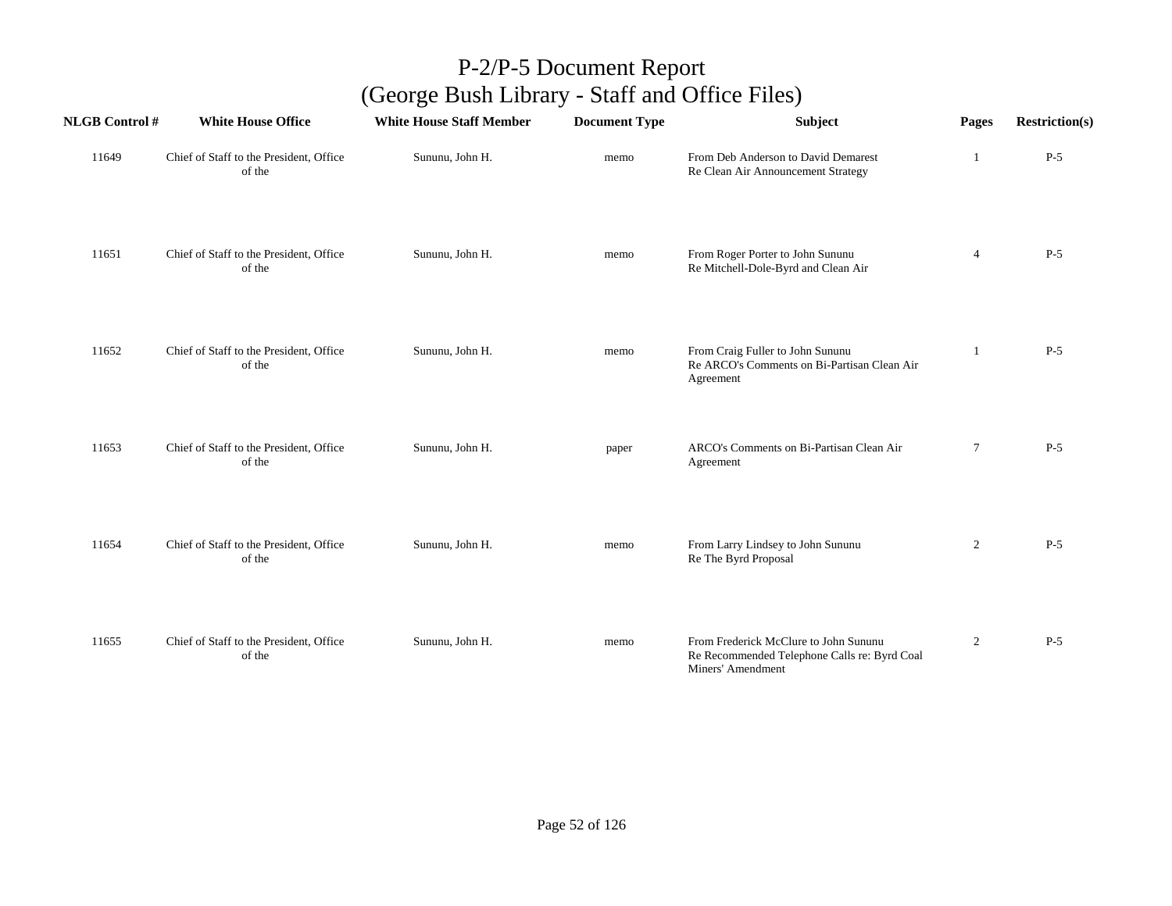| <b>NLGB Control#</b> | <b>White House Office</b>                         | <b>White House Staff Member</b> | <b>Document Type</b> | <b>Subject</b>                                                                                             | Pages          | <b>Restriction(s)</b> |
|----------------------|---------------------------------------------------|---------------------------------|----------------------|------------------------------------------------------------------------------------------------------------|----------------|-----------------------|
| 11649                | Chief of Staff to the President, Office<br>of the | Sununu, John H.                 | memo                 | From Deb Anderson to David Demarest<br>Re Clean Air Announcement Strategy                                  | 1              | $P-5$                 |
| 11651                | Chief of Staff to the President, Office<br>of the | Sununu, John H.                 | memo                 | From Roger Porter to John Sununu<br>Re Mitchell-Dole-Byrd and Clean Air                                    | $\overline{4}$ | $P-5$                 |
| 11652                | Chief of Staff to the President, Office<br>of the | Sununu, John H.                 | memo                 | From Craig Fuller to John Sununu<br>Re ARCO's Comments on Bi-Partisan Clean Air<br>Agreement               | 1              | $P-5$                 |
| 11653                | Chief of Staff to the President, Office<br>of the | Sununu, John H.                 | paper                | ARCO's Comments on Bi-Partisan Clean Air<br>Agreement                                                      | $\tau$         | $P-5$                 |
| 11654                | Chief of Staff to the President, Office<br>of the | Sununu, John H.                 | memo                 | From Larry Lindsey to John Sununu<br>Re The Byrd Proposal                                                  | $\overline{2}$ | $P-5$                 |
| 11655                | Chief of Staff to the President, Office<br>of the | Sununu, John H.                 | memo                 | From Frederick McClure to John Sununu<br>Re Recommended Telephone Calls re: Byrd Coal<br>Miners' Amendment | $\overline{2}$ | $P-5$                 |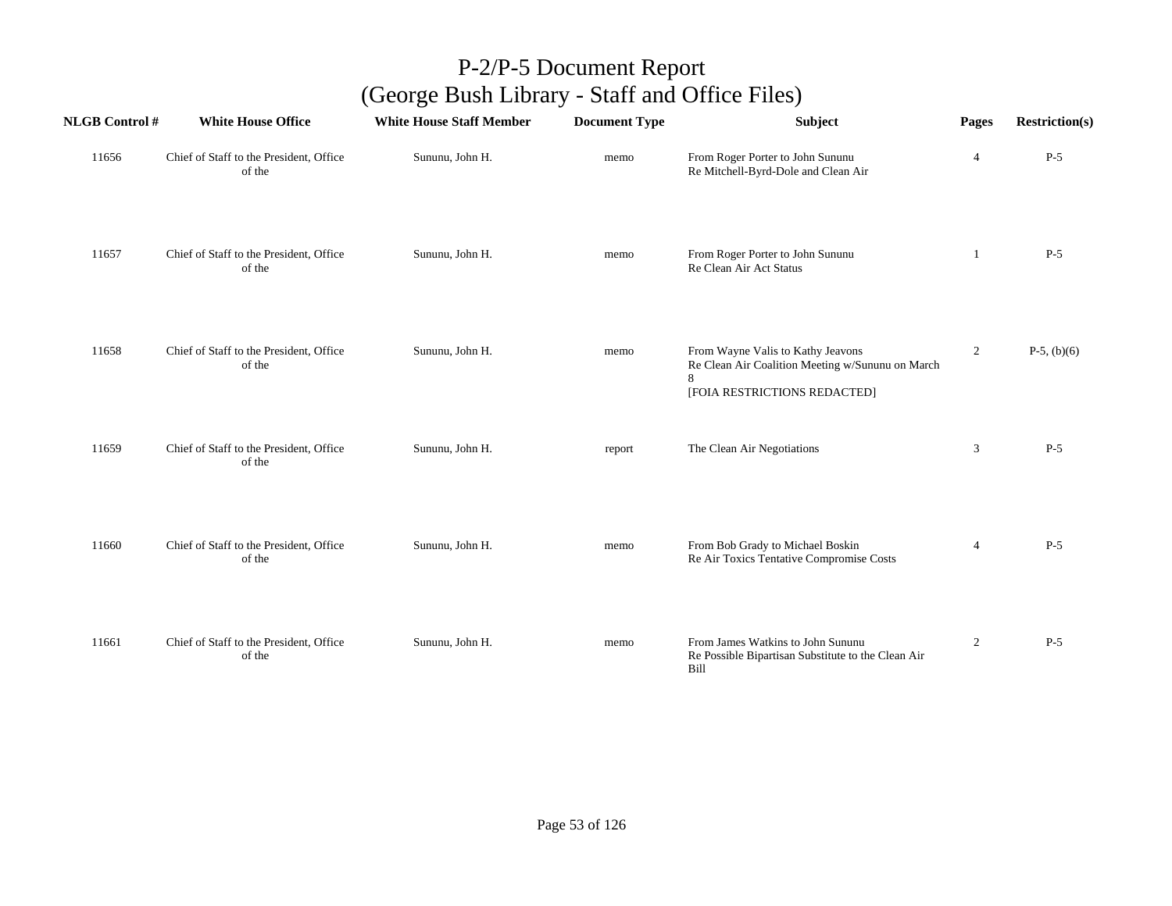| <b>NLGB Control#</b> | <b>White House Office</b>                         | <b>White House Staff Member</b> | <b>Document Type</b> | Subject                                                                                                               | Pages          | <b>Restriction(s)</b> |
|----------------------|---------------------------------------------------|---------------------------------|----------------------|-----------------------------------------------------------------------------------------------------------------------|----------------|-----------------------|
| 11656                | Chief of Staff to the President, Office<br>of the | Sununu, John H.                 | memo                 | From Roger Porter to John Sununu<br>Re Mitchell-Byrd-Dole and Clean Air                                               | $\overline{4}$ | $P-5$                 |
| 11657                | Chief of Staff to the President, Office<br>of the | Sununu, John H.                 | memo                 | From Roger Porter to John Sununu<br>Re Clean Air Act Status                                                           | -1             | $P-5$                 |
| 11658                | Chief of Staff to the President, Office<br>of the | Sununu, John H.                 | memo                 | From Wayne Valis to Kathy Jeavons<br>Re Clean Air Coalition Meeting w/Sununu on March<br>[FOIA RESTRICTIONS REDACTED] | $\overline{2}$ | $P-5$ , (b)(6)        |
| 11659                | Chief of Staff to the President, Office<br>of the | Sununu, John H.                 | report               | The Clean Air Negotiations                                                                                            | 3              | $P-5$                 |
| 11660                | Chief of Staff to the President, Office<br>of the | Sununu, John H.                 | memo                 | From Bob Grady to Michael Boskin<br>Re Air Toxics Tentative Compromise Costs                                          | $\overline{4}$ | $P-5$                 |
| 11661                | Chief of Staff to the President, Office<br>of the | Sununu, John H.                 | memo                 | From James Watkins to John Sununu<br>Re Possible Bipartisan Substitute to the Clean Air<br>Bill                       | $\overline{2}$ | $P-5$                 |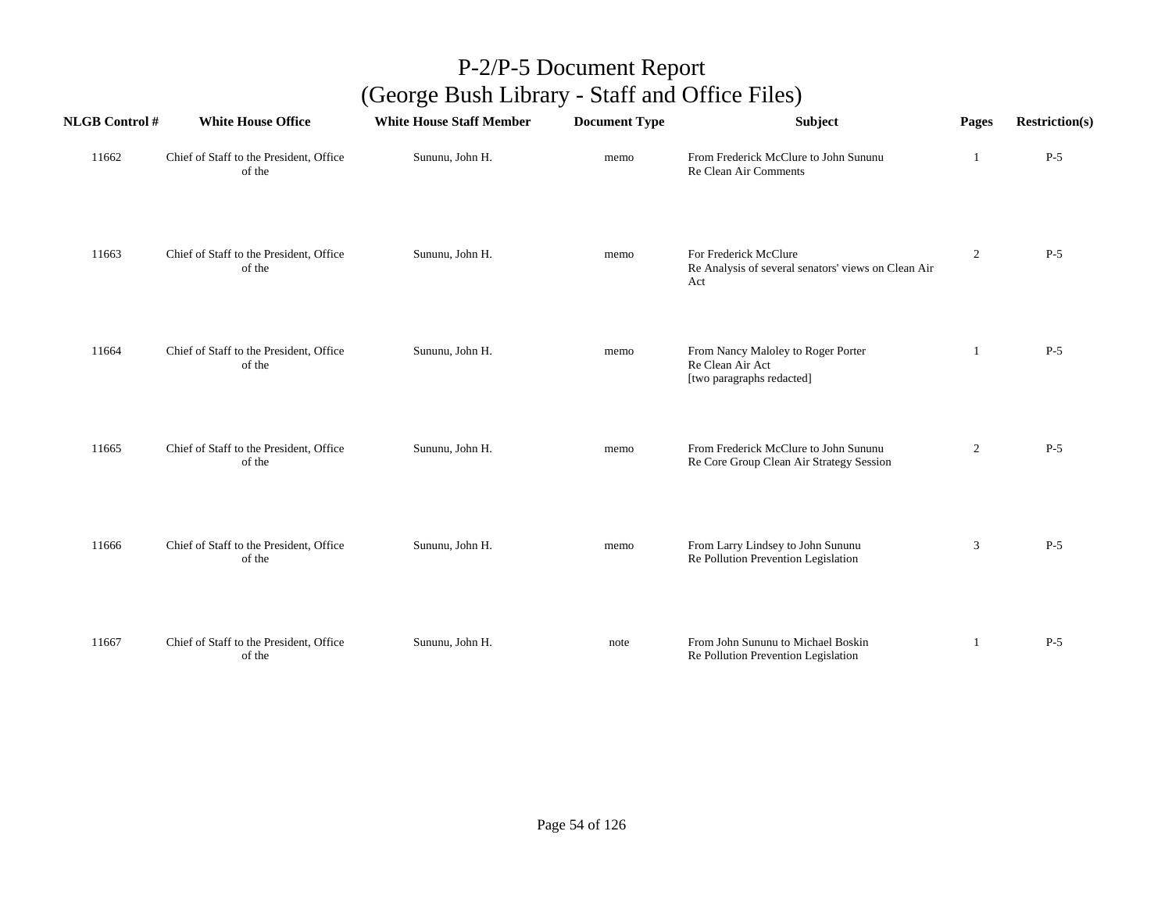| <b>NLGB Control #</b> | <b>White House Office</b>                         | <b>White House Staff Member</b> | <b>Document Type</b> | Subject                                                                             | Pages          | <b>Restriction(s)</b> |
|-----------------------|---------------------------------------------------|---------------------------------|----------------------|-------------------------------------------------------------------------------------|----------------|-----------------------|
| 11662                 | Chief of Staff to the President, Office<br>of the | Sununu, John H.                 | memo                 | From Frederick McClure to John Sununu<br>Re Clean Air Comments                      | -1             | $P-5$                 |
| 11663                 | Chief of Staff to the President, Office<br>of the | Sununu, John H.                 | memo                 | For Frederick McClure<br>Re Analysis of several senators' views on Clean Air<br>Act | $\overline{2}$ | $P-5$                 |
| 11664                 | Chief of Staff to the President, Office<br>of the | Sununu, John H.                 | memo                 | From Nancy Maloley to Roger Porter<br>Re Clean Air Act<br>[two paragraphs redacted] | 1              | $P-5$                 |
| 11665                 | Chief of Staff to the President, Office<br>of the | Sununu, John H.                 | memo                 | From Frederick McClure to John Sununu<br>Re Core Group Clean Air Strategy Session   | $\overline{2}$ | $P-5$                 |
| 11666                 | Chief of Staff to the President, Office<br>of the | Sununu, John H.                 | memo                 | From Larry Lindsey to John Sununu<br>Re Pollution Prevention Legislation            | 3              | $P-5$                 |
| 11667                 | Chief of Staff to the President, Office<br>of the | Sununu, John H.                 | note                 | From John Sununu to Michael Boskin<br>Re Pollution Prevention Legislation           | -1             | $P-5$                 |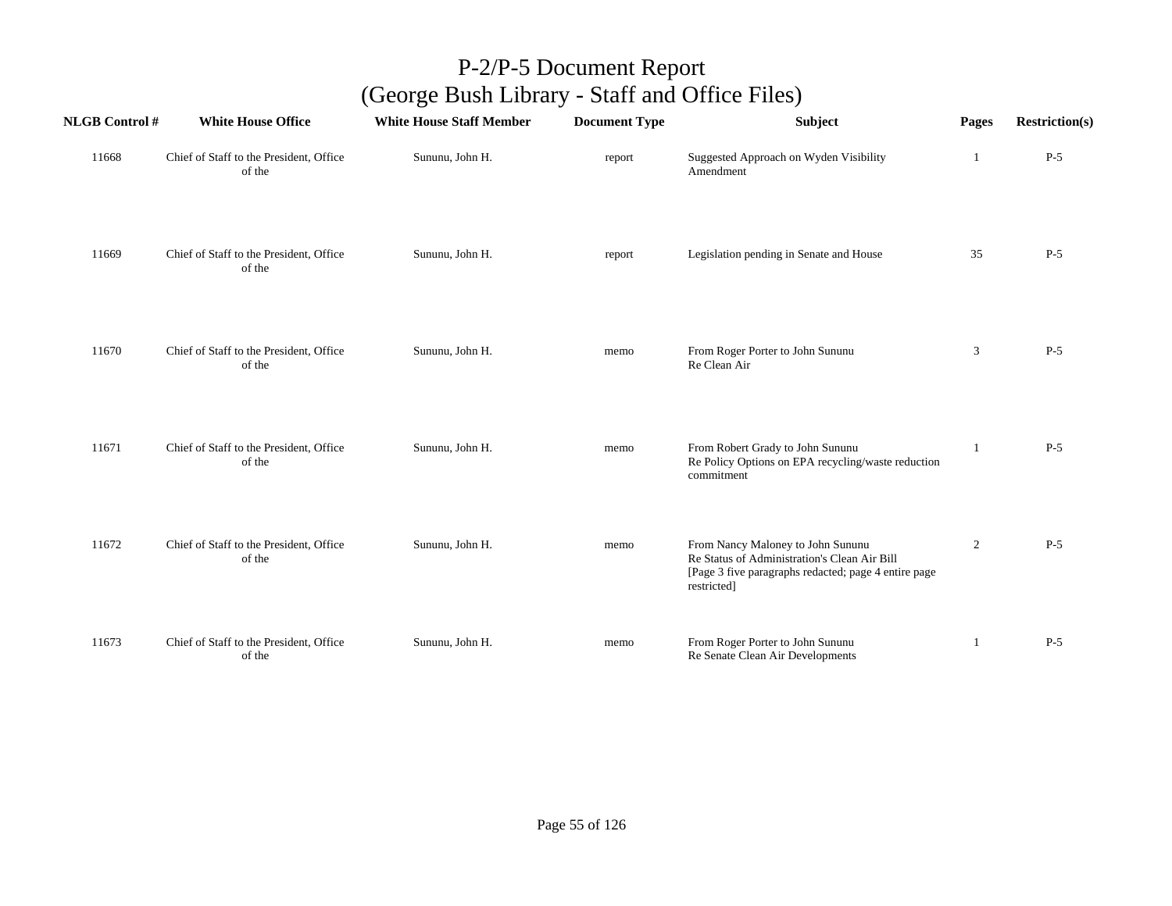| <b>NLGB Control#</b> | <b>White House Office</b>                         | <b>White House Staff Member</b> | <b>Document Type</b> | Subject                                                                                                                                                  | Pages          | <b>Restriction(s)</b> |
|----------------------|---------------------------------------------------|---------------------------------|----------------------|----------------------------------------------------------------------------------------------------------------------------------------------------------|----------------|-----------------------|
| 11668                | Chief of Staff to the President, Office<br>of the | Sununu, John H.                 | report               | Suggested Approach on Wyden Visibility<br>Amendment                                                                                                      | -1             | $P-5$                 |
| 11669                | Chief of Staff to the President, Office<br>of the | Sununu, John H.                 | report               | Legislation pending in Senate and House                                                                                                                  | 35             | $P-5$                 |
| 11670                | Chief of Staff to the President, Office<br>of the | Sununu, John H.                 | memo                 | From Roger Porter to John Sununu<br>Re Clean Air                                                                                                         | 3              | $P-5$                 |
| 11671                | Chief of Staff to the President, Office<br>of the | Sununu, John H.                 | memo                 | From Robert Grady to John Sununu<br>Re Policy Options on EPA recycling/waste reduction<br>commitment                                                     |                | $P-5$                 |
| 11672                | Chief of Staff to the President, Office<br>of the | Sununu, John H.                 | memo                 | From Nancy Maloney to John Sununu<br>Re Status of Administration's Clean Air Bill<br>[Page 3 five paragraphs redacted; page 4 entire page<br>restricted] | $\overline{2}$ | $P-5$                 |
| 11673                | Chief of Staff to the President, Office<br>of the | Sununu, John H.                 | memo                 | From Roger Porter to John Sununu<br>Re Senate Clean Air Developments                                                                                     | 1              | $P-5$                 |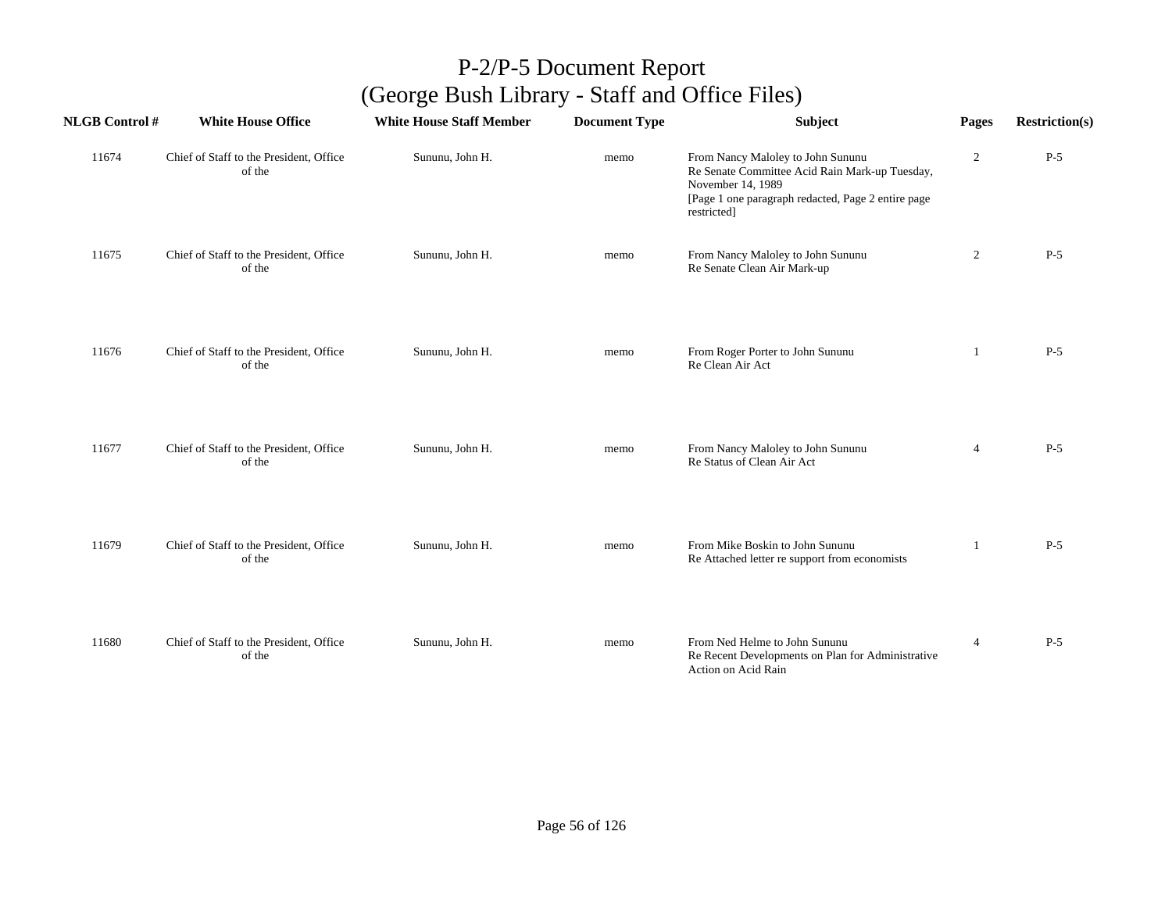| <b>NLGB Control#</b> | <b>White House Office</b>                         | <b>White House Staff Member</b> | <b>Document Type</b> | <b>Subject</b>                                                                                                                                                                | Pages          | <b>Restriction(s)</b> |
|----------------------|---------------------------------------------------|---------------------------------|----------------------|-------------------------------------------------------------------------------------------------------------------------------------------------------------------------------|----------------|-----------------------|
| 11674                | Chief of Staff to the President, Office<br>of the | Sununu, John H.                 | memo                 | From Nancy Maloley to John Sununu<br>Re Senate Committee Acid Rain Mark-up Tuesday,<br>November 14, 1989<br>[Page 1 one paragraph redacted, Page 2 entire page<br>restricted] | $\overline{2}$ | $P-5$                 |
| 11675                | Chief of Staff to the President, Office<br>of the | Sununu, John H.                 | memo                 | From Nancy Maloley to John Sununu<br>Re Senate Clean Air Mark-up                                                                                                              | $\overline{c}$ | $P-5$                 |
| 11676                | Chief of Staff to the President, Office<br>of the | Sununu, John H.                 | memo                 | From Roger Porter to John Sununu<br>Re Clean Air Act                                                                                                                          | -1             | $P-5$                 |
| 11677                | Chief of Staff to the President, Office<br>of the | Sununu, John H.                 | memo                 | From Nancy Maloley to John Sununu<br>Re Status of Clean Air Act                                                                                                               | $\overline{4}$ | $P-5$                 |
| 11679                | Chief of Staff to the President, Office<br>of the | Sununu, John H.                 | memo                 | From Mike Boskin to John Sununu<br>Re Attached letter re support from economists                                                                                              | -1             | $P-5$                 |
| 11680                | Chief of Staff to the President, Office<br>of the | Sununu, John H.                 | memo                 | From Ned Helme to John Sununu<br>Re Recent Developments on Plan for Administrative<br>Action on Acid Rain                                                                     | $\overline{4}$ | $P-5$                 |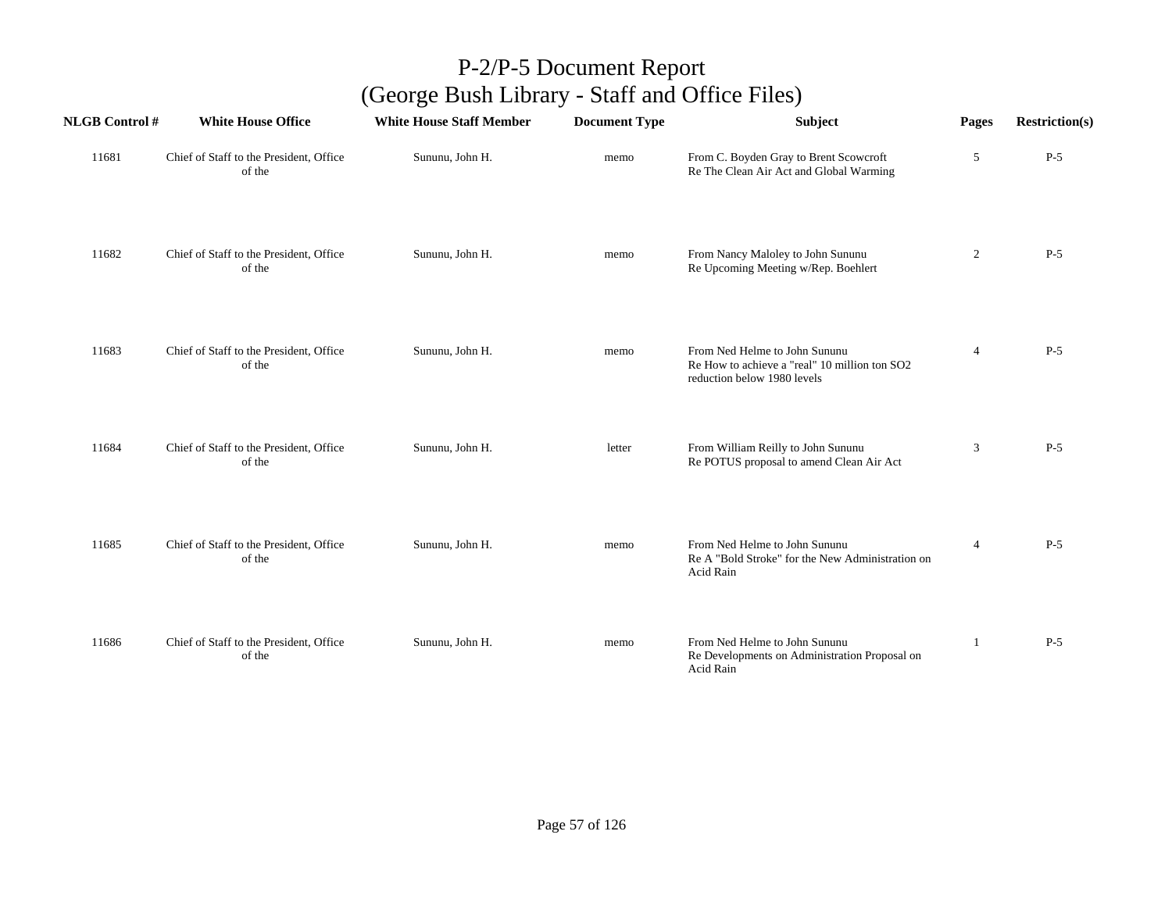| <b>NLGB Control#</b> | <b>White House Office</b>                         | <b>White House Staff Member</b> | <b>Document Type</b> | Subject                                                                                                       | Pages          | <b>Restriction(s)</b> |
|----------------------|---------------------------------------------------|---------------------------------|----------------------|---------------------------------------------------------------------------------------------------------------|----------------|-----------------------|
| 11681                | Chief of Staff to the President, Office<br>of the | Sununu, John H.                 | memo                 | From C. Boyden Gray to Brent Scowcroft<br>Re The Clean Air Act and Global Warming                             | 5              | $P-5$                 |
| 11682                | Chief of Staff to the President, Office<br>of the | Sununu, John H.                 | memo                 | From Nancy Maloley to John Sununu<br>Re Upcoming Meeting w/Rep. Boehlert                                      | $\overline{c}$ | $P-5$                 |
| 11683                | Chief of Staff to the President, Office<br>of the | Sununu, John H.                 | memo                 | From Ned Helme to John Sununu<br>Re How to achieve a "real" 10 million ton SO2<br>reduction below 1980 levels | $\overline{4}$ | $P-5$                 |
| 11684                | Chief of Staff to the President, Office<br>of the | Sununu, John H.                 | letter               | From William Reilly to John Sununu<br>Re POTUS proposal to amend Clean Air Act                                | 3              | $P-5$                 |
| 11685                | Chief of Staff to the President, Office<br>of the | Sununu, John H.                 | memo                 | From Ned Helme to John Sununu<br>Re A "Bold Stroke" for the New Administration on<br>Acid Rain                | $\overline{4}$ | $P-5$                 |
| 11686                | Chief of Staff to the President, Office<br>of the | Sununu, John H.                 | memo                 | From Ned Helme to John Sununu<br>Re Developments on Administration Proposal on<br>Acid Rain                   | $\overline{1}$ | $P-5$                 |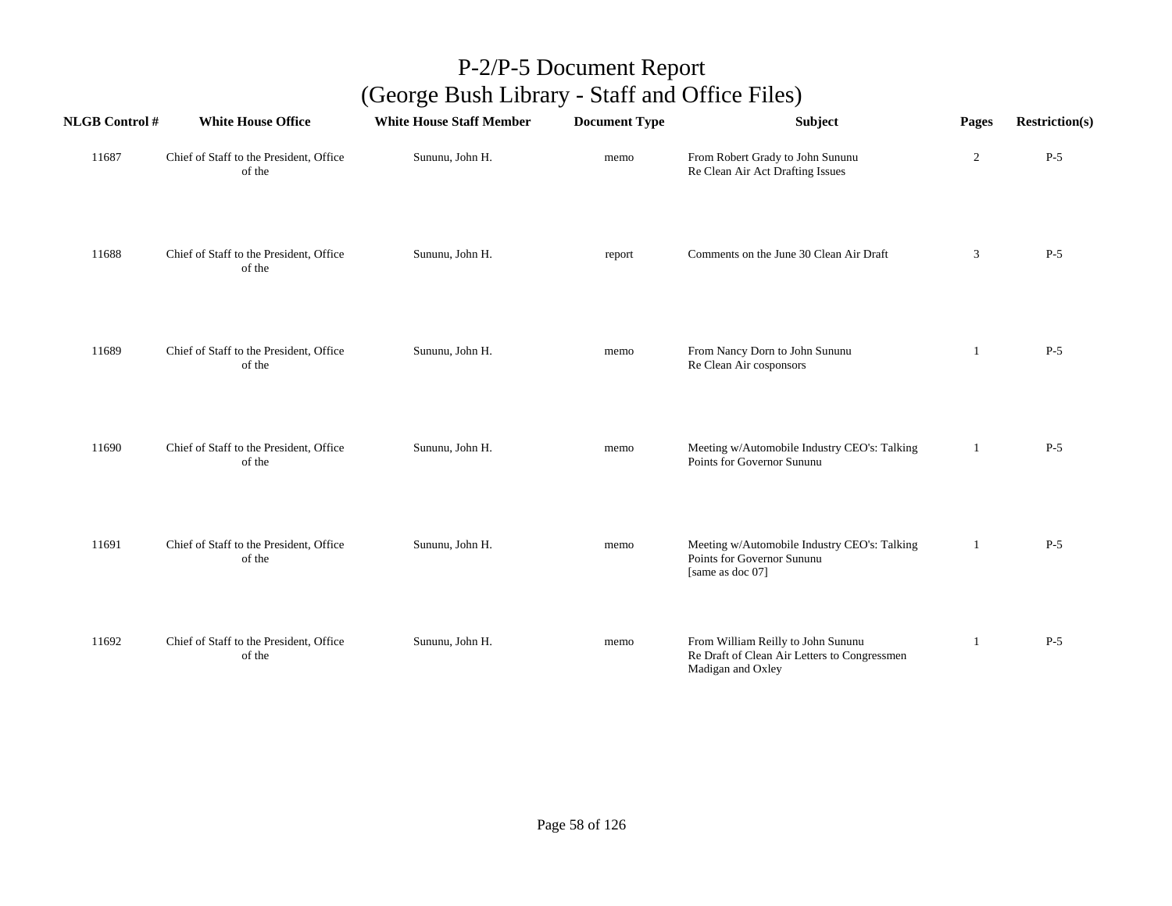| <b>NLGB Control#</b> | <b>White House Office</b>                         | <b>White House Staff Member</b> | <b>Document Type</b> | Subject                                                                                                 | Pages          | <b>Restriction(s)</b> |
|----------------------|---------------------------------------------------|---------------------------------|----------------------|---------------------------------------------------------------------------------------------------------|----------------|-----------------------|
| 11687                | Chief of Staff to the President, Office<br>of the | Sununu, John H.                 | memo                 | From Robert Grady to John Sununu<br>Re Clean Air Act Drafting Issues                                    | $\overline{2}$ | $P-5$                 |
| 11688                | Chief of Staff to the President, Office<br>of the | Sununu, John H.                 | report               | Comments on the June 30 Clean Air Draft                                                                 | 3              | $P-5$                 |
| 11689                | Chief of Staff to the President, Office<br>of the | Sununu, John H.                 | memo                 | From Nancy Dorn to John Sununu<br>Re Clean Air cosponsors                                               | 1              | $P-5$                 |
| 11690                | Chief of Staff to the President, Office<br>of the | Sununu, John H.                 | memo                 | Meeting w/Automobile Industry CEO's: Talking<br>Points for Governor Sununu                              | 1              | $P-5$                 |
| 11691                | Chief of Staff to the President, Office<br>of the | Sununu, John H.                 | memo                 | Meeting w/Automobile Industry CEO's: Talking<br>Points for Governor Sununu<br>[same as doc 07]          | -1             | $P-5$                 |
| 11692                | Chief of Staff to the President, Office<br>of the | Sununu, John H.                 | memo                 | From William Reilly to John Sununu<br>Re Draft of Clean Air Letters to Congressmen<br>Madigan and Oxley | 1              | $P-5$                 |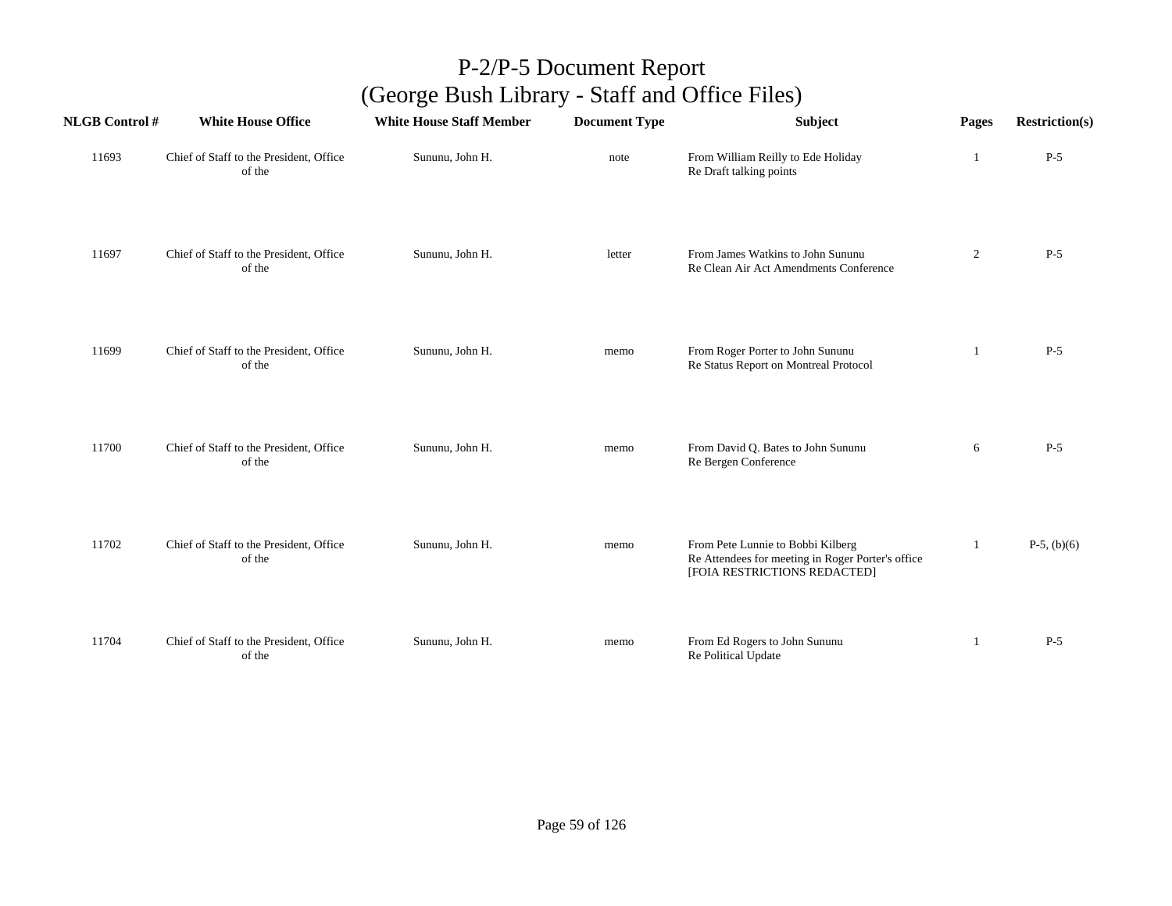| <b>NLGB Control#</b> | <b>White House Office</b>                         | <b>White House Staff Member</b> | <b>Document Type</b> | Subject                                                                                                                | Pages          | <b>Restriction(s)</b> |
|----------------------|---------------------------------------------------|---------------------------------|----------------------|------------------------------------------------------------------------------------------------------------------------|----------------|-----------------------|
| 11693                | Chief of Staff to the President, Office<br>of the | Sununu, John H.                 | note                 | From William Reilly to Ede Holiday<br>Re Draft talking points                                                          | 1              | $P-5$                 |
| 11697                | Chief of Staff to the President, Office<br>of the | Sununu, John H.                 | letter               | From James Watkins to John Sununu<br>Re Clean Air Act Amendments Conference                                            | $\overline{2}$ | $P-5$                 |
| 11699                | Chief of Staff to the President, Office<br>of the | Sununu, John H.                 | memo                 | From Roger Porter to John Sununu<br>Re Status Report on Montreal Protocol                                              | 1              | $P-5$                 |
| 11700                | Chief of Staff to the President, Office<br>of the | Sununu, John H.                 | memo                 | From David Q. Bates to John Sununu<br>Re Bergen Conference                                                             | 6              | $P-5$                 |
| 11702                | Chief of Staff to the President, Office<br>of the | Sununu, John H.                 | memo                 | From Pete Lunnie to Bobbi Kilberg<br>Re Attendees for meeting in Roger Porter's office<br>[FOIA RESTRICTIONS REDACTED] | 1              | $P-5$ , (b)(6)        |
| 11704                | Chief of Staff to the President, Office<br>of the | Sununu, John H.                 | memo                 | From Ed Rogers to John Sununu<br>Re Political Update                                                                   | 1              | $P-5$                 |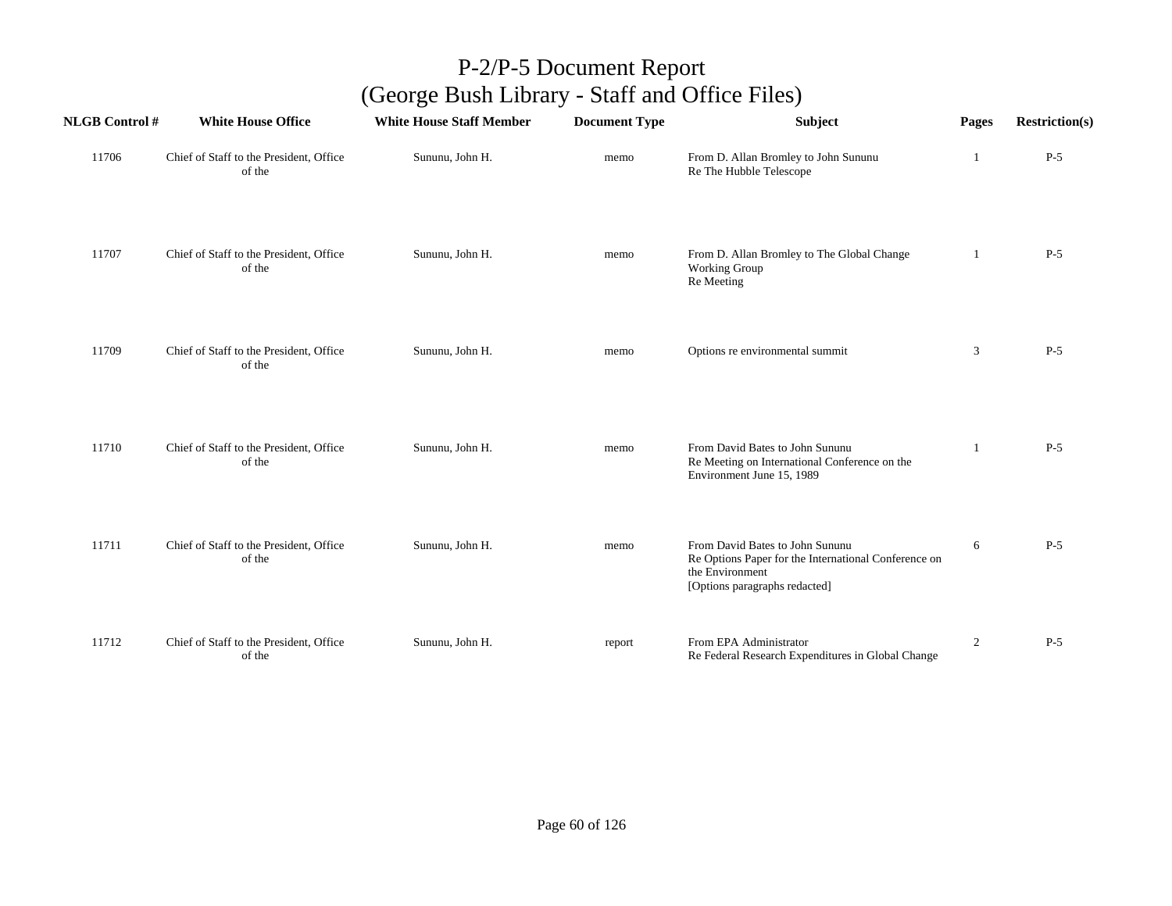| <b>NLGB Control #</b> | <b>White House Office</b>                         | <b>White House Staff Member</b> | <b>Document Type</b> | Subject                                                                                                                                     | Pages          | <b>Restriction(s)</b> |
|-----------------------|---------------------------------------------------|---------------------------------|----------------------|---------------------------------------------------------------------------------------------------------------------------------------------|----------------|-----------------------|
| 11706                 | Chief of Staff to the President, Office<br>of the | Sununu, John H.                 | memo                 | From D. Allan Bromley to John Sununu<br>Re The Hubble Telescope                                                                             |                | $P-5$                 |
| 11707                 | Chief of Staff to the President, Office<br>of the | Sununu, John H.                 | memo                 | From D. Allan Bromley to The Global Change<br>Working Group<br>Re Meeting                                                                   | -1             | $P-5$                 |
| 11709                 | Chief of Staff to the President, Office<br>of the | Sununu, John H.                 | memo                 | Options re environmental summit                                                                                                             | 3              | $P-5$                 |
| 11710                 | Chief of Staff to the President, Office<br>of the | Sununu, John H.                 | memo                 | From David Bates to John Sununu<br>Re Meeting on International Conference on the<br>Environment June 15, 1989                               |                | $P-5$                 |
| 11711                 | Chief of Staff to the President, Office<br>of the | Sununu, John H.                 | memo                 | From David Bates to John Sununu<br>Re Options Paper for the International Conference on<br>the Environment<br>[Options paragraphs redacted] | 6              | $P-5$                 |
| 11712                 | Chief of Staff to the President, Office<br>of the | Sununu, John H.                 | report               | From EPA Administrator<br>Re Federal Research Expenditures in Global Change                                                                 | $\overline{c}$ | $P-5$                 |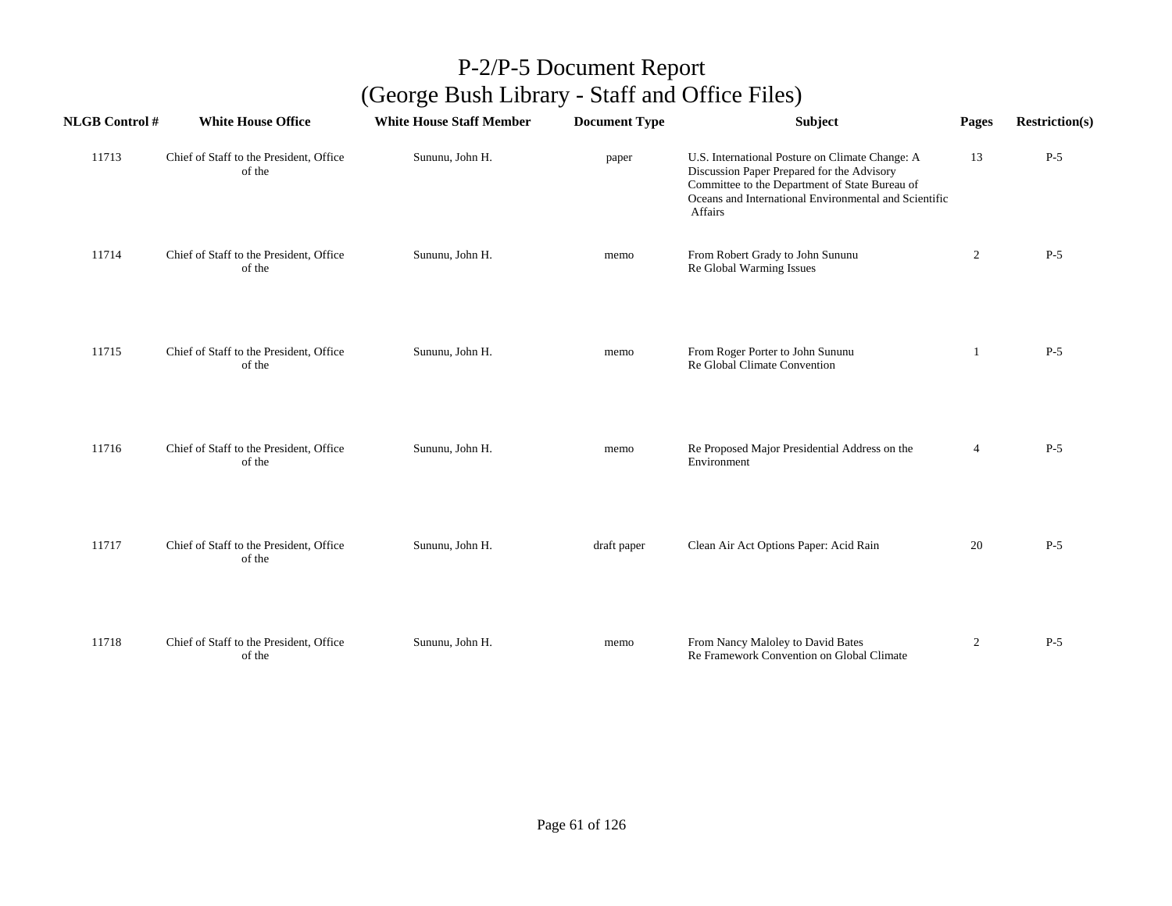| <b>NLGB Control#</b> | <b>White House Office</b>                         | <b>White House Staff Member</b> | <b>Document Type</b> | Subject                                                                                                                                                                                                                    | Pages          | <b>Restriction(s)</b> |
|----------------------|---------------------------------------------------|---------------------------------|----------------------|----------------------------------------------------------------------------------------------------------------------------------------------------------------------------------------------------------------------------|----------------|-----------------------|
| 11713                | Chief of Staff to the President, Office<br>of the | Sununu, John H.                 | paper                | U.S. International Posture on Climate Change: A<br>Discussion Paper Prepared for the Advisory<br>Committee to the Department of State Bureau of<br>Oceans and International Environmental and Scientific<br><b>Affairs</b> | 13             | $P-5$                 |
| 11714                | Chief of Staff to the President, Office<br>of the | Sununu, John H.                 | memo                 | From Robert Grady to John Sununu<br>Re Global Warming Issues                                                                                                                                                               | $\overline{2}$ | $P-5$                 |
| 11715                | Chief of Staff to the President, Office<br>of the | Sununu, John H.                 | memo                 | From Roger Porter to John Sununu<br>Re Global Climate Convention                                                                                                                                                           | 1              | $P-5$                 |
| 11716                | Chief of Staff to the President, Office<br>of the | Sununu, John H.                 | memo                 | Re Proposed Major Presidential Address on the<br>Environment                                                                                                                                                               | $\overline{4}$ | $P-5$                 |
| 11717                | Chief of Staff to the President, Office<br>of the | Sununu, John H.                 | draft paper          | Clean Air Act Options Paper: Acid Rain                                                                                                                                                                                     | 20             | $P-5$                 |
| 11718                | Chief of Staff to the President, Office<br>of the | Sununu, John H.                 | memo                 | From Nancy Maloley to David Bates<br>Re Framework Convention on Global Climate                                                                                                                                             | $\overline{2}$ | $P-5$                 |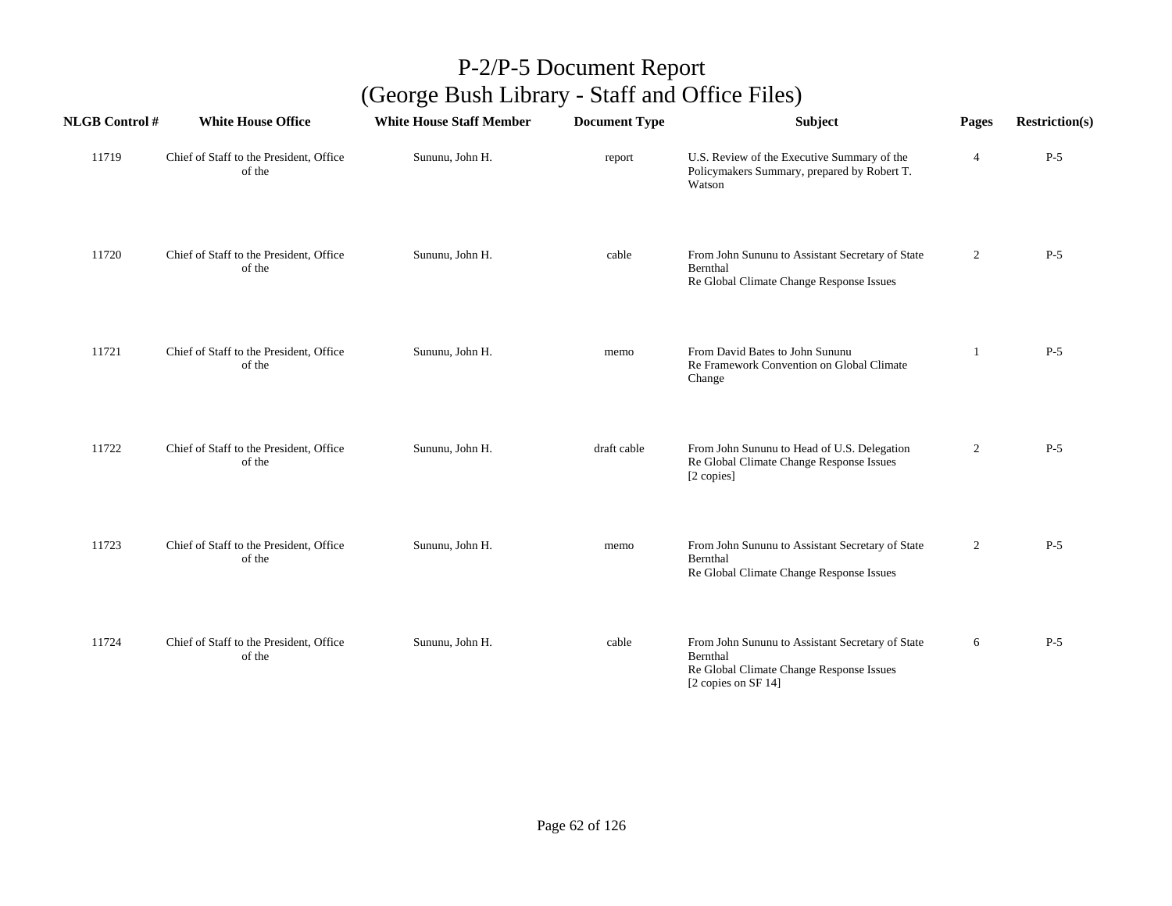| <b>NLGB Control#</b> | <b>White House Office</b>                         | <b>White House Staff Member</b> | <b>Document Type</b> | <b>Subject</b>                                                                                                                  | Pages          | <b>Restriction(s)</b> |
|----------------------|---------------------------------------------------|---------------------------------|----------------------|---------------------------------------------------------------------------------------------------------------------------------|----------------|-----------------------|
| 11719                | Chief of Staff to the President, Office<br>of the | Sununu, John H.                 | report               | U.S. Review of the Executive Summary of the<br>Policymakers Summary, prepared by Robert T.<br>Watson                            | 4              | $P-5$                 |
| 11720                | Chief of Staff to the President, Office<br>of the | Sununu, John H.                 | cable                | From John Sununu to Assistant Secretary of State<br>Bernthal<br>Re Global Climate Change Response Issues                        | $\overline{2}$ | $P-5$                 |
| 11721                | Chief of Staff to the President, Office<br>of the | Sununu, John H.                 | memo                 | From David Bates to John Sununu<br>Re Framework Convention on Global Climate<br>Change                                          |                | $P-5$                 |
| 11722                | Chief of Staff to the President, Office<br>of the | Sununu, John H.                 | draft cable          | From John Sununu to Head of U.S. Delegation<br>Re Global Climate Change Response Issues<br>[2 copies]                           | $\overline{2}$ | $P-5$                 |
| 11723                | Chief of Staff to the President, Office<br>of the | Sununu, John H.                 | memo                 | From John Sununu to Assistant Secretary of State<br>Bernthal<br>Re Global Climate Change Response Issues                        | $\overline{2}$ | $P-5$                 |
| 11724                | Chief of Staff to the President, Office<br>of the | Sununu, John H.                 | cable                | From John Sununu to Assistant Secretary of State<br>Bernthal<br>Re Global Climate Change Response Issues<br>[2 copies on SF 14] | 6              | $P-5$                 |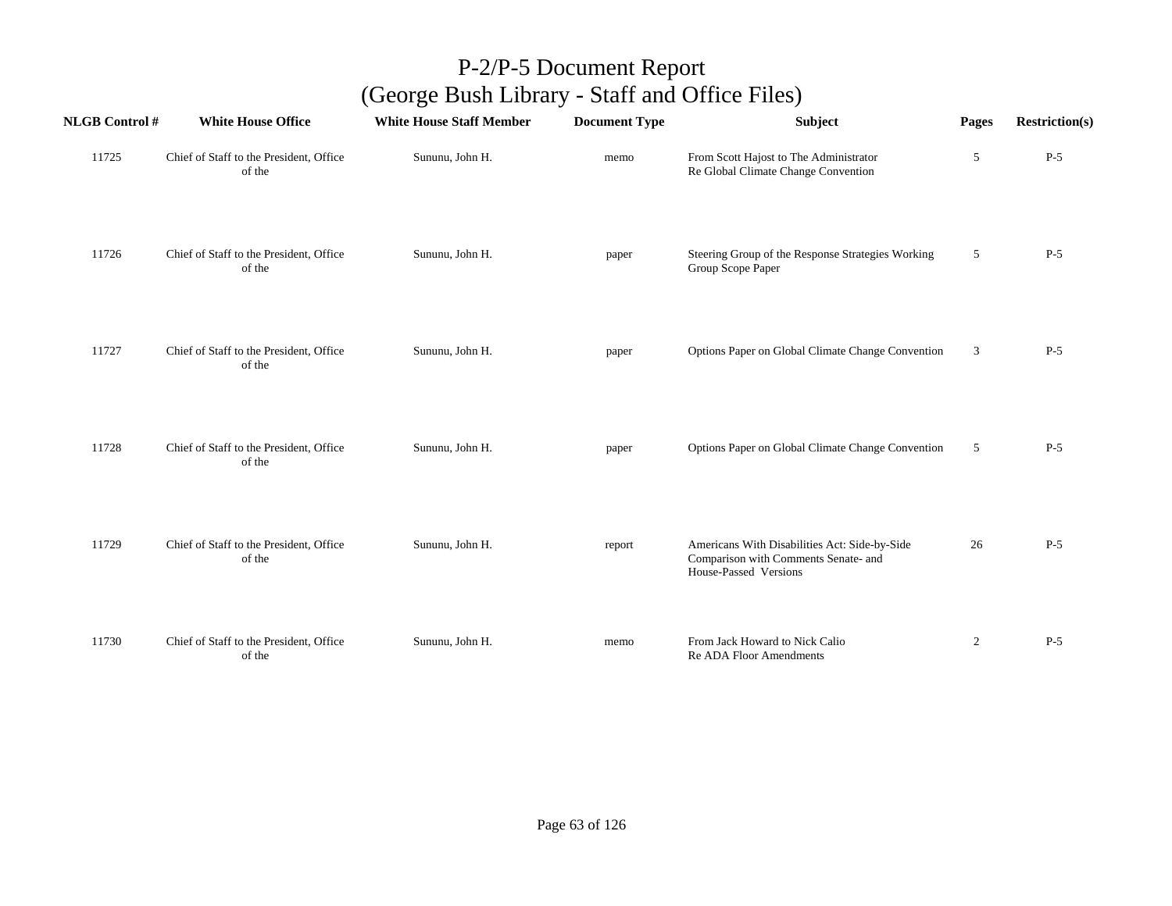| <b>NLGB Control#</b> | <b>White House Office</b>                         | <b>White House Staff Member</b> | <b>Document Type</b> | Subject                                                                                                        | Pages          | <b>Restriction(s)</b> |
|----------------------|---------------------------------------------------|---------------------------------|----------------------|----------------------------------------------------------------------------------------------------------------|----------------|-----------------------|
| 11725                | Chief of Staff to the President, Office<br>of the | Sununu, John H.                 | memo                 | From Scott Hajost to The Administrator<br>Re Global Climate Change Convention                                  | 5              | $P-5$                 |
| 11726                | Chief of Staff to the President, Office<br>of the | Sununu, John H.                 | paper                | Steering Group of the Response Strategies Working<br>Group Scope Paper                                         | 5              | $P-5$                 |
| 11727                | Chief of Staff to the President, Office<br>of the | Sununu, John H.                 | paper                | Options Paper on Global Climate Change Convention                                                              | 3              | $P-5$                 |
| 11728                | Chief of Staff to the President, Office<br>of the | Sununu, John H.                 | paper                | Options Paper on Global Climate Change Convention                                                              | 5              | $P-5$                 |
| 11729                | Chief of Staff to the President, Office<br>of the | Sununu, John H.                 | report               | Americans With Disabilities Act: Side-by-Side<br>Comparison with Comments Senate- and<br>House-Passed Versions | 26             | $P-5$                 |
| 11730                | Chief of Staff to the President, Office<br>of the | Sununu, John H.                 | memo                 | From Jack Howard to Nick Calio<br>Re ADA Floor Amendments                                                      | $\overline{2}$ | $P-5$                 |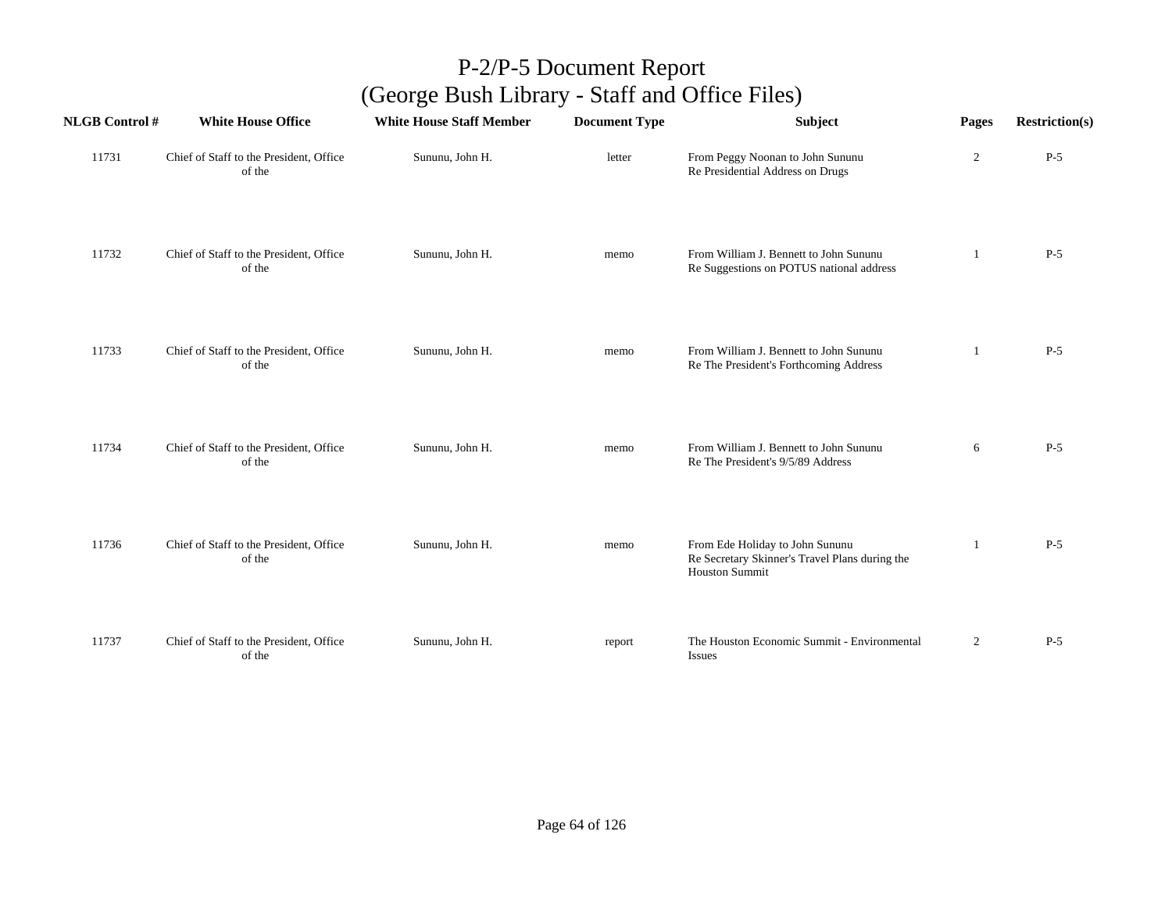| <b>NLGB Control#</b> | <b>White House Office</b>                         | <b>White House Staff Member</b> | <b>Document Type</b> | <b>Subject</b>                                                                                             | Pages          | <b>Restriction(s)</b> |
|----------------------|---------------------------------------------------|---------------------------------|----------------------|------------------------------------------------------------------------------------------------------------|----------------|-----------------------|
| 11731                | Chief of Staff to the President, Office<br>of the | Sununu, John H.                 | letter               | From Peggy Noonan to John Sununu<br>Re Presidential Address on Drugs                                       | $\overline{c}$ | $P-5$                 |
| 11732                | Chief of Staff to the President, Office<br>of the | Sununu, John H.                 | memo                 | From William J. Bennett to John Sununu<br>Re Suggestions on POTUS national address                         |                | $P-5$                 |
| 11733                | Chief of Staff to the President, Office<br>of the | Sununu, John H.                 | memo                 | From William J. Bennett to John Sununu<br>Re The President's Forthcoming Address                           | 1              | $P-5$                 |
| 11734                | Chief of Staff to the President, Office<br>of the | Sununu, John H.                 | memo                 | From William J. Bennett to John Sununu<br>Re The President's 9/5/89 Address                                | 6              | $P-5$                 |
| 11736                | Chief of Staff to the President, Office<br>of the | Sununu, John H.                 | memo                 | From Ede Holiday to John Sununu<br>Re Secretary Skinner's Travel Plans during the<br><b>Houston Summit</b> | 1              | $P-5$                 |
| 11737                | Chief of Staff to the President, Office<br>of the | Sununu, John H.                 | report               | The Houston Economic Summit - Environmental<br>Issues                                                      | $\overline{2}$ | $P-5$                 |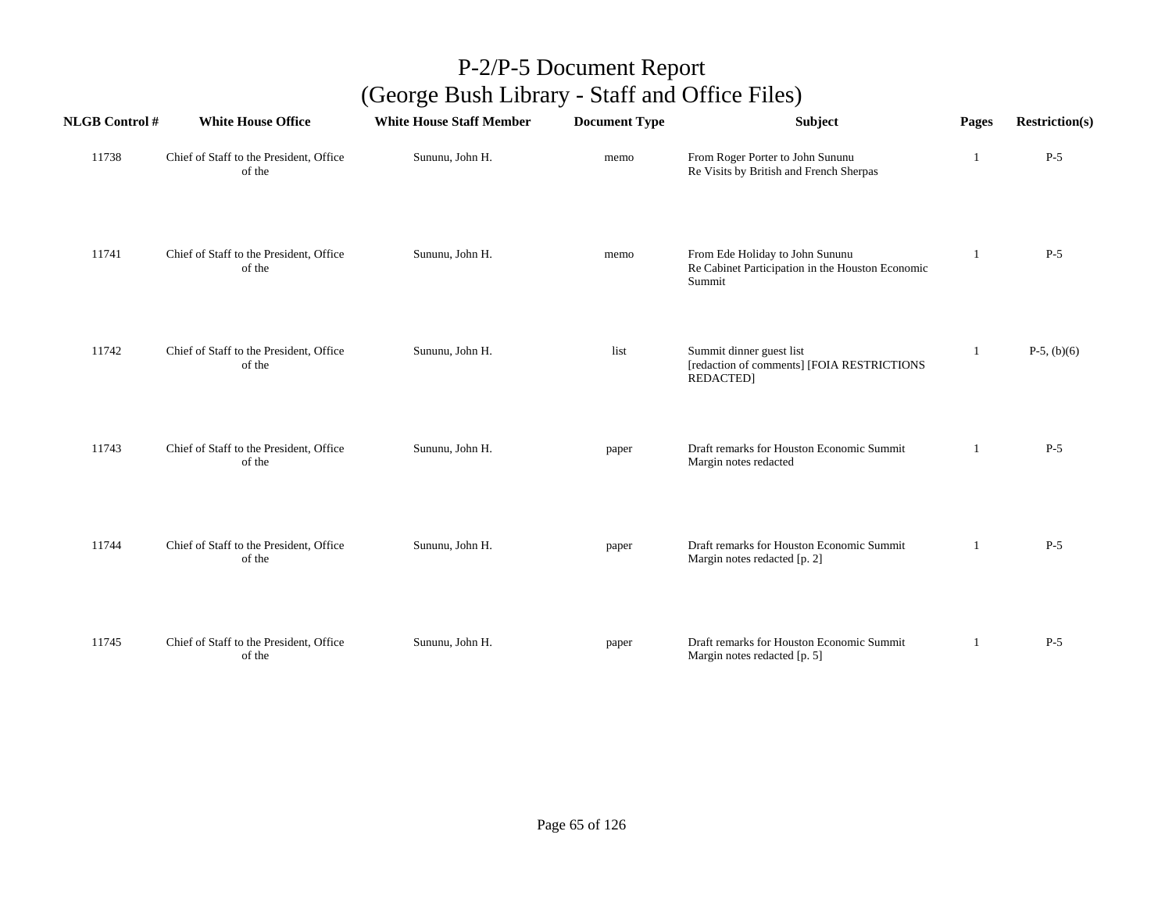| <b>NLGB Control #</b> | <b>White House Office</b>                         | <b>White House Staff Member</b> | <b>Document Type</b> | Subject                                                                                       | Pages | <b>Restriction(s)</b> |
|-----------------------|---------------------------------------------------|---------------------------------|----------------------|-----------------------------------------------------------------------------------------------|-------|-----------------------|
| 11738                 | Chief of Staff to the President, Office<br>of the | Sununu, John H.                 | memo                 | From Roger Porter to John Sununu<br>Re Visits by British and French Sherpas                   | 1     | $P-5$                 |
| 11741                 | Chief of Staff to the President, Office<br>of the | Sununu, John H.                 | memo                 | From Ede Holiday to John Sununu<br>Re Cabinet Participation in the Houston Economic<br>Summit | 1     | $P-5$                 |
| 11742                 | Chief of Staff to the President, Office<br>of the | Sununu, John H.                 | list                 | Summit dinner guest list<br>[redaction of comments] [FOIA RESTRICTIONS<br><b>REDACTED]</b>    | -1    | $P-5$ , $(b)(6)$      |
| 11743                 | Chief of Staff to the President, Office<br>of the | Sununu, John H.                 | paper                | Draft remarks for Houston Economic Summit<br>Margin notes redacted                            |       | $P-5$                 |
| 11744                 | Chief of Staff to the President, Office<br>of the | Sununu, John H.                 | paper                | Draft remarks for Houston Economic Summit<br>Margin notes redacted [p. 2]                     | 1     | $P-5$                 |
| 11745                 | Chief of Staff to the President, Office<br>of the | Sununu, John H.                 | paper                | Draft remarks for Houston Economic Summit<br>Margin notes redacted [p. 5]                     | -1    | $P-5$                 |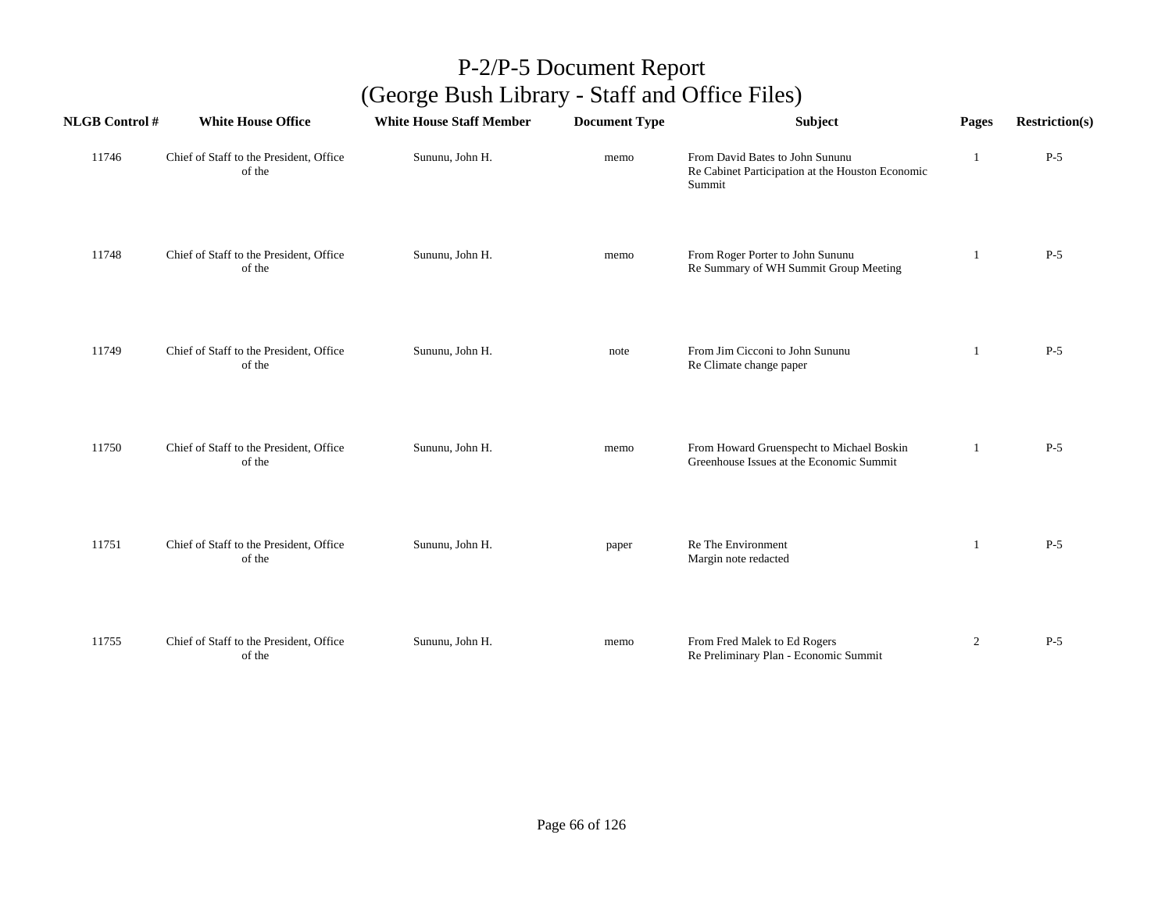| <b>NLGB Control#</b> | <b>White House Office</b>                         | <b>White House Staff Member</b> | <b>Document Type</b> | Subject                                                                                       | Pages          | <b>Restriction(s)</b> |
|----------------------|---------------------------------------------------|---------------------------------|----------------------|-----------------------------------------------------------------------------------------------|----------------|-----------------------|
| 11746                | Chief of Staff to the President, Office<br>of the | Sununu, John H.                 | memo                 | From David Bates to John Sununu<br>Re Cabinet Participation at the Houston Economic<br>Summit |                | $P-5$                 |
| 11748                | Chief of Staff to the President, Office<br>of the | Sununu, John H.                 | memo                 | From Roger Porter to John Sununu<br>Re Summary of WH Summit Group Meeting                     | 1              | $P-5$                 |
| 11749                | Chief of Staff to the President, Office<br>of the | Sununu, John H.                 | note                 | From Jim Cicconi to John Sununu<br>Re Climate change paper                                    | 1              | $P-5$                 |
| 11750                | Chief of Staff to the President, Office<br>of the | Sununu, John H.                 | memo                 | From Howard Gruenspecht to Michael Boskin<br>Greenhouse Issues at the Economic Summit         | 1              | $P-5$                 |
| 11751                | Chief of Staff to the President, Office<br>of the | Sununu, John H.                 | paper                | Re The Environment<br>Margin note redacted                                                    | 1              | $P-5$                 |
| 11755                | Chief of Staff to the President, Office<br>of the | Sununu, John H.                 | memo                 | From Fred Malek to Ed Rogers<br>Re Preliminary Plan - Economic Summit                         | $\overline{2}$ | $P-5$                 |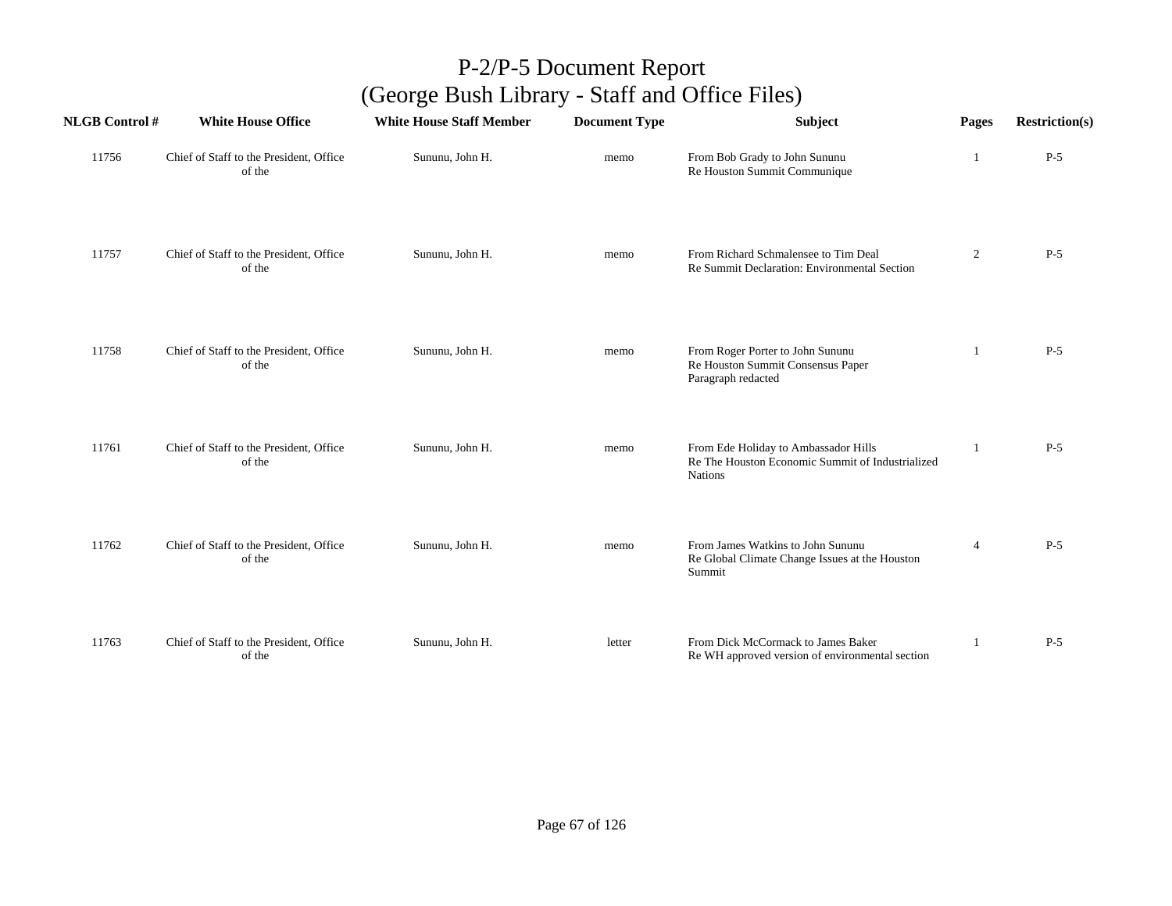| <b>NLGB Control#</b> | <b>White House Office</b>                         | <b>White House Staff Member</b> | <b>Document Type</b> | Subject                                                                                                    | Pages          | <b>Restriction(s)</b> |
|----------------------|---------------------------------------------------|---------------------------------|----------------------|------------------------------------------------------------------------------------------------------------|----------------|-----------------------|
| 11756                | Chief of Staff to the President, Office<br>of the | Sununu, John H.                 | memo                 | From Bob Grady to John Sununu<br>Re Houston Summit Communique                                              | $\mathbf{I}$   | $P-5$                 |
| 11757                | Chief of Staff to the President, Office<br>of the | Sununu, John H.                 | memo                 | From Richard Schmalensee to Tim Deal<br>Re Summit Declaration: Environmental Section                       | $\overline{2}$ | $P-5$                 |
| 11758                | Chief of Staff to the President, Office<br>of the | Sununu, John H.                 | memo                 | From Roger Porter to John Sununu<br>Re Houston Summit Consensus Paper<br>Paragraph redacted                | 1              | $P-5$                 |
| 11761                | Chief of Staff to the President, Office<br>of the | Sununu, John H.                 | memo                 | From Ede Holiday to Ambassador Hills<br>Re The Houston Economic Summit of Industrialized<br><b>Nations</b> |                | $P-5$                 |
| 11762                | Chief of Staff to the President, Office<br>of the | Sununu, John H.                 | memo                 | From James Watkins to John Sununu<br>Re Global Climate Change Issues at the Houston<br>Summit              | $\overline{4}$ | $P-5$                 |
| 11763                | Chief of Staff to the President, Office<br>of the | Sununu, John H.                 | letter               | From Dick McCormack to James Baker<br>Re WH approved version of environmental section                      |                | $P-5$                 |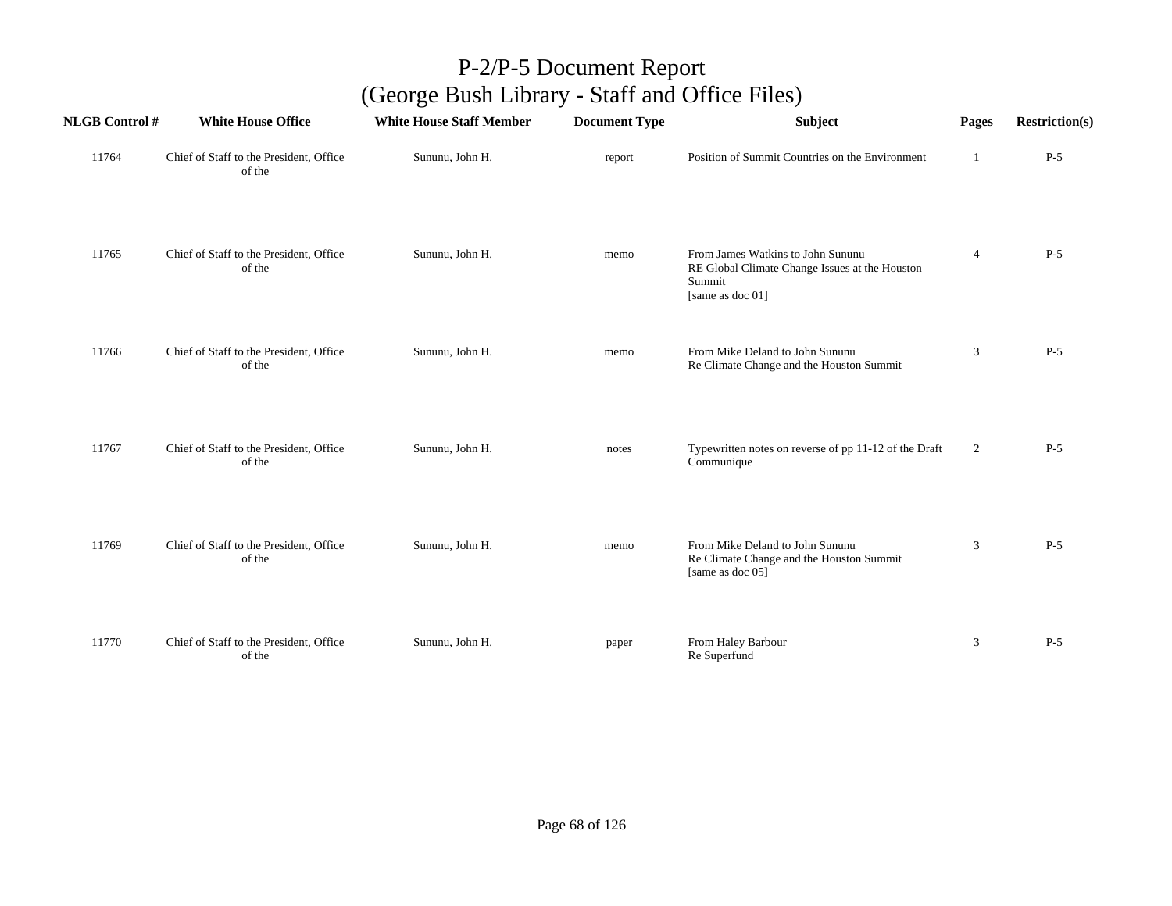| <b>NLGB Control#</b> | <b>White House Office</b>                         | <b>White House Staff Member</b> | <b>Document Type</b> | Subject                                                                                                           | Pages          | <b>Restriction(s)</b> |
|----------------------|---------------------------------------------------|---------------------------------|----------------------|-------------------------------------------------------------------------------------------------------------------|----------------|-----------------------|
| 11764                | Chief of Staff to the President, Office<br>of the | Sununu, John H.                 | report               | Position of Summit Countries on the Environment                                                                   | -1             | $P-5$                 |
| 11765                | Chief of Staff to the President, Office<br>of the | Sununu, John H.                 | memo                 | From James Watkins to John Sununu<br>RE Global Climate Change Issues at the Houston<br>Summit<br>[same as doc 01] | $\overline{4}$ | $P-5$                 |
| 11766                | Chief of Staff to the President, Office<br>of the | Sununu, John H.                 | memo                 | From Mike Deland to John Sununu<br>Re Climate Change and the Houston Summit                                       | 3              | $P-5$                 |
| 11767                | Chief of Staff to the President, Office<br>of the | Sununu, John H.                 | notes                | Typewritten notes on reverse of pp 11-12 of the Draft<br>Communique                                               | $\overline{2}$ | $P-5$                 |
| 11769                | Chief of Staff to the President, Office<br>of the | Sununu, John H.                 | memo                 | From Mike Deland to John Sununu<br>Re Climate Change and the Houston Summit<br>[same as doc 05]                   | 3              | $P-5$                 |
| 11770                | Chief of Staff to the President, Office<br>of the | Sununu, John H.                 | paper                | From Haley Barbour<br>Re Superfund                                                                                | 3              | $P-5$                 |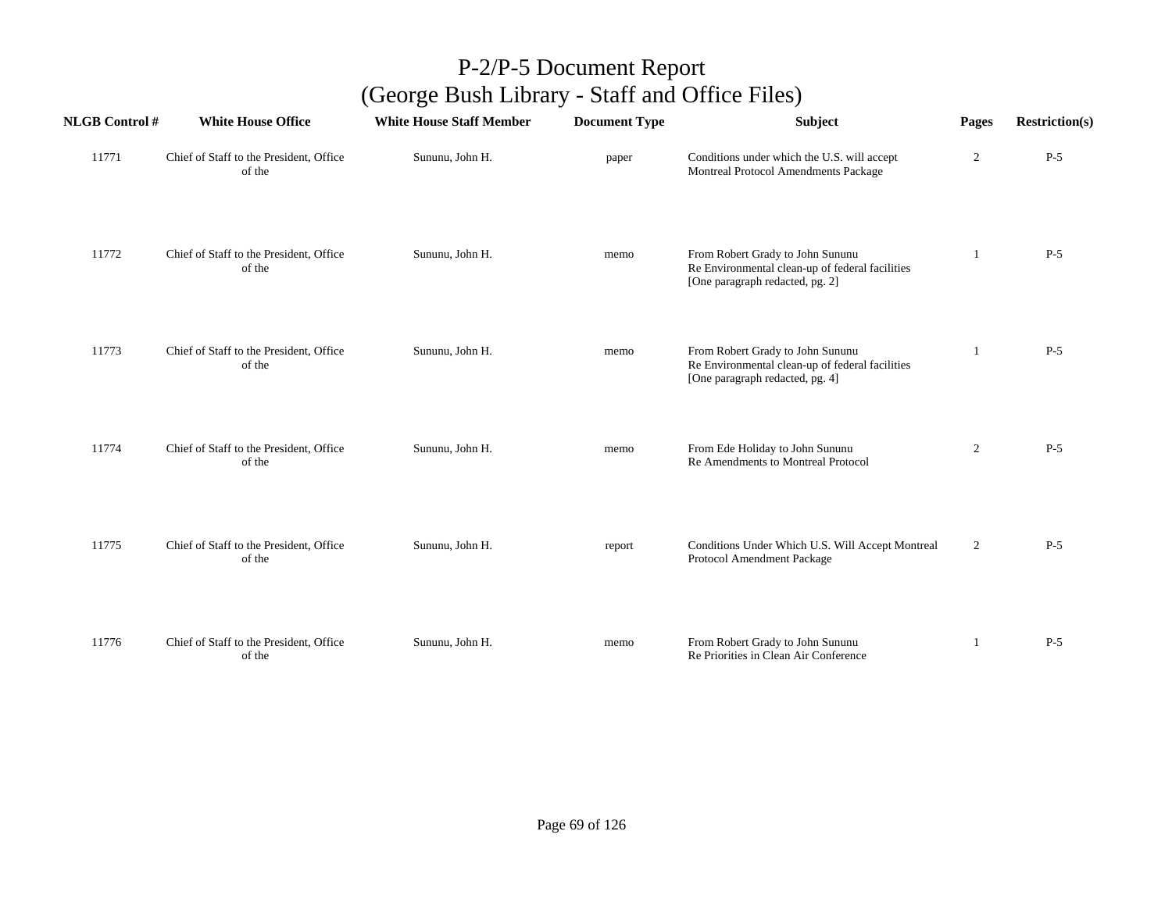| <b>NLGB</b> Control # | <b>White House Office</b>                         | <b>White House Staff Member</b> | <b>Document Type</b> | <b>Subject</b>                                                                                                         | Pages        | <b>Restriction(s)</b> |
|-----------------------|---------------------------------------------------|---------------------------------|----------------------|------------------------------------------------------------------------------------------------------------------------|--------------|-----------------------|
| 11771                 | Chief of Staff to the President, Office<br>of the | Sununu, John H.                 | paper                | Conditions under which the U.S. will accept<br>Montreal Protocol Amendments Package                                    | 2            | $P-5$                 |
| 11772                 | Chief of Staff to the President, Office<br>of the | Sununu, John H.                 | memo                 | From Robert Grady to John Sununu<br>Re Environmental clean-up of federal facilities<br>[One paragraph redacted, pg. 2] | 1            | $P-5$                 |
| 11773                 | Chief of Staff to the President, Office<br>of the | Sununu, John H.                 | memo                 | From Robert Grady to John Sununu<br>Re Environmental clean-up of federal facilities<br>[One paragraph redacted, pg. 4] | $\mathbf{1}$ | $P-5$                 |
| 11774                 | Chief of Staff to the President, Office<br>of the | Sununu, John H.                 | memo                 | From Ede Holiday to John Sununu<br>Re Amendments to Montreal Protocol                                                  | 2            | $P-5$                 |
| 11775                 | Chief of Staff to the President, Office<br>of the | Sununu, John H.                 | report               | Conditions Under Which U.S. Will Accept Montreal<br>Protocol Amendment Package                                         | 2            | $P-5$                 |
| 11776                 | Chief of Staff to the President, Office<br>of the | Sununu, John H.                 | memo                 | From Robert Grady to John Sununu<br>Re Priorities in Clean Air Conference                                              | 1            | $P-5$                 |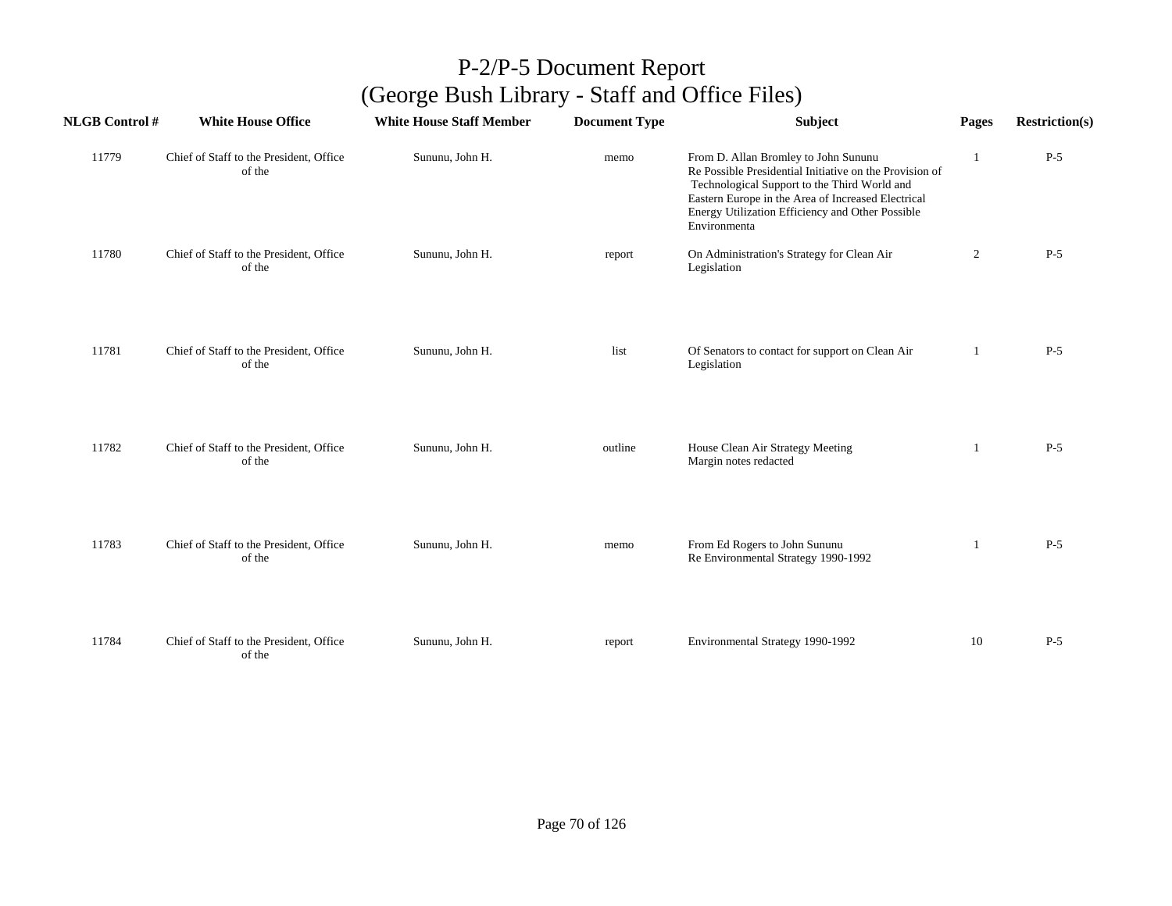| <b>NLGB Control#</b> | <b>White House Office</b>                         | <b>White House Staff Member</b> | <b>Document Type</b> | Subject                                                                                                                                                                                                                                                                   | Pages          | <b>Restriction(s)</b> |
|----------------------|---------------------------------------------------|---------------------------------|----------------------|---------------------------------------------------------------------------------------------------------------------------------------------------------------------------------------------------------------------------------------------------------------------------|----------------|-----------------------|
| 11779                | Chief of Staff to the President, Office<br>of the | Sununu, John H.                 | memo                 | From D. Allan Bromley to John Sununu<br>Re Possible Presidential Initiative on the Provision of<br>Technological Support to the Third World and<br>Eastern Europe in the Area of Increased Electrical<br>Energy Utilization Efficiency and Other Possible<br>Environmenta |                | $P-5$                 |
| 11780                | Chief of Staff to the President, Office<br>of the | Sununu, John H.                 | report               | On Administration's Strategy for Clean Air<br>Legislation                                                                                                                                                                                                                 | $\overline{2}$ | $P-5$                 |
| 11781                | Chief of Staff to the President, Office<br>of the | Sununu, John H.                 | list                 | Of Senators to contact for support on Clean Air<br>Legislation                                                                                                                                                                                                            | 1              | $P-5$                 |
| 11782                | Chief of Staff to the President, Office<br>of the | Sununu, John H.                 | outline              | House Clean Air Strategy Meeting<br>Margin notes redacted                                                                                                                                                                                                                 | 1              | $P-5$                 |
| 11783                | Chief of Staff to the President, Office<br>of the | Sununu, John H.                 | memo                 | From Ed Rogers to John Sununu<br>Re Environmental Strategy 1990-1992                                                                                                                                                                                                      | -1             | $P-5$                 |
| 11784                | Chief of Staff to the President, Office<br>of the | Sununu, John H.                 | report               | Environmental Strategy 1990-1992                                                                                                                                                                                                                                          | 10             | $P-5$                 |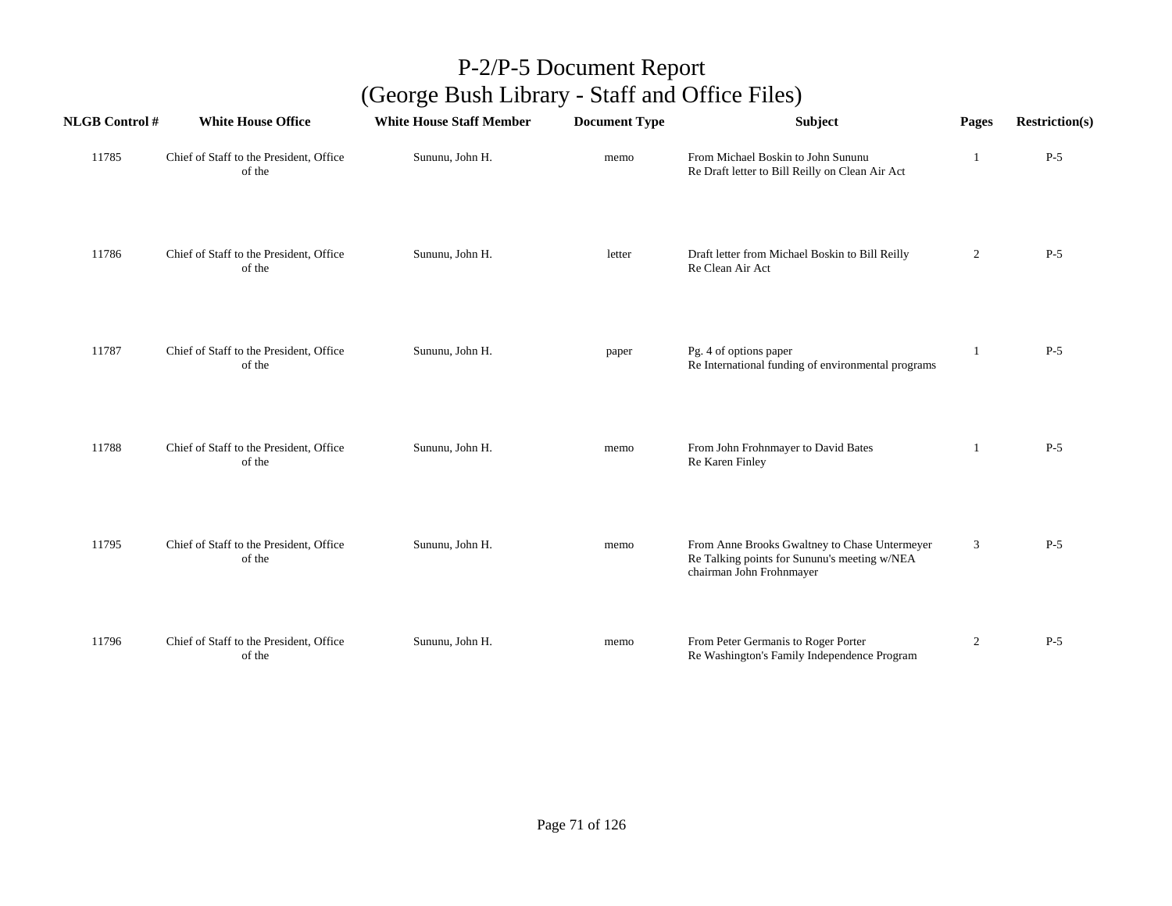| <b>NLGB Control #</b> | <b>White House Office</b>                         | <b>White House Staff Member</b> | <b>Document Type</b> | Subject                                                                                                                   | Pages          | <b>Restriction(s)</b> |
|-----------------------|---------------------------------------------------|---------------------------------|----------------------|---------------------------------------------------------------------------------------------------------------------------|----------------|-----------------------|
| 11785                 | Chief of Staff to the President, Office<br>of the | Sununu, John H.                 | memo                 | From Michael Boskin to John Sununu<br>Re Draft letter to Bill Reilly on Clean Air Act                                     |                | $P-5$                 |
| 11786                 | Chief of Staff to the President, Office<br>of the | Sununu, John H.                 | letter               | Draft letter from Michael Boskin to Bill Reilly<br>Re Clean Air Act                                                       | $\overline{2}$ | $P-5$                 |
| 11787                 | Chief of Staff to the President, Office<br>of the | Sununu, John H.                 | paper                | Pg. 4 of options paper<br>Re International funding of environmental programs                                              | -1             | $P-5$                 |
| 11788                 | Chief of Staff to the President, Office<br>of the | Sununu, John H.                 | memo                 | From John Frohnmayer to David Bates<br>Re Karen Finley                                                                    | 1              | $P-5$                 |
| 11795                 | Chief of Staff to the President, Office<br>of the | Sununu, John H.                 | memo                 | From Anne Brooks Gwaltney to Chase Untermeyer<br>Re Talking points for Sununu's meeting w/NEA<br>chairman John Frohnmayer | $\mathfrak{Z}$ | $P-5$                 |
| 11796                 | Chief of Staff to the President, Office<br>of the | Sununu, John H.                 | memo                 | From Peter Germanis to Roger Porter<br>Re Washington's Family Independence Program                                        | $\overline{2}$ | $P-5$                 |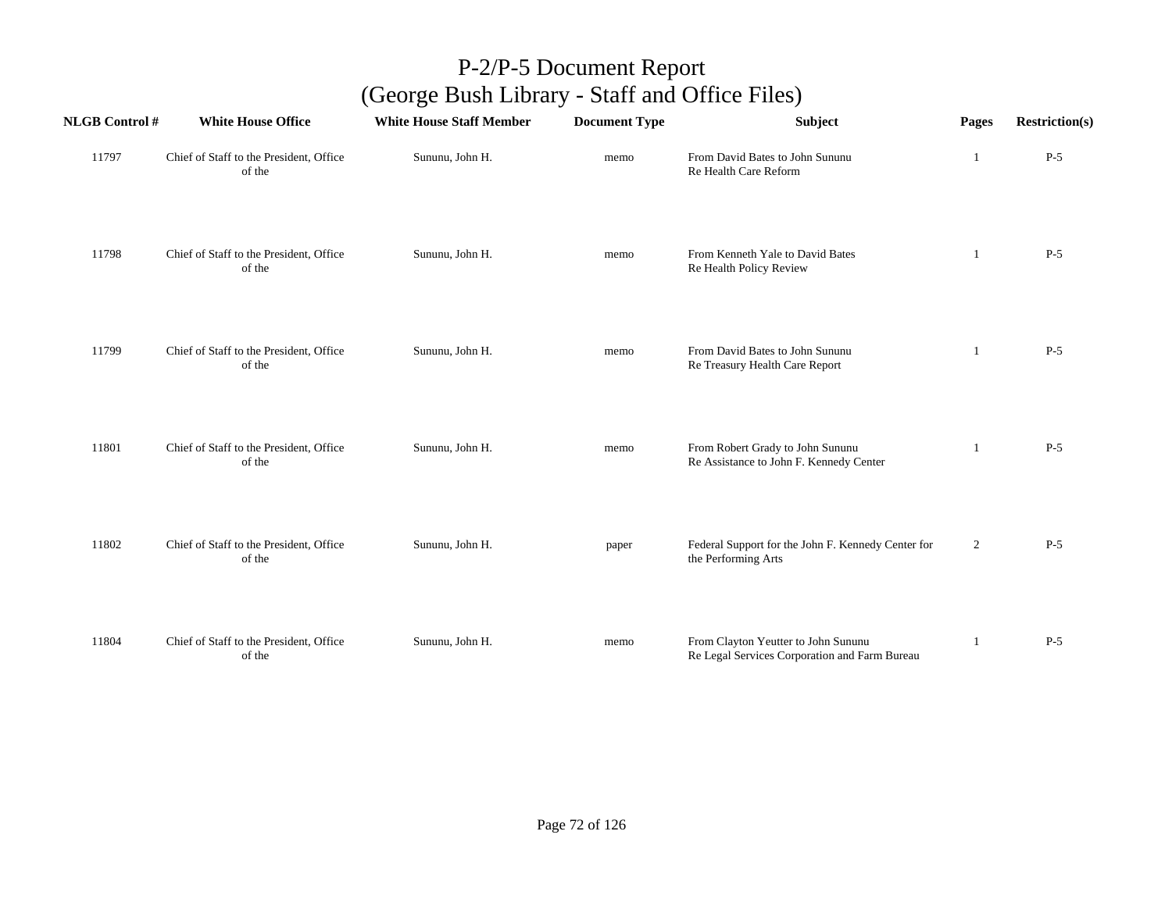| <b>NLGB Control#</b> | <b>White House Office</b>                         | <b>White House Staff Member</b> | <b>Document Type</b> | Subject                                                                              | Pages          | <b>Restriction(s)</b> |
|----------------------|---------------------------------------------------|---------------------------------|----------------------|--------------------------------------------------------------------------------------|----------------|-----------------------|
| 11797                | Chief of Staff to the President, Office<br>of the | Sununu, John H.                 | memo                 | From David Bates to John Sununu<br>Re Health Care Reform                             | -1             | $P-5$                 |
| 11798                | Chief of Staff to the President, Office<br>of the | Sununu, John H.                 | memo                 | From Kenneth Yale to David Bates<br>Re Health Policy Review                          | -1             | $P-5$                 |
| 11799                | Chief of Staff to the President, Office<br>of the | Sununu, John H.                 | memo                 | From David Bates to John Sununu<br>Re Treasury Health Care Report                    | -1             | $P-5$                 |
| 11801                | Chief of Staff to the President, Office<br>of the | Sununu, John H.                 | memo                 | From Robert Grady to John Sununu<br>Re Assistance to John F. Kennedy Center          | -1             | $P-5$                 |
| 11802                | Chief of Staff to the President, Office<br>of the | Sununu, John H.                 | paper                | Federal Support for the John F. Kennedy Center for<br>the Performing Arts            | $\overline{2}$ | $P-5$                 |
| 11804                | Chief of Staff to the President, Office<br>of the | Sununu, John H.                 | memo                 | From Clayton Yeutter to John Sununu<br>Re Legal Services Corporation and Farm Bureau |                | $P-5$                 |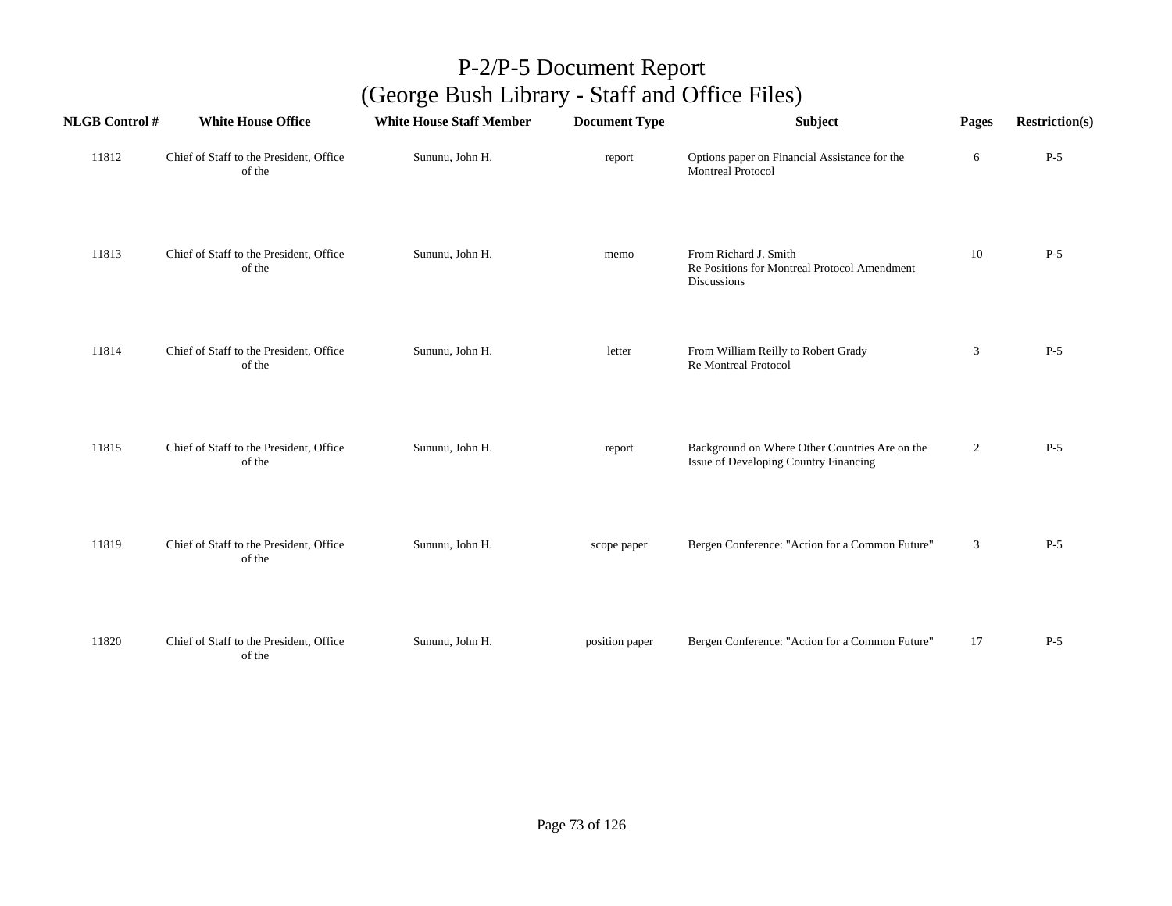| <b>NLGB Control#</b> | <b>White House Office</b>                         | <b>White House Staff Member</b> | <b>Document Type</b> | Subject                                                                                 | Pages          | <b>Restriction(s)</b> |
|----------------------|---------------------------------------------------|---------------------------------|----------------------|-----------------------------------------------------------------------------------------|----------------|-----------------------|
| 11812                | Chief of Staff to the President, Office<br>of the | Sununu, John H.                 | report               | Options paper on Financial Assistance for the<br><b>Montreal Protocol</b>               | 6              | $P-5$                 |
| 11813                | Chief of Staff to the President, Office<br>of the | Sununu, John H.                 | memo                 | From Richard J. Smith<br>Re Positions for Montreal Protocol Amendment<br>Discussions    | 10             | $P-5$                 |
| 11814                | Chief of Staff to the President, Office<br>of the | Sununu, John H.                 | letter               | From William Reilly to Robert Grady<br>Re Montreal Protocol                             | 3              | $P-5$                 |
| 11815                | Chief of Staff to the President, Office<br>of the | Sununu, John H.                 | report               | Background on Where Other Countries Are on the<br>Issue of Developing Country Financing | $\overline{2}$ | $P-5$                 |
| 11819                | Chief of Staff to the President, Office<br>of the | Sununu, John H.                 | scope paper          | Bergen Conference: "Action for a Common Future"                                         | 3              | $P-5$                 |
| 11820                | Chief of Staff to the President, Office<br>of the | Sununu, John H.                 | position paper       | Bergen Conference: "Action for a Common Future"                                         | 17             | $P-5$                 |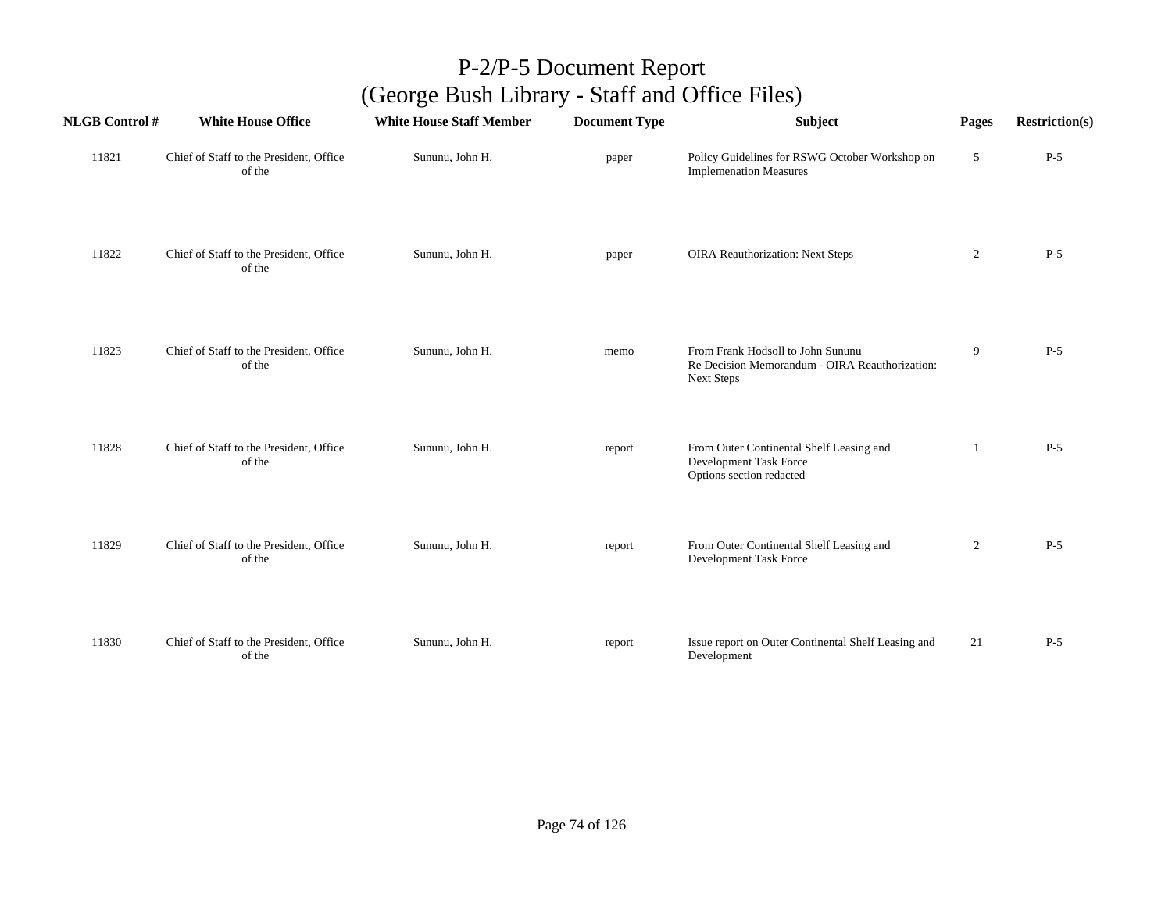| <b>NLGB Control #</b> | <b>White House Office</b>                         | <b>White House Staff Member</b> | <b>Document Type</b> | Subject                                                                                                  | Pages          | <b>Restriction(s)</b> |
|-----------------------|---------------------------------------------------|---------------------------------|----------------------|----------------------------------------------------------------------------------------------------------|----------------|-----------------------|
| 11821                 | Chief of Staff to the President, Office<br>of the | Sununu, John H.                 | paper                | Policy Guidelines for RSWG October Workshop on<br><b>Implemenation Measures</b>                          | 5              | $P-5$                 |
| 11822                 | Chief of Staff to the President, Office<br>of the | Sununu, John H.                 | paper                | <b>OIRA Reauthorization: Next Steps</b>                                                                  | $\overline{2}$ | $P-5$                 |
| 11823                 | Chief of Staff to the President, Office<br>of the | Sununu, John H.                 | memo                 | From Frank Hodsoll to John Sununu<br>Re Decision Memorandum - OIRA Reauthorization:<br><b>Next Steps</b> | 9              | $P-5$                 |
| 11828                 | Chief of Staff to the President, Office<br>of the | Sununu, John H.                 | report               | From Outer Continental Shelf Leasing and<br>Development Task Force<br>Options section redacted           |                | $P-5$                 |
| 11829                 | Chief of Staff to the President, Office<br>of the | Sununu, John H.                 | report               | From Outer Continental Shelf Leasing and<br>Development Task Force                                       | $\overline{2}$ | $P-5$                 |
| 11830                 | Chief of Staff to the President, Office<br>of the | Sununu, John H.                 | report               | Issue report on Outer Continental Shelf Leasing and<br>Development                                       | 21             | $P-5$                 |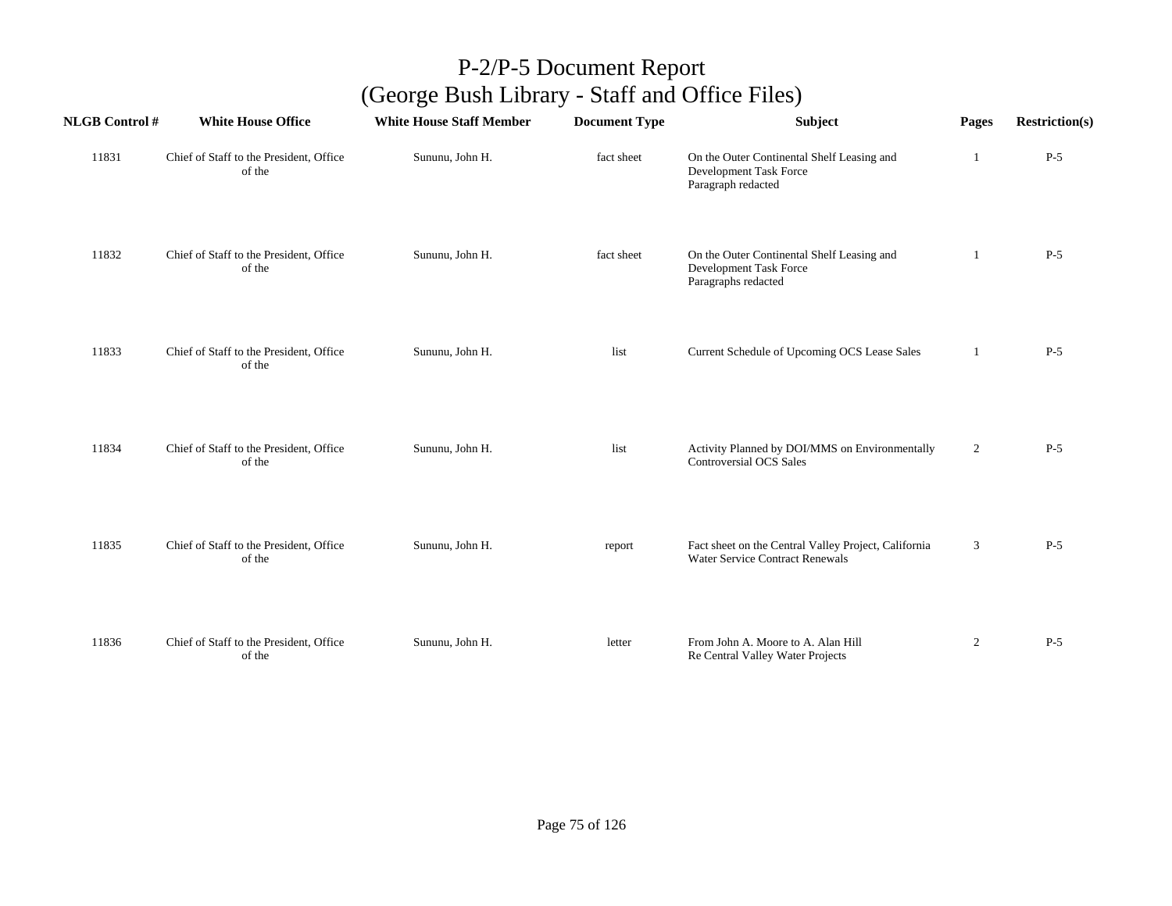| <b>NLGB Control#</b> | <b>White House Office</b>                         | <b>White House Staff Member</b> | <b>Document Type</b> | Subject                                                                                        | Pages          | <b>Restriction(s)</b> |
|----------------------|---------------------------------------------------|---------------------------------|----------------------|------------------------------------------------------------------------------------------------|----------------|-----------------------|
| 11831                | Chief of Staff to the President, Office<br>of the | Sununu, John H.                 | fact sheet           | On the Outer Continental Shelf Leasing and<br>Development Task Force<br>Paragraph redacted     | 1              | $P-5$                 |
| 11832                | Chief of Staff to the President, Office<br>of the | Sununu, John H.                 | fact sheet           | On the Outer Continental Shelf Leasing and<br>Development Task Force<br>Paragraphs redacted    | $\mathbf{1}$   | $P-5$                 |
| 11833                | Chief of Staff to the President, Office<br>of the | Sununu, John H.                 | list                 | Current Schedule of Upcoming OCS Lease Sales                                                   | 1              | $P-5$                 |
| 11834                | Chief of Staff to the President, Office<br>of the | Sununu, John H.                 | list                 | Activity Planned by DOI/MMS on Environmentally<br><b>Controversial OCS Sales</b>               | $\overline{c}$ | $P-5$                 |
| 11835                | Chief of Staff to the President, Office<br>of the | Sununu, John H.                 | report               | Fact sheet on the Central Valley Project, California<br><b>Water Service Contract Renewals</b> | 3              | $P-5$                 |
| 11836                | Chief of Staff to the President, Office<br>of the | Sununu, John H.                 | letter               | From John A. Moore to A. Alan Hill<br>Re Central Valley Water Projects                         | $\overline{2}$ | $P-5$                 |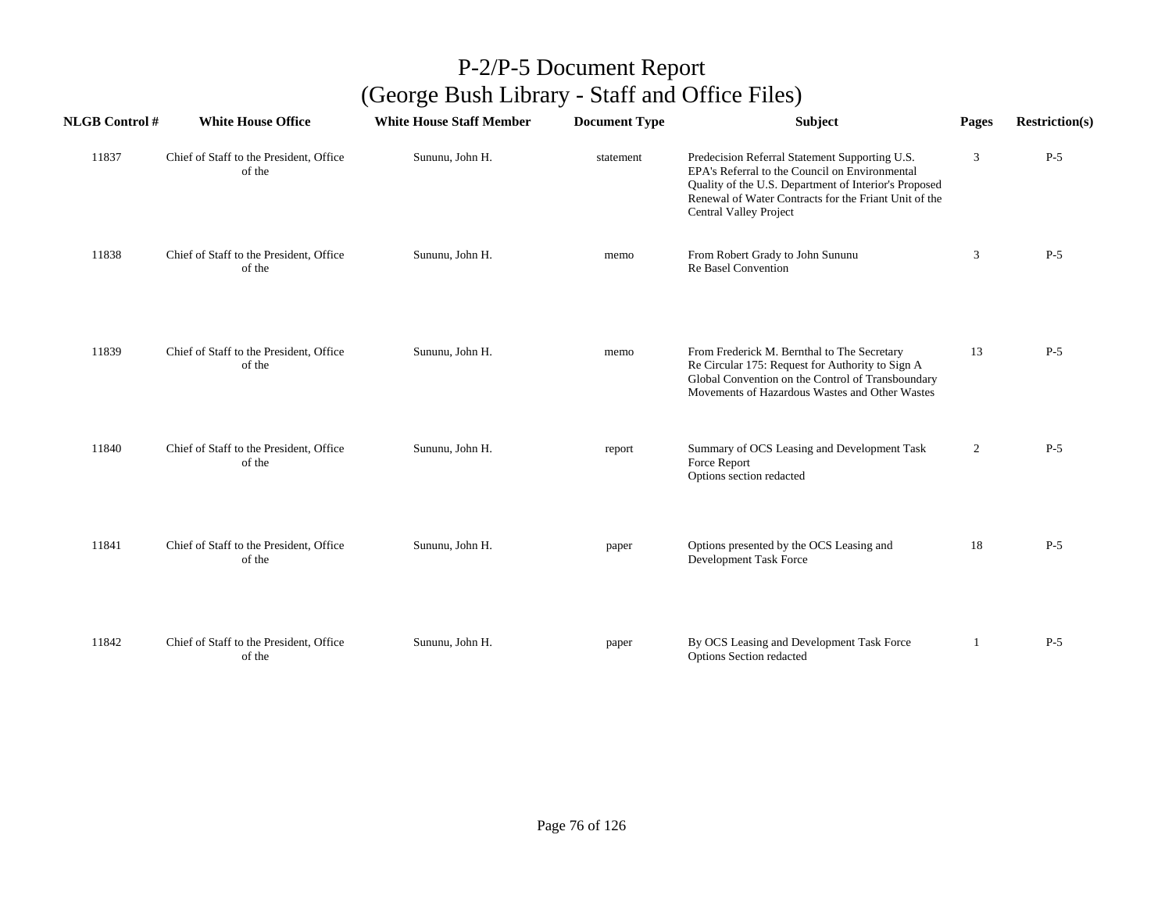| <b>NLGB Control#</b> | <b>White House Office</b>                         | <b>White House Staff Member</b> | <b>Document Type</b> | Subject                                                                                                                                                                                                                                             | Pages          | <b>Restriction(s)</b> |
|----------------------|---------------------------------------------------|---------------------------------|----------------------|-----------------------------------------------------------------------------------------------------------------------------------------------------------------------------------------------------------------------------------------------------|----------------|-----------------------|
| 11837                | Chief of Staff to the President, Office<br>of the | Sununu, John H.                 | statement            | Predecision Referral Statement Supporting U.S.<br>EPA's Referral to the Council on Environmental<br>Quality of the U.S. Department of Interior's Proposed<br>Renewal of Water Contracts for the Friant Unit of the<br><b>Central Valley Project</b> | 3              | $P-5$                 |
| 11838                | Chief of Staff to the President, Office<br>of the | Sununu, John H.                 | memo                 | From Robert Grady to John Sununu<br>Re Basel Convention                                                                                                                                                                                             | 3              | $P-5$                 |
| 11839                | Chief of Staff to the President, Office<br>of the | Sununu, John H.                 | memo                 | From Frederick M. Bernthal to The Secretary<br>Re Circular 175: Request for Authority to Sign A<br>Global Convention on the Control of Transboundary<br>Movements of Hazardous Wastes and Other Wastes                                              | 13             | $P-5$                 |
| 11840                | Chief of Staff to the President, Office<br>of the | Sununu, John H.                 | report               | Summary of OCS Leasing and Development Task<br>Force Report<br>Options section redacted                                                                                                                                                             | $\overline{2}$ | $P-5$                 |
| 11841                | Chief of Staff to the President, Office<br>of the | Sununu, John H.                 | paper                | Options presented by the OCS Leasing and<br>Development Task Force                                                                                                                                                                                  | 18             | $P-5$                 |
| 11842                | Chief of Staff to the President, Office<br>of the | Sununu, John H.                 | paper                | By OCS Leasing and Development Task Force<br>Options Section redacted                                                                                                                                                                               | -1             | $P-5$                 |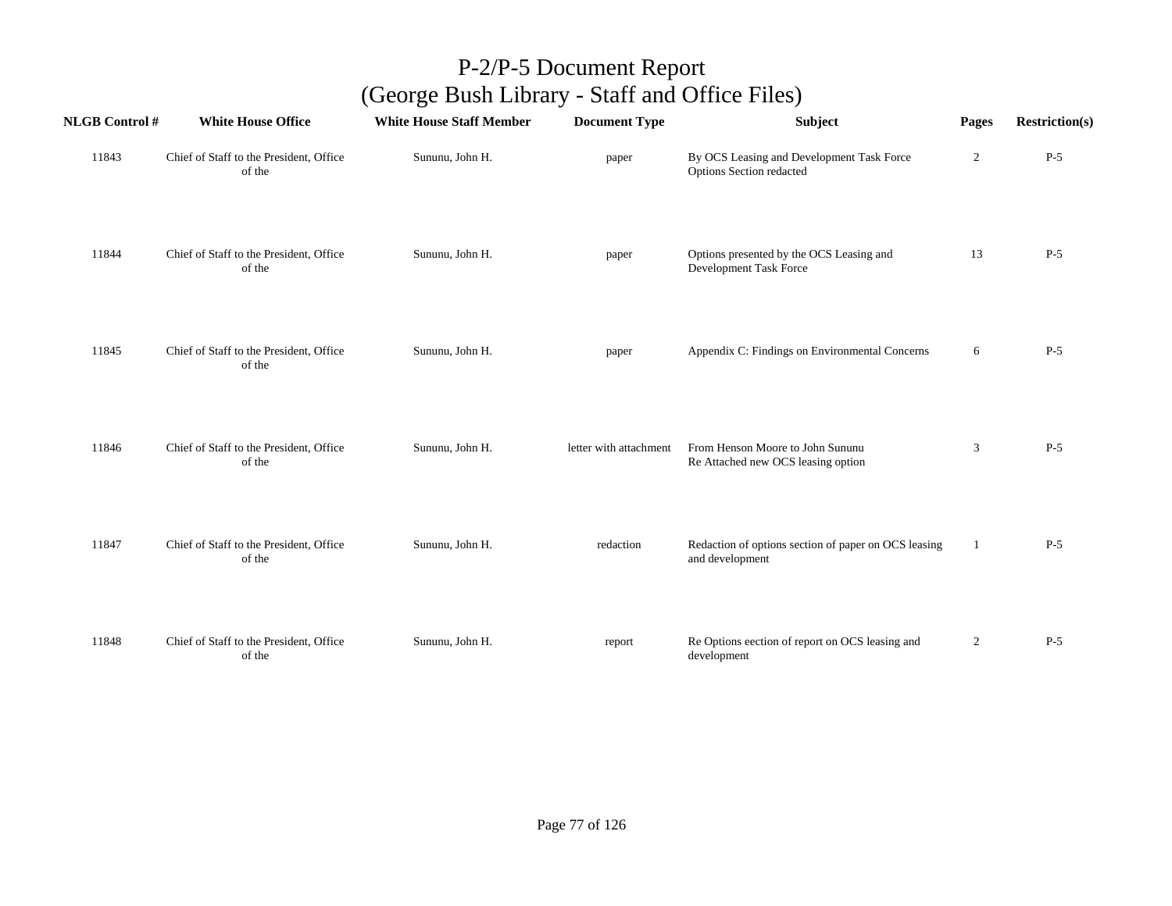| <b>NLGB Control#</b> | <b>White House Office</b>                         | <b>White House Staff Member</b> | <b>Document Type</b>   | Subject                                                                 | Pages          | <b>Restriction(s)</b> |
|----------------------|---------------------------------------------------|---------------------------------|------------------------|-------------------------------------------------------------------------|----------------|-----------------------|
| 11843                | Chief of Staff to the President, Office<br>of the | Sununu, John H.                 | paper                  | By OCS Leasing and Development Task Force<br>Options Section redacted   | $\overline{2}$ | $P-5$                 |
| 11844                | Chief of Staff to the President, Office<br>of the | Sununu, John H.                 | paper                  | Options presented by the OCS Leasing and<br>Development Task Force      | 13             | $P-5$                 |
| 11845                | Chief of Staff to the President, Office<br>of the | Sununu, John H.                 | paper                  | Appendix C: Findings on Environmental Concerns                          | 6              | $P-5$                 |
| 11846                | Chief of Staff to the President, Office<br>of the | Sununu, John H.                 | letter with attachment | From Henson Moore to John Sununu<br>Re Attached new OCS leasing option  | 3              | $P-5$                 |
| 11847                | Chief of Staff to the President, Office<br>of the | Sununu, John H.                 | redaction              | Redaction of options section of paper on OCS leasing<br>and development | 1              | $P-5$                 |
| 11848                | Chief of Staff to the President, Office<br>of the | Sununu, John H.                 | report                 | Re Options eection of report on OCS leasing and<br>development          | $\overline{c}$ | $P-5$                 |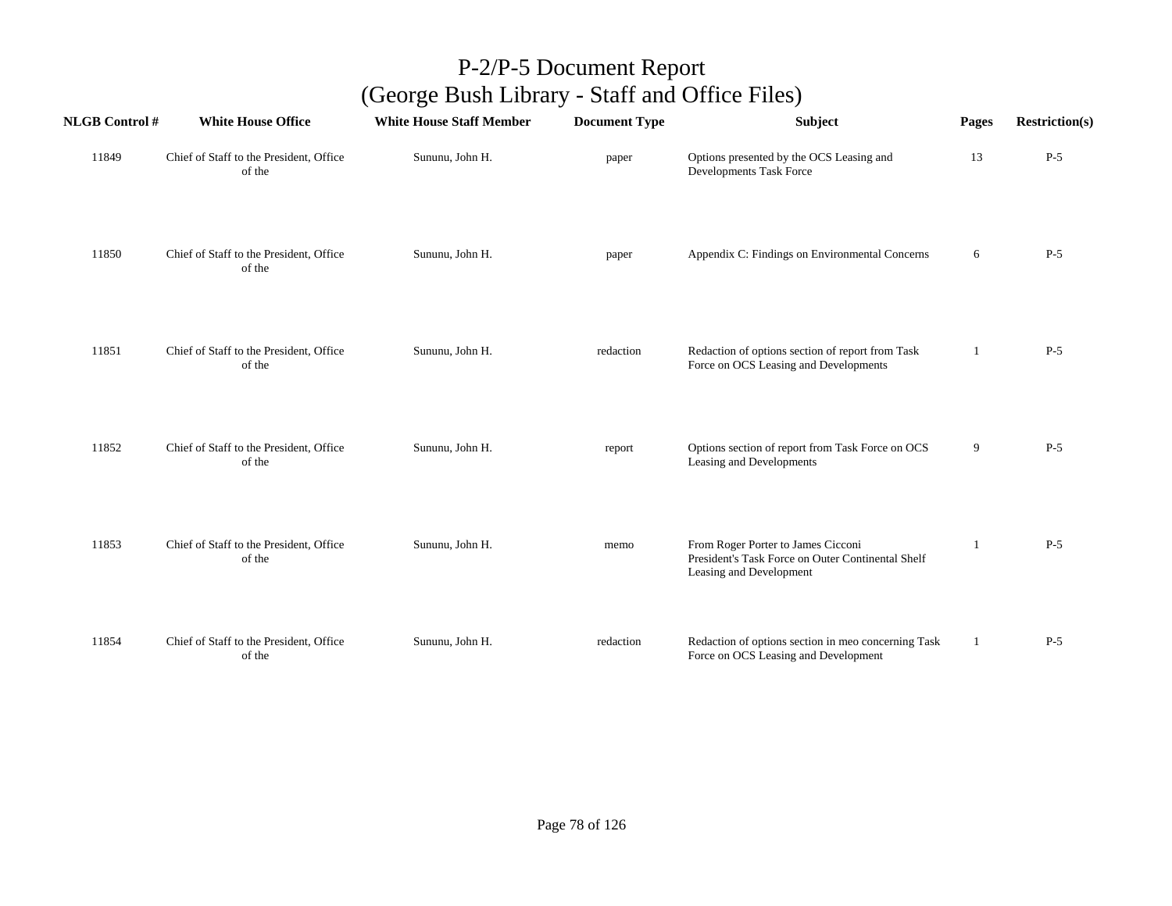| <b>NLGB Control#</b> | <b>White House Office</b>                         | <b>White House Staff Member</b> | <b>Document Type</b> | <b>Subject</b>                                                                                                     | Pages        | <b>Restriction(s)</b> |
|----------------------|---------------------------------------------------|---------------------------------|----------------------|--------------------------------------------------------------------------------------------------------------------|--------------|-----------------------|
| 11849                | Chief of Staff to the President, Office<br>of the | Sununu, John H.                 | paper                | Options presented by the OCS Leasing and<br>Developments Task Force                                                | 13           | $P-5$                 |
| 11850                | Chief of Staff to the President, Office<br>of the | Sununu, John H.                 | paper                | Appendix C: Findings on Environmental Concerns                                                                     | 6            | $P-5$                 |
| 11851                | Chief of Staff to the President, Office<br>of the | Sununu, John H.                 | redaction            | Redaction of options section of report from Task<br>Force on OCS Leasing and Developments                          | $\mathbf{1}$ | $P-5$                 |
| 11852                | Chief of Staff to the President, Office<br>of the | Sununu, John H.                 | report               | Options section of report from Task Force on OCS<br>Leasing and Developments                                       | 9            | $P-5$                 |
| 11853                | Chief of Staff to the President, Office<br>of the | Sununu, John H.                 | memo                 | From Roger Porter to James Cicconi<br>President's Task Force on Outer Continental Shelf<br>Leasing and Development | -1           | $P-5$                 |
| 11854                | Chief of Staff to the President, Office<br>of the | Sununu, John H.                 | redaction            | Redaction of options section in meo concerning Task<br>Force on OCS Leasing and Development                        | 1            | $P-5$                 |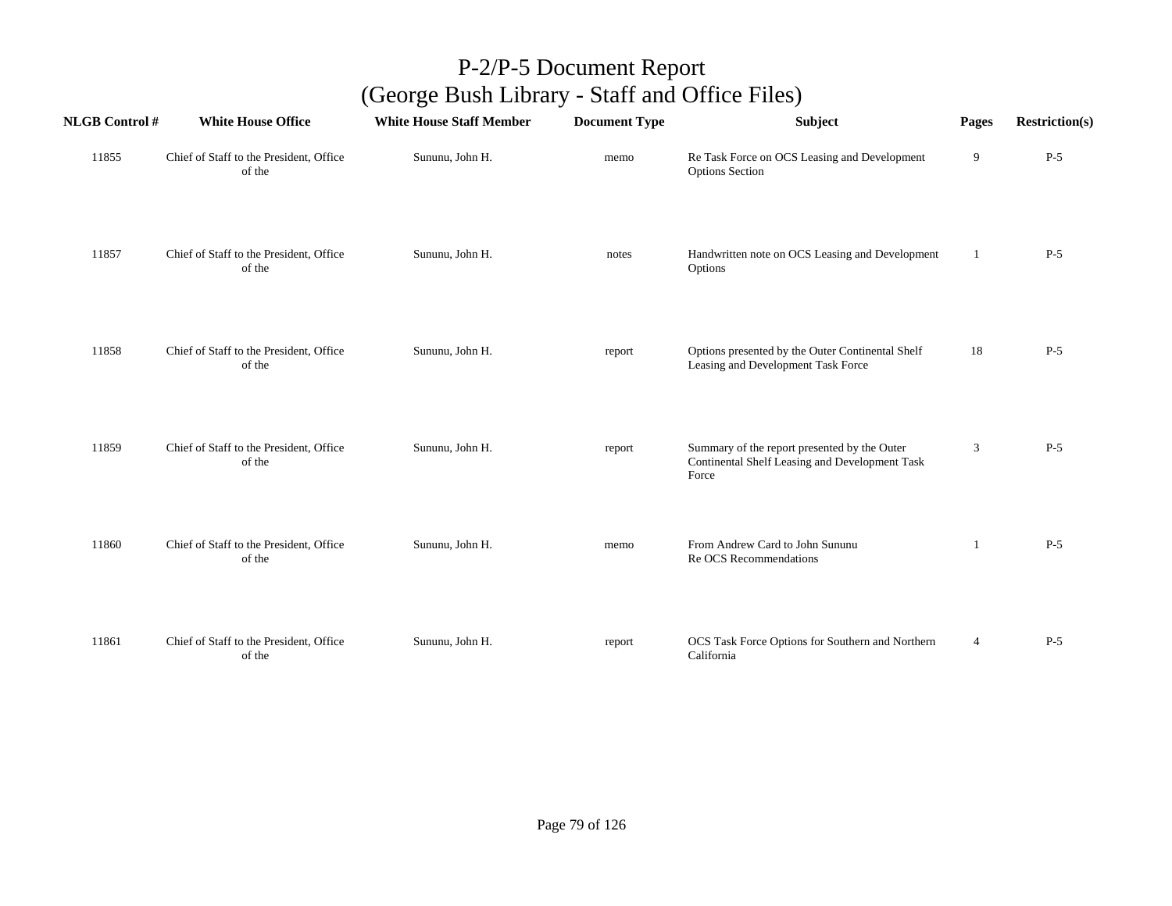| <b>NLGB Control#</b> | <b>White House Office</b>                         | <b>White House Staff Member</b> | <b>Document Type</b> | Subject                                                                                                 | Pages          | <b>Restriction(s)</b> |
|----------------------|---------------------------------------------------|---------------------------------|----------------------|---------------------------------------------------------------------------------------------------------|----------------|-----------------------|
| 11855                | Chief of Staff to the President, Office<br>of the | Sununu, John H.                 | memo                 | Re Task Force on OCS Leasing and Development<br><b>Options Section</b>                                  | 9              | $P-5$                 |
| 11857                | Chief of Staff to the President, Office<br>of the | Sununu, John H.                 | notes                | Handwritten note on OCS Leasing and Development<br>Options                                              | 1              | $P-5$                 |
| 11858                | Chief of Staff to the President, Office<br>of the | Sununu, John H.                 | report               | Options presented by the Outer Continental Shelf<br>Leasing and Development Task Force                  | 18             | $P-5$                 |
| 11859                | Chief of Staff to the President, Office<br>of the | Sununu, John H.                 | report               | Summary of the report presented by the Outer<br>Continental Shelf Leasing and Development Task<br>Force | 3              | $P-5$                 |
| 11860                | Chief of Staff to the President, Office<br>of the | Sununu, John H.                 | memo                 | From Andrew Card to John Sununu<br>Re OCS Recommendations                                               | 1              | $P-5$                 |
| 11861                | Chief of Staff to the President, Office<br>of the | Sununu, John H.                 | report               | OCS Task Force Options for Southern and Northern<br>California                                          | $\overline{4}$ | $P-5$                 |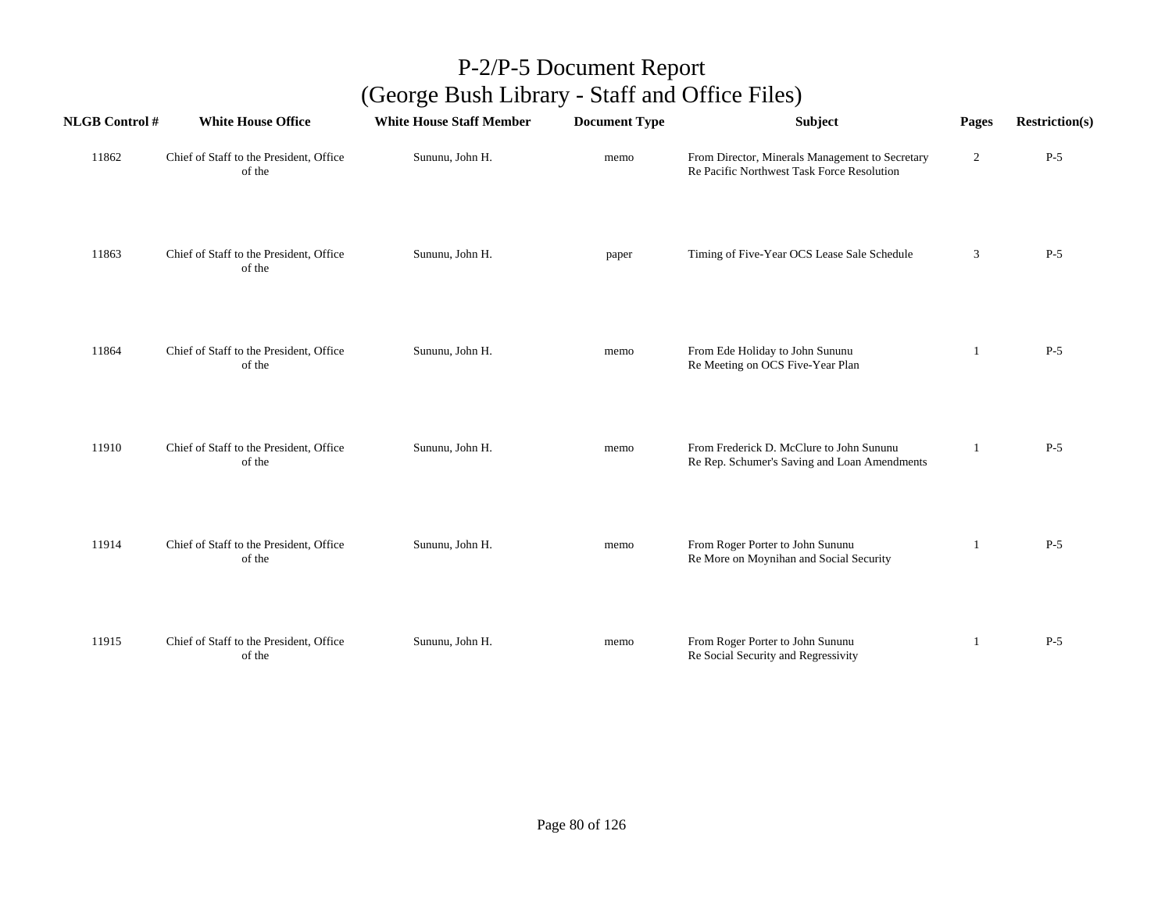| <b>NLGB Control#</b> | <b>White House Office</b>                         | <b>White House Staff Member</b> | <b>Document Type</b> | Subject                                                                                       | Pages          | <b>Restriction(s)</b> |
|----------------------|---------------------------------------------------|---------------------------------|----------------------|-----------------------------------------------------------------------------------------------|----------------|-----------------------|
| 11862                | Chief of Staff to the President, Office<br>of the | Sununu, John H.                 | memo                 | From Director, Minerals Management to Secretary<br>Re Pacific Northwest Task Force Resolution | $\overline{2}$ | $P-5$                 |
| 11863                | Chief of Staff to the President, Office<br>of the | Sununu, John H.                 | paper                | Timing of Five-Year OCS Lease Sale Schedule                                                   | 3              | $P-5$                 |
| 11864                | Chief of Staff to the President, Office<br>of the | Sununu, John H.                 | memo                 | From Ede Holiday to John Sununu<br>Re Meeting on OCS Five-Year Plan                           | -1             | $P-5$                 |
| 11910                | Chief of Staff to the President, Office<br>of the | Sununu, John H.                 | memo                 | From Frederick D. McClure to John Sununu<br>Re Rep. Schumer's Saving and Loan Amendments      |                | $P-5$                 |
| 11914                | Chief of Staff to the President, Office<br>of the | Sununu, John H.                 | memo                 | From Roger Porter to John Sununu<br>Re More on Moynihan and Social Security                   | 1              | $P-5$                 |
| 11915                | Chief of Staff to the President, Office<br>of the | Sununu, John H.                 | memo                 | From Roger Porter to John Sununu<br>Re Social Security and Regressivity                       | 1              | $P-5$                 |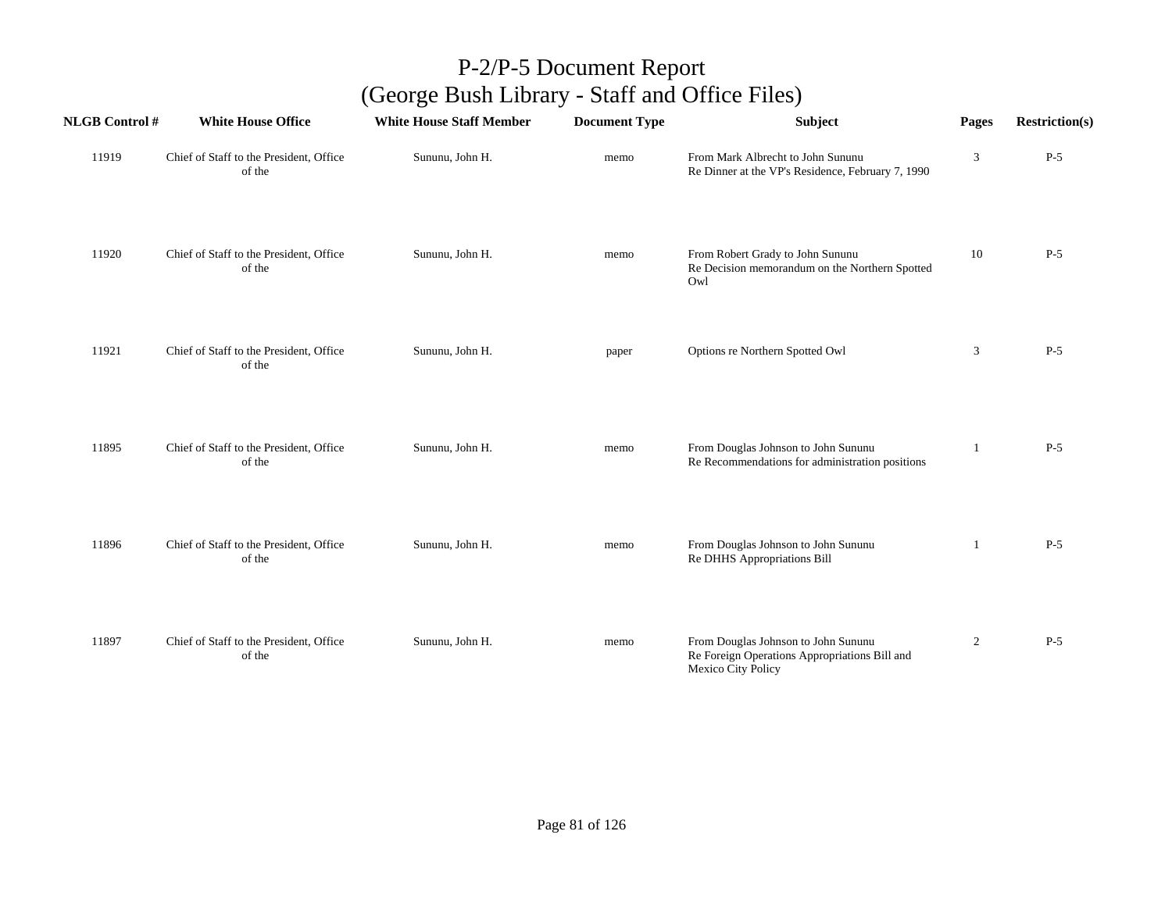| <b>NLGB Control#</b> | <b>White House Office</b>                         | <b>White House Staff Member</b> | <b>Document Type</b> | Subject                                                                                                    | Pages          | <b>Restriction(s)</b> |
|----------------------|---------------------------------------------------|---------------------------------|----------------------|------------------------------------------------------------------------------------------------------------|----------------|-----------------------|
| 11919                | Chief of Staff to the President, Office<br>of the | Sununu, John H.                 | memo                 | From Mark Albrecht to John Sununu<br>Re Dinner at the VP's Residence, February 7, 1990                     | 3              | $P-5$                 |
| 11920                | Chief of Staff to the President, Office<br>of the | Sununu, John H.                 | memo                 | From Robert Grady to John Sununu<br>Re Decision memorandum on the Northern Spotted<br>Owl                  | 10             | $P-5$                 |
| 11921                | Chief of Staff to the President, Office<br>of the | Sununu, John H.                 | paper                | Options re Northern Spotted Owl                                                                            | 3              | $P-5$                 |
| 11895                | Chief of Staff to the President, Office<br>of the | Sununu, John H.                 | memo                 | From Douglas Johnson to John Sununu<br>Re Recommendations for administration positions                     | -1             | $P-5$                 |
| 11896                | Chief of Staff to the President, Office<br>of the | Sununu, John H.                 | memo                 | From Douglas Johnson to John Sununu<br>Re DHHS Appropriations Bill                                         | 1              | $P-5$                 |
| 11897                | Chief of Staff to the President, Office<br>of the | Sununu, John H.                 | memo                 | From Douglas Johnson to John Sununu<br>Re Foreign Operations Appropriations Bill and<br>Mexico City Policy | $\overline{2}$ | $P-5$                 |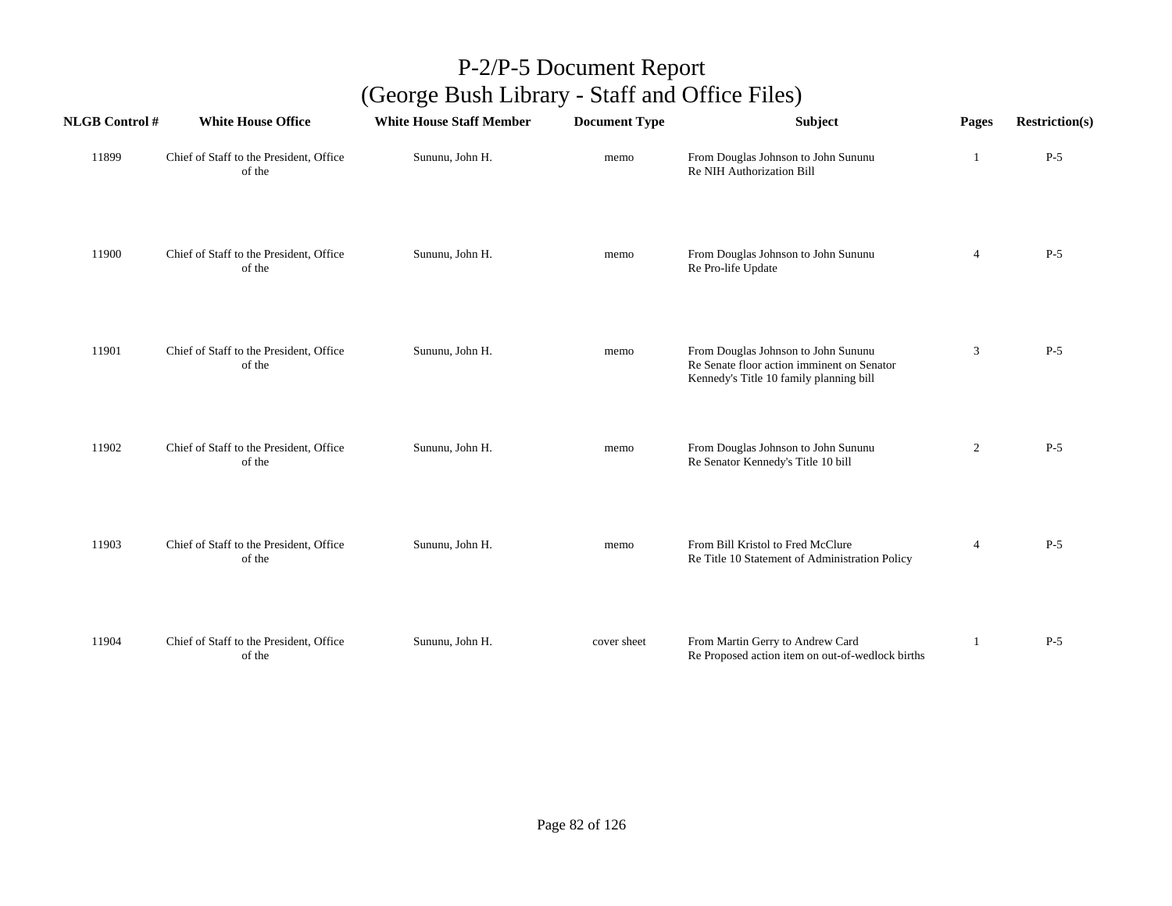| <b>NLGB Control #</b> | <b>White House Office</b>                         | <b>White House Staff Member</b> | <b>Document Type</b> | Subject                                                                                                                      | Pages          | <b>Restriction(s)</b> |
|-----------------------|---------------------------------------------------|---------------------------------|----------------------|------------------------------------------------------------------------------------------------------------------------------|----------------|-----------------------|
| 11899                 | Chief of Staff to the President, Office<br>of the | Sununu, John H.                 | memo                 | From Douglas Johnson to John Sununu<br>Re NIH Authorization Bill                                                             | 1              | $P-5$                 |
| 11900                 | Chief of Staff to the President, Office<br>of the | Sununu, John H.                 | memo                 | From Douglas Johnson to John Sununu<br>Re Pro-life Update                                                                    | $\overline{4}$ | $P-5$                 |
| 11901                 | Chief of Staff to the President, Office<br>of the | Sununu, John H.                 | memo                 | From Douglas Johnson to John Sununu<br>Re Senate floor action imminent on Senator<br>Kennedy's Title 10 family planning bill | 3              | $P-5$                 |
| 11902                 | Chief of Staff to the President, Office<br>of the | Sununu, John H.                 | memo                 | From Douglas Johnson to John Sununu<br>Re Senator Kennedy's Title 10 bill                                                    | $\overline{c}$ | $P-5$                 |
| 11903                 | Chief of Staff to the President, Office<br>of the | Sununu, John H.                 | memo                 | From Bill Kristol to Fred McClure<br>Re Title 10 Statement of Administration Policy                                          | $\overline{4}$ | $P-5$                 |
| 11904                 | Chief of Staff to the President, Office<br>of the | Sununu, John H.                 | cover sheet          | From Martin Gerry to Andrew Card<br>Re Proposed action item on out-of-wedlock births                                         |                | $P-5$                 |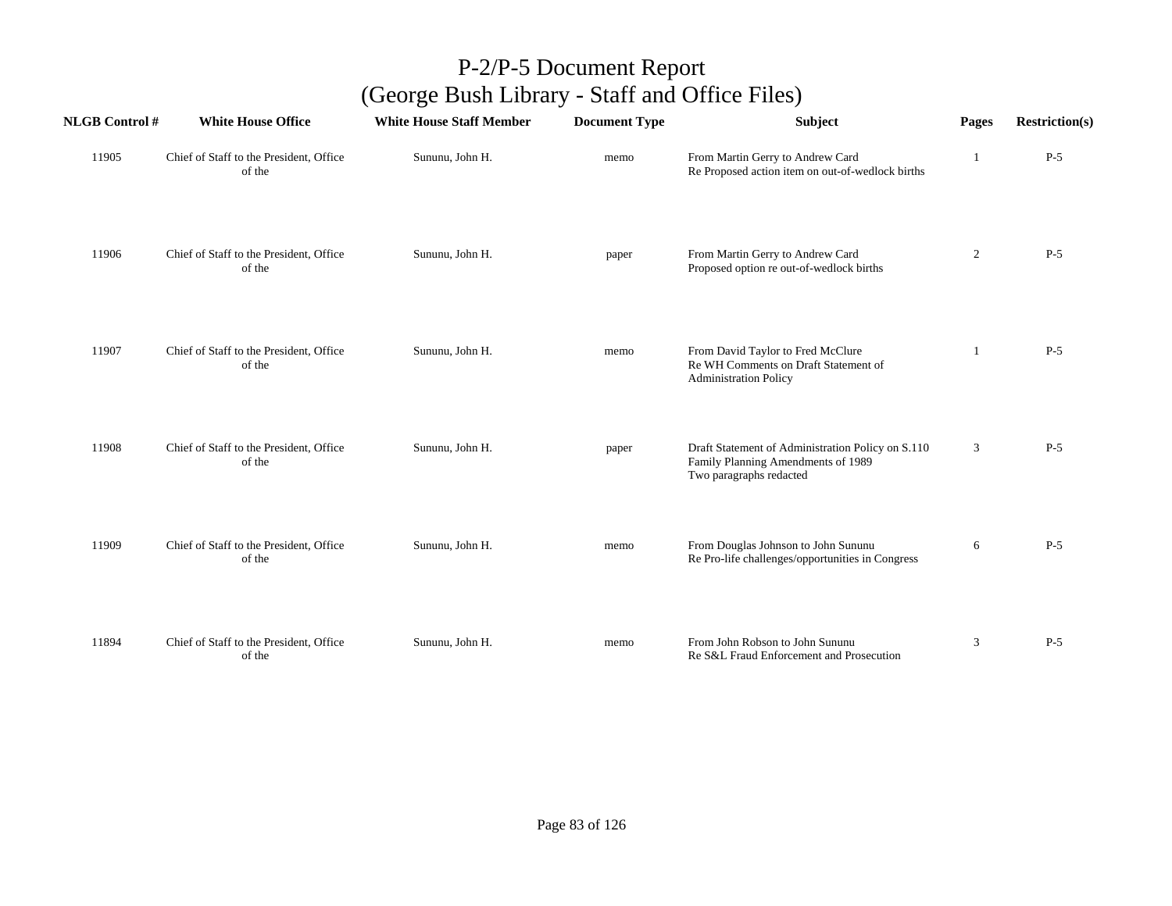| <b>NLGB Control#</b> | <b>White House Office</b>                         | <b>White House Staff Member</b> | <b>Document Type</b> | Subject                                                                                                            | Pages          | <b>Restriction(s)</b> |
|----------------------|---------------------------------------------------|---------------------------------|----------------------|--------------------------------------------------------------------------------------------------------------------|----------------|-----------------------|
| 11905                | Chief of Staff to the President, Office<br>of the | Sununu, John H.                 | memo                 | From Martin Gerry to Andrew Card<br>Re Proposed action item on out-of-wedlock births                               | 1              | $P-5$                 |
| 11906                | Chief of Staff to the President, Office<br>of the | Sununu, John H.                 | paper                | From Martin Gerry to Andrew Card<br>Proposed option re out-of-wedlock births                                       | $\overline{2}$ | $P-5$                 |
| 11907                | Chief of Staff to the President, Office<br>of the | Sununu, John H.                 | memo                 | From David Taylor to Fred McClure<br>Re WH Comments on Draft Statement of<br><b>Administration Policy</b>          | 1              | $P-5$                 |
| 11908                | Chief of Staff to the President, Office<br>of the | Sununu, John H.                 | paper                | Draft Statement of Administration Policy on S.110<br>Family Planning Amendments of 1989<br>Two paragraphs redacted | 3              | $P-5$                 |
| 11909                | Chief of Staff to the President, Office<br>of the | Sununu, John H.                 | memo                 | From Douglas Johnson to John Sununu<br>Re Pro-life challenges/opportunities in Congress                            | 6              | $P-5$                 |
| 11894                | Chief of Staff to the President, Office<br>of the | Sununu, John H.                 | memo                 | From John Robson to John Sununu<br>Re S&L Fraud Enforcement and Prosecution                                        | 3              | $P-5$                 |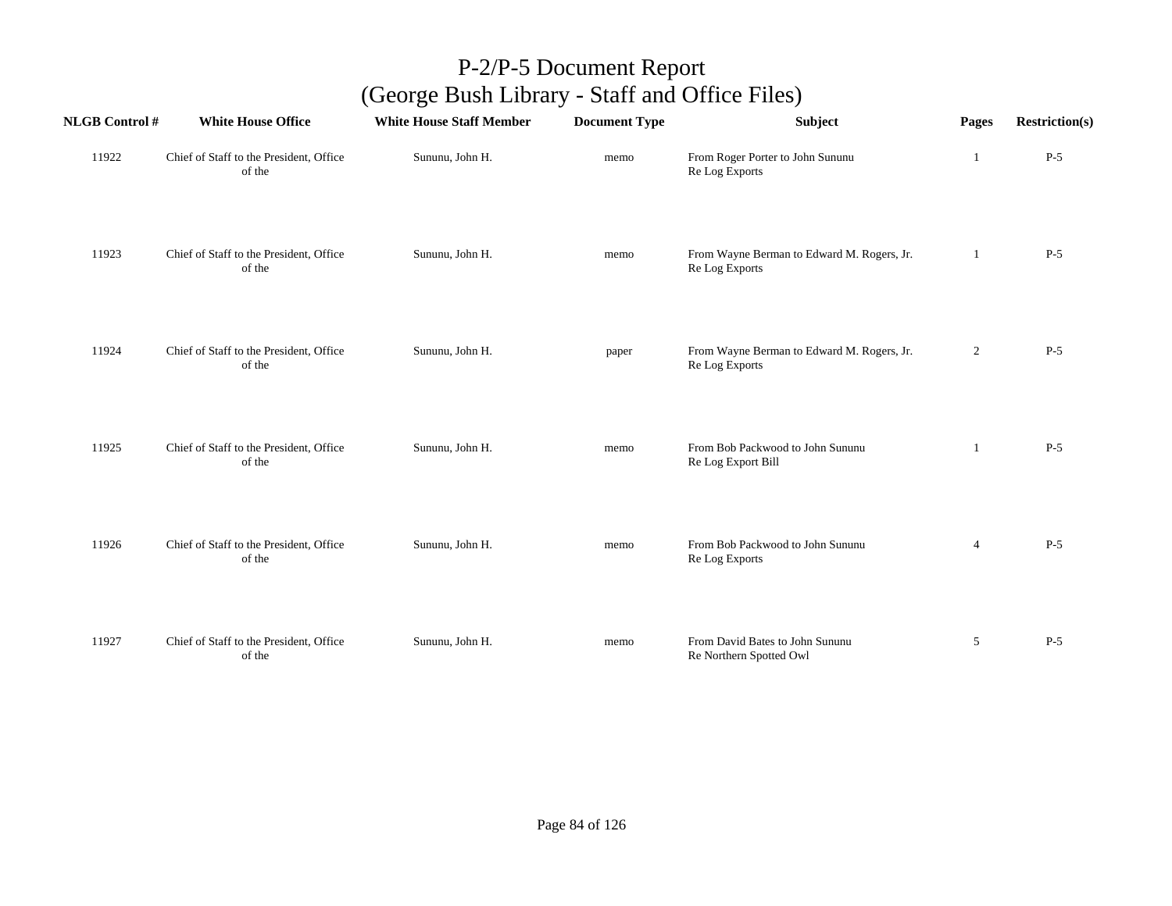| <b>NLGB Control#</b> | <b>White House Office</b>                         | <b>White House Staff Member</b> | <b>Document Type</b> | Subject                                                      | Pages          | <b>Restriction(s)</b> |
|----------------------|---------------------------------------------------|---------------------------------|----------------------|--------------------------------------------------------------|----------------|-----------------------|
| 11922                | Chief of Staff to the President, Office<br>of the | Sununu, John H.                 | memo                 | From Roger Porter to John Sununu<br>Re Log Exports           | 1              | $P-5$                 |
| 11923                | Chief of Staff to the President, Office<br>of the | Sununu, John H.                 | memo                 | From Wayne Berman to Edward M. Rogers, Jr.<br>Re Log Exports | 1              | $P-5$                 |
| 11924                | Chief of Staff to the President, Office<br>of the | Sununu, John H.                 | paper                | From Wayne Berman to Edward M. Rogers, Jr.<br>Re Log Exports | $\overline{2}$ | $P-5$                 |
| 11925                | Chief of Staff to the President, Office<br>of the | Sununu, John H.                 | memo                 | From Bob Packwood to John Sununu<br>Re Log Export Bill       | 1              | $P-5$                 |
| 11926                | Chief of Staff to the President, Office<br>of the | Sununu, John H.                 | memo                 | From Bob Packwood to John Sununu<br>Re Log Exports           | $\overline{4}$ | $P-5$                 |
| 11927                | Chief of Staff to the President, Office<br>of the | Sununu, John H.                 | memo                 | From David Bates to John Sununu<br>Re Northern Spotted Owl   | 5              | $P-5$                 |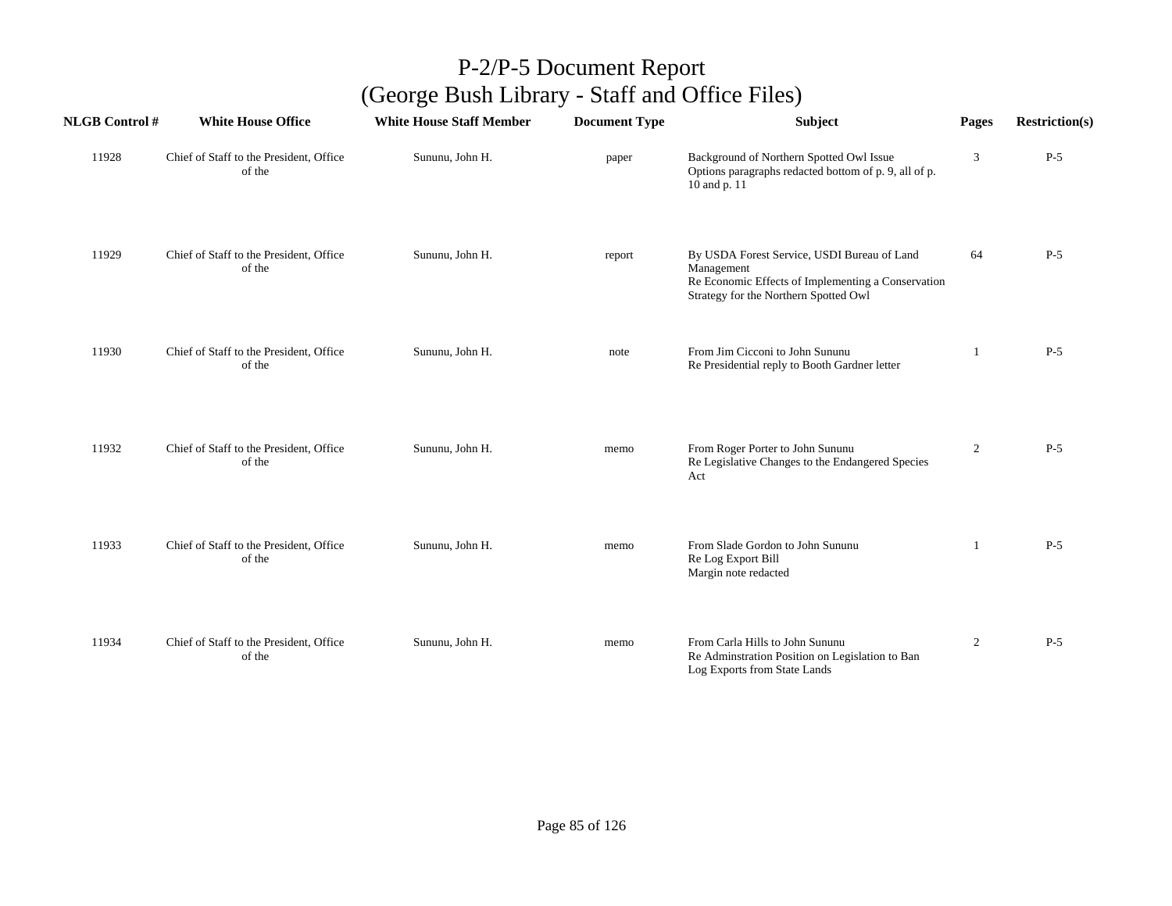| <b>NLGB Control#</b> | <b>White House Office</b>                         | <b>White House Staff Member</b> | <b>Document Type</b> | <b>Subject</b>                                                                                                                                           | Pages          | <b>Restriction(s)</b> |
|----------------------|---------------------------------------------------|---------------------------------|----------------------|----------------------------------------------------------------------------------------------------------------------------------------------------------|----------------|-----------------------|
| 11928                | Chief of Staff to the President, Office<br>of the | Sununu, John H.                 | paper                | Background of Northern Spotted Owl Issue<br>Options paragraphs redacted bottom of p. 9, all of p.<br>10 and p. 11                                        | 3              | $P-5$                 |
| 11929                | Chief of Staff to the President, Office<br>of the | Sununu, John H.                 | report               | By USDA Forest Service, USDI Bureau of Land<br>Management<br>Re Economic Effects of Implementing a Conservation<br>Strategy for the Northern Spotted Owl | 64             | $P-5$                 |
| 11930                | Chief of Staff to the President, Office<br>of the | Sununu, John H.                 | note                 | From Jim Cicconi to John Sununu<br>Re Presidential reply to Booth Gardner letter                                                                         | 1              | $P-5$                 |
| 11932                | Chief of Staff to the President, Office<br>of the | Sununu, John H.                 | memo                 | From Roger Porter to John Sununu<br>Re Legislative Changes to the Endangered Species<br>Act                                                              | 2              | $P-5$                 |
| 11933                | Chief of Staff to the President, Office<br>of the | Sununu, John H.                 | memo                 | From Slade Gordon to John Sununu<br>Re Log Export Bill<br>Margin note redacted                                                                           |                | $P-5$                 |
| 11934                | Chief of Staff to the President, Office<br>of the | Sununu, John H.                 | memo                 | From Carla Hills to John Sununu<br>Re Adminstration Position on Legislation to Ban<br>Log Exports from State Lands                                       | $\overline{2}$ | $P-5$                 |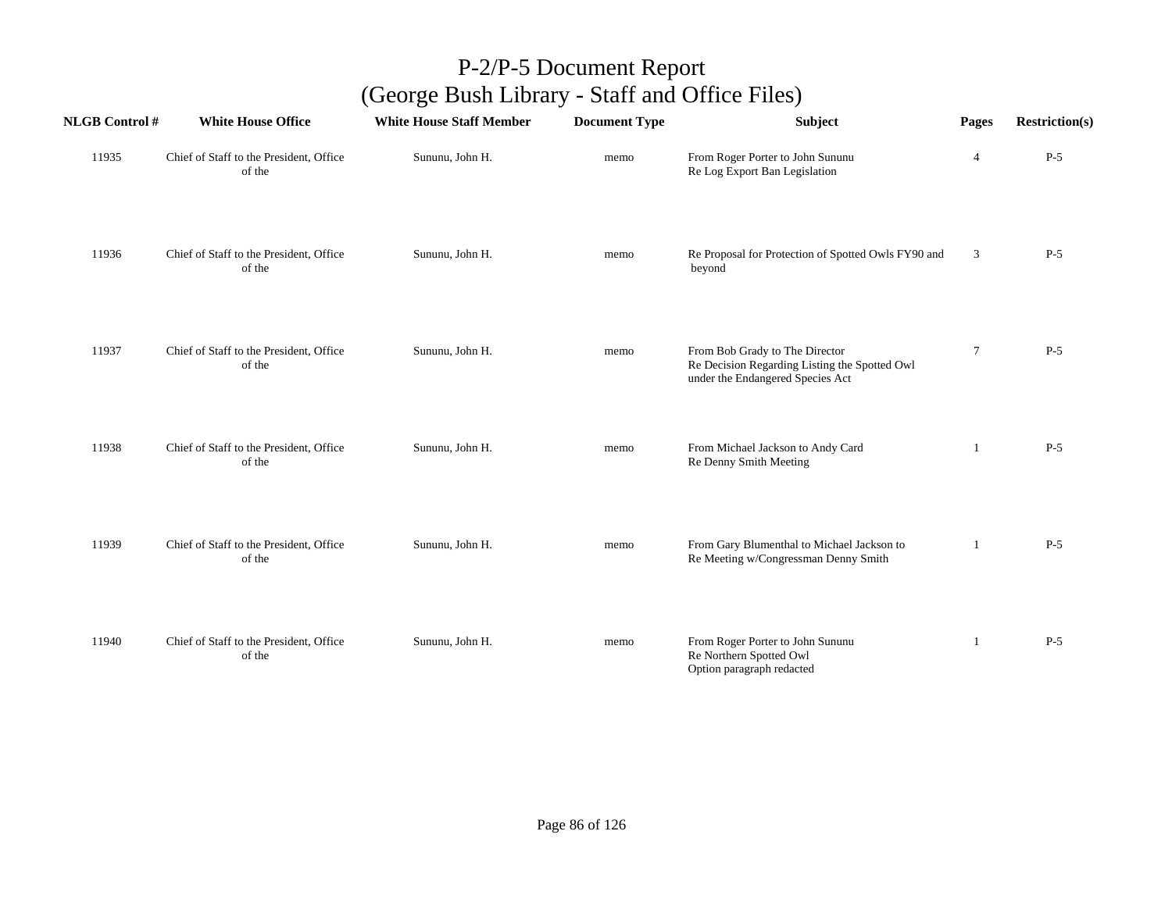| <b>NLGB Control#</b> | <b>White House Office</b>                         | <b>White House Staff Member</b> | <b>Document Type</b> | Subject                                                                                                             | Pages          | <b>Restriction(s)</b> |
|----------------------|---------------------------------------------------|---------------------------------|----------------------|---------------------------------------------------------------------------------------------------------------------|----------------|-----------------------|
| 11935                | Chief of Staff to the President, Office<br>of the | Sununu, John H.                 | memo                 | From Roger Porter to John Sununu<br>Re Log Export Ban Legislation                                                   | $\overline{4}$ | $P-5$                 |
| 11936                | Chief of Staff to the President, Office<br>of the | Sununu, John H.                 | memo                 | Re Proposal for Protection of Spotted Owls FY90 and<br>beyond                                                       | 3              | $P-5$                 |
| 11937                | Chief of Staff to the President, Office<br>of the | Sununu, John H.                 | memo                 | From Bob Grady to The Director<br>Re Decision Regarding Listing the Spotted Owl<br>under the Endangered Species Act | $\tau$         | $P-5$                 |
| 11938                | Chief of Staff to the President, Office<br>of the | Sununu, John H.                 | memo                 | From Michael Jackson to Andy Card<br>Re Denny Smith Meeting                                                         | 1              | $P-5$                 |
| 11939                | Chief of Staff to the President, Office<br>of the | Sununu, John H.                 | memo                 | From Gary Blumenthal to Michael Jackson to<br>Re Meeting w/Congressman Denny Smith                                  | -1             | $P-5$                 |
| 11940                | Chief of Staff to the President, Office<br>of the | Sununu, John H.                 | memo                 | From Roger Porter to John Sununu<br>Re Northern Spotted Owl<br>Option paragraph redacted                            | 1              | $P-5$                 |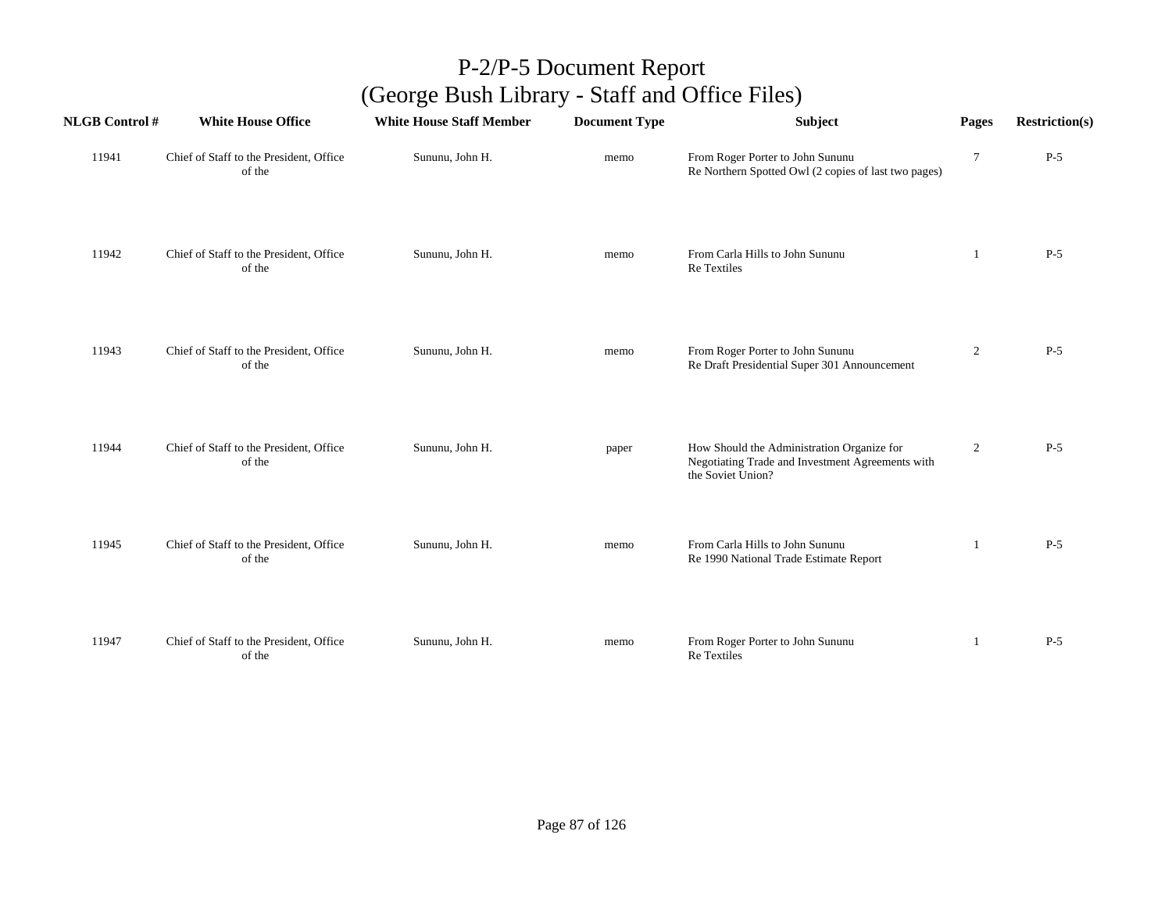| <b>NLGB</b> Control # | <b>White House Office</b>                         | <b>White House Staff Member</b> | <b>Document Type</b> | Subject                                                                                                             | Pages          | <b>Restriction(s)</b> |
|-----------------------|---------------------------------------------------|---------------------------------|----------------------|---------------------------------------------------------------------------------------------------------------------|----------------|-----------------------|
| 11941                 | Chief of Staff to the President, Office<br>of the | Sununu, John H.                 | memo                 | From Roger Porter to John Sununu<br>Re Northern Spotted Owl (2 copies of last two pages)                            | 7              | $P-5$                 |
| 11942                 | Chief of Staff to the President, Office<br>of the | Sununu, John H.                 | memo                 | From Carla Hills to John Sununu<br>Re Textiles                                                                      | -1             | $P-5$                 |
| 11943                 | Chief of Staff to the President, Office<br>of the | Sununu, John H.                 | memo                 | From Roger Porter to John Sununu<br>Re Draft Presidential Super 301 Announcement                                    | $\overline{c}$ | $P-5$                 |
| 11944                 | Chief of Staff to the President, Office<br>of the | Sununu, John H.                 | paper                | How Should the Administration Organize for<br>Negotiating Trade and Investment Agreements with<br>the Soviet Union? | $\overline{c}$ | $P-5$                 |
| 11945                 | Chief of Staff to the President, Office<br>of the | Sununu, John H.                 | memo                 | From Carla Hills to John Sununu<br>Re 1990 National Trade Estimate Report                                           | 1              | $P-5$                 |
| 11947                 | Chief of Staff to the President, Office<br>of the | Sununu, John H.                 | memo                 | From Roger Porter to John Sununu<br>Re Textiles                                                                     | 1              | $P-5$                 |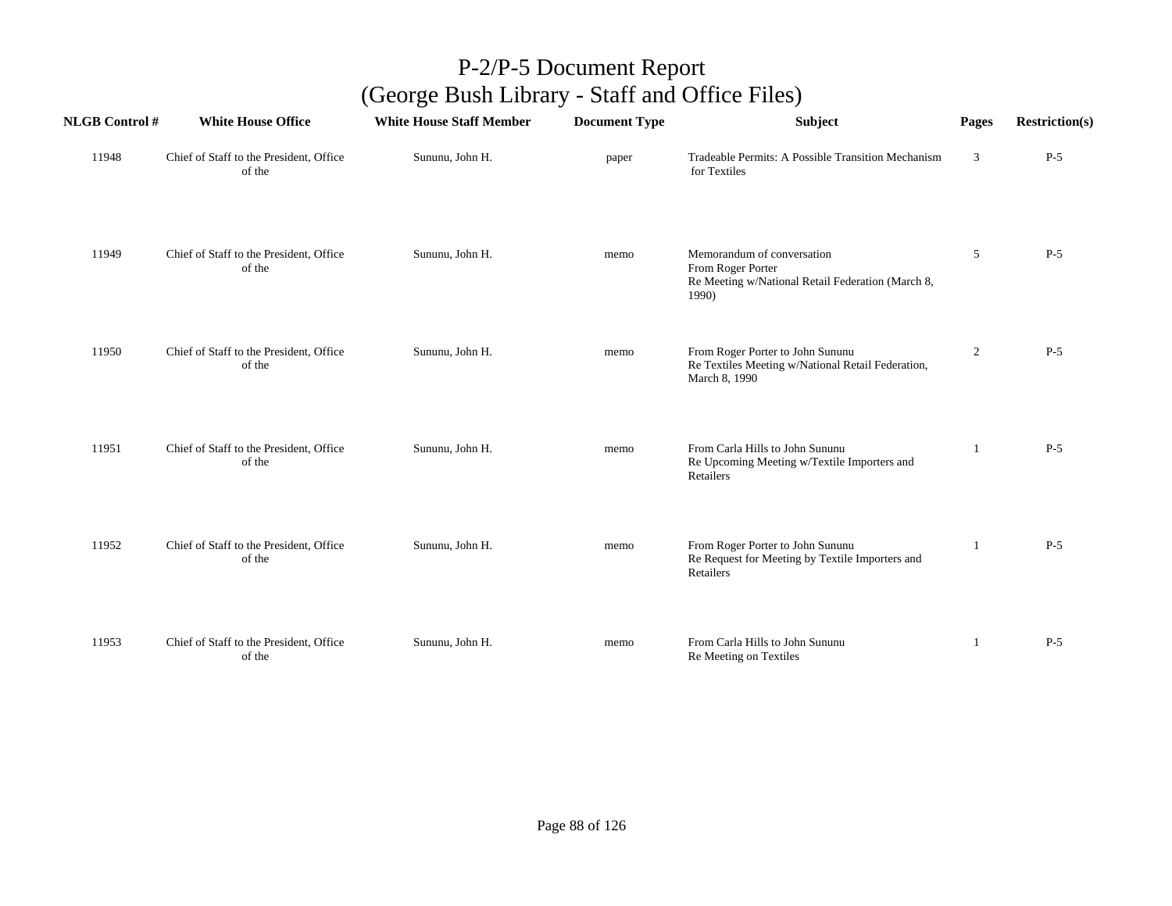| <b>NLGB</b> Control # | <b>White House Office</b>                         | <b>White House Staff Member</b> | <b>Document Type</b> | Subject                                                                                                       | Pages          | <b>Restriction(s)</b> |
|-----------------------|---------------------------------------------------|---------------------------------|----------------------|---------------------------------------------------------------------------------------------------------------|----------------|-----------------------|
| 11948                 | Chief of Staff to the President, Office<br>of the | Sununu, John H.                 | paper                | Tradeable Permits: A Possible Transition Mechanism<br>for Textiles                                            | 3              | $P-5$                 |
| 11949                 | Chief of Staff to the President, Office<br>of the | Sununu, John H.                 | memo                 | Memorandum of conversation<br>From Roger Porter<br>Re Meeting w/National Retail Federation (March 8,<br>1990) | 5              | $P-5$                 |
| 11950                 | Chief of Staff to the President, Office<br>of the | Sununu, John H.                 | memo                 | From Roger Porter to John Sununu<br>Re Textiles Meeting w/National Retail Federation,<br>March 8, 1990        | $\overline{c}$ | $P-5$                 |
| 11951                 | Chief of Staff to the President, Office<br>of the | Sununu, John H.                 | memo                 | From Carla Hills to John Sununu<br>Re Upcoming Meeting w/Textile Importers and<br>Retailers                   |                | $P-5$                 |
| 11952                 | Chief of Staff to the President, Office<br>of the | Sununu, John H.                 | memo                 | From Roger Porter to John Sununu<br>Re Request for Meeting by Textile Importers and<br>Retailers              | 1              | $P-5$                 |
| 11953                 | Chief of Staff to the President, Office<br>of the | Sununu, John H.                 | memo                 | From Carla Hills to John Sununu<br>Re Meeting on Textiles                                                     |                | $P-5$                 |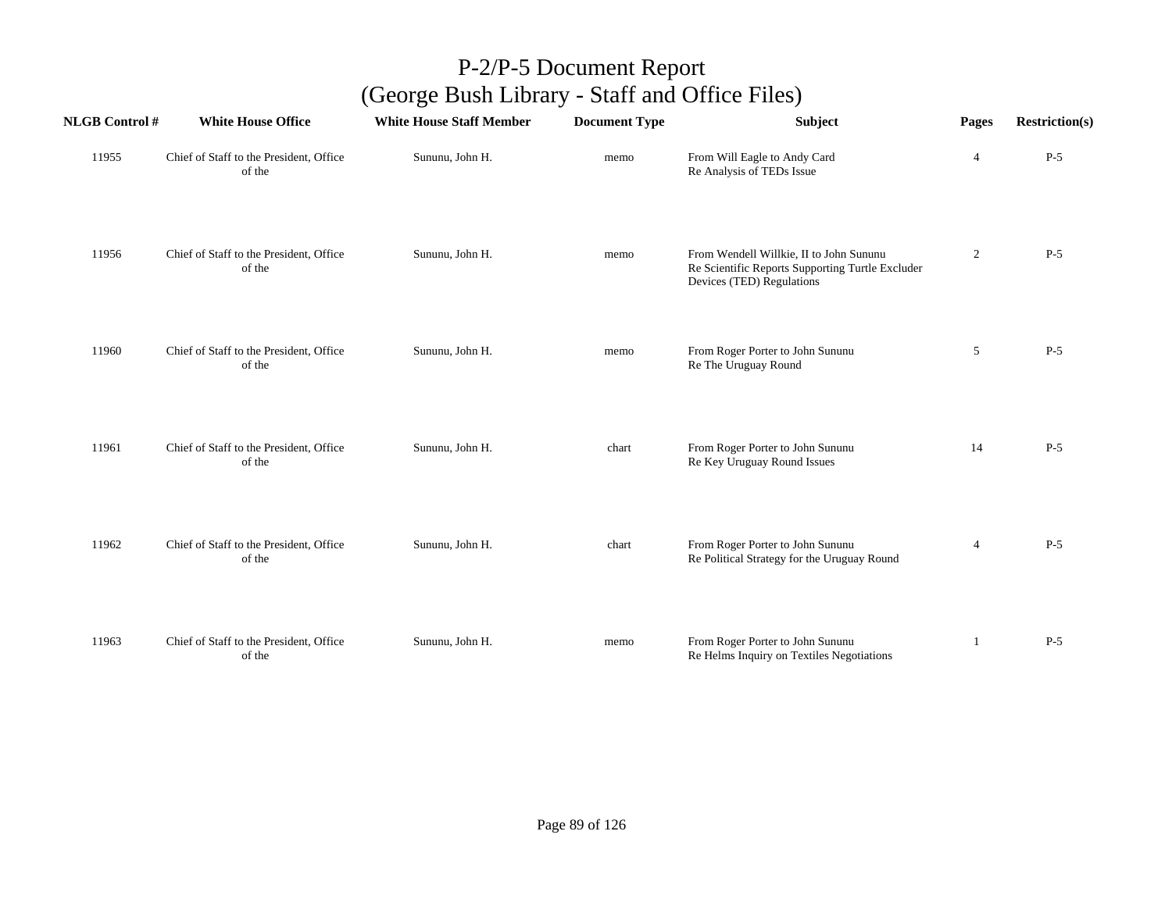| <b>NLGB Control#</b> | <b>White House Office</b>                         | <b>White House Staff Member</b> | <b>Document Type</b> | Subject                                                                                                                  | Pages            | <b>Restriction(s)</b> |
|----------------------|---------------------------------------------------|---------------------------------|----------------------|--------------------------------------------------------------------------------------------------------------------------|------------------|-----------------------|
| 11955                | Chief of Staff to the President, Office<br>of the | Sununu, John H.                 | memo                 | From Will Eagle to Andy Card<br>Re Analysis of TEDs Issue                                                                | $\overline{4}$   | $P-5$                 |
| 11956                | Chief of Staff to the President, Office<br>of the | Sununu, John H.                 | memo                 | From Wendell Willkie, II to John Sununu<br>Re Scientific Reports Supporting Turtle Excluder<br>Devices (TED) Regulations | $\boldsymbol{2}$ | $P-5$                 |
| 11960                | Chief of Staff to the President, Office<br>of the | Sununu, John H.                 | memo                 | From Roger Porter to John Sununu<br>Re The Uruguay Round                                                                 | 5                | $P-5$                 |
| 11961                | Chief of Staff to the President, Office<br>of the | Sununu, John H.                 | chart                | From Roger Porter to John Sununu<br>Re Key Uruguay Round Issues                                                          | 14               | $P-5$                 |
| 11962                | Chief of Staff to the President, Office<br>of the | Sununu, John H.                 | chart                | From Roger Porter to John Sununu<br>Re Political Strategy for the Uruguay Round                                          | 4                | $P-5$                 |
| 11963                | Chief of Staff to the President, Office<br>of the | Sununu, John H.                 | memo                 | From Roger Porter to John Sununu<br>Re Helms Inquiry on Textiles Negotiations                                            | 1                | $P-5$                 |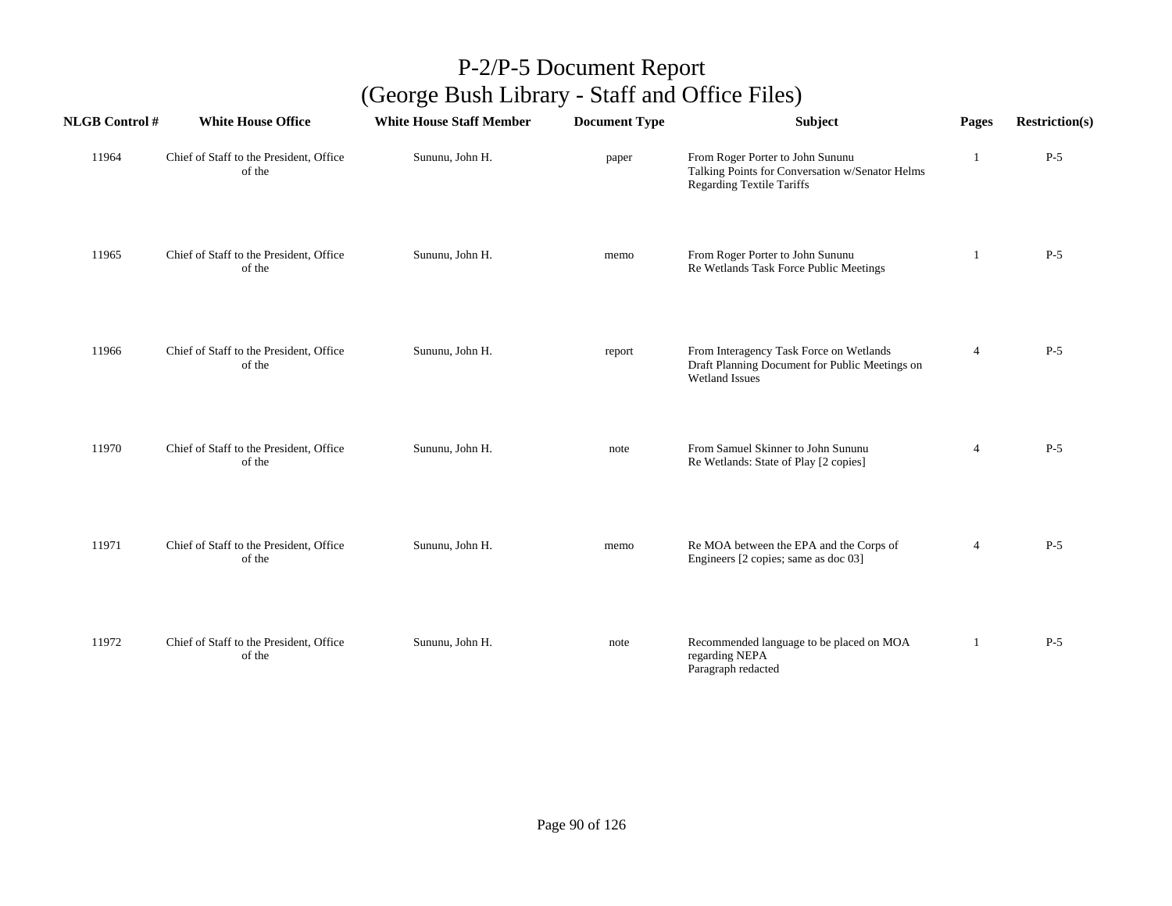| <b>NLGB Control#</b> | <b>White House Office</b>                         | <b>White House Staff Member</b> | <b>Document Type</b> | <b>Subject</b>                                                                                                          | Pages          | <b>Restriction(s)</b> |
|----------------------|---------------------------------------------------|---------------------------------|----------------------|-------------------------------------------------------------------------------------------------------------------------|----------------|-----------------------|
| 11964                | Chief of Staff to the President, Office<br>of the | Sununu, John H.                 | paper                | From Roger Porter to John Sununu<br>Talking Points for Conversation w/Senator Helms<br><b>Regarding Textile Tariffs</b> |                | $P-5$                 |
| 11965                | Chief of Staff to the President, Office<br>of the | Sununu, John H.                 | memo                 | From Roger Porter to John Sununu<br>Re Wetlands Task Force Public Meetings                                              | 1              | $P-5$                 |
| 11966                | Chief of Staff to the President, Office<br>of the | Sununu, John H.                 | report               | From Interagency Task Force on Wetlands<br>Draft Planning Document for Public Meetings on<br><b>Wetland Issues</b>      | 4              | $P-5$                 |
| 11970                | Chief of Staff to the President, Office<br>of the | Sununu, John H.                 | note                 | From Samuel Skinner to John Sununu<br>Re Wetlands: State of Play [2 copies]                                             | $\overline{4}$ | $P-5$                 |
| 11971                | Chief of Staff to the President, Office<br>of the | Sununu, John H.                 | memo                 | Re MOA between the EPA and the Corps of<br>Engineers [2 copies; same as doc 03]                                         | 4              | $P-5$                 |
| 11972                | Chief of Staff to the President, Office<br>of the | Sununu, John H.                 | note                 | Recommended language to be placed on MOA<br>regarding NEPA<br>Paragraph redacted                                        | $\mathbf{1}$   | $P-5$                 |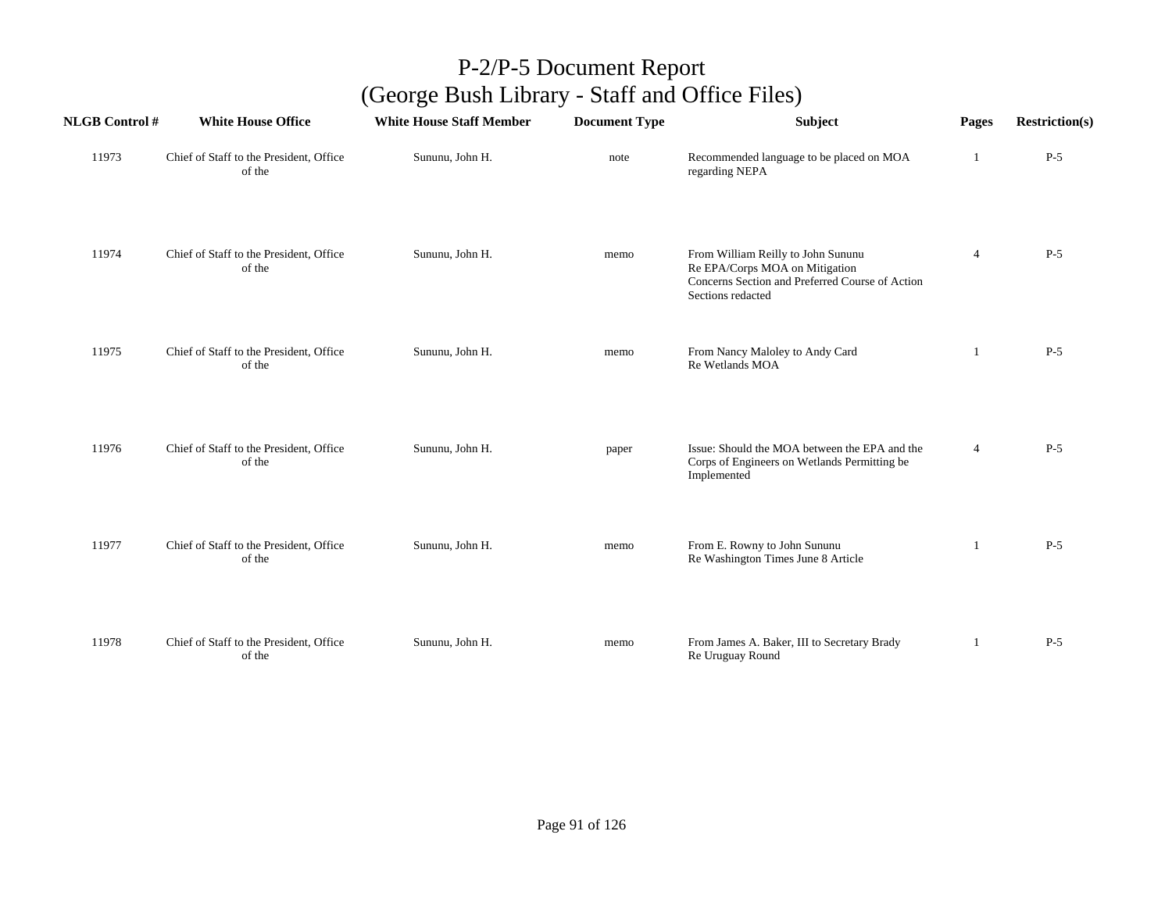| <b>NLGB Control #</b> | <b>White House Office</b>                         | <b>White House Staff Member</b> | <b>Document Type</b> | Subject                                                                                                                                      | Pages          | <b>Restriction(s)</b> |
|-----------------------|---------------------------------------------------|---------------------------------|----------------------|----------------------------------------------------------------------------------------------------------------------------------------------|----------------|-----------------------|
| 11973                 | Chief of Staff to the President, Office<br>of the | Sununu, John H.                 | note                 | Recommended language to be placed on MOA<br>regarding NEPA                                                                                   | -1             | $P-5$                 |
| 11974                 | Chief of Staff to the President, Office<br>of the | Sununu, John H.                 | memo                 | From William Reilly to John Sununu<br>Re EPA/Corps MOA on Mitigation<br>Concerns Section and Preferred Course of Action<br>Sections redacted | $\overline{4}$ | $P-5$                 |
| 11975                 | Chief of Staff to the President, Office<br>of the | Sununu, John H.                 | memo                 | From Nancy Maloley to Andy Card<br>Re Wetlands MOA                                                                                           | 1              | $P-5$                 |
| 11976                 | Chief of Staff to the President, Office<br>of the | Sununu, John H.                 | paper                | Issue: Should the MOA between the EPA and the<br>Corps of Engineers on Wetlands Permitting be<br>Implemented                                 | $\overline{4}$ | $P-5$                 |
| 11977                 | Chief of Staff to the President, Office<br>of the | Sununu, John H.                 | memo                 | From E. Rowny to John Sununu<br>Re Washington Times June 8 Article                                                                           | -1             | $P-5$                 |
| 11978                 | Chief of Staff to the President, Office<br>of the | Sununu, John H.                 | memo                 | From James A. Baker, III to Secretary Brady<br>Re Uruguay Round                                                                              | 1              | $P-5$                 |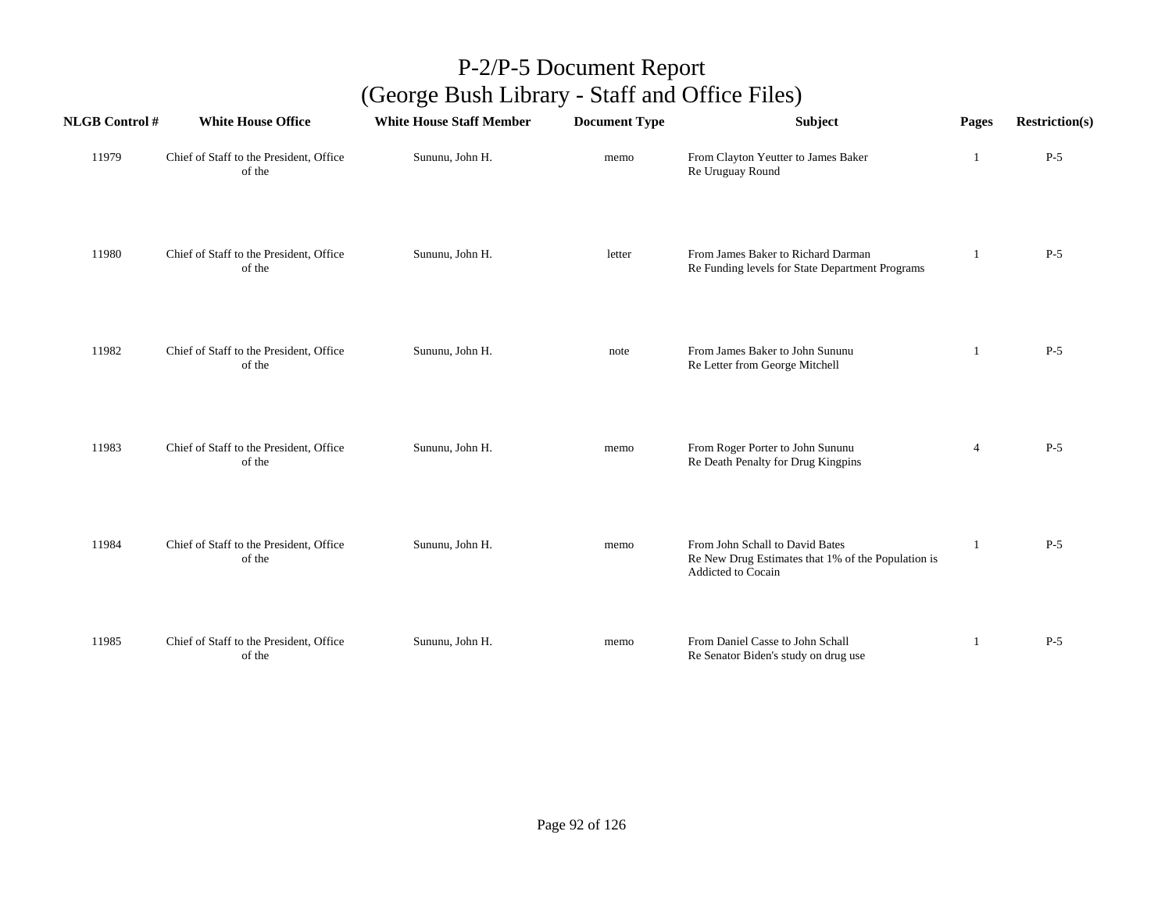| <b>NLGB Control#</b> | <b>White House Office</b>                         | <b>White House Staff Member</b> | <b>Document Type</b> | Subject                                                                                                     | Pages          | <b>Restriction(s)</b> |
|----------------------|---------------------------------------------------|---------------------------------|----------------------|-------------------------------------------------------------------------------------------------------------|----------------|-----------------------|
| 11979                | Chief of Staff to the President, Office<br>of the | Sununu, John H.                 | memo                 | From Clayton Yeutter to James Baker<br>Re Uruguay Round                                                     | -1             | $P-5$                 |
| 11980                | Chief of Staff to the President, Office<br>of the | Sununu, John H.                 | letter               | From James Baker to Richard Darman<br>Re Funding levels for State Department Programs                       | 1              | $P-5$                 |
| 11982                | Chief of Staff to the President, Office<br>of the | Sununu, John H.                 | note                 | From James Baker to John Sununu<br>Re Letter from George Mitchell                                           | 1              | $P-5$                 |
| 11983                | Chief of Staff to the President, Office<br>of the | Sununu, John H.                 | memo                 | From Roger Porter to John Sununu<br>Re Death Penalty for Drug Kingpins                                      | $\overline{4}$ | $P-5$                 |
| 11984                | Chief of Staff to the President, Office<br>of the | Sununu, John H.                 | memo                 | From John Schall to David Bates<br>Re New Drug Estimates that 1% of the Population is<br>Addicted to Cocain | $\mathbf{1}$   | $P-5$                 |
| 11985                | Chief of Staff to the President, Office<br>of the | Sununu, John H.                 | memo                 | From Daniel Casse to John Schall<br>Re Senator Biden's study on drug use                                    | 1              | $P-5$                 |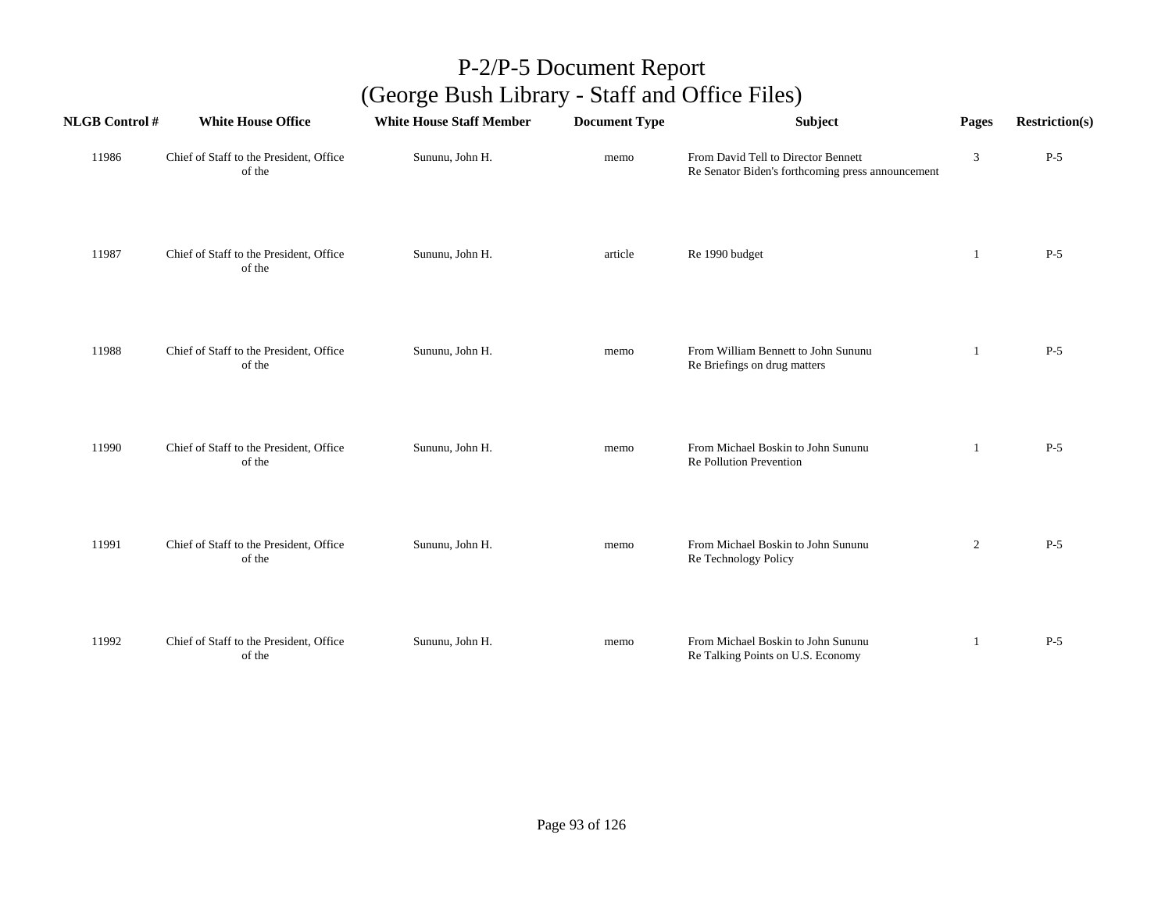| <b>NLGB</b> Control # | <b>White House Office</b>                         | <b>White House Staff Member</b> | <b>Document Type</b> | Subject                                                                                  | Pages          | <b>Restriction(s)</b> |
|-----------------------|---------------------------------------------------|---------------------------------|----------------------|------------------------------------------------------------------------------------------|----------------|-----------------------|
| 11986                 | Chief of Staff to the President, Office<br>of the | Sununu, John H.                 | memo                 | From David Tell to Director Bennett<br>Re Senator Biden's forthcoming press announcement | 3              | $P-5$                 |
| 11987                 | Chief of Staff to the President, Office<br>of the | Sununu, John H.                 | article              | Re 1990 budget                                                                           | -1             | $P-5$                 |
| 11988                 | Chief of Staff to the President, Office<br>of the | Sununu, John H.                 | memo                 | From William Bennett to John Sununu<br>Re Briefings on drug matters                      | -1             | $P-5$                 |
| 11990                 | Chief of Staff to the President, Office<br>of the | Sununu, John H.                 | memo                 | From Michael Boskin to John Sununu<br>Re Pollution Prevention                            |                | $P-5$                 |
| 11991                 | Chief of Staff to the President, Office<br>of the | Sununu, John H.                 | memo                 | From Michael Boskin to John Sununu<br>Re Technology Policy                               | $\overline{2}$ | $P-5$                 |
| 11992                 | Chief of Staff to the President, Office<br>of the | Sununu, John H.                 | memo                 | From Michael Boskin to John Sununu<br>Re Talking Points on U.S. Economy                  | 1              | $P-5$                 |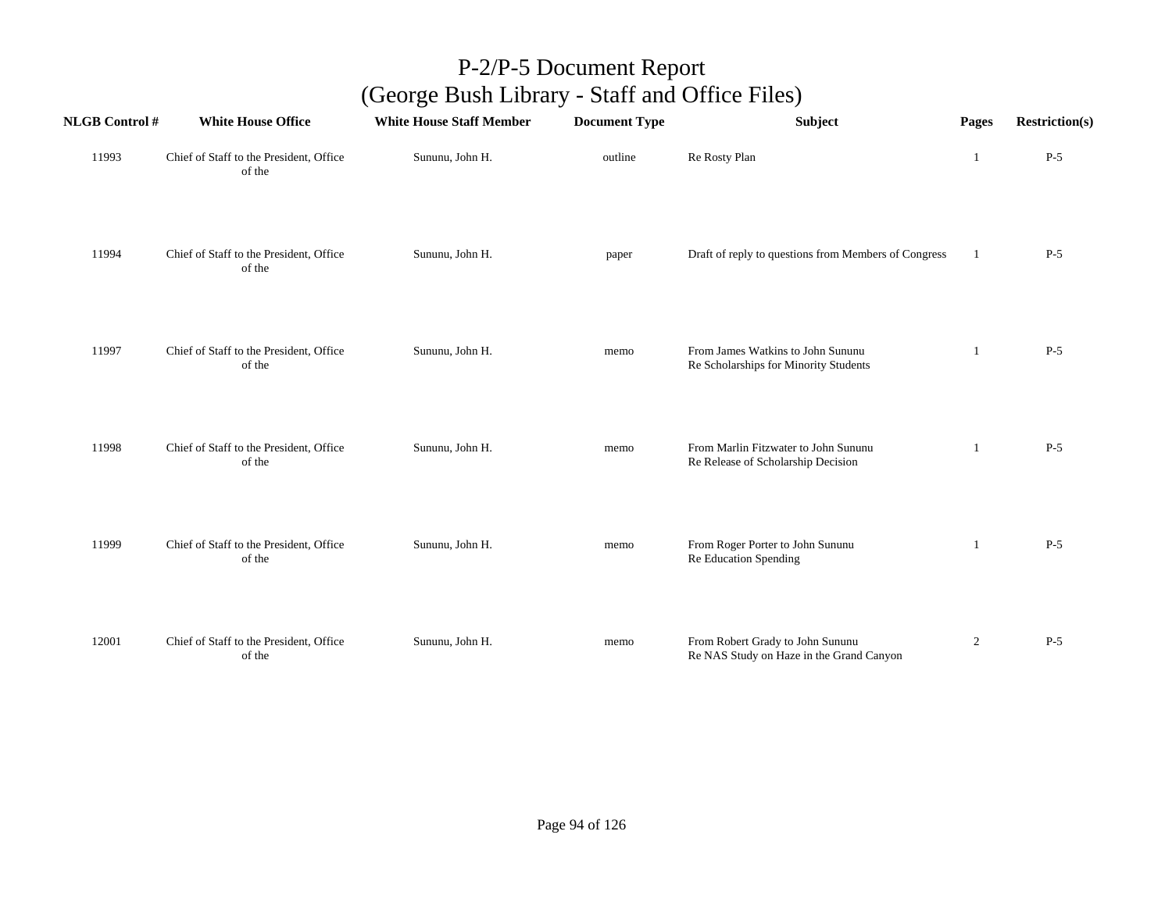| <b>NLGB Control#</b> | <b>White House Office</b>                         | <b>White House Staff Member</b> | <b>Document Type</b> | Subject                                                                      | Pages          | <b>Restriction(s)</b> |
|----------------------|---------------------------------------------------|---------------------------------|----------------------|------------------------------------------------------------------------------|----------------|-----------------------|
| 11993                | Chief of Staff to the President, Office<br>of the | Sununu, John H.                 | outline              | Re Rosty Plan                                                                | 1              | $P-5$                 |
| 11994                | Chief of Staff to the President, Office<br>of the | Sununu, John H.                 | paper                | Draft of reply to questions from Members of Congress                         | $\mathbf{1}$   | $P-5$                 |
| 11997                | Chief of Staff to the President, Office<br>of the | Sununu, John H.                 | memo                 | From James Watkins to John Sununu<br>Re Scholarships for Minority Students   | -1             | $P-5$                 |
| 11998                | Chief of Staff to the President, Office<br>of the | Sununu, John H.                 | memo                 | From Marlin Fitzwater to John Sununu<br>Re Release of Scholarship Decision   | 1              | $P-5$                 |
| 11999                | Chief of Staff to the President, Office<br>of the | Sununu, John H.                 | memo                 | From Roger Porter to John Sununu<br>Re Education Spending                    | 1              | $P-5$                 |
| 12001                | Chief of Staff to the President, Office<br>of the | Sununu, John H.                 | memo                 | From Robert Grady to John Sununu<br>Re NAS Study on Haze in the Grand Canyon | $\overline{2}$ | $P-5$                 |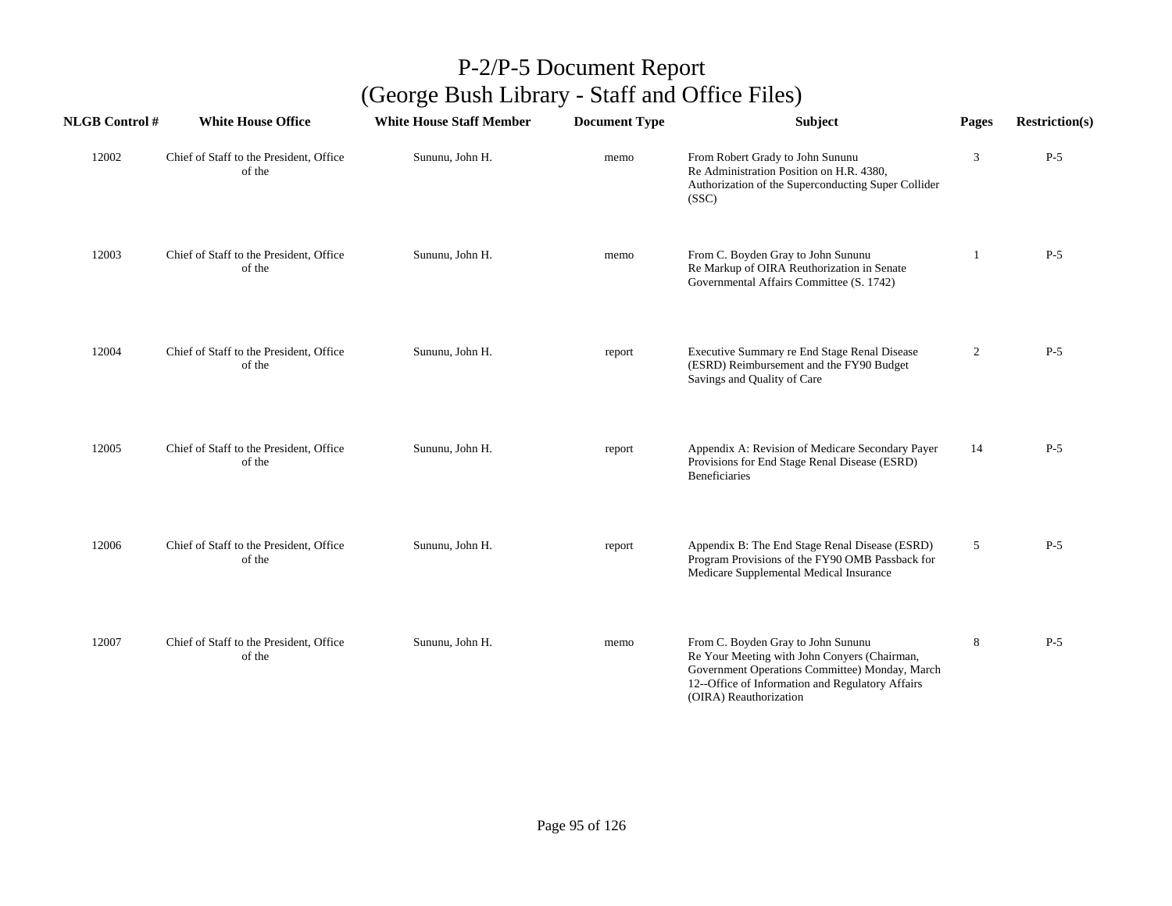| <b>NLGB Control#</b> | <b>White House Office</b>                         | <b>White House Staff Member</b> | <b>Document Type</b> | <b>Subject</b>                                                                                                                                                                                                     | Pages          | <b>Restriction(s)</b> |
|----------------------|---------------------------------------------------|---------------------------------|----------------------|--------------------------------------------------------------------------------------------------------------------------------------------------------------------------------------------------------------------|----------------|-----------------------|
| 12002                | Chief of Staff to the President, Office<br>of the | Sununu, John H.                 | memo                 | From Robert Grady to John Sununu<br>Re Administration Position on H.R. 4380,<br>Authorization of the Superconducting Super Collider<br>(SSC)                                                                       | 3              | $P-5$                 |
| 12003                | Chief of Staff to the President, Office<br>of the | Sununu, John H.                 | memo                 | From C. Boyden Gray to John Sununu<br>Re Markup of OIRA Reuthorization in Senate<br>Governmental Affairs Committee (S. 1742)                                                                                       | 1              | $P-5$                 |
| 12004                | Chief of Staff to the President, Office<br>of the | Sununu, John H.                 | report               | Executive Summary re End Stage Renal Disease<br>(ESRD) Reimbursement and the FY90 Budget<br>Savings and Quality of Care                                                                                            | $\overline{2}$ | $P-5$                 |
| 12005                | Chief of Staff to the President, Office<br>of the | Sununu, John H.                 | report               | Appendix A: Revision of Medicare Secondary Payer<br>Provisions for End Stage Renal Disease (ESRD)<br>Beneficiaries                                                                                                 | 14             | $P-5$                 |
| 12006                | Chief of Staff to the President, Office<br>of the | Sununu, John H.                 | report               | Appendix B: The End Stage Renal Disease (ESRD)<br>Program Provisions of the FY90 OMB Passback for<br>Medicare Supplemental Medical Insurance                                                                       | 5              | $P-5$                 |
| 12007                | Chief of Staff to the President, Office<br>of the | Sununu, John H.                 | memo                 | From C. Boyden Gray to John Sununu<br>Re Your Meeting with John Conyers (Chairman,<br>Government Operations Committee) Monday, March<br>12--Office of Information and Regulatory Affairs<br>(OIRA) Reauthorization | 8              | $P-5$                 |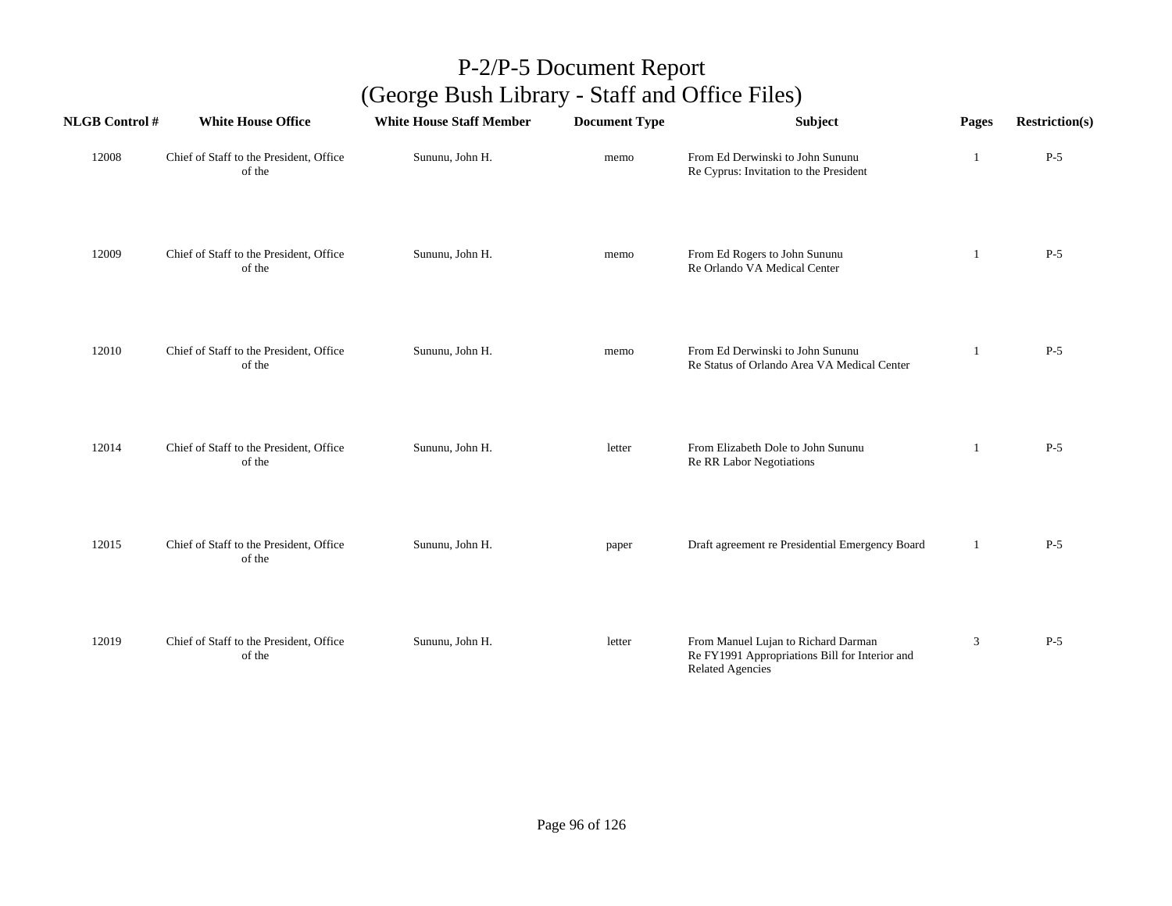| <b>NLGB Control#</b> | <b>White House Office</b>                         | <b>White House Staff Member</b> | <b>Document Type</b> | Subject                                                                                                          | Pages | <b>Restriction(s)</b> |
|----------------------|---------------------------------------------------|---------------------------------|----------------------|------------------------------------------------------------------------------------------------------------------|-------|-----------------------|
| 12008                | Chief of Staff to the President, Office<br>of the | Sununu, John H.                 | memo                 | From Ed Derwinski to John Sununu<br>Re Cyprus: Invitation to the President                                       | 1     | $P-5$                 |
| 12009                | Chief of Staff to the President, Office<br>of the | Sununu, John H.                 | memo                 | From Ed Rogers to John Sununu<br>Re Orlando VA Medical Center                                                    | 1     | $P-5$                 |
| 12010                | Chief of Staff to the President, Office<br>of the | Sununu, John H.                 | memo                 | From Ed Derwinski to John Sununu<br>Re Status of Orlando Area VA Medical Center                                  | -1    | $P-5$                 |
| 12014                | Chief of Staff to the President, Office<br>of the | Sununu, John H.                 | letter               | From Elizabeth Dole to John Sununu<br>Re RR Labor Negotiations                                                   | -1    | $P-5$                 |
| 12015                | Chief of Staff to the President, Office<br>of the | Sununu, John H.                 | paper                | Draft agreement re Presidential Emergency Board                                                                  | 1     | $P-5$                 |
| 12019                | Chief of Staff to the President, Office<br>of the | Sununu, John H.                 | letter               | From Manuel Lujan to Richard Darman<br>Re FY1991 Appropriations Bill for Interior and<br><b>Related Agencies</b> | 3     | $P-5$                 |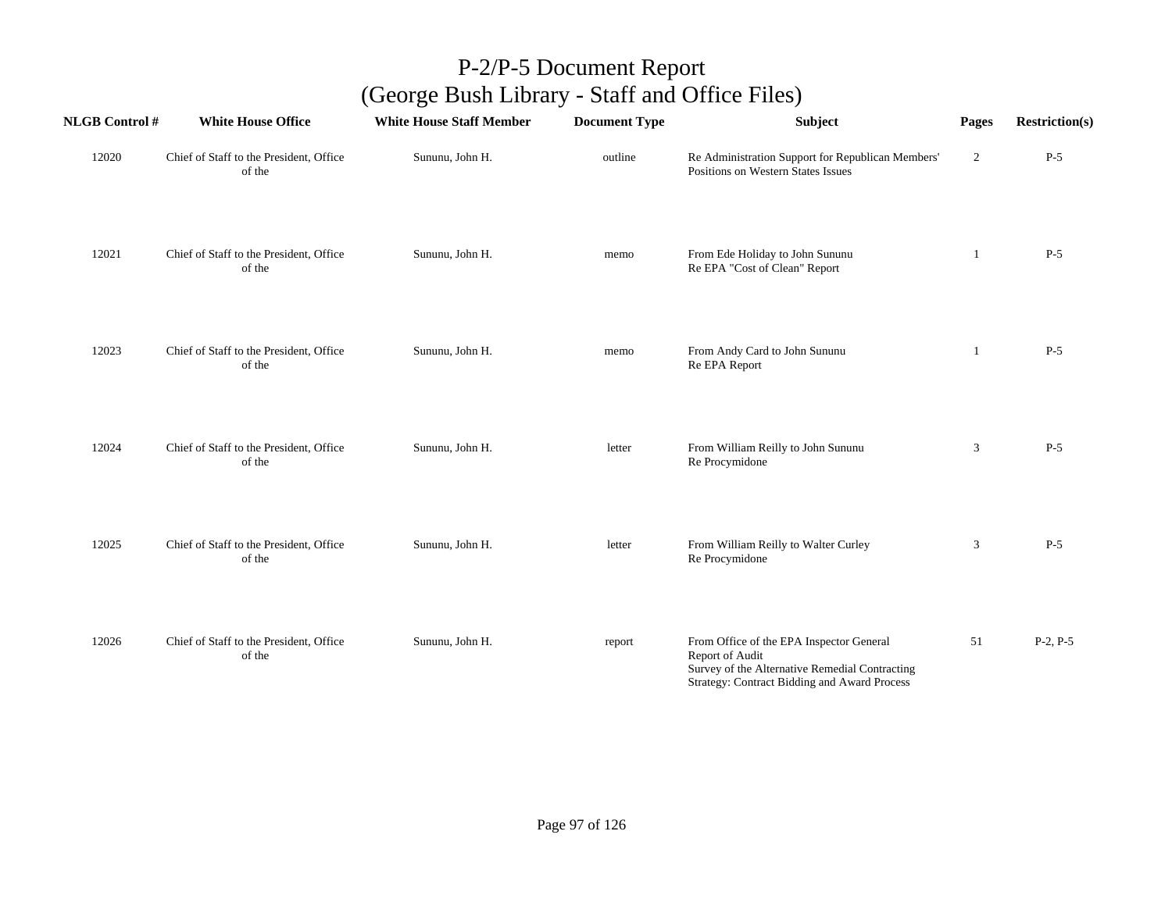| <b>NLGB Control#</b> | <b>White House Office</b>                         | <b>White House Staff Member</b> | <b>Document Type</b> | Subject                                                                                                                                                       | Pages          | <b>Restriction(s)</b> |
|----------------------|---------------------------------------------------|---------------------------------|----------------------|---------------------------------------------------------------------------------------------------------------------------------------------------------------|----------------|-----------------------|
| 12020                | Chief of Staff to the President, Office<br>of the | Sununu, John H.                 | outline              | Re Administration Support for Republican Members'<br>Positions on Western States Issues                                                                       | $\overline{2}$ | $P-5$                 |
| 12021                | Chief of Staff to the President, Office<br>of the | Sununu, John H.                 | memo                 | From Ede Holiday to John Sununu<br>Re EPA "Cost of Clean" Report                                                                                              | -1             | $P-5$                 |
| 12023                | Chief of Staff to the President, Office<br>of the | Sununu, John H.                 | memo                 | From Andy Card to John Sununu<br>Re EPA Report                                                                                                                | 1              | $P-5$                 |
| 12024                | Chief of Staff to the President, Office<br>of the | Sununu, John H.                 | letter               | From William Reilly to John Sununu<br>Re Procymidone                                                                                                          | 3              | $P-5$                 |
| 12025                | Chief of Staff to the President, Office<br>of the | Sununu, John H.                 | letter               | From William Reilly to Walter Curley<br>Re Procymidone                                                                                                        | 3              | $P-5$                 |
| 12026                | Chief of Staff to the President, Office<br>of the | Sununu, John H.                 | report               | From Office of the EPA Inspector General<br>Report of Audit<br>Survey of the Alternative Remedial Contracting<br>Strategy: Contract Bidding and Award Process | 51             | $P-2, P-5$            |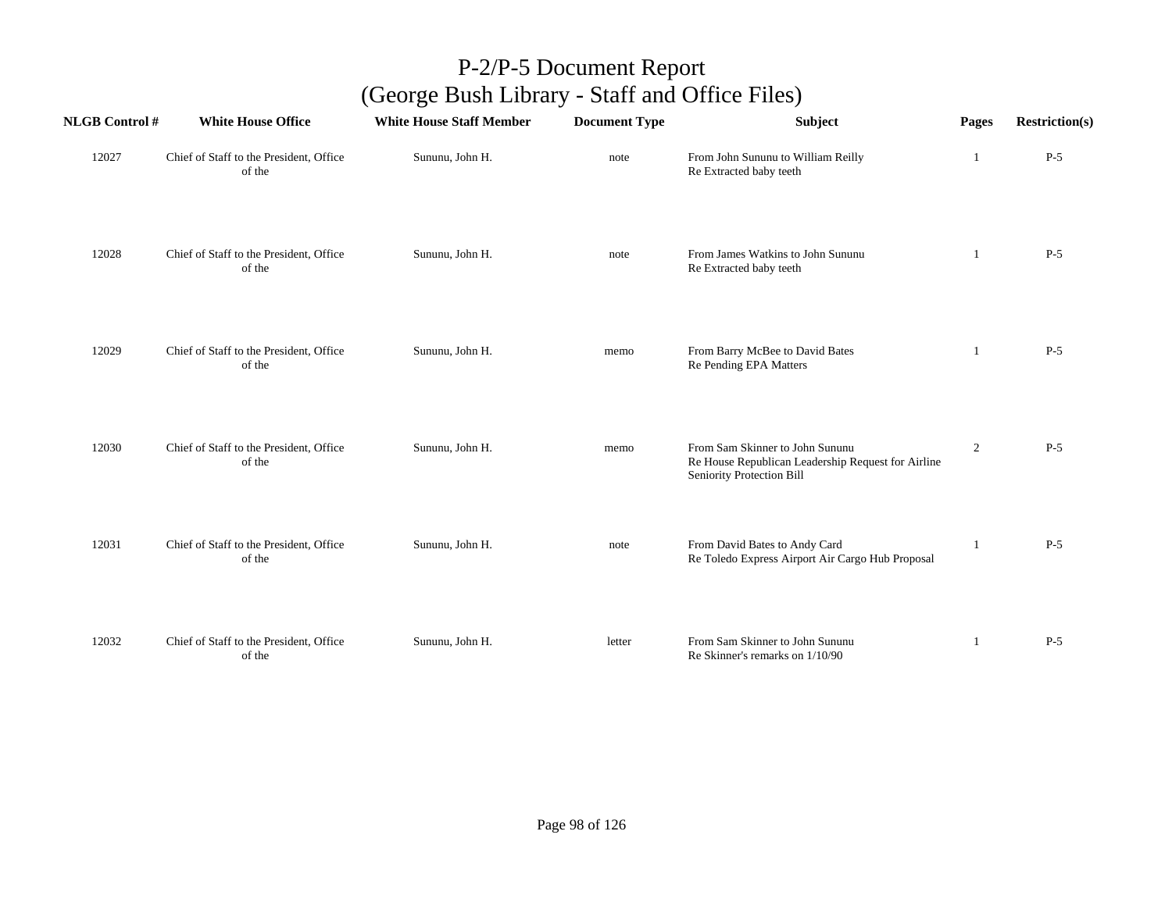| <b>NLGB Control#</b> | <b>White House Office</b>                         | <b>White House Staff Member</b> | <b>Document Type</b> | Subject                                                                                                            | Pages          | <b>Restriction(s)</b> |
|----------------------|---------------------------------------------------|---------------------------------|----------------------|--------------------------------------------------------------------------------------------------------------------|----------------|-----------------------|
| 12027                | Chief of Staff to the President, Office<br>of the | Sununu, John H.                 | note                 | From John Sununu to William Reilly<br>Re Extracted baby teeth                                                      | 1              | $P-5$                 |
| 12028                | Chief of Staff to the President, Office<br>of the | Sununu, John H.                 | note                 | From James Watkins to John Sununu<br>Re Extracted baby teeth                                                       | 1              | $P-5$                 |
| 12029                | Chief of Staff to the President, Office<br>of the | Sununu, John H.                 | memo                 | From Barry McBee to David Bates<br>Re Pending EPA Matters                                                          | $\overline{1}$ | $P-5$                 |
| 12030                | Chief of Staff to the President, Office<br>of the | Sununu, John H.                 | memo                 | From Sam Skinner to John Sununu<br>Re House Republican Leadership Request for Airline<br>Seniority Protection Bill | $\overline{c}$ | $P-5$                 |
| 12031                | Chief of Staff to the President, Office<br>of the | Sununu, John H.                 | note                 | From David Bates to Andy Card<br>Re Toledo Express Airport Air Cargo Hub Proposal                                  | -1             | $P-5$                 |
| 12032                | Chief of Staff to the President, Office<br>of the | Sununu, John H.                 | letter               | From Sam Skinner to John Sununu<br>Re Skinner's remarks on 1/10/90                                                 | 1              | $P-5$                 |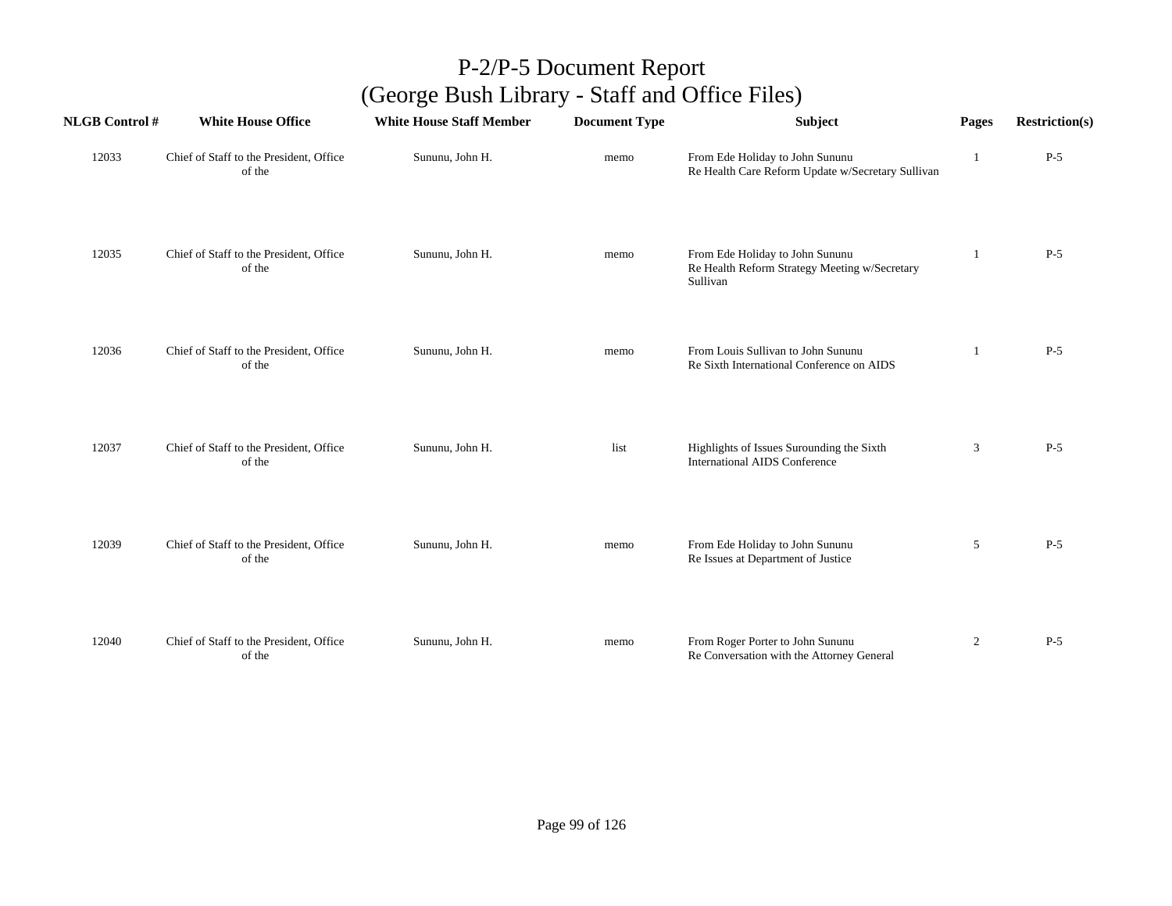| <b>NLGB Control#</b> | <b>White House Office</b>                         | <b>White House Staff Member</b> | <b>Document Type</b> | Subject                                                                                      | Pages          | <b>Restriction(s)</b> |
|----------------------|---------------------------------------------------|---------------------------------|----------------------|----------------------------------------------------------------------------------------------|----------------|-----------------------|
| 12033                | Chief of Staff to the President, Office<br>of the | Sununu, John H.                 | memo                 | From Ede Holiday to John Sununu<br>Re Health Care Reform Update w/Secretary Sullivan         | 1              | $P-5$                 |
| 12035                | Chief of Staff to the President, Office<br>of the | Sununu, John H.                 | memo                 | From Ede Holiday to John Sununu<br>Re Health Reform Strategy Meeting w/Secretary<br>Sullivan | -1             | $P-5$                 |
| 12036                | Chief of Staff to the President, Office<br>of the | Sununu, John H.                 | memo                 | From Louis Sullivan to John Sununu<br>Re Sixth International Conference on AIDS              |                | $P-5$                 |
| 12037                | Chief of Staff to the President, Office<br>of the | Sununu, John H.                 | list                 | Highlights of Issues Surounding the Sixth<br><b>International AIDS Conference</b>            | 3              | $P-5$                 |
| 12039                | Chief of Staff to the President, Office<br>of the | Sununu, John H.                 | memo                 | From Ede Holiday to John Sununu<br>Re Issues at Department of Justice                        | 5              | $P-5$                 |
| 12040                | Chief of Staff to the President, Office<br>of the | Sununu, John H.                 | memo                 | From Roger Porter to John Sununu<br>Re Conversation with the Attorney General                | $\overline{2}$ | $P-5$                 |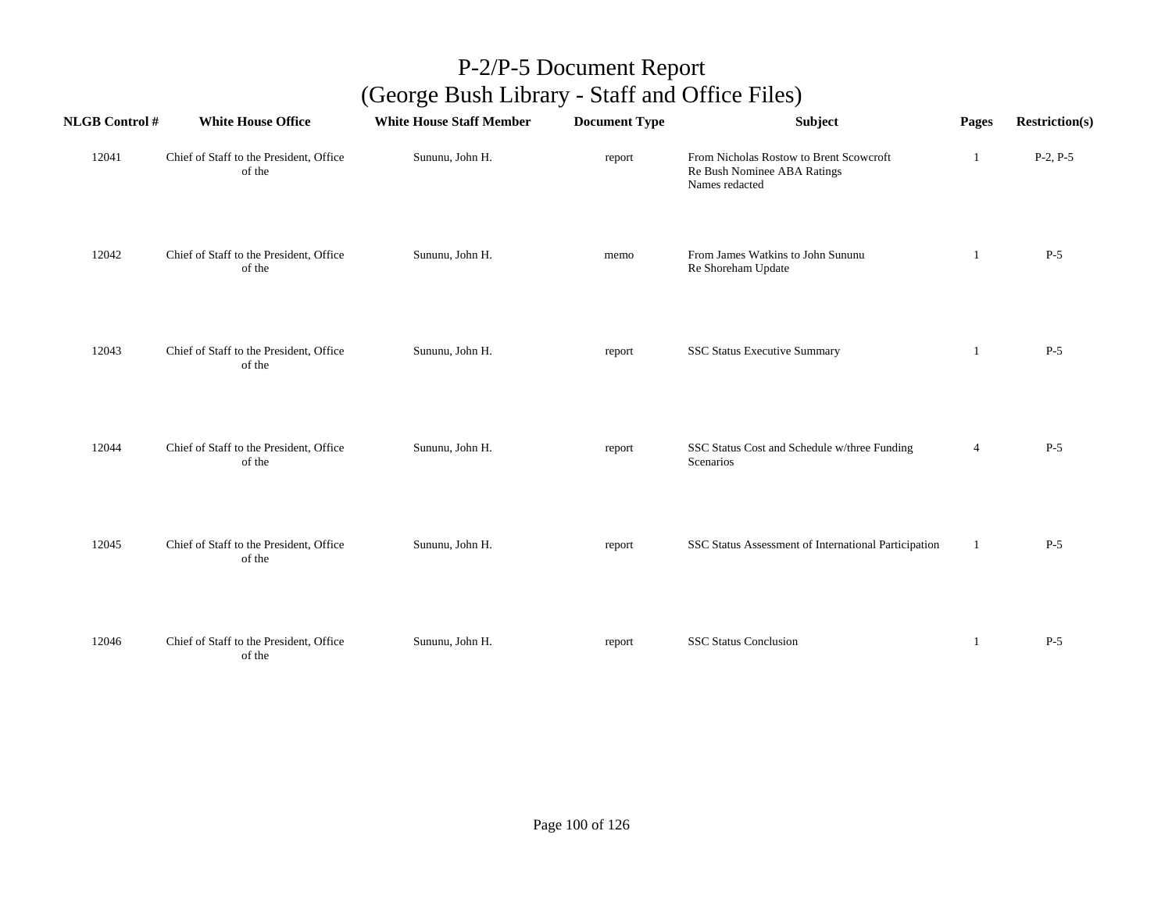| <b>NLGB Control #</b> | <b>White House Office</b>                         | <b>White House Staff Member</b> | <b>Document Type</b> | Subject                                                                                  | Pages          | <b>Restriction(s)</b> |
|-----------------------|---------------------------------------------------|---------------------------------|----------------------|------------------------------------------------------------------------------------------|----------------|-----------------------|
| 12041                 | Chief of Staff to the President, Office<br>of the | Sununu, John H.                 | report               | From Nicholas Rostow to Brent Scowcroft<br>Re Bush Nominee ABA Ratings<br>Names redacted | 1              | $P-2, P-5$            |
| 12042                 | Chief of Staff to the President, Office<br>of the | Sununu, John H.                 | memo                 | From James Watkins to John Sununu<br>Re Shoreham Update                                  | 1              | $P-5$                 |
| 12043                 | Chief of Staff to the President, Office<br>of the | Sununu, John H.                 | report               | <b>SSC Status Executive Summary</b>                                                      | 1              | $P-5$                 |
| 12044                 | Chief of Staff to the President, Office<br>of the | Sununu, John H.                 | report               | SSC Status Cost and Schedule w/three Funding<br>Scenarios                                | $\overline{4}$ | $P-5$                 |
| 12045                 | Chief of Staff to the President, Office<br>of the | Sununu, John H.                 | report               | SSC Status Assessment of International Participation                                     | 1              | $P-5$                 |
| 12046                 | Chief of Staff to the President, Office<br>of the | Sununu, John H.                 | report               | <b>SSC Status Conclusion</b>                                                             | 1              | $P-5$                 |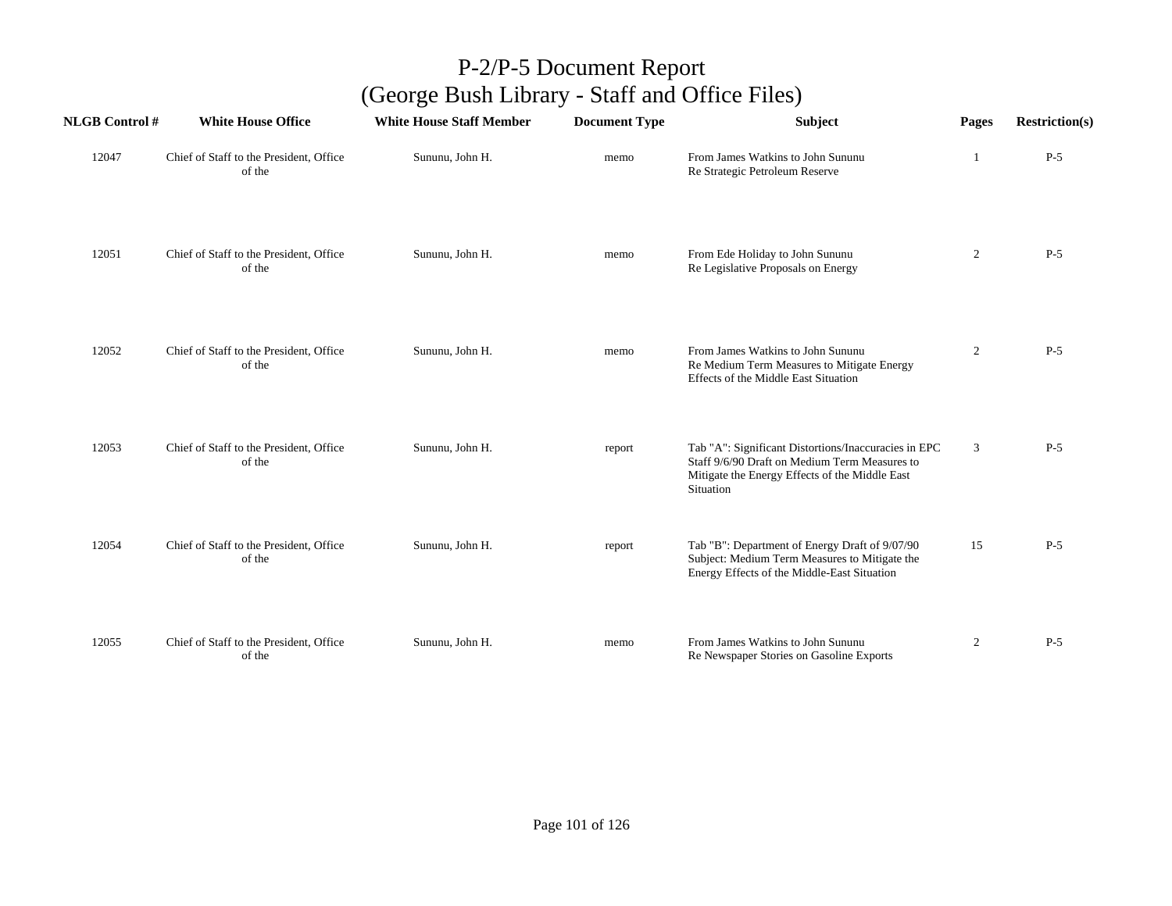| <b>NLGB Control#</b> | <b>White House Office</b>                         | <b>White House Staff Member</b> | <b>Document Type</b> | <b>Subject</b>                                                                                                                                                       | Pages          | <b>Restriction(s)</b> |
|----------------------|---------------------------------------------------|---------------------------------|----------------------|----------------------------------------------------------------------------------------------------------------------------------------------------------------------|----------------|-----------------------|
| 12047                | Chief of Staff to the President, Office<br>of the | Sununu, John H.                 | memo                 | From James Watkins to John Sununu<br>Re Strategic Petroleum Reserve                                                                                                  | -1             | $P-5$                 |
| 12051                | Chief of Staff to the President, Office<br>of the | Sununu, John H.                 | memo                 | From Ede Holiday to John Sununu<br>Re Legislative Proposals on Energy                                                                                                | 2              | $P-5$                 |
| 12052                | Chief of Staff to the President, Office<br>of the | Sununu, John H.                 | memo                 | From James Watkins to John Sununu<br>Re Medium Term Measures to Mitigate Energy<br>Effects of the Middle East Situation                                              | $\overline{2}$ | $P-5$                 |
| 12053                | Chief of Staff to the President, Office<br>of the | Sununu, John H.                 | report               | Tab "A": Significant Distortions/Inaccuracies in EPC<br>Staff 9/6/90 Draft on Medium Term Measures to<br>Mitigate the Energy Effects of the Middle East<br>Situation | 3              | $P-5$                 |
| 12054                | Chief of Staff to the President, Office<br>of the | Sununu, John H.                 | report               | Tab "B": Department of Energy Draft of 9/07/90<br>Subject: Medium Term Measures to Mitigate the<br>Energy Effects of the Middle-East Situation                       | 15             | $P-5$                 |
| 12055                | Chief of Staff to the President, Office<br>of the | Sununu, John H.                 | memo                 | From James Watkins to John Sununu<br>Re Newspaper Stories on Gasoline Exports                                                                                        | $\overline{2}$ | $P-5$                 |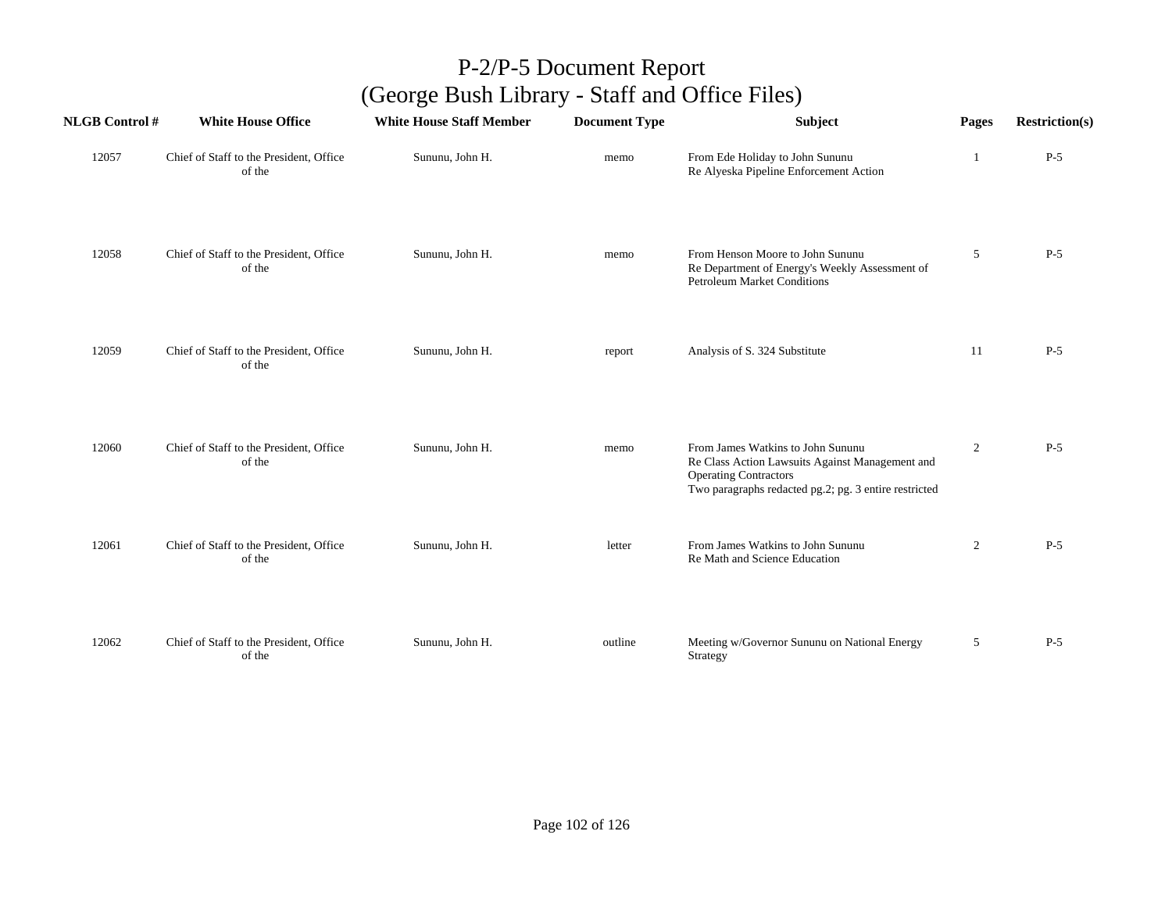| <b>NLGB</b> Control # | <b>White House Office</b>                         | <b>White House Staff Member</b> | <b>Document Type</b> | Subject                                                                                                                                                                       | Pages          | <b>Restriction(s)</b> |
|-----------------------|---------------------------------------------------|---------------------------------|----------------------|-------------------------------------------------------------------------------------------------------------------------------------------------------------------------------|----------------|-----------------------|
| 12057                 | Chief of Staff to the President, Office<br>of the | Sununu, John H.                 | memo                 | From Ede Holiday to John Sununu<br>Re Alyeska Pipeline Enforcement Action                                                                                                     |                | $P-5$                 |
| 12058                 | Chief of Staff to the President, Office<br>of the | Sununu, John H.                 | memo                 | From Henson Moore to John Sununu<br>Re Department of Energy's Weekly Assessment of<br><b>Petroleum Market Conditions</b>                                                      | 5              | $P-5$                 |
| 12059                 | Chief of Staff to the President, Office<br>of the | Sununu, John H.                 | report               | Analysis of S. 324 Substitute                                                                                                                                                 | 11             | $P-5$                 |
| 12060                 | Chief of Staff to the President, Office<br>of the | Sununu, John H.                 | memo                 | From James Watkins to John Sununu<br>Re Class Action Lawsuits Against Management and<br><b>Operating Contractors</b><br>Two paragraphs redacted pg.2; pg. 3 entire restricted | $\overline{c}$ | $P-5$                 |
| 12061                 | Chief of Staff to the President, Office<br>of the | Sununu, John H.                 | letter               | From James Watkins to John Sununu<br>Re Math and Science Education                                                                                                            | $\overline{2}$ | $P-5$                 |
| 12062                 | Chief of Staff to the President, Office<br>of the | Sununu, John H.                 | outline              | Meeting w/Governor Sununu on National Energy<br>Strategy                                                                                                                      | 5              | $P-5$                 |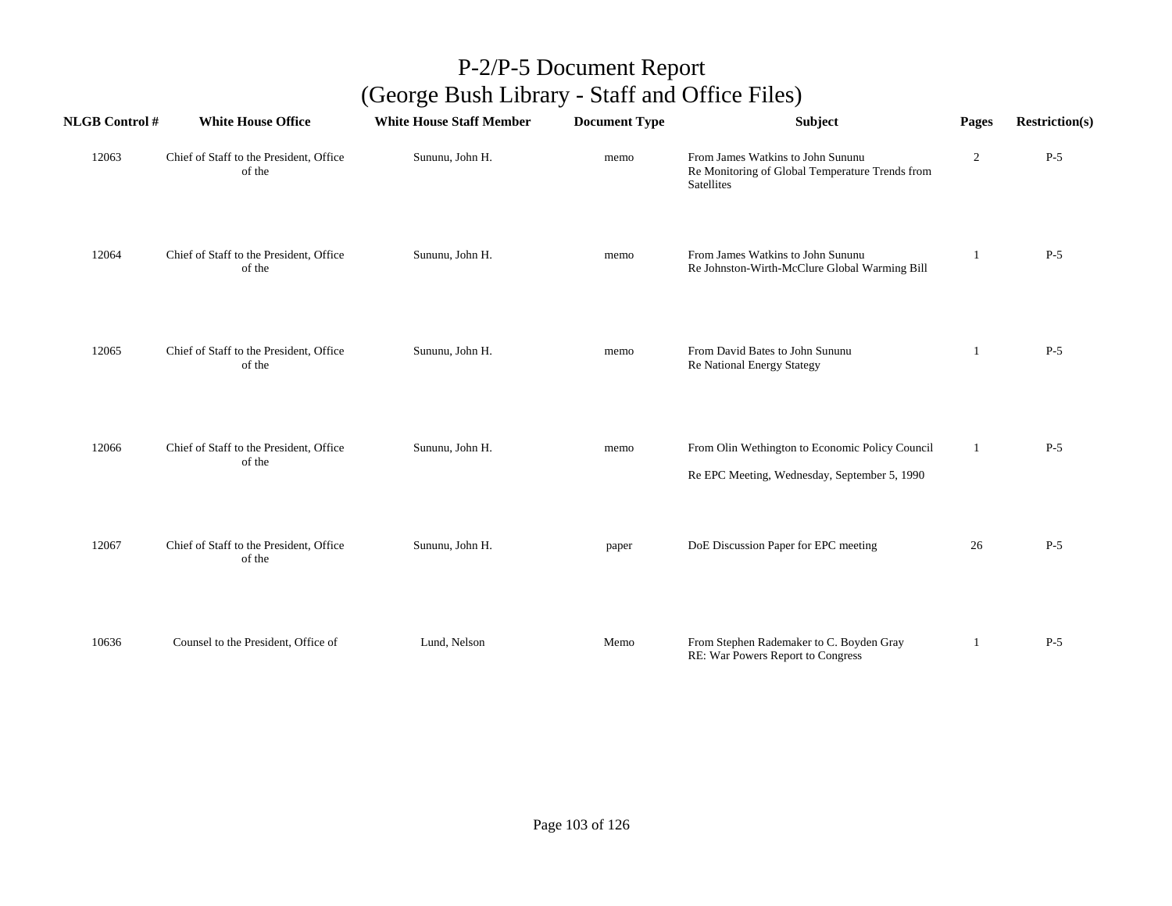| <b>NLGB Control#</b> | <b>White House Office</b>                         | <b>White House Staff Member</b> | <b>Document Type</b> | Subject                                                                                            | Pages          | <b>Restriction(s)</b> |
|----------------------|---------------------------------------------------|---------------------------------|----------------------|----------------------------------------------------------------------------------------------------|----------------|-----------------------|
| 12063                | Chief of Staff to the President, Office<br>of the | Sununu, John H.                 | memo                 | From James Watkins to John Sununu<br>Re Monitoring of Global Temperature Trends from<br>Satellites | $\overline{2}$ | $P-5$                 |
| 12064                | Chief of Staff to the President, Office<br>of the | Sununu, John H.                 | memo                 | From James Watkins to John Sununu<br>Re Johnston-Wirth-McClure Global Warming Bill                 | -1             | $P-5$                 |
| 12065                | Chief of Staff to the President, Office<br>of the | Sununu, John H.                 | memo                 | From David Bates to John Sununu<br>Re National Energy Stategy                                      | -1             | $P-5$                 |
| 12066                | Chief of Staff to the President, Office<br>of the | Sununu, John H.                 | memo                 | From Olin Wethington to Economic Policy Council<br>Re EPC Meeting, Wednesday, September 5, 1990    | 1              | $P-5$                 |
| 12067                | Chief of Staff to the President, Office<br>of the | Sununu, John H.                 | paper                | DoE Discussion Paper for EPC meeting                                                               | 26             | $P-5$                 |
| 10636                | Counsel to the President, Office of               | Lund, Nelson                    | Memo                 | From Stephen Rademaker to C. Boyden Gray<br>RE: War Powers Report to Congress                      |                | $P-5$                 |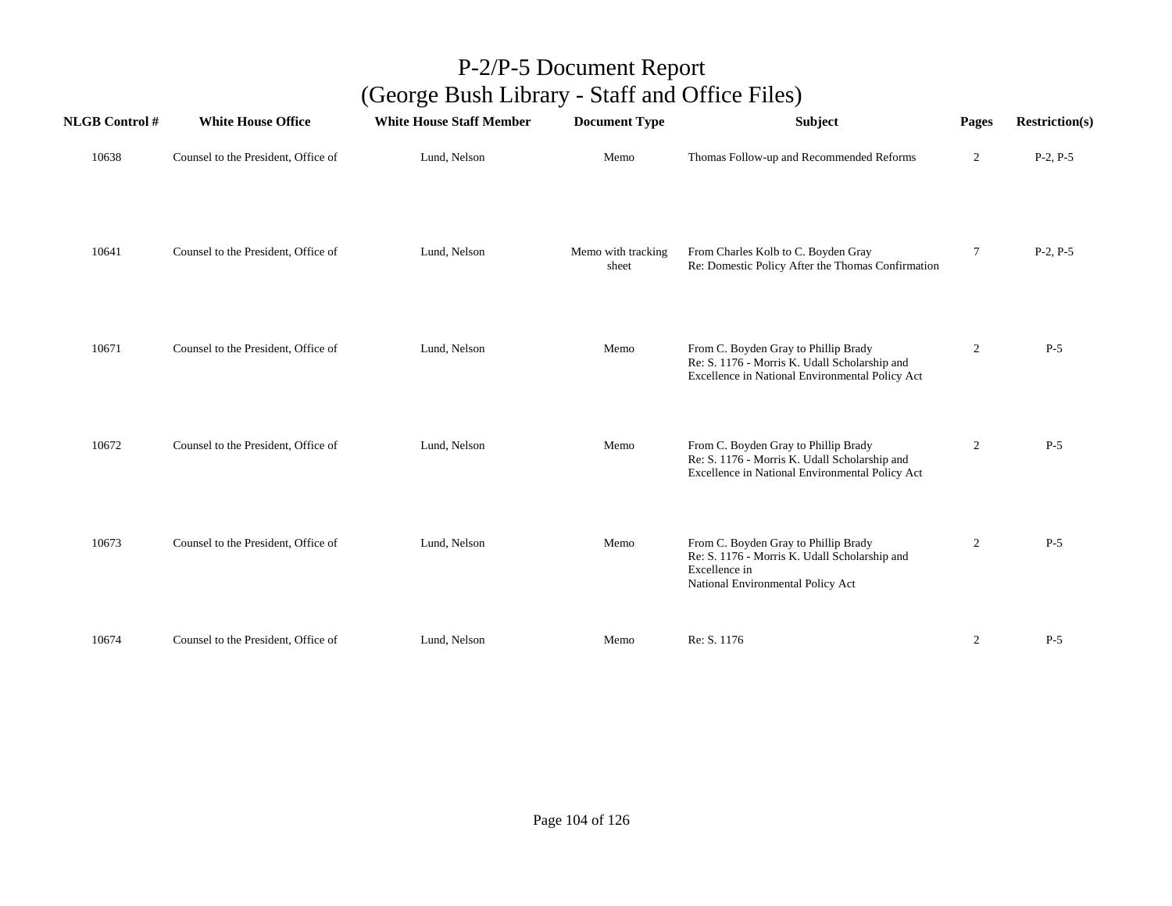| <b>NLGB Control#</b> | <b>White House Office</b>           | <b>White House Staff Member</b> | <b>Document Type</b>        | Subject                                                                                                                                     | Pages          | <b>Restriction(s)</b> |
|----------------------|-------------------------------------|---------------------------------|-----------------------------|---------------------------------------------------------------------------------------------------------------------------------------------|----------------|-----------------------|
| 10638                | Counsel to the President, Office of | Lund, Nelson                    | Memo                        | Thomas Follow-up and Recommended Reforms                                                                                                    | $\overline{c}$ | $P-2, P-5$            |
| 10641                | Counsel to the President, Office of | Lund, Nelson                    | Memo with tracking<br>sheet | From Charles Kolb to C. Boyden Gray<br>Re: Domestic Policy After the Thomas Confirmation                                                    | 7              | $P-2, P-5$            |
| 10671                | Counsel to the President, Office of | Lund, Nelson                    | Memo                        | From C. Boyden Gray to Phillip Brady<br>Re: S. 1176 - Morris K. Udall Scholarship and<br>Excellence in National Environmental Policy Act    | $\overline{2}$ | $P-5$                 |
| 10672                | Counsel to the President, Office of | Lund, Nelson                    | Memo                        | From C. Boyden Gray to Phillip Brady<br>Re: S. 1176 - Morris K. Udall Scholarship and<br>Excellence in National Environmental Policy Act    | $\overline{2}$ | $P-5$                 |
| 10673                | Counsel to the President, Office of | Lund, Nelson                    | Memo                        | From C. Boyden Gray to Phillip Brady<br>Re: S. 1176 - Morris K. Udall Scholarship and<br>Excellence in<br>National Environmental Policy Act | $\overline{2}$ | $P-5$                 |
| 10674                | Counsel to the President, Office of | Lund, Nelson                    | Memo                        | Re: S. 1176                                                                                                                                 | $\overline{2}$ | $P-5$                 |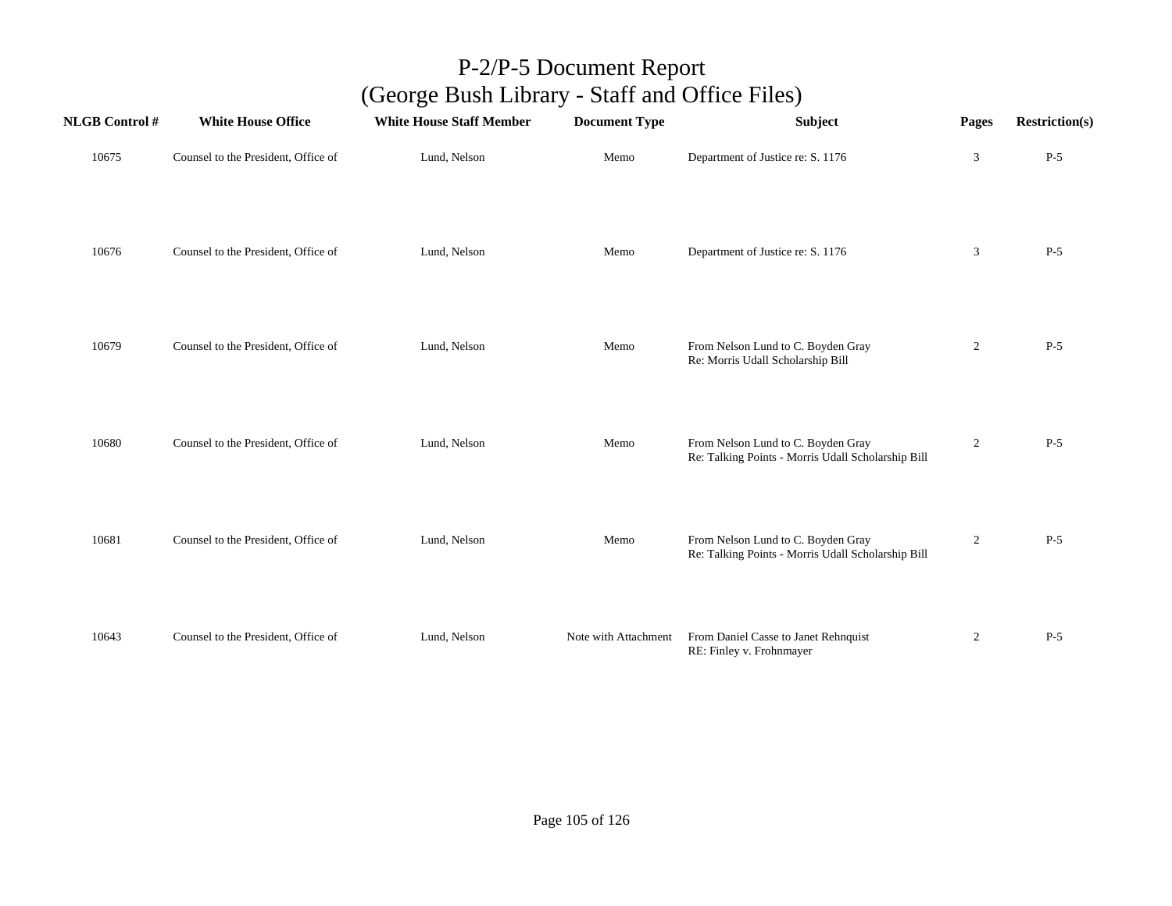| <b>NLGB Control#</b> | <b>White House Office</b>           | <b>White House Staff Member</b> | <b>Document Type</b> | Subject                                                                                  | Pages          | <b>Restriction(s)</b> |
|----------------------|-------------------------------------|---------------------------------|----------------------|------------------------------------------------------------------------------------------|----------------|-----------------------|
| 10675                | Counsel to the President, Office of | Lund, Nelson                    | Memo                 | Department of Justice re: S. 1176                                                        | $\mathfrak{Z}$ | $P-5$                 |
| 10676                | Counsel to the President, Office of | Lund, Nelson                    | Memo                 | Department of Justice re: S. 1176                                                        | $\mathfrak{Z}$ | $P-5$                 |
| 10679                | Counsel to the President, Office of | Lund, Nelson                    | Memo                 | From Nelson Lund to C. Boyden Gray<br>Re: Morris Udall Scholarship Bill                  | $\overline{c}$ | $P-5$                 |
| 10680                | Counsel to the President, Office of | Lund, Nelson                    | Memo                 | From Nelson Lund to C. Boyden Gray<br>Re: Talking Points - Morris Udall Scholarship Bill | $\overline{2}$ | $P-5$                 |
| 10681                | Counsel to the President, Office of | Lund, Nelson                    | Memo                 | From Nelson Lund to C. Boyden Gray<br>Re: Talking Points - Morris Udall Scholarship Bill | $\overline{2}$ | $P-5$                 |
| 10643                | Counsel to the President, Office of | Lund, Nelson                    | Note with Attachment | From Daniel Casse to Janet Rehnquist<br>RE: Finley v. Frohnmayer                         | $\overline{c}$ | $P-5$                 |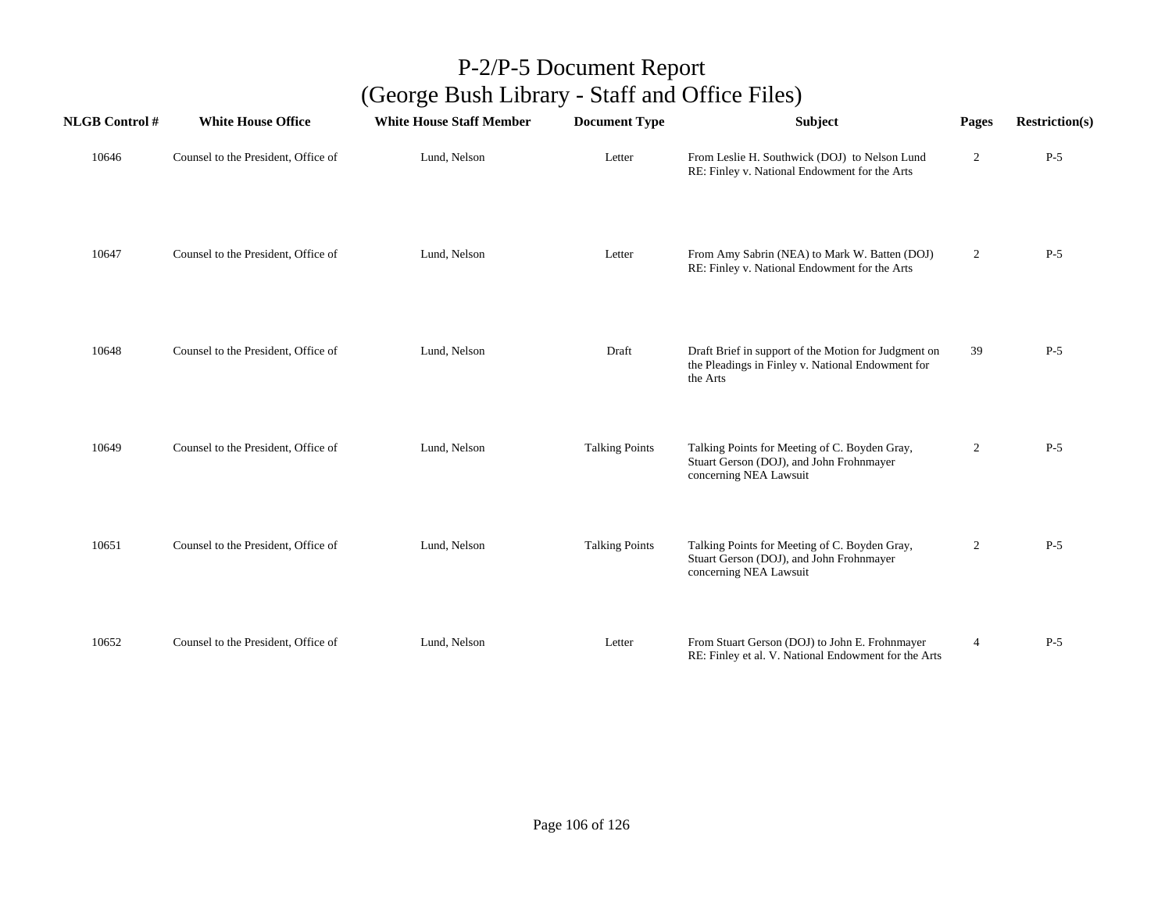| <b>NLGB Control#</b> | <b>White House Office</b>           | <b>White House Staff Member</b> | <b>Document Type</b>  | Subject                                                                                                               | Pages          | <b>Restriction(s)</b> |
|----------------------|-------------------------------------|---------------------------------|-----------------------|-----------------------------------------------------------------------------------------------------------------------|----------------|-----------------------|
| 10646                | Counsel to the President, Office of | Lund, Nelson                    | Letter                | From Leslie H. Southwick (DOJ) to Nelson Lund<br>RE: Finley v. National Endowment for the Arts                        | $\overline{2}$ | $P-5$                 |
| 10647                | Counsel to the President, Office of | Lund, Nelson                    | Letter                | From Amy Sabrin (NEA) to Mark W. Batten (DOJ)<br>RE: Finley v. National Endowment for the Arts                        | $\overline{2}$ | $P-5$                 |
| 10648                | Counsel to the President, Office of | Lund, Nelson                    | Draft                 | Draft Brief in support of the Motion for Judgment on<br>the Pleadings in Finley v. National Endowment for<br>the Arts | 39             | $P-5$                 |
| 10649                | Counsel to the President, Office of | Lund, Nelson                    | <b>Talking Points</b> | Talking Points for Meeting of C. Boyden Gray,<br>Stuart Gerson (DOJ), and John Frohnmayer<br>concerning NEA Lawsuit   | 2              | $P-5$                 |
| 10651                | Counsel to the President, Office of | Lund, Nelson                    | <b>Talking Points</b> | Talking Points for Meeting of C. Boyden Gray,<br>Stuart Gerson (DOJ), and John Frohnmayer<br>concerning NEA Lawsuit   | $\overline{2}$ | $P-5$                 |
| 10652                | Counsel to the President, Office of | Lund, Nelson                    | Letter                | From Stuart Gerson (DOJ) to John E. Frohnmayer<br>RE: Finley et al. V. National Endowment for the Arts                | $\overline{4}$ | $P-5$                 |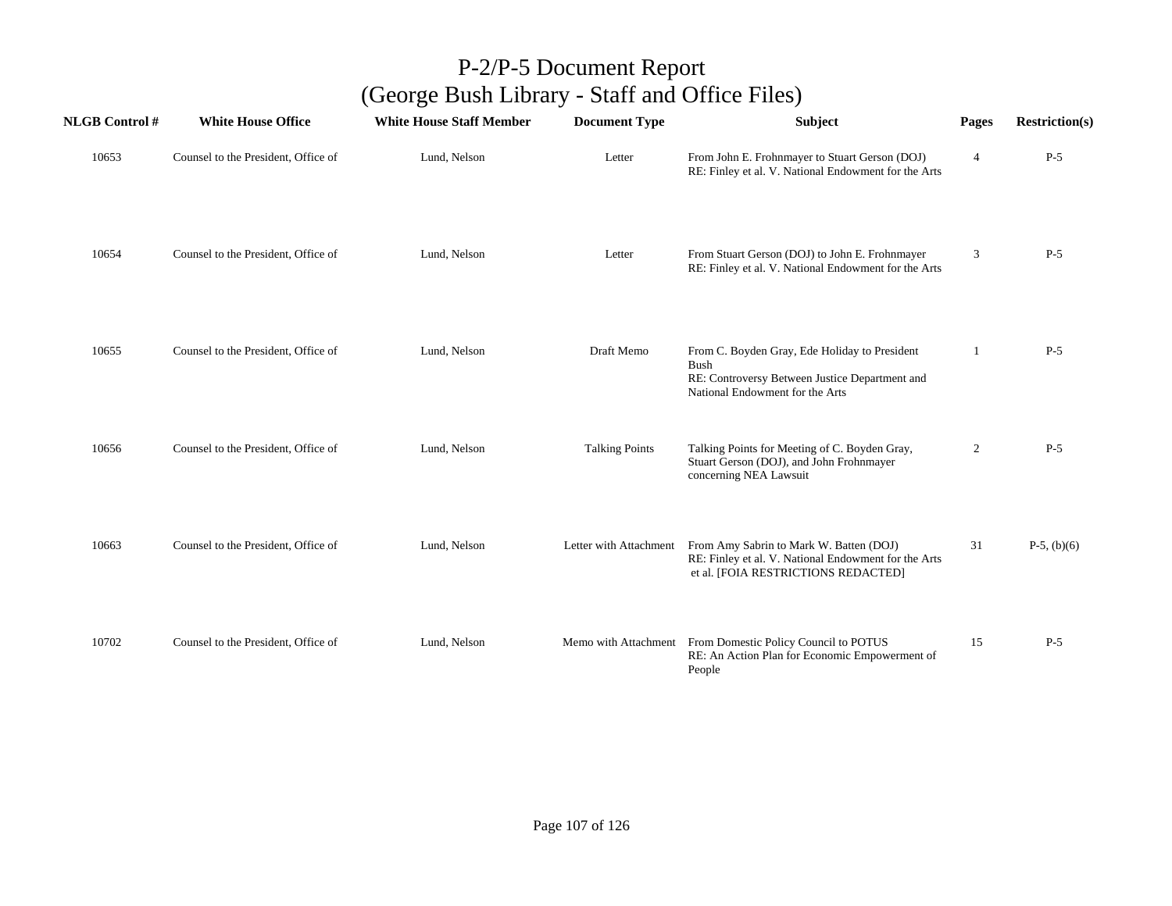| <b>NLGB</b> Control # | <b>White House Office</b>           | <b>White House Staff Member</b> | <b>Document Type</b>   | <b>Subject</b>                                                                                                                                    | Pages          | <b>Restriction(s)</b> |
|-----------------------|-------------------------------------|---------------------------------|------------------------|---------------------------------------------------------------------------------------------------------------------------------------------------|----------------|-----------------------|
| 10653                 | Counsel to the President, Office of | Lund, Nelson                    | Letter                 | From John E. Frohnmayer to Stuart Gerson (DOJ)<br>RE: Finley et al. V. National Endowment for the Arts                                            | $\overline{4}$ | $P-5$                 |
| 10654                 | Counsel to the President, Office of | Lund, Nelson                    | Letter                 | From Stuart Gerson (DOJ) to John E. Frohnmayer<br>RE: Finley et al. V. National Endowment for the Arts                                            | 3              | $P-5$                 |
| 10655                 | Counsel to the President, Office of | Lund, Nelson                    | Draft Memo             | From C. Boyden Gray, Ede Holiday to President<br><b>Bush</b><br>RE: Controversy Between Justice Department and<br>National Endowment for the Arts | 1              | $P-5$                 |
| 10656                 | Counsel to the President, Office of | Lund, Nelson                    | <b>Talking Points</b>  | Talking Points for Meeting of C. Boyden Gray,<br>Stuart Gerson (DOJ), and John Frohnmayer<br>concerning NEA Lawsuit                               | 2              | $P-5$                 |
| 10663                 | Counsel to the President, Office of | Lund, Nelson                    | Letter with Attachment | From Amy Sabrin to Mark W. Batten (DOJ)<br>RE: Finley et al. V. National Endowment for the Arts<br>et al. [FOIA RESTRICTIONS REDACTED]            | 31             | $P-5$ , (b)(6)        |
| 10702                 | Counsel to the President, Office of | Lund, Nelson                    |                        | Memo with Attachment From Domestic Policy Council to POTUS<br>RE: An Action Plan for Economic Empowerment of<br>People                            | 15             | $P-5$                 |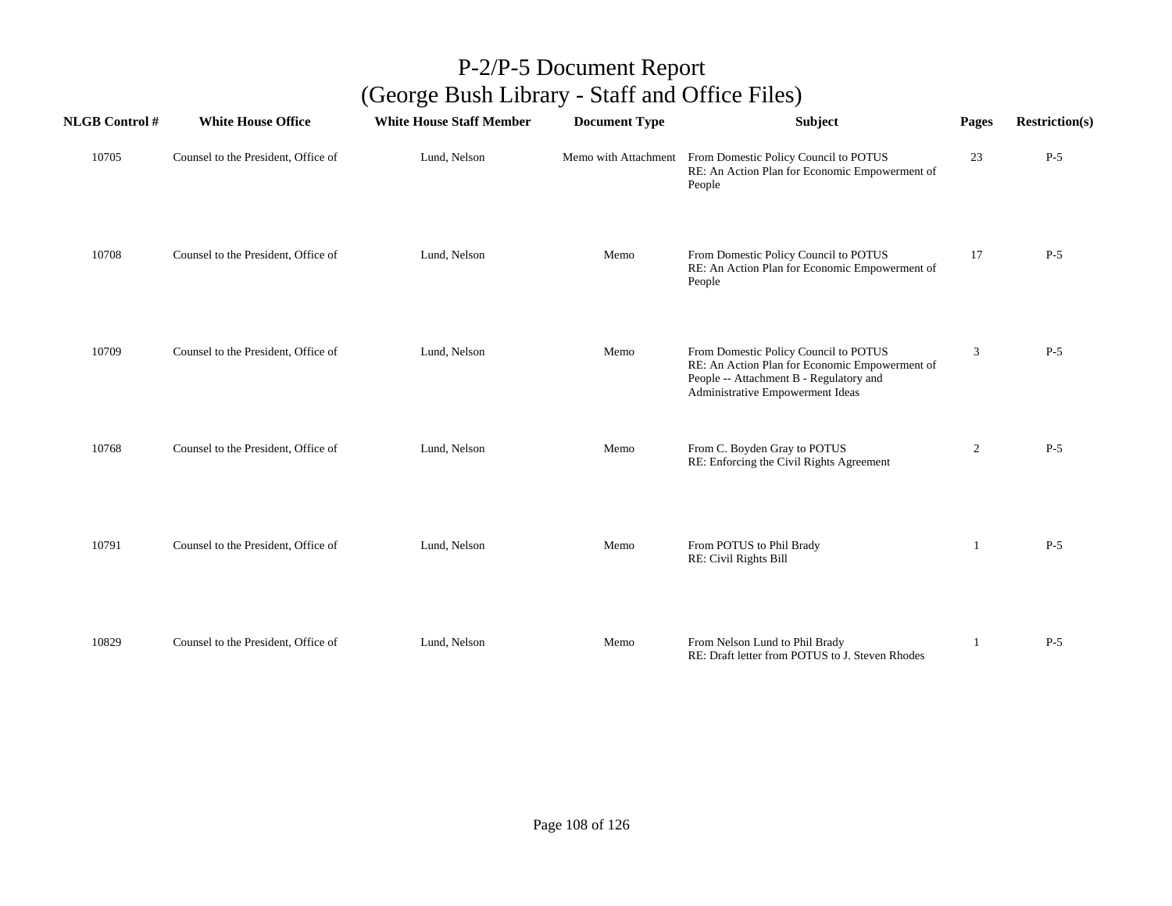| <b>NLGB</b> Control # | <b>White House Office</b>           | <b>White House Staff Member</b> | <b>Document Type</b> | <b>Subject</b>                                                                                                                                                         | Pages        | <b>Restriction(s)</b> |
|-----------------------|-------------------------------------|---------------------------------|----------------------|------------------------------------------------------------------------------------------------------------------------------------------------------------------------|--------------|-----------------------|
| 10705                 | Counsel to the President, Office of | Lund, Nelson                    | Memo with Attachment | From Domestic Policy Council to POTUS<br>RE: An Action Plan for Economic Empowerment of<br>People                                                                      | 23           | $P-5$                 |
| 10708                 | Counsel to the President, Office of | Lund, Nelson                    | Memo                 | From Domestic Policy Council to POTUS<br>RE: An Action Plan for Economic Empowerment of<br>People                                                                      | 17           | $P-5$                 |
| 10709                 | Counsel to the President, Office of | Lund, Nelson                    | Memo                 | From Domestic Policy Council to POTUS<br>RE: An Action Plan for Economic Empowerment of<br>People -- Attachment B - Regulatory and<br>Administrative Empowerment Ideas | 3            | $P-5$                 |
| 10768                 | Counsel to the President, Office of | Lund, Nelson                    | Memo                 | From C. Boyden Gray to POTUS<br>RE: Enforcing the Civil Rights Agreement                                                                                               | 2            | $P-5$                 |
| 10791                 | Counsel to the President, Office of | Lund, Nelson                    | Memo                 | From POTUS to Phil Brady<br>RE: Civil Rights Bill                                                                                                                      | $\mathbf{1}$ | $P-5$                 |
| 10829                 | Counsel to the President, Office of | Lund, Nelson                    | Memo                 | From Nelson Lund to Phil Brady<br>RE: Draft letter from POTUS to J. Steven Rhodes                                                                                      |              | $P-5$                 |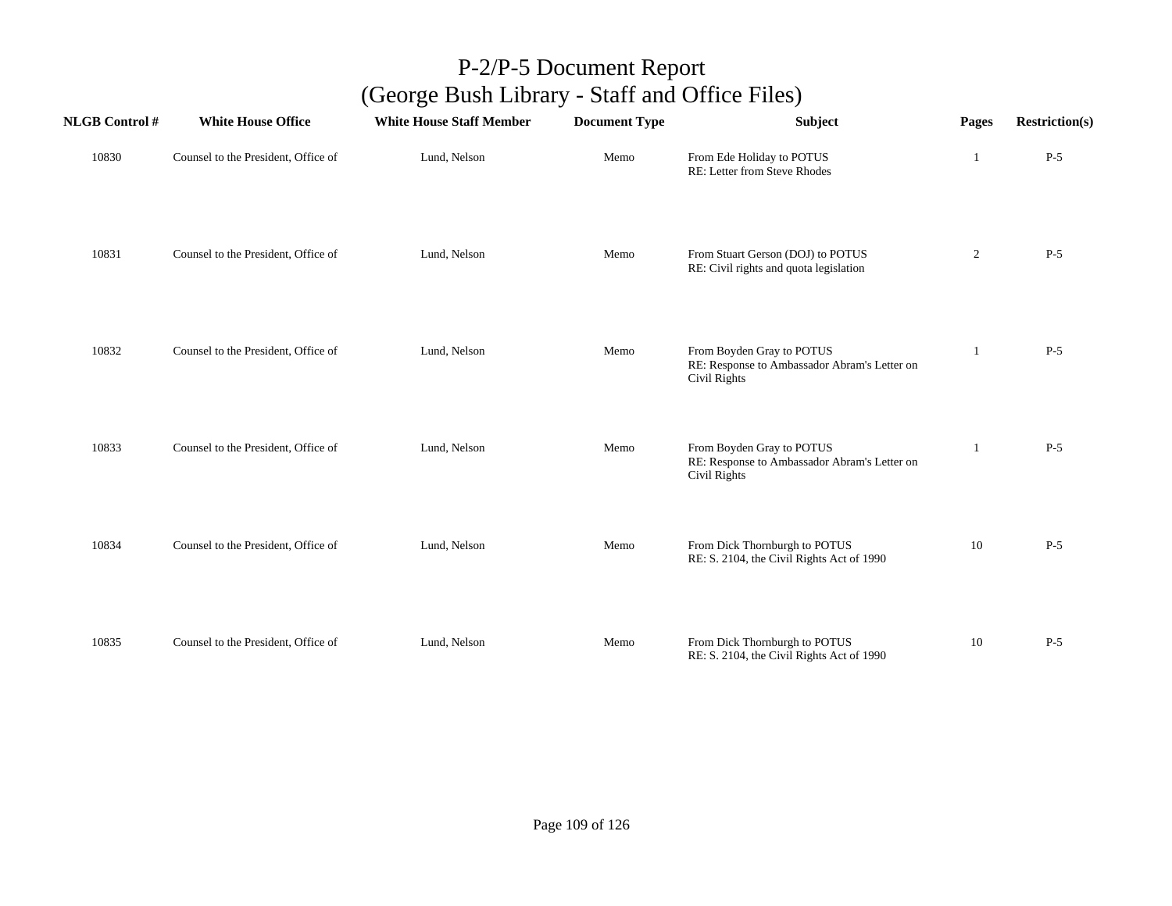| <b>NLGB Control#</b> | <b>White House Office</b>           | <b>White House Staff Member</b> | <b>Document Type</b> | Subject                                                                                   | Pages          | <b>Restriction(s)</b> |
|----------------------|-------------------------------------|---------------------------------|----------------------|-------------------------------------------------------------------------------------------|----------------|-----------------------|
| 10830                | Counsel to the President, Office of | Lund, Nelson                    | Memo                 | From Ede Holiday to POTUS<br>RE: Letter from Steve Rhodes                                 | 1              | $P-5$                 |
| 10831                | Counsel to the President, Office of | Lund, Nelson                    | Memo                 | From Stuart Gerson (DOJ) to POTUS<br>RE: Civil rights and quota legislation               | $\overline{2}$ | $P-5$                 |
| 10832                | Counsel to the President, Office of | Lund, Nelson                    | Memo                 | From Boyden Gray to POTUS<br>RE: Response to Ambassador Abram's Letter on<br>Civil Rights | -1             | $P-5$                 |
| 10833                | Counsel to the President, Office of | Lund, Nelson                    | Memo                 | From Boyden Gray to POTUS<br>RE: Response to Ambassador Abram's Letter on<br>Civil Rights | 1              | $P-5$                 |
| 10834                | Counsel to the President, Office of | Lund, Nelson                    | Memo                 | From Dick Thornburgh to POTUS<br>RE: S. 2104, the Civil Rights Act of 1990                | 10             | $P-5$                 |
| 10835                | Counsel to the President, Office of | Lund, Nelson                    | Memo                 | From Dick Thornburgh to POTUS<br>RE: S. 2104, the Civil Rights Act of 1990                | 10             | $P-5$                 |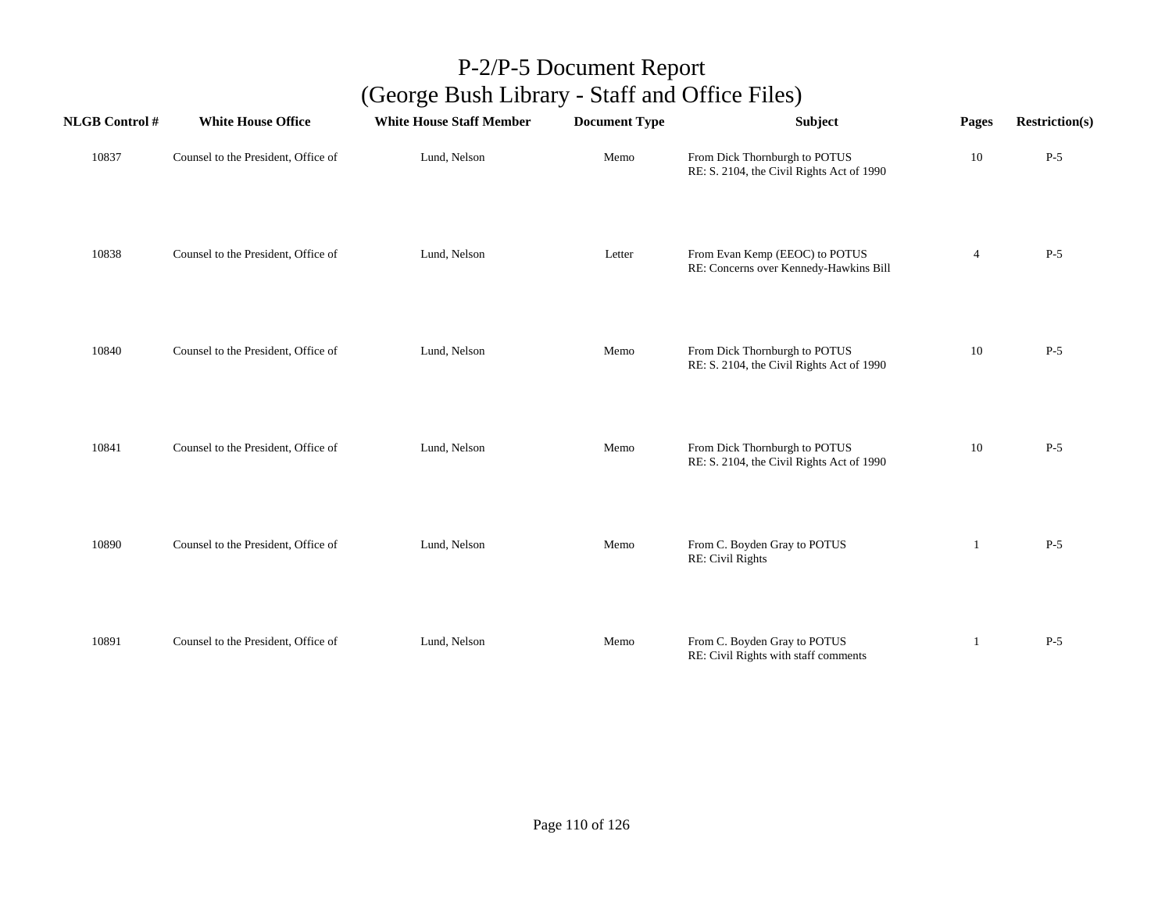| <b>NLGB Control#</b> | <b>White House Office</b>           | <b>White House Staff Member</b> | <b>Document Type</b> | Subject                                                                    | Pages          | <b>Restriction(s)</b> |
|----------------------|-------------------------------------|---------------------------------|----------------------|----------------------------------------------------------------------------|----------------|-----------------------|
| 10837                | Counsel to the President, Office of | Lund, Nelson                    | Memo                 | From Dick Thornburgh to POTUS<br>RE: S. 2104, the Civil Rights Act of 1990 | 10             | $P-5$                 |
| 10838                | Counsel to the President, Office of | Lund, Nelson                    | Letter               | From Evan Kemp (EEOC) to POTUS<br>RE: Concerns over Kennedy-Hawkins Bill   | $\overline{4}$ | $P-5$                 |
| 10840                | Counsel to the President, Office of | Lund, Nelson                    | Memo                 | From Dick Thornburgh to POTUS<br>RE: S. 2104, the Civil Rights Act of 1990 | 10             | $P-5$                 |
| 10841                | Counsel to the President, Office of | Lund, Nelson                    | Memo                 | From Dick Thornburgh to POTUS<br>RE: S. 2104, the Civil Rights Act of 1990 | 10             | $P-5$                 |
| 10890                | Counsel to the President, Office of | Lund, Nelson                    | Memo                 | From C. Boyden Gray to POTUS<br>RE: Civil Rights                           | -1             | $P-5$                 |
| 10891                | Counsel to the President, Office of | Lund, Nelson                    | Memo                 | From C. Boyden Gray to POTUS<br>RE: Civil Rights with staff comments       | 1              | $P-5$                 |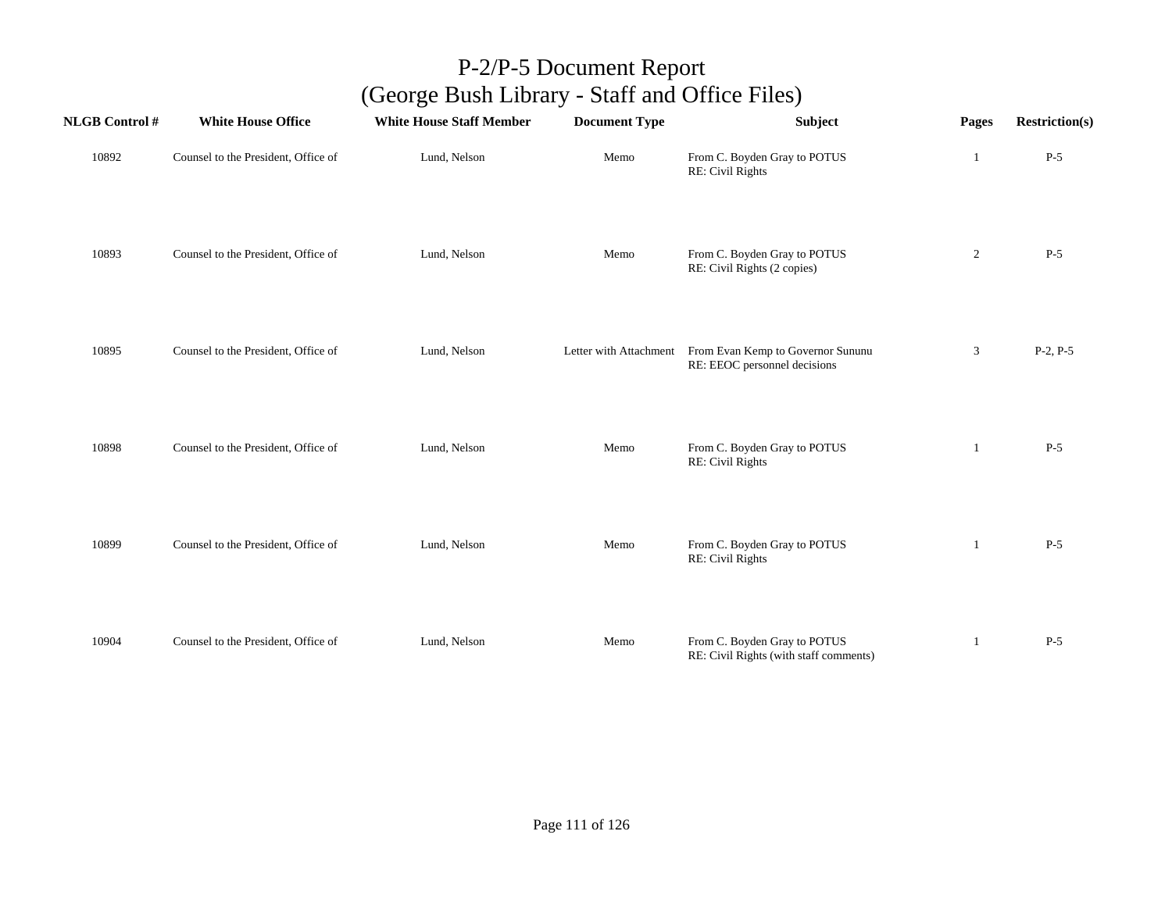| <b>NLGB Control#</b> | <b>White House Office</b>           | <b>White House Staff Member</b> | <b>Document Type</b> | Subject                                                                                  | Pages          | <b>Restriction(s)</b> |
|----------------------|-------------------------------------|---------------------------------|----------------------|------------------------------------------------------------------------------------------|----------------|-----------------------|
| 10892                | Counsel to the President, Office of | Lund, Nelson                    | Memo                 | From C. Boyden Gray to POTUS<br>RE: Civil Rights                                         | 1              | $P-5$                 |
| 10893                | Counsel to the President, Office of | Lund, Nelson                    | Memo                 | From C. Boyden Gray to POTUS<br>RE: Civil Rights (2 copies)                              | $\overline{2}$ | $P-5$                 |
| 10895                | Counsel to the President, Office of | Lund, Nelson                    |                      | Letter with Attachment From Evan Kemp to Governor Sununu<br>RE: EEOC personnel decisions | 3              | $P-2, P-5$            |
| 10898                | Counsel to the President, Office of | Lund, Nelson                    | Memo                 | From C. Boyden Gray to POTUS<br>RE: Civil Rights                                         | 1              | $P-5$                 |
| 10899                | Counsel to the President, Office of | Lund, Nelson                    | Memo                 | From C. Boyden Gray to POTUS<br>RE: Civil Rights                                         | 1              | $P-5$                 |
| 10904                | Counsel to the President, Office of | Lund, Nelson                    | Memo                 | From C. Boyden Gray to POTUS<br>RE: Civil Rights (with staff comments)                   | 1              | $P-5$                 |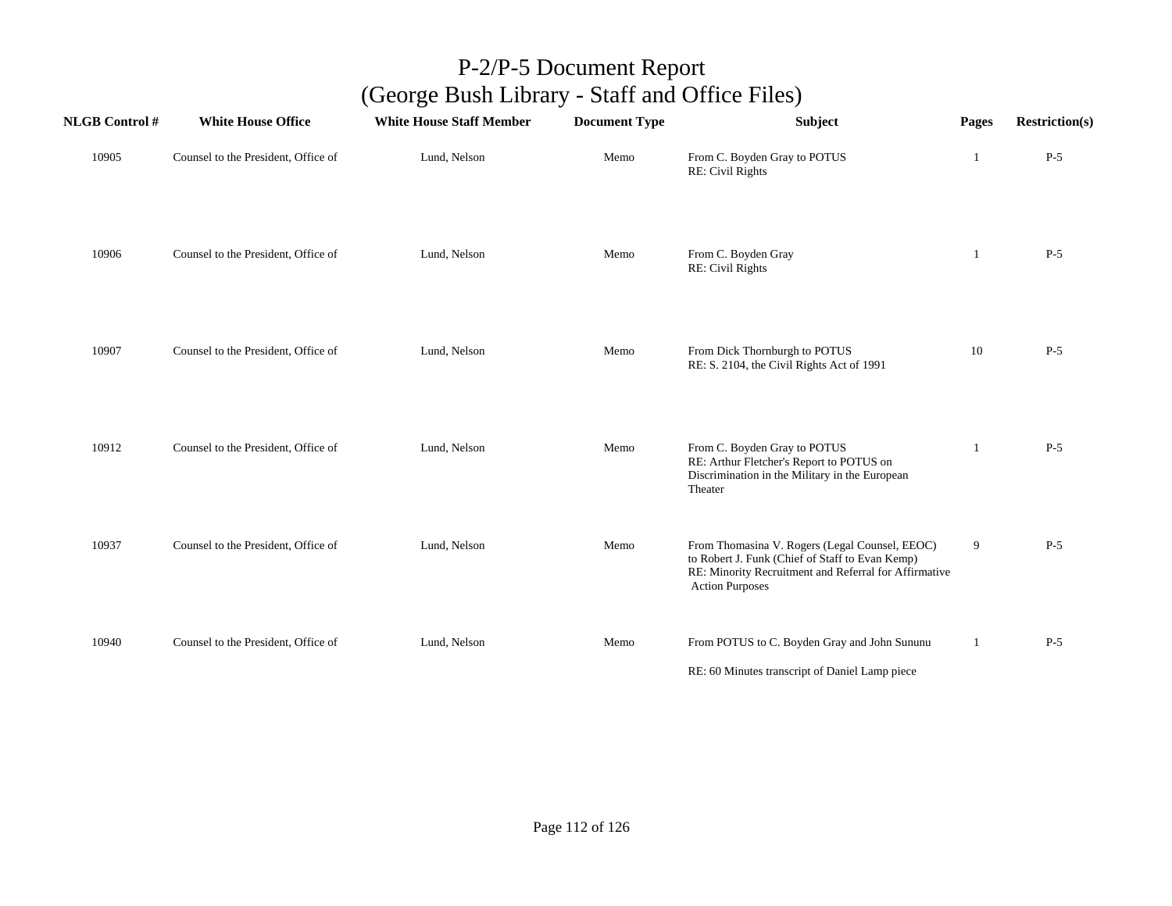| <b>NLGB Control#</b> | <b>White House Office</b>           | <b>White House Staff Member</b> | <b>Document Type</b> | <b>Subject</b>                                                                                                                                                                       | Pages        | <b>Restriction(s)</b> |
|----------------------|-------------------------------------|---------------------------------|----------------------|--------------------------------------------------------------------------------------------------------------------------------------------------------------------------------------|--------------|-----------------------|
| 10905                | Counsel to the President, Office of | Lund, Nelson                    | Memo                 | From C. Boyden Gray to POTUS<br>RE: Civil Rights                                                                                                                                     | 1            | $P-5$                 |
| 10906                | Counsel to the President, Office of | Lund, Nelson                    | Memo                 | From C. Boyden Gray<br>RE: Civil Rights                                                                                                                                              | 1            | $P-5$                 |
| 10907                | Counsel to the President, Office of | Lund, Nelson                    | Memo                 | From Dick Thornburgh to POTUS<br>RE: S. 2104, the Civil Rights Act of 1991                                                                                                           | 10           | $P-5$                 |
| 10912                | Counsel to the President, Office of | Lund, Nelson                    | Memo                 | From C. Boyden Gray to POTUS<br>RE: Arthur Fletcher's Report to POTUS on<br>Discrimination in the Military in the European<br>Theater                                                | 1            | $P-5$                 |
| 10937                | Counsel to the President, Office of | Lund, Nelson                    | Memo                 | From Thomasina V. Rogers (Legal Counsel, EEOC)<br>to Robert J. Funk (Chief of Staff to Evan Kemp)<br>RE: Minority Recruitment and Referral for Affirmative<br><b>Action Purposes</b> | 9            | $P-5$                 |
| 10940                | Counsel to the President, Office of | Lund, Nelson                    | Memo                 | From POTUS to C. Boyden Gray and John Sununu<br>RE: 60 Minutes transcript of Daniel Lamp piece                                                                                       | $\mathbf{1}$ | $P-5$                 |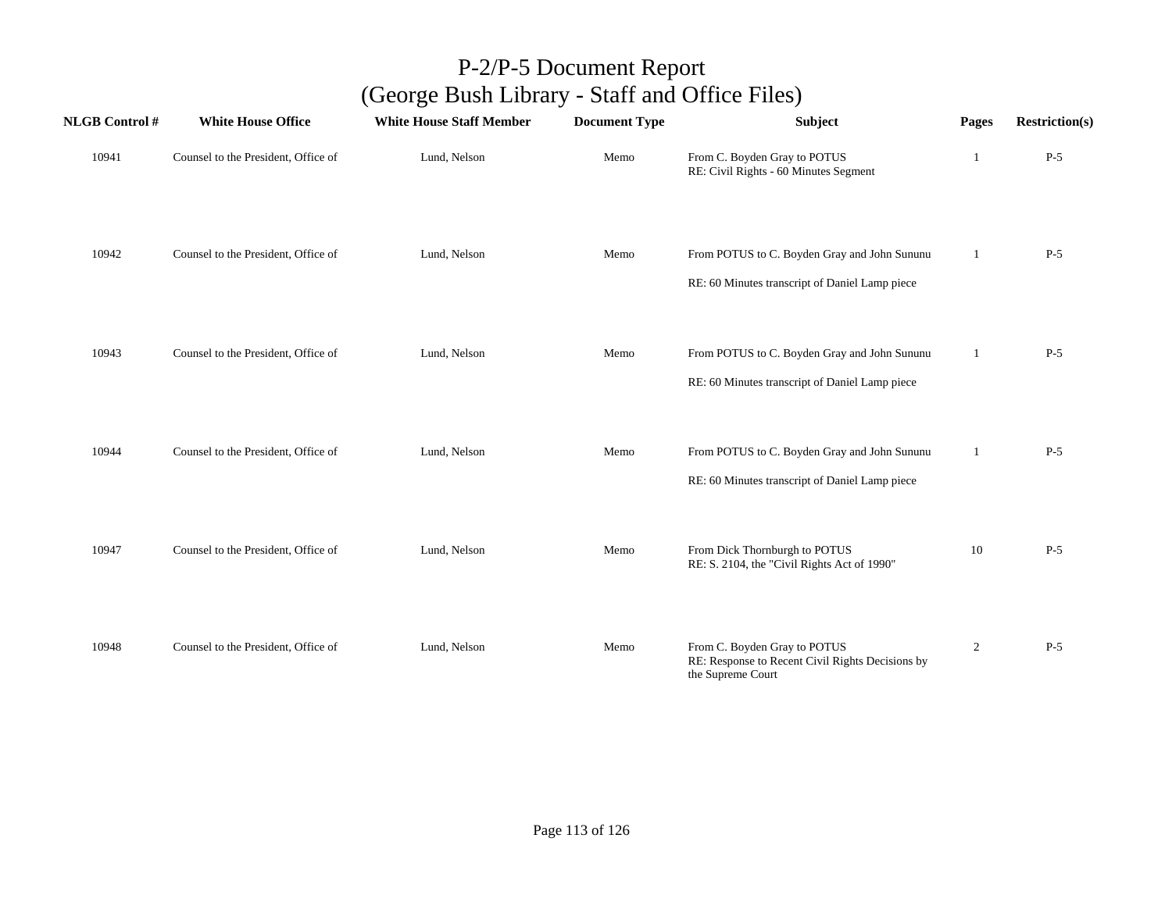| <b>NLGB</b> Control # | <b>White House Office</b>           | <b>White House Staff Member</b> | <b>Document Type</b> | Subject                                                                                               | Pages          | <b>Restriction(s)</b> |
|-----------------------|-------------------------------------|---------------------------------|----------------------|-------------------------------------------------------------------------------------------------------|----------------|-----------------------|
| 10941                 | Counsel to the President, Office of | Lund, Nelson                    | Memo                 | From C. Boyden Gray to POTUS<br>RE: Civil Rights - 60 Minutes Segment                                 | 1              | $P-5$                 |
| 10942                 | Counsel to the President, Office of | Lund, Nelson                    | Memo                 | From POTUS to C. Boyden Gray and John Sununu<br>RE: 60 Minutes transcript of Daniel Lamp piece        | 1              | $P-5$                 |
| 10943                 | Counsel to the President, Office of | Lund, Nelson                    | Memo                 | From POTUS to C. Boyden Gray and John Sununu<br>RE: 60 Minutes transcript of Daniel Lamp piece        | 1              | $P-5$                 |
| 10944                 | Counsel to the President, Office of | Lund, Nelson                    | Memo                 | From POTUS to C. Boyden Gray and John Sununu<br>RE: 60 Minutes transcript of Daniel Lamp piece        | $\mathbf{1}$   | $P-5$                 |
| 10947                 | Counsel to the President, Office of | Lund, Nelson                    | Memo                 | From Dick Thornburgh to POTUS<br>RE: S. 2104, the "Civil Rights Act of 1990"                          | 10             | $P-5$                 |
| 10948                 | Counsel to the President, Office of | Lund, Nelson                    | Memo                 | From C. Boyden Gray to POTUS<br>RE: Response to Recent Civil Rights Decisions by<br>the Supreme Court | $\overline{2}$ | $P-5$                 |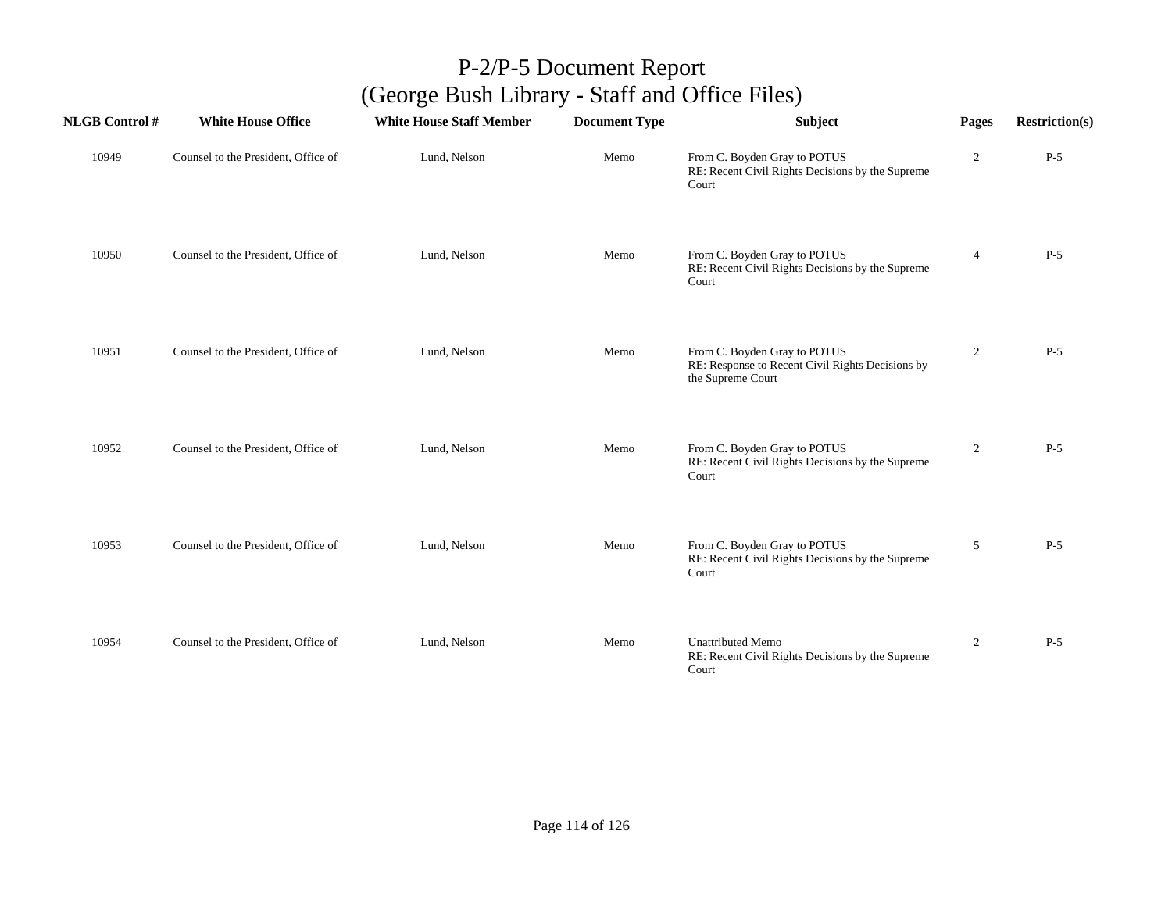| <b>NLGB Control#</b> | <b>White House Office</b>           | <b>White House Staff Member</b> | <b>Document Type</b> | <b>Subject</b>                                                                                        | Pages            | <b>Restriction(s)</b> |
|----------------------|-------------------------------------|---------------------------------|----------------------|-------------------------------------------------------------------------------------------------------|------------------|-----------------------|
| 10949                | Counsel to the President, Office of | Lund, Nelson                    | Memo                 | From C. Boyden Gray to POTUS<br>RE: Recent Civil Rights Decisions by the Supreme<br>Court             | $\boldsymbol{2}$ | $P-5$                 |
| 10950                | Counsel to the President, Office of | Lund, Nelson                    | Memo                 | From C. Boyden Gray to POTUS<br>RE: Recent Civil Rights Decisions by the Supreme<br>Court             | $\overline{4}$   | $P-5$                 |
| 10951                | Counsel to the President, Office of | Lund, Nelson                    | Memo                 | From C. Boyden Gray to POTUS<br>RE: Response to Recent Civil Rights Decisions by<br>the Supreme Court | $\overline{2}$   | $P-5$                 |
| 10952                | Counsel to the President, Office of | Lund, Nelson                    | Memo                 | From C. Boyden Gray to POTUS<br>RE: Recent Civil Rights Decisions by the Supreme<br>Court             | $\overline{2}$   | $P-5$                 |
| 10953                | Counsel to the President, Office of | Lund, Nelson                    | Memo                 | From C. Boyden Gray to POTUS<br>RE: Recent Civil Rights Decisions by the Supreme<br>Court             | 5                | $P-5$                 |
| 10954                | Counsel to the President, Office of | Lund, Nelson                    | Memo                 | <b>Unattributed Memo</b><br>RE: Recent Civil Rights Decisions by the Supreme<br>Court                 | $\overline{2}$   | $P-5$                 |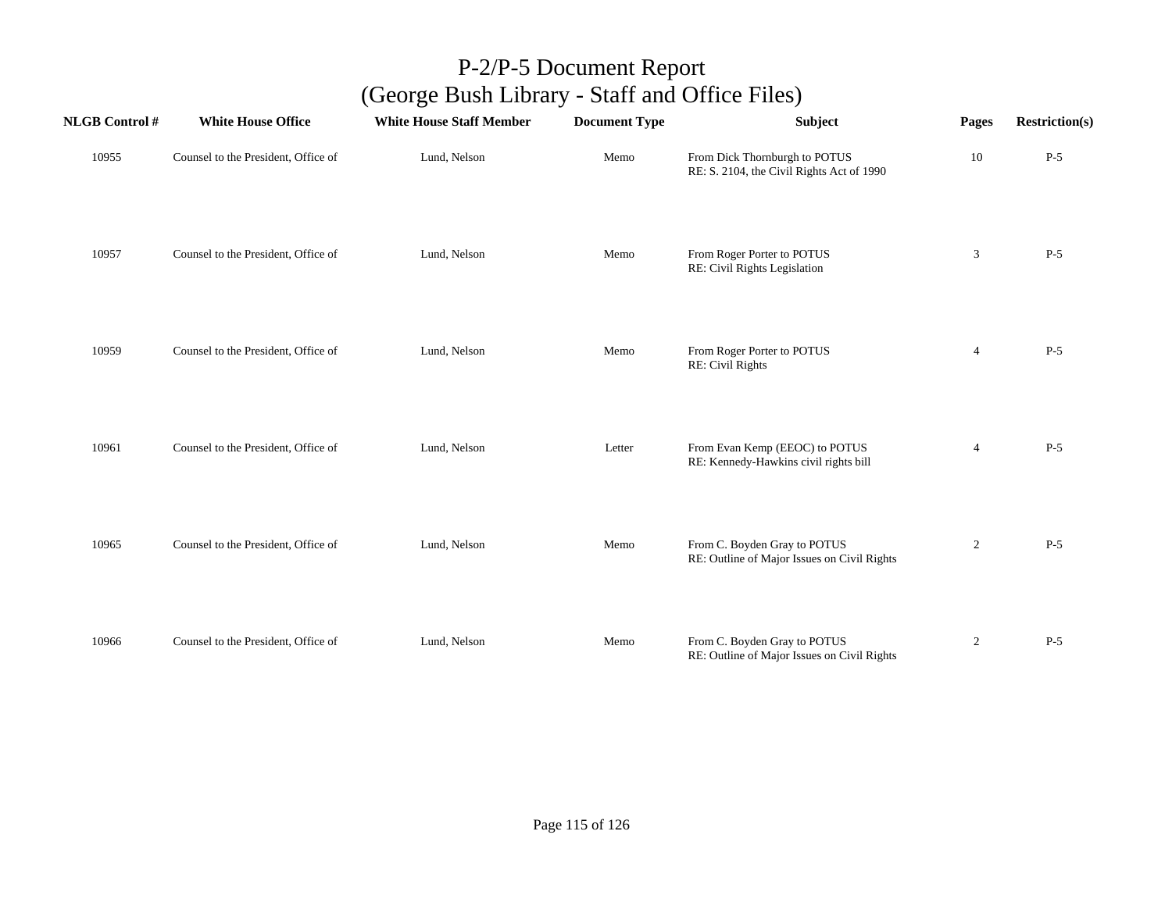| <b>NLGB Control#</b> | <b>White House Office</b>           | <b>White House Staff Member</b> | <b>Document Type</b> | Subject                                                                     | Pages          | <b>Restriction(s)</b> |
|----------------------|-------------------------------------|---------------------------------|----------------------|-----------------------------------------------------------------------------|----------------|-----------------------|
| 10955                | Counsel to the President, Office of | Lund, Nelson                    | Memo                 | From Dick Thornburgh to POTUS<br>RE: S. 2104, the Civil Rights Act of 1990  | 10             | $P-5$                 |
| 10957                | Counsel to the President, Office of | Lund, Nelson                    | Memo                 | From Roger Porter to POTUS<br>RE: Civil Rights Legislation                  | 3              | $P-5$                 |
| 10959                | Counsel to the President, Office of | Lund, Nelson                    | Memo                 | From Roger Porter to POTUS<br>RE: Civil Rights                              | $\overline{4}$ | $P-5$                 |
| 10961                | Counsel to the President, Office of | Lund, Nelson                    | Letter               | From Evan Kemp (EEOC) to POTUS<br>RE: Kennedy-Hawkins civil rights bill     | $\overline{4}$ | $P-5$                 |
| 10965                | Counsel to the President, Office of | Lund, Nelson                    | Memo                 | From C. Boyden Gray to POTUS<br>RE: Outline of Major Issues on Civil Rights | $\overline{c}$ | $P-5$                 |
| 10966                | Counsel to the President, Office of | Lund, Nelson                    | Memo                 | From C. Boyden Gray to POTUS<br>RE: Outline of Major Issues on Civil Rights | $\overline{2}$ | $P-5$                 |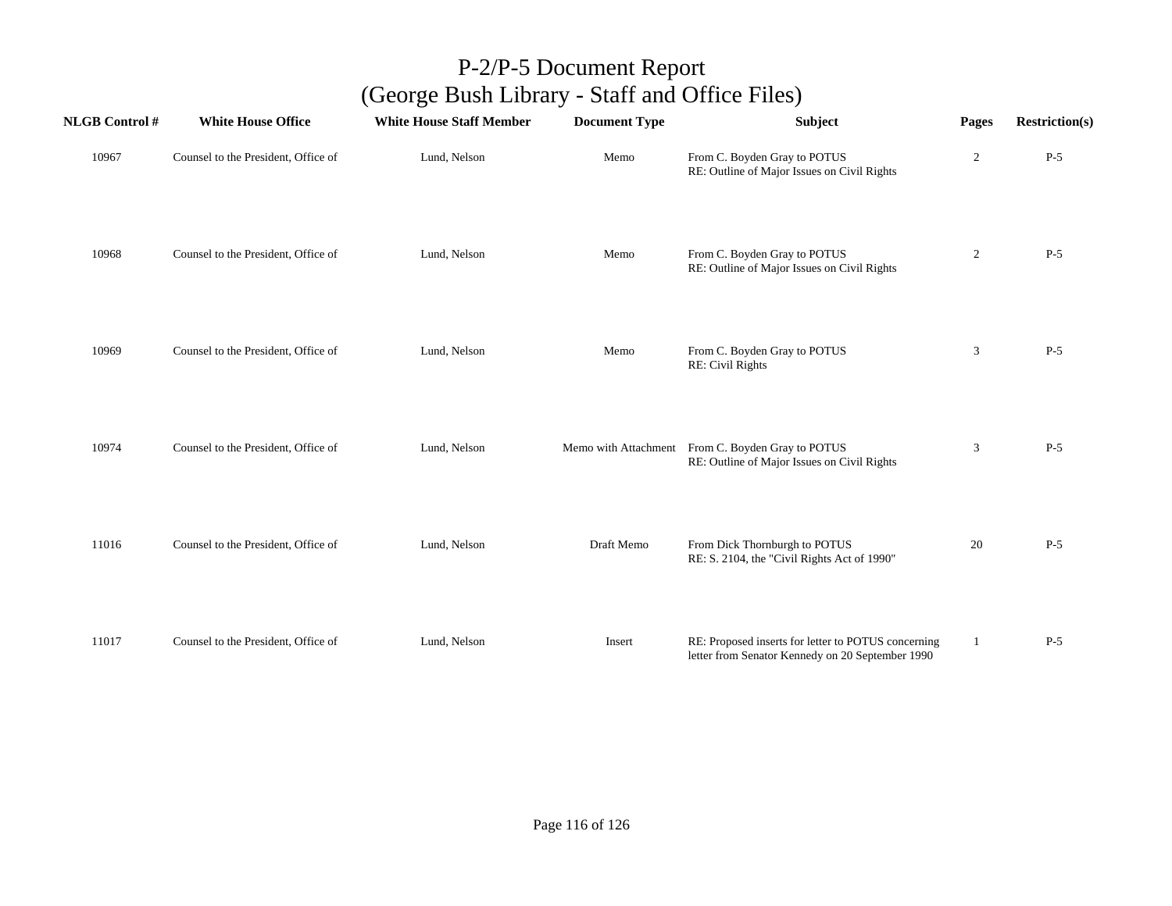| <b>NLGB Control#</b> | <b>White House Office</b>           | <b>White House Staff Member</b> | <b>Document Type</b> | Subject                                                                                                 | Pages          | <b>Restriction(s)</b> |
|----------------------|-------------------------------------|---------------------------------|----------------------|---------------------------------------------------------------------------------------------------------|----------------|-----------------------|
| 10967                | Counsel to the President, Office of | Lund, Nelson                    | Memo                 | From C. Boyden Gray to POTUS<br>RE: Outline of Major Issues on Civil Rights                             | $\overline{c}$ | $P-5$                 |
| 10968                | Counsel to the President, Office of | Lund, Nelson                    | Memo                 | From C. Boyden Gray to POTUS<br>RE: Outline of Major Issues on Civil Rights                             | $\overline{c}$ | $P-5$                 |
| 10969                | Counsel to the President, Office of | Lund, Nelson                    | Memo                 | From C. Boyden Gray to POTUS<br>RE: Civil Rights                                                        | $\mathbf{3}$   | $P-5$                 |
| 10974                | Counsel to the President, Office of | Lund, Nelson                    |                      | Memo with Attachment From C. Boyden Gray to POTUS<br>RE: Outline of Major Issues on Civil Rights        | 3              | $P-5$                 |
| 11016                | Counsel to the President, Office of | Lund, Nelson                    | Draft Memo           | From Dick Thornburgh to POTUS<br>RE: S. 2104, the "Civil Rights Act of 1990"                            | 20             | $P-5$                 |
| 11017                | Counsel to the President, Office of | Lund, Nelson                    | Insert               | RE: Proposed inserts for letter to POTUS concerning<br>letter from Senator Kennedy on 20 September 1990 | 1              | $P-5$                 |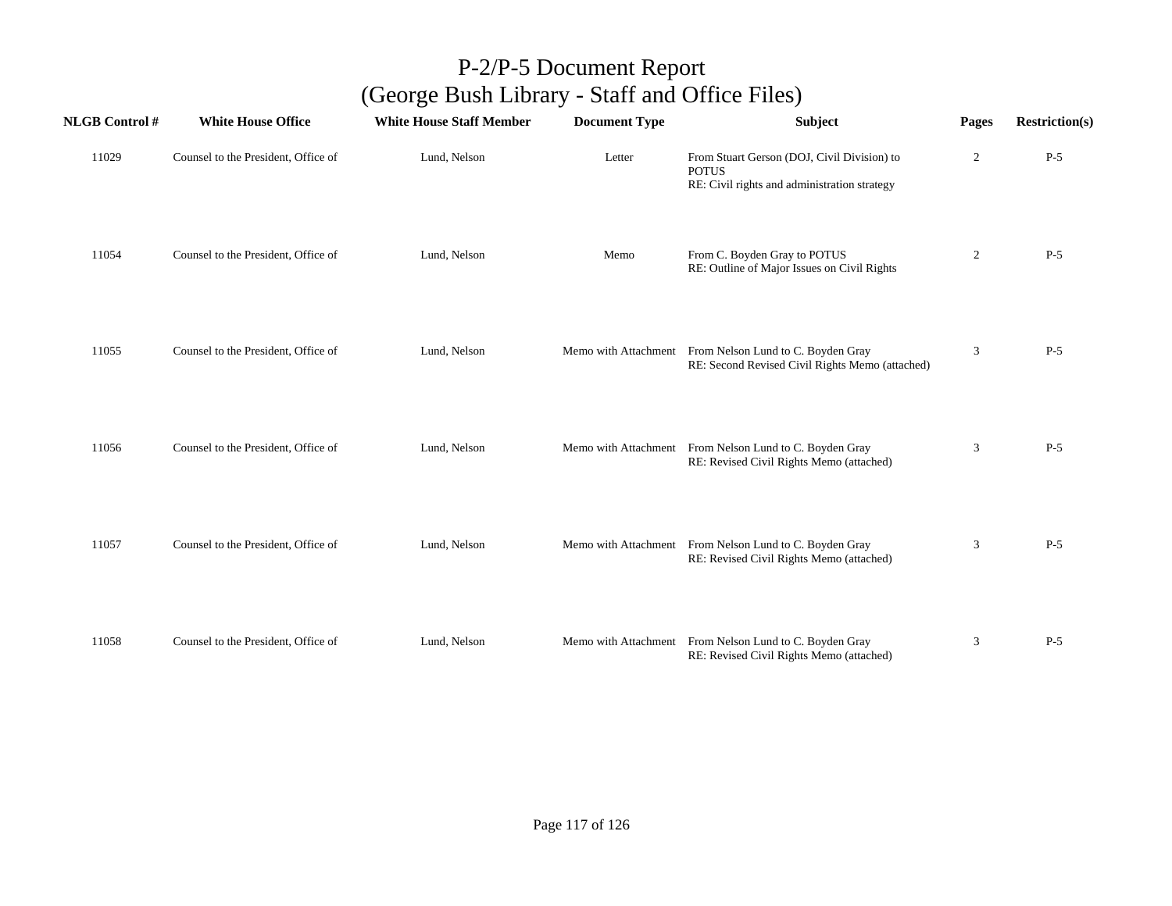| <b>NLGB Control#</b> | <b>White House Office</b>           | <b>White House Staff Member</b> | <b>Document Type</b> | <b>Subject</b>                                                                                              | Pages          | <b>Restriction(s)</b> |
|----------------------|-------------------------------------|---------------------------------|----------------------|-------------------------------------------------------------------------------------------------------------|----------------|-----------------------|
| 11029                | Counsel to the President, Office of | Lund, Nelson                    | Letter               | From Stuart Gerson (DOJ, Civil Division) to<br><b>POTUS</b><br>RE: Civil rights and administration strategy | $\overline{2}$ | $P-5$                 |
| 11054                | Counsel to the President, Office of | Lund, Nelson                    | Memo                 | From C. Boyden Gray to POTUS<br>RE: Outline of Major Issues on Civil Rights                                 | $\overline{c}$ | $P-5$                 |
| 11055                | Counsel to the President, Office of | Lund, Nelson                    |                      | Memo with Attachment From Nelson Lund to C. Boyden Gray<br>RE: Second Revised Civil Rights Memo (attached)  | 3              | $P-5$                 |
| 11056                | Counsel to the President, Office of | Lund, Nelson                    |                      | Memo with Attachment From Nelson Lund to C. Boyden Gray<br>RE: Revised Civil Rights Memo (attached)         | 3              | $P-5$                 |
| 11057                | Counsel to the President, Office of | Lund, Nelson                    |                      | Memo with Attachment From Nelson Lund to C. Boyden Gray<br>RE: Revised Civil Rights Memo (attached)         | 3              | $P-5$                 |
| 11058                | Counsel to the President, Office of | Lund, Nelson                    |                      | Memo with Attachment From Nelson Lund to C. Boyden Gray<br>RE: Revised Civil Rights Memo (attached)         | 3              | $P-5$                 |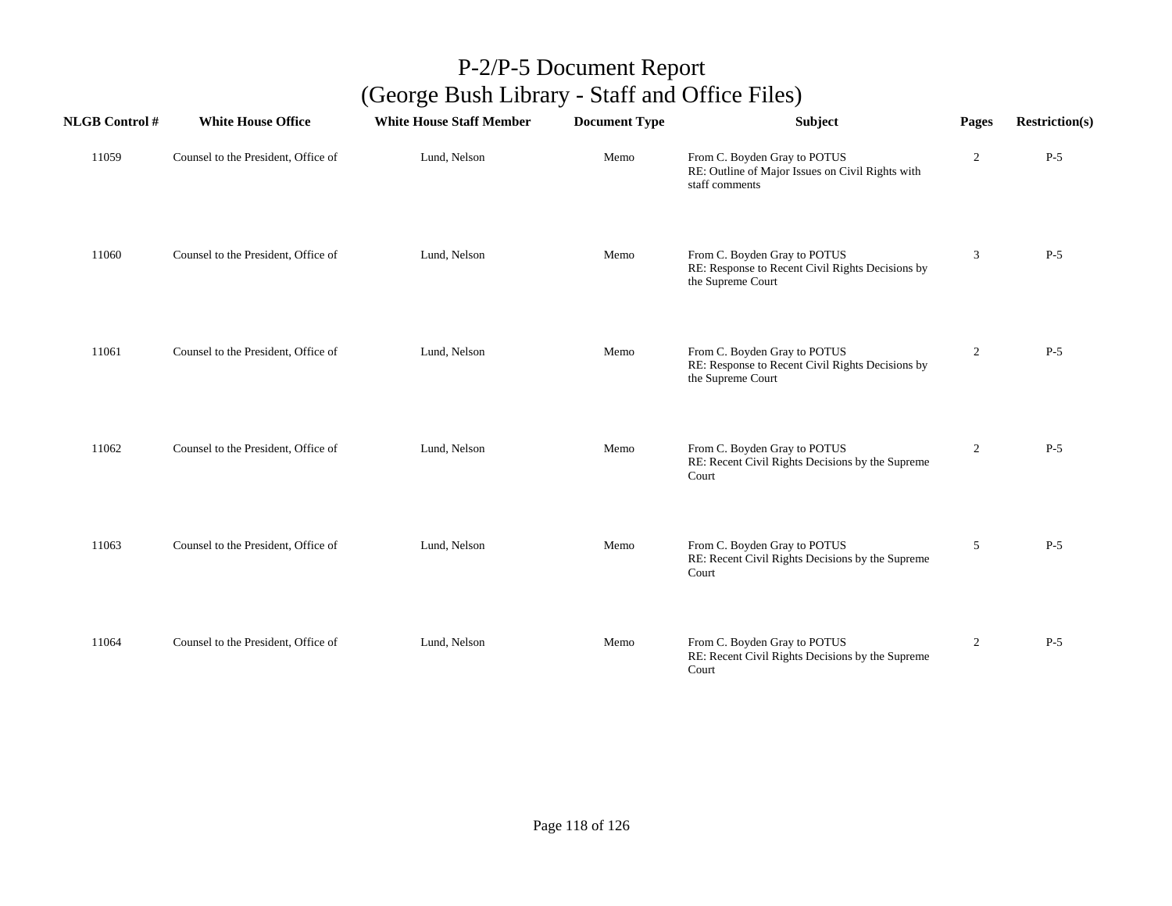| <b>NLGB</b> Control # | <b>White House Office</b>           | <b>White House Staff Member</b> | <b>Document Type</b> | <b>Subject</b>                                                                                        | Pages      | <b>Restriction(s)</b> |
|-----------------------|-------------------------------------|---------------------------------|----------------------|-------------------------------------------------------------------------------------------------------|------------|-----------------------|
| 11059                 | Counsel to the President, Office of | Lund, Nelson                    | Memo                 | From C. Boyden Gray to POTUS<br>RE: Outline of Major Issues on Civil Rights with<br>staff comments    | $\sqrt{2}$ | $P-5$                 |
| 11060                 | Counsel to the President, Office of | Lund, Nelson                    | Memo                 | From C. Boyden Gray to POTUS<br>RE: Response to Recent Civil Rights Decisions by<br>the Supreme Court | 3          | $P-5$                 |
| 11061                 | Counsel to the President, Office of | Lund, Nelson                    | Memo                 | From C. Boyden Gray to POTUS<br>RE: Response to Recent Civil Rights Decisions by<br>the Supreme Court | 2          | $P-5$                 |
| 11062                 | Counsel to the President, Office of | Lund, Nelson                    | Memo                 | From C. Boyden Gray to POTUS<br>RE: Recent Civil Rights Decisions by the Supreme<br>Court             | 2          | $P-5$                 |
| 11063                 | Counsel to the President, Office of | Lund, Nelson                    | Memo                 | From C. Boyden Gray to POTUS<br>RE: Recent Civil Rights Decisions by the Supreme<br>Court             | 5          | $P-5$                 |
| 11064                 | Counsel to the President, Office of | Lund, Nelson                    | Memo                 | From C. Boyden Gray to POTUS<br>RE: Recent Civil Rights Decisions by the Supreme<br>Court             | 2          | $P-5$                 |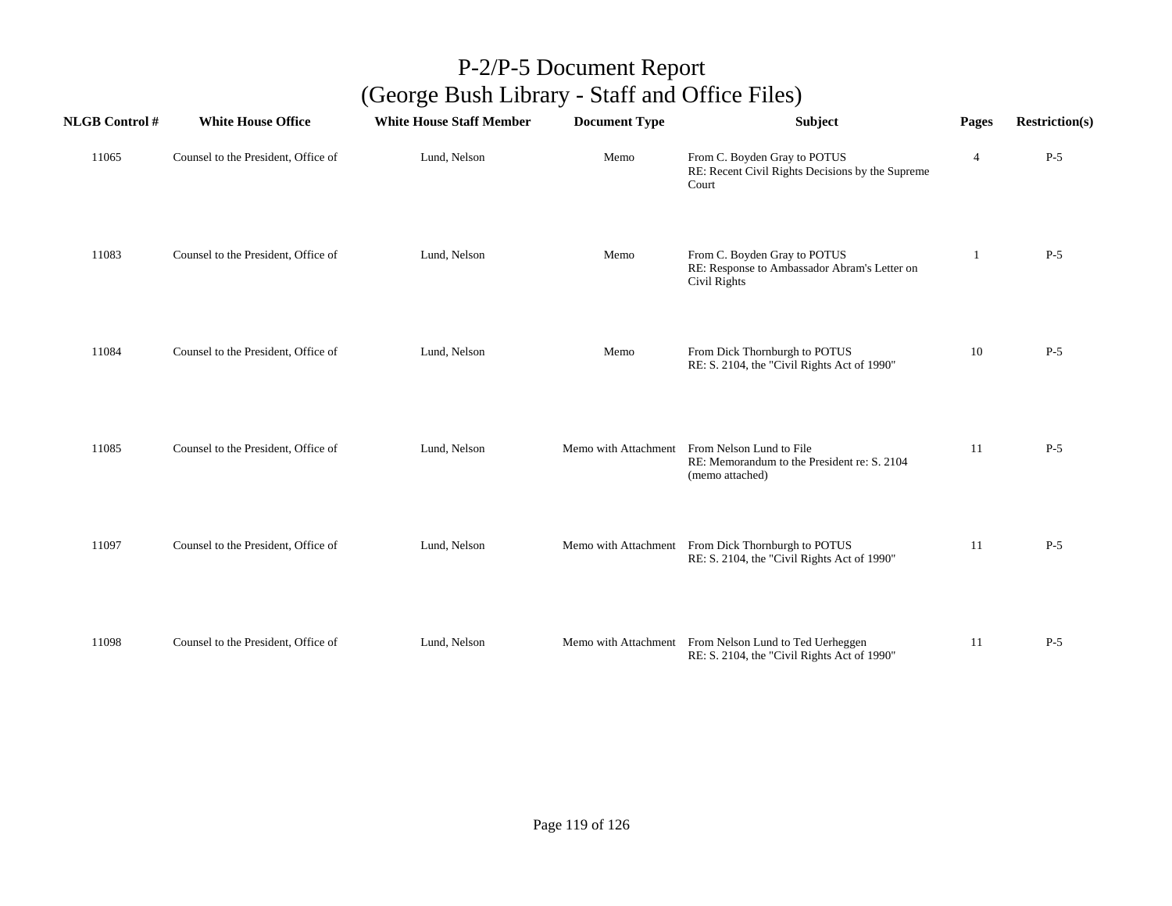| <b>NLGB Control#</b> | <b>White House Office</b>           | <b>White House Staff Member</b> | <b>Document Type</b> | <b>Subject</b>                                                                                                  | Pages          | <b>Restriction(s)</b> |
|----------------------|-------------------------------------|---------------------------------|----------------------|-----------------------------------------------------------------------------------------------------------------|----------------|-----------------------|
| 11065                | Counsel to the President, Office of | Lund, Nelson                    | Memo                 | From C. Boyden Gray to POTUS<br>RE: Recent Civil Rights Decisions by the Supreme<br>Court                       | $\overline{4}$ | $P-5$                 |
| 11083                | Counsel to the President, Office of | Lund, Nelson                    | Memo                 | From C. Boyden Gray to POTUS<br>RE: Response to Ambassador Abram's Letter on<br>Civil Rights                    | 1              | $P-5$                 |
| 11084                | Counsel to the President, Office of | Lund, Nelson                    | Memo                 | From Dick Thornburgh to POTUS<br>RE: S. 2104, the "Civil Rights Act of 1990"                                    | 10             | $P-5$                 |
| 11085                | Counsel to the President, Office of | Lund, Nelson                    |                      | Memo with Attachment From Nelson Lund to File<br>RE: Memorandum to the President re: S. 2104<br>(memo attached) | 11             | $P-5$                 |
| 11097                | Counsel to the President, Office of | Lund, Nelson                    |                      | Memo with Attachment From Dick Thornburgh to POTUS<br>RE: S. 2104, the "Civil Rights Act of 1990"               | 11             | $P-5$                 |
| 11098                | Counsel to the President, Office of | Lund, Nelson                    |                      | Memo with Attachment From Nelson Lund to Ted Uerheggen<br>RE: S. 2104, the "Civil Rights Act of 1990"           | 11             | $P-5$                 |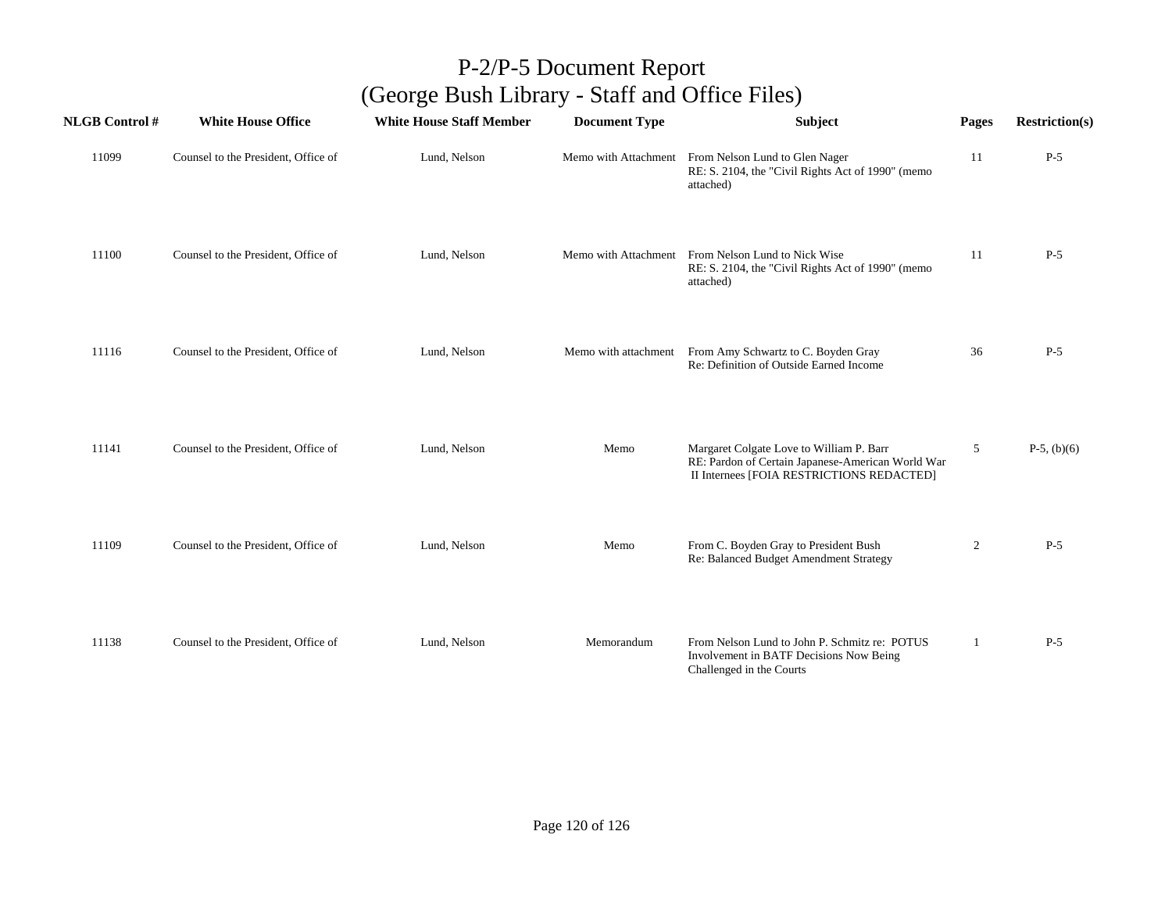| <b>NLGB</b> Control # | <b>White House Office</b>           | <b>White House Staff Member</b> | <b>Document Type</b> | <b>Subject</b>                                                                                                                             | Pages        | <b>Restriction(s)</b> |
|-----------------------|-------------------------------------|---------------------------------|----------------------|--------------------------------------------------------------------------------------------------------------------------------------------|--------------|-----------------------|
| 11099                 | Counsel to the President, Office of | Lund, Nelson                    |                      | Memo with Attachment From Nelson Lund to Glen Nager<br>RE: S. 2104, the "Civil Rights Act of 1990" (memo<br>attached)                      | 11           | $P-5$                 |
| 11100                 | Counsel to the President, Office of | Lund, Nelson                    |                      | Memo with Attachment From Nelson Lund to Nick Wise<br>RE: S. 2104, the "Civil Rights Act of 1990" (memo<br>attached)                       | 11           | $P-5$                 |
| 11116                 | Counsel to the President, Office of | Lund, Nelson                    |                      | Memo with attachment From Amy Schwartz to C. Boyden Gray<br>Re: Definition of Outside Earned Income                                        | 36           | $P-5$                 |
| 11141                 | Counsel to the President, Office of | Lund, Nelson                    | Memo                 | Margaret Colgate Love to William P. Barr<br>RE: Pardon of Certain Japanese-American World War<br>II Internees [FOIA RESTRICTIONS REDACTED] | 5            | $P-5$ , (b)(6)        |
| 11109                 | Counsel to the President, Office of | Lund, Nelson                    | Memo                 | From C. Boyden Gray to President Bush<br>Re: Balanced Budget Amendment Strategy                                                            | 2            | $P-5$                 |
| 11138                 | Counsel to the President, Office of | Lund, Nelson                    | Memorandum           | From Nelson Lund to John P. Schmitz re: POTUS<br>Involvement in BATF Decisions Now Being<br>Challenged in the Courts                       | $\mathbf{1}$ | $P-5$                 |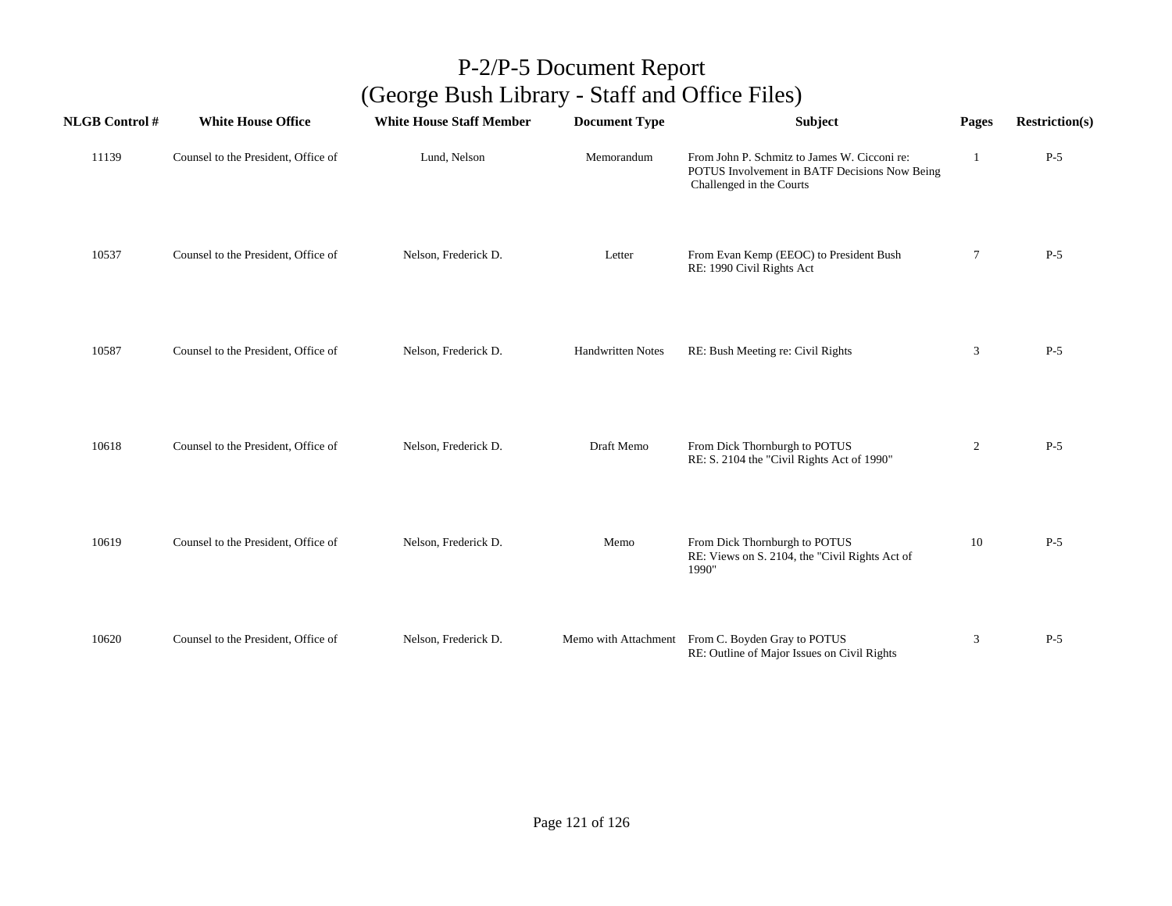| <b>NLGB</b> Control # | <b>White House Office</b>           | <b>White House Staff Member</b> | <b>Document Type</b>     | <b>Subject</b>                                                                                                            | Pages  | <b>Restriction(s)</b> |
|-----------------------|-------------------------------------|---------------------------------|--------------------------|---------------------------------------------------------------------------------------------------------------------------|--------|-----------------------|
| 11139                 | Counsel to the President, Office of | Lund, Nelson                    | Memorandum               | From John P. Schmitz to James W. Cicconi re:<br>POTUS Involvement in BATF Decisions Now Being<br>Challenged in the Courts | 1      | $P-5$                 |
| 10537                 | Counsel to the President, Office of | Nelson, Frederick D.            | Letter                   | From Evan Kemp (EEOC) to President Bush<br>RE: 1990 Civil Rights Act                                                      | $\tau$ | $P-5$                 |
| 10587                 | Counsel to the President, Office of | Nelson, Frederick D.            | <b>Handwritten Notes</b> | RE: Bush Meeting re: Civil Rights                                                                                         | 3      | $P-5$                 |
| 10618                 | Counsel to the President, Office of | Nelson, Frederick D.            | Draft Memo               | From Dick Thornburgh to POTUS<br>RE: S. 2104 the "Civil Rights Act of 1990"                                               | 2      | $P-5$                 |
| 10619                 | Counsel to the President, Office of | Nelson, Frederick D.            | Memo                     | From Dick Thornburgh to POTUS<br>RE: Views on S. 2104, the "Civil Rights Act of<br>1990"                                  | 10     | $P-5$                 |
| 10620                 | Counsel to the President, Office of | Nelson, Frederick D.            |                          | Memo with Attachment From C. Boyden Gray to POTUS<br>RE: Outline of Major Issues on Civil Rights                          | 3      | $P-5$                 |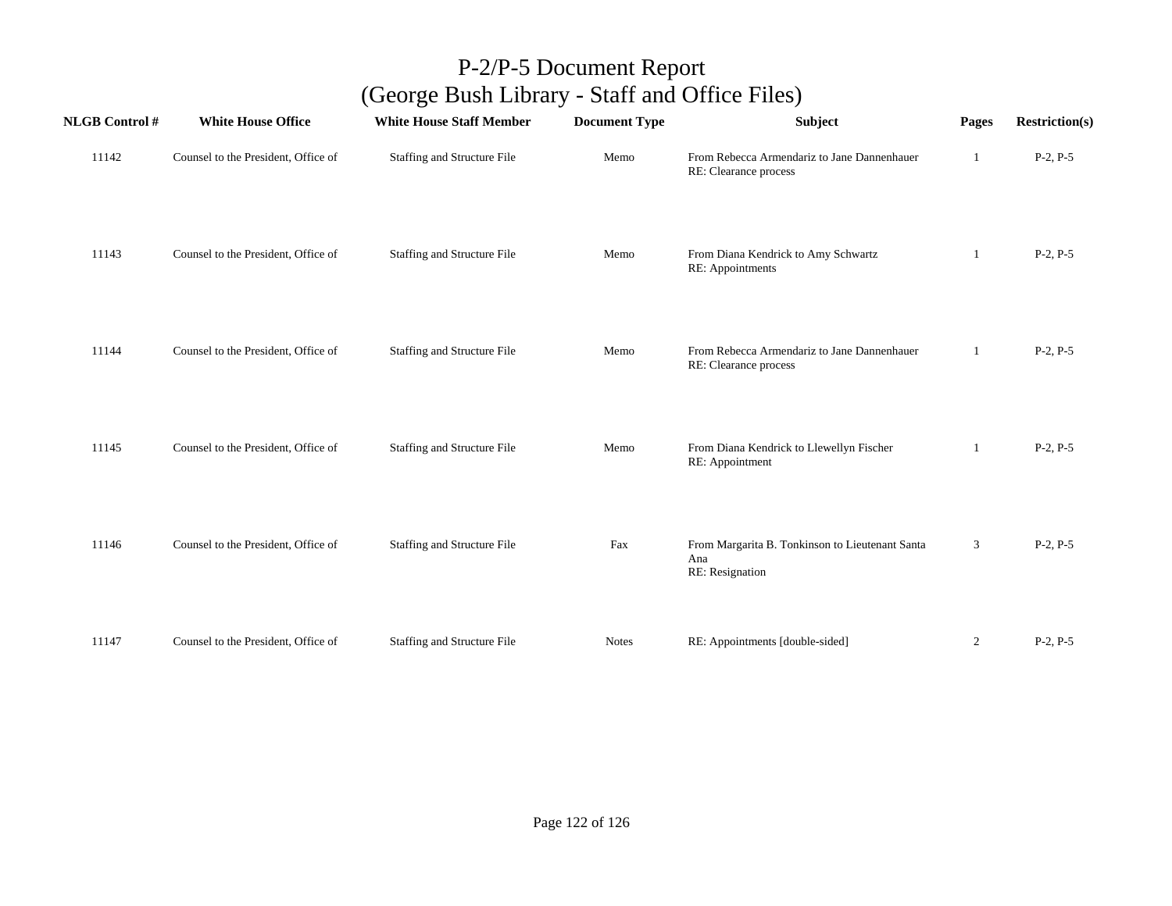| <b>NLGB</b> Control # | <b>White House Office</b>           | <b>White House Staff Member</b> | <b>Document Type</b> | Subject                                                                   | Pages | <b>Restriction(s)</b> |
|-----------------------|-------------------------------------|---------------------------------|----------------------|---------------------------------------------------------------------------|-------|-----------------------|
| 11142                 | Counsel to the President, Office of | Staffing and Structure File     | Memo                 | From Rebecca Armendariz to Jane Dannenhauer<br>RE: Clearance process      | 1     | $P-2, P-5$            |
| 11143                 | Counsel to the President, Office of | Staffing and Structure File     | Memo                 | From Diana Kendrick to Amy Schwartz<br>RE: Appointments                   |       | $P-2, P-5$            |
| 11144                 | Counsel to the President, Office of | Staffing and Structure File     | Memo                 | From Rebecca Armendariz to Jane Dannenhauer<br>RE: Clearance process      | 1     | $P-2, P-5$            |
| 11145                 | Counsel to the President, Office of | Staffing and Structure File     | Memo                 | From Diana Kendrick to Llewellyn Fischer<br>RE: Appointment               | 1     | $P-2, P-5$            |
| 11146                 | Counsel to the President, Office of | Staffing and Structure File     | Fax                  | From Margarita B. Tonkinson to Lieutenant Santa<br>Ana<br>RE: Resignation | 3     | $P-2, P-5$            |
| 11147                 | Counsel to the President, Office of | Staffing and Structure File     | <b>Notes</b>         | RE: Appointments [double-sided]                                           | 2     | $P-2, P-5$            |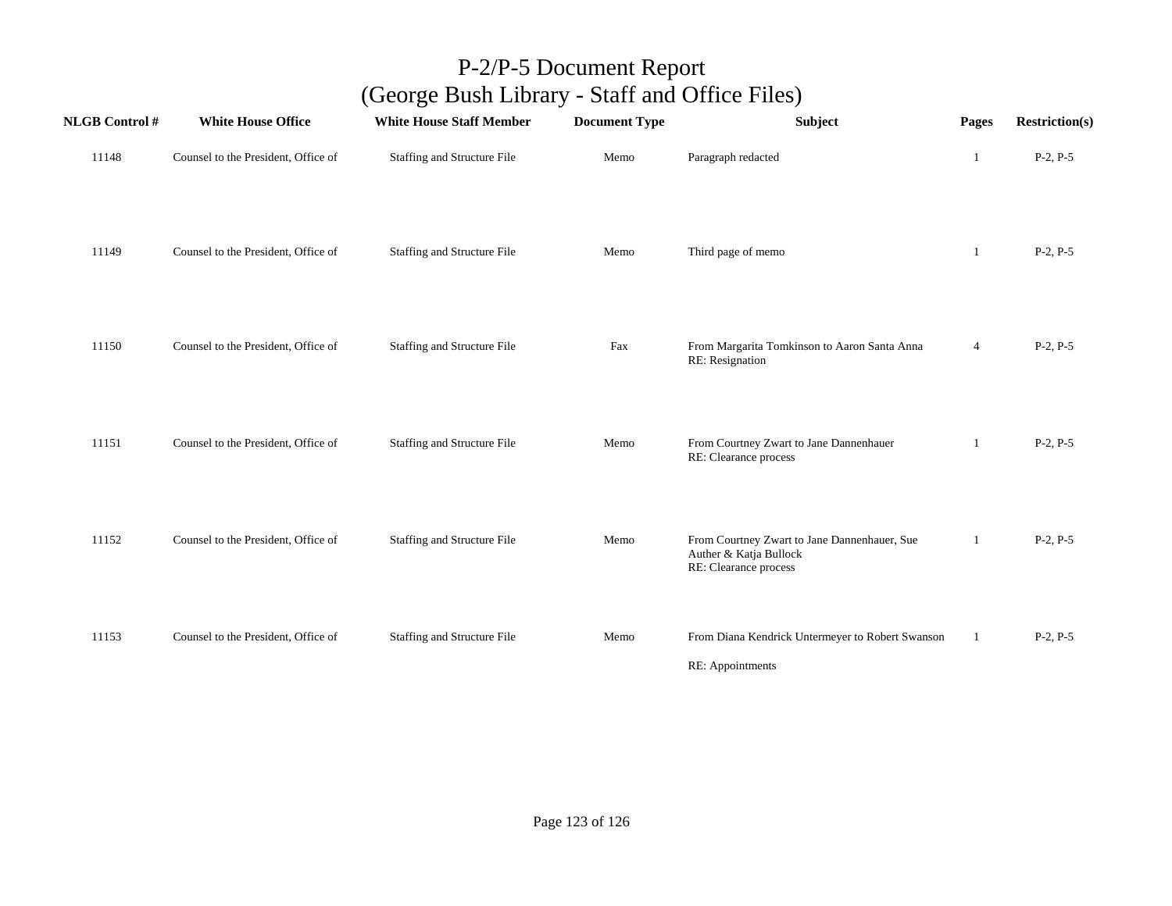| <b>NLGB</b> Control # | <b>White House Office</b>           | <b>White House Staff Member</b>    | <b>Document Type</b> | Subject                                                                                         | Pages          | <b>Restriction(s)</b> |
|-----------------------|-------------------------------------|------------------------------------|----------------------|-------------------------------------------------------------------------------------------------|----------------|-----------------------|
| 11148                 | Counsel to the President, Office of | Staffing and Structure File        | Memo                 | Paragraph redacted                                                                              | 1              | $P-2, P-5$            |
| 11149                 | Counsel to the President, Office of | Staffing and Structure File        | Memo                 | Third page of memo                                                                              | 1              | $P-2, P-5$            |
| 11150                 | Counsel to the President, Office of | <b>Staffing and Structure File</b> | Fax                  | From Margarita Tomkinson to Aaron Santa Anna<br>RE: Resignation                                 | $\overline{4}$ | $P-2, P-5$            |
| 11151                 | Counsel to the President, Office of | Staffing and Structure File        | Memo                 | From Courtney Zwart to Jane Dannenhauer<br>RE: Clearance process                                | 1              | $P-2, P-5$            |
| 11152                 | Counsel to the President, Office of | Staffing and Structure File        | Memo                 | From Courtney Zwart to Jane Dannenhauer, Sue<br>Auther & Katja Bullock<br>RE: Clearance process | 1              | $P-2, P-5$            |
| 11153                 | Counsel to the President, Office of | <b>Staffing and Structure File</b> | Memo                 | From Diana Kendrick Untermeyer to Robert Swanson<br>RE: Appointments                            | 1              | $P-2, P-5$            |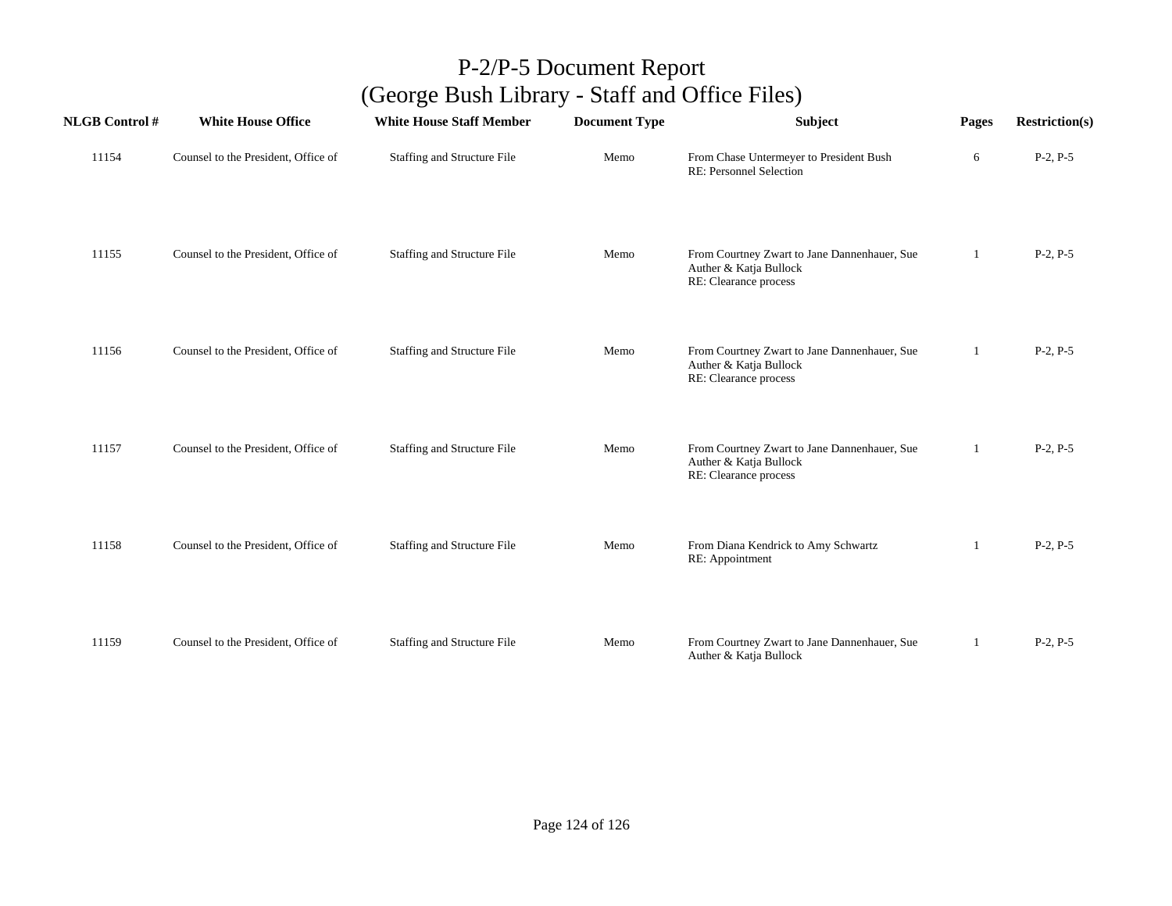| <b>NLGB Control#</b> | <b>White House Office</b>           | <b>White House Staff Member</b> | <b>Document Type</b> | Subject                                                                                         | Pages | <b>Restriction(s)</b> |
|----------------------|-------------------------------------|---------------------------------|----------------------|-------------------------------------------------------------------------------------------------|-------|-----------------------|
| 11154                | Counsel to the President, Office of | Staffing and Structure File     | Memo                 | From Chase Untermeyer to President Bush<br>RE: Personnel Selection                              | 6     | $P-2, P-5$            |
| 11155                | Counsel to the President, Office of | Staffing and Structure File     | Memo                 | From Courtney Zwart to Jane Dannenhauer, Sue<br>Auther & Katja Bullock<br>RE: Clearance process | 1     | $P-2, P-5$            |
| 11156                | Counsel to the President, Office of | Staffing and Structure File     | Memo                 | From Courtney Zwart to Jane Dannenhauer, Sue<br>Auther & Katja Bullock<br>RE: Clearance process | 1     | $P-2, P-5$            |
| 11157                | Counsel to the President, Office of | Staffing and Structure File     | Memo                 | From Courtney Zwart to Jane Dannenhauer, Sue<br>Auther & Katja Bullock<br>RE: Clearance process | 1     | $P-2, P-5$            |
| 11158                | Counsel to the President, Office of | Staffing and Structure File     | Memo                 | From Diana Kendrick to Amy Schwartz<br>RE: Appointment                                          |       | $P-2, P-5$            |
| 11159                | Counsel to the President, Office of | Staffing and Structure File     | Memo                 | From Courtney Zwart to Jane Dannenhauer, Sue<br>Auther & Katja Bullock                          | 1     | $P-2, P-5$            |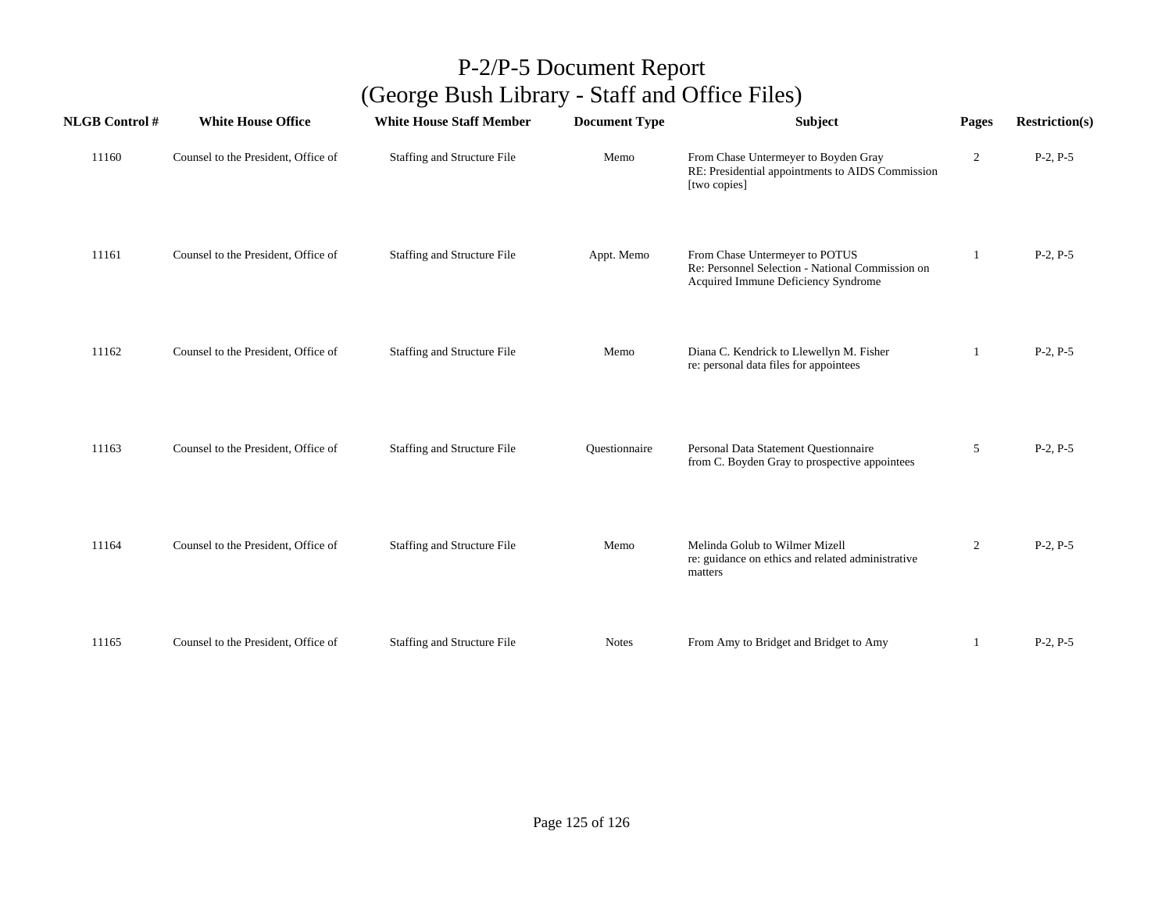| <b>NLGB</b> Control # | <b>White House Office</b>           | <b>White House Staff Member</b>    | <b>Document Type</b> | Subject                                                                                                                   | Pages | <b>Restriction(s)</b> |
|-----------------------|-------------------------------------|------------------------------------|----------------------|---------------------------------------------------------------------------------------------------------------------------|-------|-----------------------|
| 11160                 | Counsel to the President, Office of | Staffing and Structure File        | Memo                 | From Chase Untermeyer to Boyden Gray<br>RE: Presidential appointments to AIDS Commission<br>[two copies]                  | 2     | $P-2, P-5$            |
| 11161                 | Counsel to the President, Office of | Staffing and Structure File        | Appt. Memo           | From Chase Untermeyer to POTUS<br>Re: Personnel Selection - National Commission on<br>Acquired Immune Deficiency Syndrome |       | $P-2, P-5$            |
| 11162                 | Counsel to the President, Office of | Staffing and Structure File        | Memo                 | Diana C. Kendrick to Llewellyn M. Fisher<br>re: personal data files for appointees                                        |       | $P-2, P-5$            |
| 11163                 | Counsel to the President, Office of | <b>Staffing and Structure File</b> | Questionnaire        | Personal Data Statement Questionnaire<br>from C. Boyden Gray to prospective appointees                                    | 5     | $P-2, P-5$            |
| 11164                 | Counsel to the President, Office of | Staffing and Structure File        | Memo                 | Melinda Golub to Wilmer Mizell<br>re: guidance on ethics and related administrative<br>matters                            | 2     | $P-2, P-5$            |
| 11165                 | Counsel to the President, Office of | Staffing and Structure File        | <b>Notes</b>         | From Amy to Bridget and Bridget to Amy                                                                                    |       | $P-2, P-5$            |